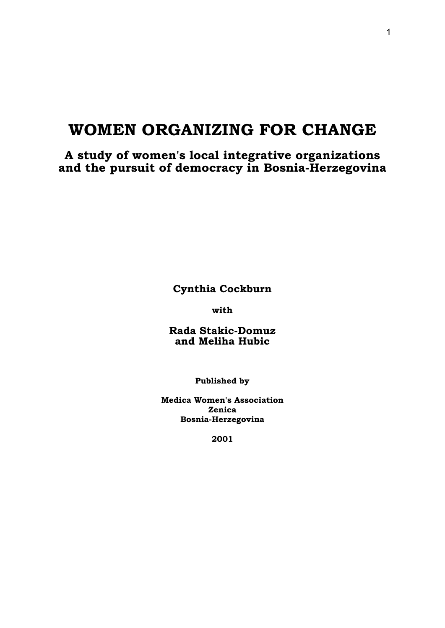# **WOMEN ORGANIZING FOR CHANGE**

**A study of women's local integrative organizations and the pursuit of democracy in Bosnia-Herzegovina** 

**Cynthia Cockburn** 

**with** 

**Rada Stakic-Domuz and Meliha Hubic** 

**Published by** 

**Medica Women's Association Zenica Bosnia-Herzegovina** 

**2001**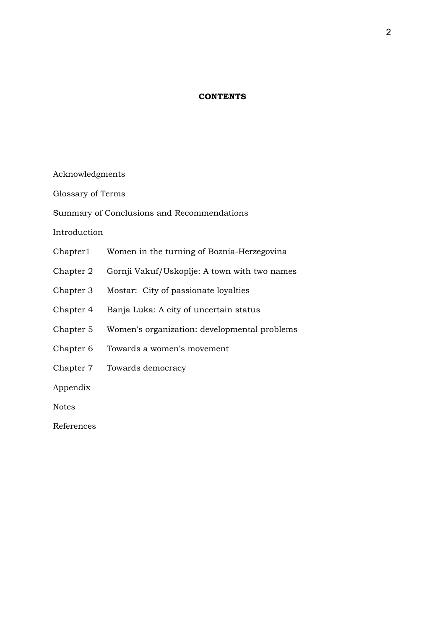# **CONTENTS**

Acknowledgments

Glossary of Terms

Summary of Conclusions and Recommendations

Introduction

- Chapter1 Women in the turning of Boznia-Herzegovina
- Chapter 2 Gornji Vakuf/Uskoplje: A town with two names
- Chapter 3 Mostar: City of passionate loyalties
- Chapter 4 Banja Luka: A city of uncertain status
- Chapter 5 Women's organization: developmental problems
- Chapter 6 Towards a women's movement
- Chapter 7 Towards democracy

Appendix

Notes

References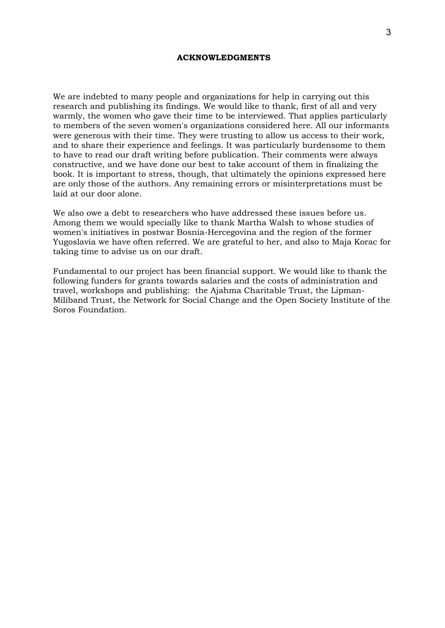#### **ACKNOWLEDGMENTS**

We are indebted to many people and organizations for help in carrying out this research and publishing its findings. We would like to thank, first of all and very warmly, the women who gave their time to be interviewed. That applies particularly to members of the seven women's organizations considered here. All our informants were generous with their time. They were trusting to allow us access to their work, and to share their experience and feelings. It was particularly burdensome to them to have to read our draft writing before publication. Their comments were always constructive, and we have done our best to take account of them in finalizing the book. It is important to stress, though, that ultimately the opinions expressed here are only those of the authors. Any remaining errors or misinterpretations must be laid at our door alone.

We also owe a debt to researchers who have addressed these issues before us. Among them we would specially like to thank Martha Walsh to whose studies of women's initiatives in postwar Bosnia-Hercegovina and the region of the former Yugoslavia we have often referred. We are grateful to her, and also to Maja Korac for taking time to advise us on our draft.

Fundamental to our project has been financial support. We would like to thank the following funders for grants towards salaries and the costs of administration and travel, workshops and publishing: the Ajahma Charitable Trust, the Lipman-Miliband Trust, the Network for Social Change and the Open Society Institute of the Soros Foundation.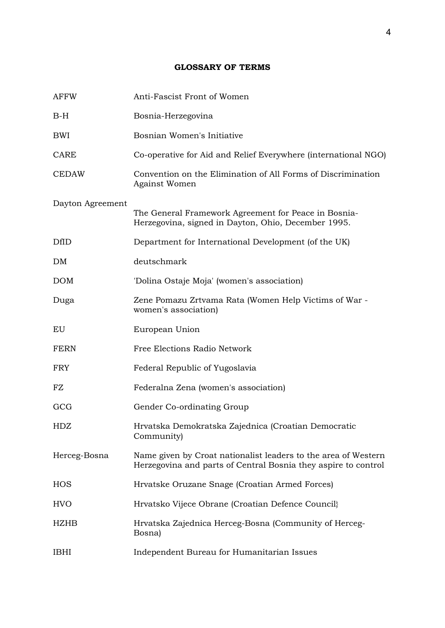# **GLOSSARY OF TERMS**

| <b>AFFW</b>      | Anti-Fascist Front of Women                                                                                                      |
|------------------|----------------------------------------------------------------------------------------------------------------------------------|
| $B-H$            | Bosnia-Herzegovina                                                                                                               |
| BWI              | Bosnian Women's Initiative                                                                                                       |
| <b>CARE</b>      | Co-operative for Aid and Relief Everywhere (international NGO)                                                                   |
| <b>CEDAW</b>     | Convention on the Elimination of All Forms of Discrimination<br>Against Women                                                    |
| Dayton Agreement | The General Framework Agreement for Peace in Bosnia-<br>Herzegovina, signed in Dayton, Ohio, December 1995.                      |
| <b>DfID</b>      | Department for International Development (of the UK)                                                                             |
| DM               | deutschmark                                                                                                                      |
| <b>DOM</b>       | 'Dolina Ostaje Moja' (women's association)                                                                                       |
| Duga             | Zene Pomazu Zrtvama Rata (Women Help Victims of War -<br>women's association)                                                    |
| EU               | European Union                                                                                                                   |
| <b>FERN</b>      | Free Elections Radio Network                                                                                                     |
| <b>FRY</b>       | Federal Republic of Yugoslavia                                                                                                   |
| FZ               | Federalna Zena (women's association)                                                                                             |
| GCG              | Gender Co-ordinating Group                                                                                                       |
| HDZ              | Hrvatska Demokratska Zajednica (Croatian Democratic<br>Community)                                                                |
| Herceg-Bosna     | Name given by Croat nationalist leaders to the area of Western<br>Herzegovina and parts of Central Bosnia they aspire to control |
| HOS              | Hrvatske Oruzane Snage (Croatian Armed Forces)                                                                                   |
| <b>HVO</b>       | Hrvatsko Vijece Obrane (Croatian Defence Council)                                                                                |
| <b>HZHB</b>      | Hrvatska Zajednica Herceg-Bosna (Community of Herceg-<br>Bosna)                                                                  |
| <b>IBHI</b>      | Independent Bureau for Humanitarian Issues                                                                                       |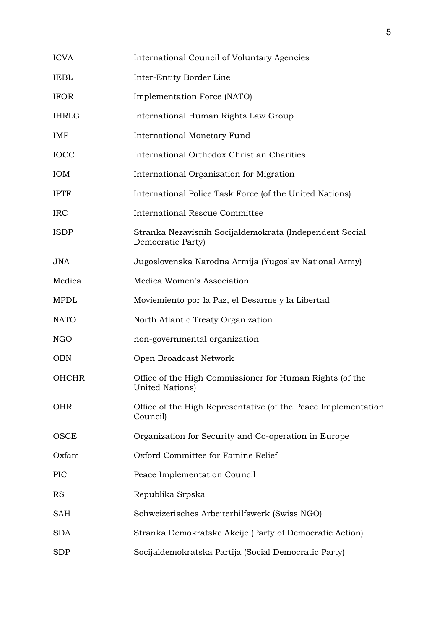| <b>ICVA</b>  | International Council of Voluntary Agencies                                  |
|--------------|------------------------------------------------------------------------------|
| <b>IEBL</b>  | Inter-Entity Border Line                                                     |
| <b>IFOR</b>  | Implementation Force (NATO)                                                  |
| <b>IHRLG</b> | International Human Rights Law Group                                         |
| IMF          | <b>International Monetary Fund</b>                                           |
| <b>IOCC</b>  | International Orthodox Christian Charities                                   |
| <b>IOM</b>   | International Organization for Migration                                     |
| <b>IPTF</b>  | International Police Task Force (of the United Nations)                      |
| <b>IRC</b>   | <b>International Rescue Committee</b>                                        |
| <b>ISDP</b>  | Stranka Nezavisnih Socijaldemokrata (Independent Social<br>Democratic Party) |
| <b>JNA</b>   | Jugoslovenska Narodna Armija (Yugoslav National Army)                        |
| Medica       | Medica Women's Association                                                   |
| <b>MPDL</b>  | Moviemiento por la Paz, el Desarme y la Libertad                             |
| <b>NATO</b>  | North Atlantic Treaty Organization                                           |
| NGO          | non-governmental organization                                                |
| <b>OBN</b>   | Open Broadcast Network                                                       |
| <b>OHCHR</b> | Office of the High Commissioner for Human Rights (of the<br>United Nations)  |
| <b>OHR</b>   | Office of the High Representative (of the Peace Implementation<br>Council)   |
| OSCE         | Organization for Security and Co-operation in Europe                         |
| Oxfam        | Oxford Committee for Famine Relief                                           |
| <b>PIC</b>   | Peace Implementation Council                                                 |
| <b>RS</b>    | Republika Srpska                                                             |
| SAH          | Schweizerisches Arbeiterhilfswerk (Swiss NGO)                                |
| <b>SDA</b>   | Stranka Demokratske Akcije (Party of Democratic Action)                      |
| <b>SDP</b>   | Socijaldemokratska Partija (Social Democratic Party)                         |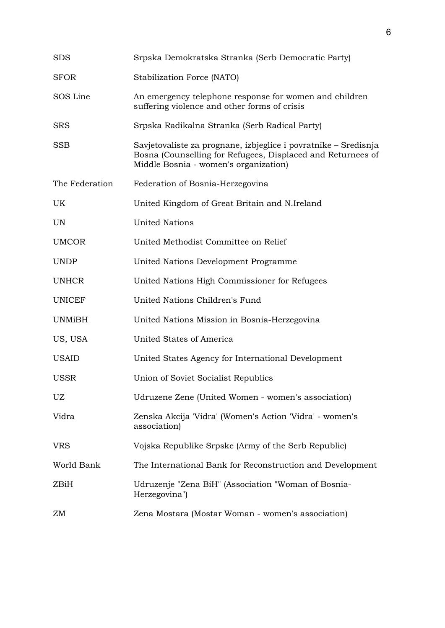| <b>SDS</b>     | Srpska Demokratska Stranka (Serb Democratic Party)                                                                                                                      |
|----------------|-------------------------------------------------------------------------------------------------------------------------------------------------------------------------|
| <b>SFOR</b>    | Stabilization Force (NATO)                                                                                                                                              |
| SOS Line       | An emergency telephone response for women and children<br>suffering violence and other forms of crisis                                                                  |
| <b>SRS</b>     | Srpska Radikalna Stranka (Serb Radical Party)                                                                                                                           |
| <b>SSB</b>     | Savjetovaliste za prognane, izbjeglice i povratnike – Sredisnja<br>Bosna (Counselling for Refugees, Displaced and Returnees of<br>Middle Bosnia - women's organization) |
| The Federation | Federation of Bosnia-Herzegovina                                                                                                                                        |
| UK             | United Kingdom of Great Britain and N.Ireland                                                                                                                           |
| <b>UN</b>      | <b>United Nations</b>                                                                                                                                                   |
| <b>UMCOR</b>   | United Methodist Committee on Relief                                                                                                                                    |
| <b>UNDP</b>    | United Nations Development Programme                                                                                                                                    |
| <b>UNHCR</b>   | United Nations High Commissioner for Refugees                                                                                                                           |
| <b>UNICEF</b>  | United Nations Children's Fund                                                                                                                                          |
| <b>UNMiBH</b>  | United Nations Mission in Bosnia-Herzegovina                                                                                                                            |
| US, USA        | United States of America                                                                                                                                                |
| <b>USAID</b>   | United States Agency for International Development                                                                                                                      |
| <b>USSR</b>    | Union of Soviet Socialist Republics                                                                                                                                     |
| UZ             | Udruzene Zene (United Women - women's association)                                                                                                                      |
| Vidra          | Zenska Akcija 'Vidra' (Women's Action 'Vidra' - women's<br>association)                                                                                                 |
| <b>VRS</b>     | Vojska Republike Srpske (Army of the Serb Republic)                                                                                                                     |
| World Bank     | The International Bank for Reconstruction and Development                                                                                                               |
| ZBiH           | Udruzenje "Zena BiH" (Association "Woman of Bosnia-<br>Herzegovina")                                                                                                    |
| ZΜ             | Zena Mostara (Mostar Woman - women's association)                                                                                                                       |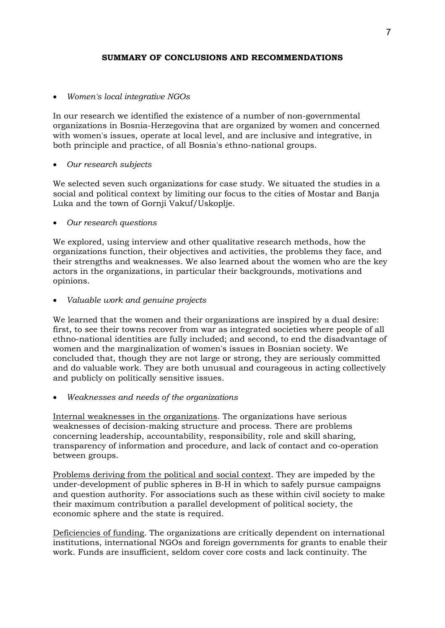# **SUMMARY OF CONCLUSIONS AND RECOMMENDATIONS**

# • *Women's local integrative NGOs*

In our research we identified the existence of a number of non-governmental organizations in Bosnia-Herzegovina that are organized by women and concerned with women's issues, operate at local level, and are inclusive and integrative, in both principle and practice, of all Bosnia's ethno-national groups.

# • *Our research subjects*

We selected seven such organizations for case study. We situated the studies in a social and political context by limiting our focus to the cities of Mostar and Banja Luka and the town of Gornji Vakuf/Uskoplje.

# • *Our research questions*

We explored, using interview and other qualitative research methods, how the organizations function, their objectives and activities, the problems they face, and their strengths and weaknesses. We also learned about the women who are the key actors in the organizations, in particular their backgrounds, motivations and opinions.

• *Valuable work and genuine projects* 

We learned that the women and their organizations are inspired by a dual desire: first, to see their towns recover from war as integrated societies where people of all ethno-national identities are fully included; and second, to end the disadvantage of women and the marginalization of women's issues in Bosnian society. We concluded that, though they are not large or strong, they are seriously committed and do valuable work. They are both unusual and courageous in acting collectively and publicly on politically sensitive issues.

• *Weaknesses and needs of the organizations* 

Internal weaknesses in the organizations. The organizations have serious weaknesses of decision-making structure and process. There are problems concerning leadership, accountability, responsibility, role and skill sharing, transparency of information and procedure, and lack of contact and co-operation between groups.

Problems deriving from the political and social context. They are impeded by the under-development of public spheres in B-H in which to safely pursue campaigns and question authority. For associations such as these within civil society to make their maximum contribution a parallel development of political society, the economic sphere and the state is required.

Deficiencies of funding. The organizations are critically dependent on international institutions, international NGOs and foreign governments for grants to enable their work. Funds are insufficient, seldom cover core costs and lack continuity. The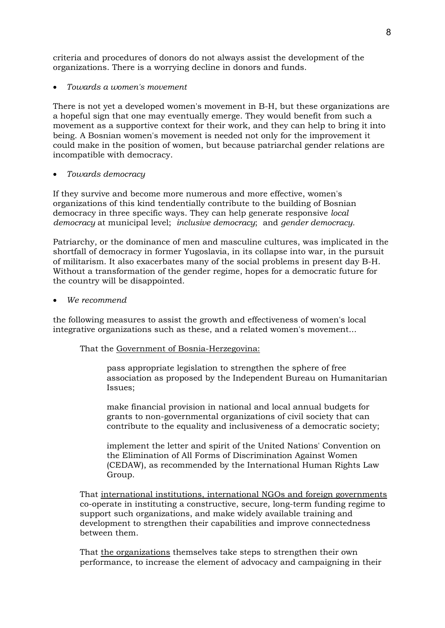criteria and procedures of donors do not always assist the development of the organizations. There is a worrying decline in donors and funds.

• *Towards a women's movement* 

There is not yet a developed women's movement in B-H, but these organizations are a hopeful sign that one may eventually emerge. They would benefit from such a movement as a supportive context for their work, and they can help to bring it into being. A Bosnian women's movement is needed not only for the improvement it could make in the position of women, but because patriarchal gender relations are incompatible with democracy.

• *Towards democracy* 

If they survive and become more numerous and more effective, women's organizations of this kind tendentially contribute to the building of Bosnian democracy in three specific ways. They can help generate responsive *local democracy* at municipal level; *inclusive democracy*; and *gender democracy.* 

Patriarchy, or the dominance of men and masculine cultures, was implicated in the shortfall of democracy in former Yugoslavia, in its collapse into war, in the pursuit of militarism. It also exacerbates many of the social problems in present day B-H. Without a transformation of the gender regime, hopes for a democratic future for the country will be disappointed.

• *We recommend* 

the following measures to assist the growth and effectiveness of women's local integrative organizations such as these, and a related women's movement...

That the Government of Bosnia-Herzegovina:

pass appropriate legislation to strengthen the sphere of free association as proposed by the Independent Bureau on Humanitarian Issues;

make financial provision in national and local annual budgets for grants to non-governmental organizations of civil society that can contribute to the equality and inclusiveness of a democratic society;

implement the letter and spirit of the United Nations' Convention on the Elimination of All Forms of Discrimination Against Women (CEDAW), as recommended by the International Human Rights Law Group.

That international institutions, international NGOs and foreign governments co-operate in instituting a constructive, secure, long-term funding regime to support such organizations, and make widely available training and development to strengthen their capabilities and improve connectedness between them.

That the organizations themselves take steps to strengthen their own performance, to increase the element of advocacy and campaigning in their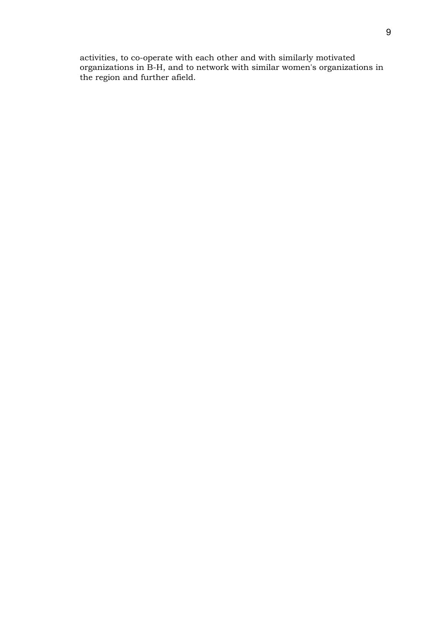activities, to co-operate with each other and with similarly motivated organizations in B-H, and to network with similar women's organizations in the region and further afield.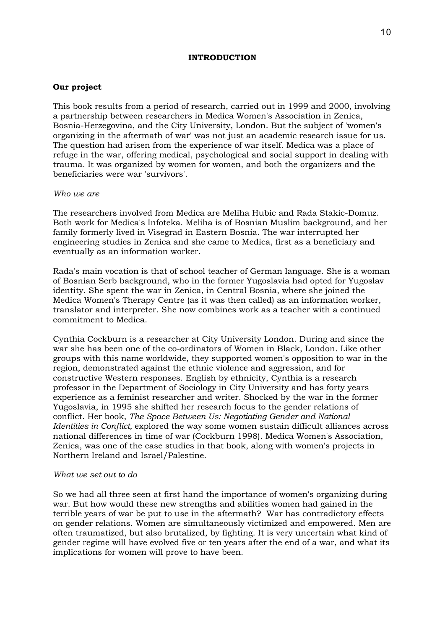#### **INTRODUCTION**

#### **Our project**

This book results from a period of research, carried out in 1999 and 2000, involving a partnership between researchers in Medica Women's Association in Zenica, Bosnia-Herzegovina, and the City University, London. But the subject of 'women's organizing in the aftermath of war' was not just an academic research issue for us. The question had arisen from the experience of war itself. Medica was a place of refuge in the war, offering medical, psychological and social support in dealing with trauma. It was organized by women for women, and both the organizers and the beneficiaries were war 'survivors'.

#### *Who we are*

The researchers involved from Medica are Meliha Hubic and Rada Stakic-Domuz. Both work for Medica's Infoteka. Meliha is of Bosnian Muslim background, and her family formerly lived in Visegrad in Eastern Bosnia. The war interrupted her engineering studies in Zenica and she came to Medica, first as a beneficiary and eventually as an information worker.

Rada's main vocation is that of school teacher of German language. She is a woman of Bosnian Serb background, who in the former Yugoslavia had opted for Yugoslav identity. She spent the war in Zenica, in Central Bosnia, where she joined the Medica Women's Therapy Centre (as it was then called) as an information worker, translator and interpreter. She now combines work as a teacher with a continued commitment to Medica.

Cynthia Cockburn is a researcher at City University London. During and since the war she has been one of the co-ordinators of Women in Black, London. Like other groups with this name worldwide, they supported women's opposition to war in the region, demonstrated against the ethnic violence and aggression, and for constructive Western responses. English by ethnicity, Cynthia is a research professor in the Department of Sociology in City University and has forty years experience as a feminist researcher and writer. Shocked by the war in the former Yugoslavia, in 1995 she shifted her research focus to the gender relations of conflict. Her book, *The Space Between Us: Negotiating Gender and National Identities in Conflict,* explored the way some women sustain difficult alliances across national differences in time of war (Cockburn 1998). Medica Women's Association, Zenica, was one of the case studies in that book, along with women's projects in Northern Ireland and Israel/Palestine.

#### *What we set out to do*

So we had all three seen at first hand the importance of women's organizing during war. But how would these new strengths and abilities women had gained in the terrible years of war be put to use in the aftermath? War has contradictory effects on gender relations. Women are simultaneously victimized and empowered. Men are often traumatized, but also brutalized, by fighting. It is very uncertain what kind of gender regime will have evolved five or ten years after the end of a war, and what its implications for women will prove to have been.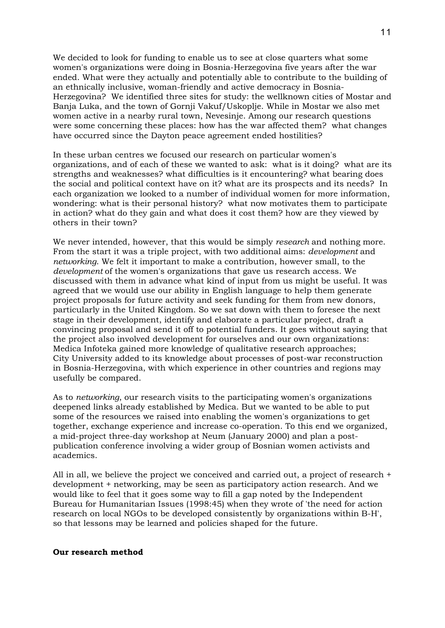We decided to look for funding to enable us to see at close quarters what some women's organizations were doing in Bosnia-Herzegovina five years after the war ended. What were they actually and potentially able to contribute to the building of an ethnically inclusive, woman-friendly and active democracy in Bosnia-Herzegovina? We identified three sites for study: the wellknown cities of Mostar and Banja Luka, and the town of Gornji Vakuf/Uskoplje. While in Mostar we also met women active in a nearby rural town, Nevesinje. Among our research questions were some concerning these places: how has the war affected them? what changes have occurred since the Dayton peace agreement ended hostilities?

In these urban centres we focused our research on particular women's organizations, and of each of these we wanted to ask: what is it doing? what are its strengths and weaknesses? what difficulties is it encountering? what bearing does the social and political context have on it? what are its prospects and its needs? In each organization we looked to a number of individual women for more information, wondering: what is their personal history? what now motivates them to participate in action? what do they gain and what does it cost them? how are they viewed by others in their town?

We never intended, however, that this would be simply *research* and nothing more. From the start it was a triple project, with two additional aims: *development* and *networking*. We felt it important to make a contribution, however small, to the *development* of the women's organizations that gave us research access. We discussed with them in advance what kind of input from us might be useful. It was agreed that we would use our ability in English language to help them generate project proposals for future activity and seek funding for them from new donors, particularly in the United Kingdom. So we sat down with them to foresee the next stage in their development, identify and elaborate a particular project, draft a convincing proposal and send it off to potential funders. It goes without saying that the project also involved development for ourselves and our own organizations: Medica Infoteka gained more knowledge of qualitative research approaches; City University added to its knowledge about processes of post-war reconstruction in Bosnia-Herzegovina, with which experience in other countries and regions may usefully be compared.

As to *networking*, our research visits to the participating women's organizations deepened links already established by Medica. But we wanted to be able to put some of the resources we raised into enabling the women's organizations to get together, exchange experience and increase co-operation. To this end we organized, a mid-project three-day workshop at Neum (January 2000) and plan a postpublication conference involving a wider group of Bosnian women activists and academics.

All in all, we believe the project we conceived and carried out, a project of research + development + networking, may be seen as participatory action research. And we would like to feel that it goes some way to fill a gap noted by the Independent Bureau for Humanitarian Issues (1998:45) when they wrote of 'the need for action research on local NGOs to be developed consistently by organizations within B-H', so that lessons may be learned and policies shaped for the future.

#### **Our research method**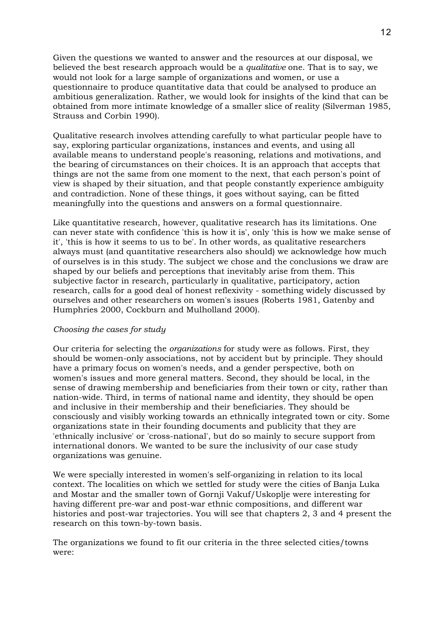Given the questions we wanted to answer and the resources at our disposal, we believed the best research approach would be a *qualitative* one. That is to say, we would not look for a large sample of organizations and women, or use a questionnaire to produce quantitative data that could be analysed to produce an ambitious generalization. Rather, we would look for insights of the kind that can be obtained from more intimate knowledge of a smaller slice of reality (Silverman 1985, Strauss and Corbin 1990).

Qualitative research involves attending carefully to what particular people have to say, exploring particular organizations, instances and events, and using all available means to understand people's reasoning, relations and motivations, and the bearing of circumstances on their choices. It is an approach that accepts that things are not the same from one moment to the next, that each person's point of view is shaped by their situation, and that people constantly experience ambiguity and contradiction. None of these things, it goes without saying, can be fitted meaningfully into the questions and answers on a formal questionnaire.

Like quantitative research, however, qualitative research has its limitations. One can never state with confidence 'this is how it is', only 'this is how we make sense of it', 'this is how it seems to us to be'. In other words, as qualitative researchers always must (and quantitative researchers also should) we acknowledge how much of ourselves is in this study. The subject we chose and the conclusions we draw are shaped by our beliefs and perceptions that inevitably arise from them. This subjective factor in research, particularly in qualitative, participatory, action research, calls for a good deal of honest reflexivity - something widely discussed by ourselves and other researchers on women's issues (Roberts 1981, Gatenby and Humphries 2000, Cockburn and Mulholland 2000).

# *Choosing the cases for study*

Our criteria for selecting the *organizations* for study were as follows. First, they should be women-only associations, not by accident but by principle. They should have a primary focus on women's needs, and a gender perspective, both on women's issues and more general matters. Second, they should be local, in the sense of drawing membership and beneficiaries from their town or city, rather than nation-wide. Third, in terms of national name and identity, they should be open and inclusive in their membership and their beneficiaries. They should be consciously and visibly working towards an ethnically integrated town or city. Some organizations state in their founding documents and publicity that they are 'ethnically inclusive' or 'cross-national', but do so mainly to secure support from international donors. We wanted to be sure the inclusivity of our case study organizations was genuine.

We were specially interested in women's self-organizing in relation to its local context. The localities on which we settled for study were the cities of Banja Luka and Mostar and the smaller town of Gornji Vakuf/Uskoplje were interesting for having different pre-war and post-war ethnic compositions, and different war histories and post-war trajectories. You will see that chapters 2, 3 and 4 present the research on this town-by-town basis.

The organizations we found to fit our criteria in the three selected cities/towns were: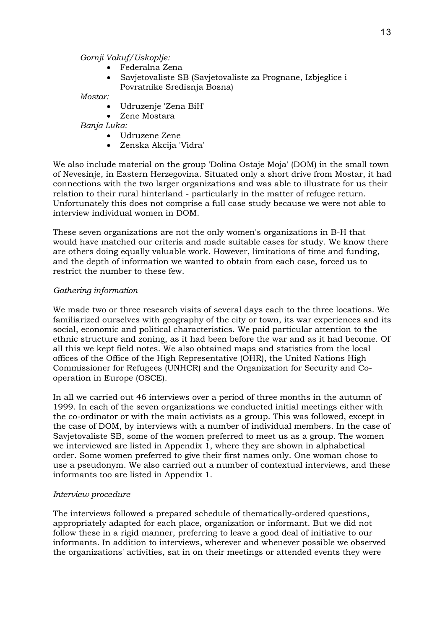*Gornji Vakuf/Uskoplje:* 

- Federalna Zena
- Savjetovaliste SB (Savjetovaliste za Prognane, Izbjeglice i Povratnike Sredisnja Bosna)

*Mostar:* 

- Udruzenje 'Zena BiH'
- Zene Mostara

*Banja Luka:* 

- Udruzene Zene
- Zenska Akcija 'Vidra'

We also include material on the group 'Dolina Ostaje Moja' (DOM) in the small town of Nevesinje, in Eastern Herzegovina. Situated only a short drive from Mostar, it had connections with the two larger organizations and was able to illustrate for us their relation to their rural hinterland - particularly in the matter of refugee return. Unfortunately this does not comprise a full case study because we were not able to interview individual women in DOM.

These seven organizations are not the only women's organizations in B-H that would have matched our criteria and made suitable cases for study. We know there are others doing equally valuable work. However, limitations of time and funding, and the depth of information we wanted to obtain from each case, forced us to restrict the number to these few.

# *Gathering information*

We made two or three research visits of several days each to the three locations. We familiarized ourselves with geography of the city or town, its war experiences and its social, economic and political characteristics. We paid particular attention to the ethnic structure and zoning, as it had been before the war and as it had become. Of all this we kept field notes. We also obtained maps and statistics from the local offices of the Office of the High Representative (OHR), the United Nations High Commissioner for Refugees (UNHCR) and the Organization for Security and Cooperation in Europe (OSCE).

In all we carried out 46 interviews over a period of three months in the autumn of 1999. In each of the seven organizations we conducted initial meetings either with the co-ordinator or with the main activists as a group. This was followed, except in the case of DOM, by interviews with a number of individual members. In the case of Savjetovaliste SB, some of the women preferred to meet us as a group. The women we interviewed are listed in Appendix 1, where they are shown in alphabetical order. Some women preferred to give their first names only. One woman chose to use a pseudonym. We also carried out a number of contextual interviews, and these informants too are listed in Appendix 1.

# *Interview procedure*

The interviews followed a prepared schedule of thematically-ordered questions, appropriately adapted for each place, organization or informant. But we did not follow these in a rigid manner, preferring to leave a good deal of initiative to our informants. In addition to interviews, wherever and whenever possible we observed the organizations' activities, sat in on their meetings or attended events they were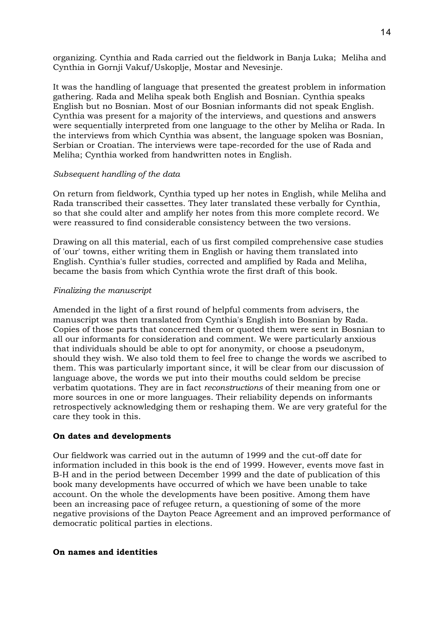organizing. Cynthia and Rada carried out the fieldwork in Banja Luka; Meliha and Cynthia in Gornji Vakuf/Uskoplje, Mostar and Nevesinje.

It was the handling of language that presented the greatest problem in information gathering. Rada and Meliha speak both English and Bosnian. Cynthia speaks English but no Bosnian. Most of our Bosnian informants did not speak English. Cynthia was present for a majority of the interviews, and questions and answers were sequentially interpreted from one language to the other by Meliha or Rada. In the interviews from which Cynthia was absent, the language spoken was Bosnian, Serbian or Croatian. The interviews were tape-recorded for the use of Rada and Meliha; Cynthia worked from handwritten notes in English.

# *Subsequent handling of the data*

On return from fieldwork, Cynthia typed up her notes in English, while Meliha and Rada transcribed their cassettes. They later translated these verbally for Cynthia, so that she could alter and amplify her notes from this more complete record. We were reassured to find considerable consistency between the two versions.

Drawing on all this material, each of us first compiled comprehensive case studies of 'our' towns, either writing them in English or having them translated into English. Cynthia's fuller studies, corrected and amplified by Rada and Meliha, became the basis from which Cynthia wrote the first draft of this book.

# *Finalizing the manuscript*

Amended in the light of a first round of helpful comments from advisers, the manuscript was then translated from Cynthia's English into Bosnian by Rada. Copies of those parts that concerned them or quoted them were sent in Bosnian to all our informants for consideration and comment. We were particularly anxious that individuals should be able to opt for anonymity, or choose a pseudonym, should they wish. We also told them to feel free to change the words we ascribed to them. This was particularly important since, it will be clear from our discussion of language above, the words we put into their mouths could seldom be precise verbatim quotations. They are in fact *reconstructions* of their meaning from one or more sources in one or more languages. Their reliability depends on informants retrospectively acknowledging them or reshaping them. We are very grateful for the care they took in this.

# **On dates and developments**

Our fieldwork was carried out in the autumn of 1999 and the cut-off date for information included in this book is the end of 1999. However, events move fast in B-H and in the period between December 1999 and the date of publication of this book many developments have occurred of which we have been unable to take account. On the whole the developments have been positive. Among them have been an increasing pace of refugee return, a questioning of some of the more negative provisions of the Dayton Peace Agreement and an improved performance of democratic political parties in elections.

# **On names and identities**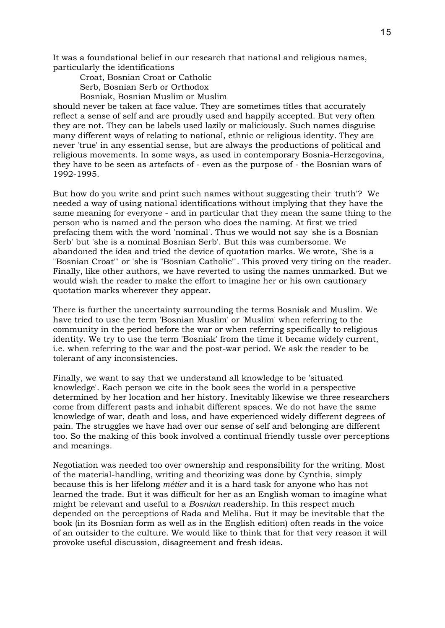It was a foundational belief in our research that national and religious names, particularly the identifications

Croat, Bosnian Croat or Catholic Serb, Bosnian Serb or Orthodox

Bosniak, Bosnian Muslim or Muslim

should never be taken at face value. They are sometimes titles that accurately reflect a sense of self and are proudly used and happily accepted. But very often they are not. They can be labels used lazily or maliciously. Such names disguise many different ways of relating to national, ethnic or religious identity. They are never 'true' in any essential sense, but are always the productions of political and religious movements. In some ways, as used in contemporary Bosnia-Herzegovina, they have to be seen as artefacts of - even as the purpose of - the Bosnian wars of 1992-1995.

But how do you write and print such names without suggesting their 'truth'? We needed a way of using national identifications without implying that they have the same meaning for everyone - and in particular that they mean the same thing to the person who is named and the person who does the naming. At first we tried prefacing them with the word 'nominal'. Thus we would not say 'she is a Bosnian Serb' but 'she is a nominal Bosnian Serb'. But this was cumbersome. We abandoned the idea and tried the device of quotation marks. We wrote, 'She is a "Bosnian Croat"' or 'she is "Bosnian Catholic"'. This proved very tiring on the reader. Finally, like other authors, we have reverted to using the names unmarked. But we would wish the reader to make the effort to imagine her or his own cautionary quotation marks wherever they appear.

There is further the uncertainty surrounding the terms Bosniak and Muslim. We have tried to use the term 'Bosnian Muslim' or 'Muslim' when referring to the community in the period before the war or when referring specifically to religious identity. We try to use the term 'Bosniak' from the time it became widely current, i.e. when referring to the war and the post-war period. We ask the reader to be tolerant of any inconsistencies.

Finally, we want to say that we understand all knowledge to be 'situated knowledge'. Each person we cite in the book sees the world in a perspective determined by her location and her history. Inevitably likewise we three researchers come from different pasts and inhabit different spaces. We do not have the same knowledge of war, death and loss, and have experienced widely different degrees of pain. The struggles we have had over our sense of self and belonging are different too. So the making of this book involved a continual friendly tussle over perceptions and meanings.

Negotiation was needed too over ownership and responsibility for the writing. Most of the material-handling, writing and theorizing was done by Cynthia, simply because this is her lifelong *métier* and it is a hard task for anyone who has not learned the trade. But it was difficult for her as an English woman to imagine what might be relevant and useful to a *Bosnian* readership. In this respect much depended on the perceptions of Rada and Meliha. But it may be inevitable that the book (in its Bosnian form as well as in the English edition) often reads in the voice of an outsider to the culture. We would like to think that for that very reason it will provoke useful discussion, disagreement and fresh ideas.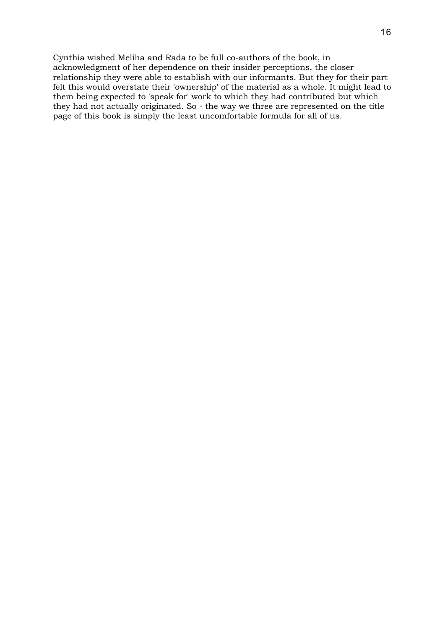Cynthia wished Meliha and Rada to be full co-authors of the book, in acknowledgment of her dependence on their insider perceptions, the closer relationship they were able to establish with our informants. But they for their part felt this would overstate their 'ownership' of the material as a whole. It might lead to them being expected to 'speak for' work to which they had contributed but which they had not actually originated. So - the way we three are represented on the title page of this book is simply the least uncomfortable formula for all of us.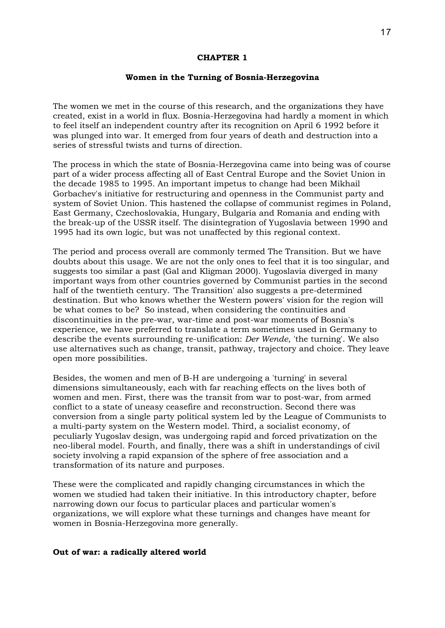#### **CHAPTER 1**

#### **Women in the Turning of Bosnia-Herzegovina**

The women we met in the course of this research, and the organizations they have created, exist in a world in flux. Bosnia-Herzegovina had hardly a moment in which to feel itself an independent country after its recognition on April 6 1992 before it was plunged into war. It emerged from four years of death and destruction into a series of stressful twists and turns of direction.

The process in which the state of Bosnia-Herzegovina came into being was of course part of a wider process affecting all of East Central Europe and the Soviet Union in the decade 1985 to 1995. An important impetus to change had been Mikhail Gorbachev's initiative for restructuring and openness in the Communist party and system of Soviet Union. This hastened the collapse of communist regimes in Poland, East Germany, Czechoslovakia, Hungary, Bulgaria and Romania and ending with the break-up of the USSR itself. The disintegration of Yugoslavia between 1990 and 1995 had its own logic, but was not unaffected by this regional context.

The period and process overall are commonly termed The Transition. But we have doubts about this usage. We are not the only ones to feel that it is too singular, and suggests too similar a past (Gal and Kligman 2000). Yugoslavia diverged in many important ways from other countries governed by Communist parties in the second half of the twentieth century. 'The Transition' also suggests a pre-determined destination. But who knows whether the Western powers' vision for the region will be what comes to be? So instead, when considering the continuities and discontinuities in the pre-war, war-time and post-war moments of Bosnia's experience, we have preferred to translate a term sometimes used in Germany to describe the events surrounding re-unification: *Der Wende*, 'the turning'. We also use alternatives such as change, transit, pathway, trajectory and choice. They leave open more possibilities.

Besides, the women and men of B-H are undergoing a 'turning' in several dimensions simultaneously, each with far reaching effects on the lives both of women and men. First, there was the transit from war to post-war, from armed conflict to a state of uneasy ceasefire and reconstruction. Second there was conversion from a single party political system led by the League of Communists to a multi-party system on the Western model. Third, a socialist economy, of peculiarly Yugoslav design, was undergoing rapid and forced privatization on the neo-liberal model. Fourth, and finally, there was a shift in understandings of civil society involving a rapid expansion of the sphere of free association and a transformation of its nature and purposes.

These were the complicated and rapidly changing circumstances in which the women we studied had taken their initiative. In this introductory chapter, before narrowing down our focus to particular places and particular women's organizations, we will explore what these turnings and changes have meant for women in Bosnia-Herzegovina more generally.

#### **Out of war: a radically altered world**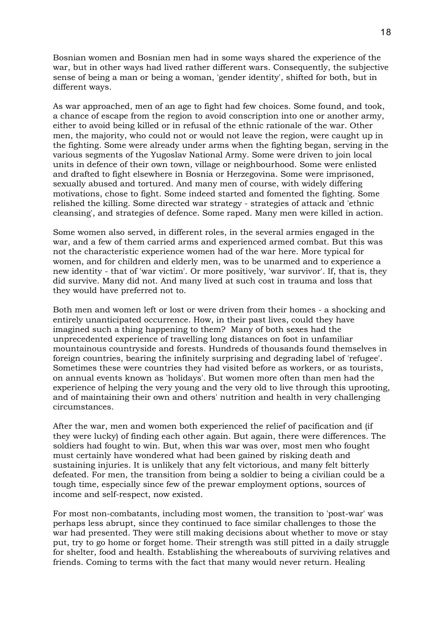Bosnian women and Bosnian men had in some ways shared the experience of the war, but in other ways had lived rather different wars. Consequently, the subjective sense of being a man or being a woman, 'gender identity', shifted for both, but in different ways.

As war approached, men of an age to fight had few choices. Some found, and took, a chance of escape from the region to avoid conscription into one or another army, either to avoid being killed or in refusal of the ethnic rationale of the war. Other men, the majority, who could not or would not leave the region, were caught up in the fighting. Some were already under arms when the fighting began, serving in the various segments of the Yugoslav National Army. Some were driven to join local units in defence of their own town, village or neighbourhood. Some were enlisted and drafted to fight elsewhere in Bosnia or Herzegovina. Some were imprisoned, sexually abused and tortured. And many men of course, with widely differing motivations, chose to fight. Some indeed started and fomented the fighting. Some relished the killing. Some directed war strategy - strategies of attack and 'ethnic cleansing', and strategies of defence. Some raped. Many men were killed in action.

Some women also served, in different roles, in the several armies engaged in the war, and a few of them carried arms and experienced armed combat. But this was not the characteristic experience women had of the war here. More typical for women, and for children and elderly men, was to be unarmed and to experience a new identity - that of 'war victim'. Or more positively, 'war survivor'. If, that is, they did survive. Many did not. And many lived at such cost in trauma and loss that they would have preferred not to.

Both men and women left or lost or were driven from their homes - a shocking and entirely unanticipated occurrence. How, in their past lives, could they have imagined such a thing happening to them? Many of both sexes had the unprecedented experience of travelling long distances on foot in unfamiliar mountainous countryside and forests. Hundreds of thousands found themselves in foreign countries, bearing the infinitely surprising and degrading label of 'refugee'. Sometimes these were countries they had visited before as workers, or as tourists, on annual events known as 'holidays'. But women more often than men had the experience of helping the very young and the very old to live through this uprooting, and of maintaining their own and others' nutrition and health in very challenging circumstances.

After the war, men and women both experienced the relief of pacification and (if they were lucky) of finding each other again. But again, there were differences. The soldiers had fought to win. But, when this war was over, most men who fought must certainly have wondered what had been gained by risking death and sustaining injuries. It is unlikely that any felt victorious, and many felt bitterly defeated. For men, the transition from being a soldier to being a civilian could be a tough time, especially since few of the prewar employment options, sources of income and self-respect, now existed.

For most non-combatants, including most women, the transition to 'post-war' was perhaps less abrupt, since they continued to face similar challenges to those the war had presented. They were still making decisions about whether to move or stay put, try to go home or forget home. Their strength was still pitted in a daily struggle for shelter, food and health. Establishing the whereabouts of surviving relatives and friends. Coming to terms with the fact that many would never return. Healing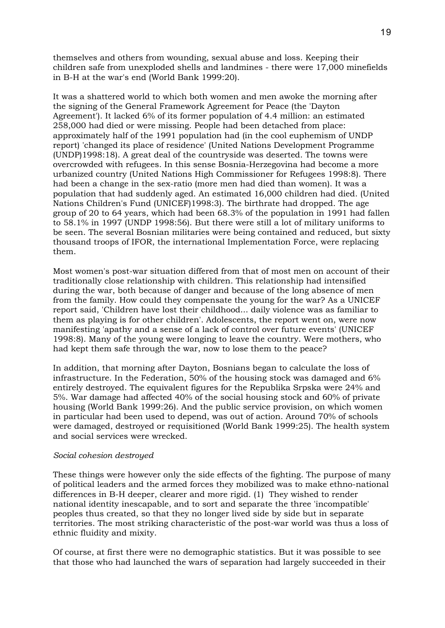themselves and others from wounding, sexual abuse and loss. Keeping their children safe from unexploded shells and landmines - there were 17,000 minefields in B-H at the war's end (World Bank 1999:20).

It was a shattered world to which both women and men awoke the morning after the signing of the General Framework Agreement for Peace (the 'Dayton Agreement'). It lacked 6% of its former population of 4.4 million: an estimated 258,000 had died or were missing. People had been detached from place: approximately half of the 1991 population had (in the cool euphemism of UNDP report) 'changed its place of residence' (United Nations Development Programme (UNDP)1998:18). A great deal of the countryside was deserted. The towns were overcrowded with refugees. In this sense Bosnia-Herzegovina had become a more urbanized country (United Nations High Commissioner for Refugees 1998:8). There had been a change in the sex-ratio (more men had died than women). It was a population that had suddenly aged. An estimated 16,000 children had died. (United Nations Children's Fund (UNICEF)1998:3). The birthrate had dropped. The age group of 20 to 64 years, which had been 68.3% of the population in 1991 had fallen to 58.1% in 1997 (UNDP 1998:56). But there were still a lot of military uniforms to be seen. The several Bosnian militaries were being contained and reduced, but sixty thousand troops of IFOR, the international Implementation Force, were replacing them.

Most women's post-war situation differed from that of most men on account of their traditionally close relationship with children. This relationship had intensified during the war, both because of danger and because of the long absence of men from the family. How could they compensate the young for the war? As a UNICEF report said, 'Children have lost their childhood... daily violence was as familiar to them as playing is for other children'. Adolescents, the report went on, were now manifesting 'apathy and a sense of a lack of control over future events' (UNICEF 1998:8). Many of the young were longing to leave the country. Were mothers, who had kept them safe through the war, now to lose them to the peace?

In addition, that morning after Dayton, Bosnians began to calculate the loss of infrastructure. In the Federation, 50% of the housing stock was damaged and 6% entirely destroyed. The equivalent figures for the Republika Srpska were 24% and 5%. War damage had affected 40% of the social housing stock and 60% of private housing (World Bank 1999:26). And the public service provision, on which women in particular had been used to depend, was out of action. Around 70% of schools were damaged, destroyed or requisitioned (World Bank 1999:25). The health system and social services were wrecked.

#### *Social cohesion destroyed*

These things were however only the side effects of the fighting. The purpose of many of political leaders and the armed forces they mobilized was to make ethno-national differences in B-H deeper, clearer and more rigid. (1) They wished to render national identity inescapable, and to sort and separate the three 'incompatible' peoples thus created, so that they no longer lived side by side but in separate territories. The most striking characteristic of the post-war world was thus a loss of ethnic fluidity and mixity.

Of course, at first there were no demographic statistics. But it was possible to see that those who had launched the wars of separation had largely succeeded in their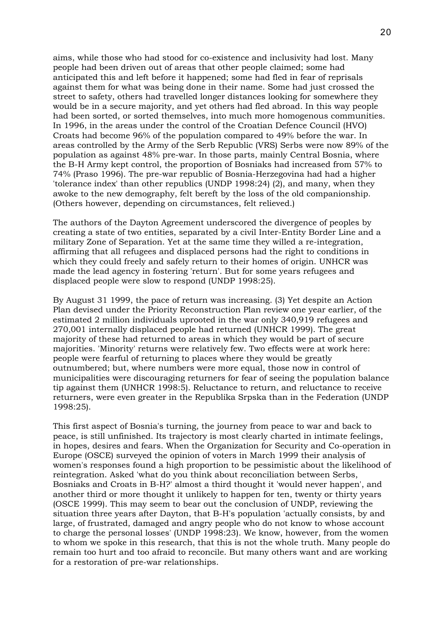aims, while those who had stood for co-existence and inclusivity had lost. Many people had been driven out of areas that other people claimed; some had anticipated this and left before it happened; some had fled in fear of reprisals against them for what was being done in their name. Some had just crossed the street to safety, others had travelled longer distances looking for somewhere they would be in a secure majority, and yet others had fled abroad. In this way people had been sorted, or sorted themselves, into much more homogenous communities. In 1996, in the areas under the control of the Croatian Defence Council (HVO) Croats had become 96% of the population compared to 49% before the war. In areas controlled by the Army of the Serb Republic (VRS) Serbs were now 89% of the population as against 48% pre-war. In those parts, mainly Central Bosnia, where the B-H Army kept control, the proportion of Bosniaks had increased from 57% to 74% (Praso 1996). The pre-war republic of Bosnia-Herzegovina had had a higher 'tolerance index' than other republics (UNDP 1998:24) (2), and many, when they awoke to the new demography, felt bereft by the loss of the old companionship. (Others however, depending on circumstances, felt relieved.)

The authors of the Dayton Agreement underscored the divergence of peoples by creating a state of two entities, separated by a civil Inter-Entity Border Line and a military Zone of Separation. Yet at the same time they willed a re-integration, affirming that all refugees and displaced persons had the right to conditions in which they could freely and safely return to their homes of origin. UNHCR was made the lead agency in fostering 'return'. But for some years refugees and displaced people were slow to respond (UNDP 1998:25).

By August 31 1999, the pace of return was increasing. (3) Yet despite an Action Plan devised under the Priority Reconstruction Plan review one year earlier, of the estimated 2 million individuals uprooted in the war only 340,919 refugees and 270,001 internally displaced people had returned (UNHCR 1999). The great majority of these had returned to areas in which they would be part of secure majorities. 'Minority' returns were relatively few. Two effects were at work here: people were fearful of returning to places where they would be greatly outnumbered; but, where numbers were more equal, those now in control of municipalities were discouraging returners for fear of seeing the population balance tip against them (UNHCR 1998:5). Reluctance to return, and reluctance to receive returners, were even greater in the Republika Srpska than in the Federation (UNDP 1998:25).

This first aspect of Bosnia's turning, the journey from peace to war and back to peace, is still unfinished. Its trajectory is most clearly charted in intimate feelings, in hopes, desires and fears. When the Organization for Security and Co-operation in Europe (OSCE) surveyed the opinion of voters in March 1999 their analysis of women's responses found a high proportion to be pessimistic about the likelihood of reintegration. Asked 'what do you think about reconciliation between Serbs, Bosniaks and Croats in B-H?' almost a third thought it 'would never happen', and another third or more thought it unlikely to happen for ten, twenty or thirty years (OSCE 1999). This may seem to bear out the conclusion of UNDP, reviewing the situation three years after Dayton, that B-H's population 'actually consists, by and large, of frustrated, damaged and angry people who do not know to whose account to charge the personal losses' (UNDP 1998:23). We know, however, from the women to whom we spoke in this research, that this is not the whole truth. Many people do remain too hurt and too afraid to reconcile. But many others want and are working for a restoration of pre-war relationships.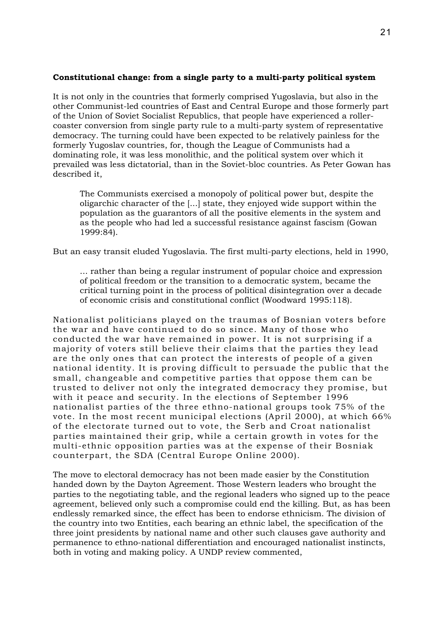# **Constitutional change: from a single party to a multi-party political system**

It is not only in the countries that formerly comprised Yugoslavia, but also in the other Communist-led countries of East and Central Europe and those formerly part of the Union of Soviet Socialist Republics, that people have experienced a rollercoaster conversion from single party rule to a multi-party system of representative democracy. The turning could have been expected to be relatively painless for the formerly Yugoslav countries, for, though the League of Communists had a dominating role, it was less monolithic, and the political system over which it prevailed was less dictatorial, than in the Soviet-bloc countries. As Peter Gowan has described it,

The Communists exercised a monopoly of political power but, despite the oligarchic character of the [...] state, they enjoyed wide support within the population as the guarantors of all the positive elements in the system and as the people who had led a successful resistance against fascism (Gowan 1999:84).

But an easy transit eluded Yugoslavia. The first multi-party elections, held in 1990,

... rather than being a regular instrument of popular choice and expression of political freedom or the transition to a democratic system, became the critical turning point in the process of political disintegration over a decade of economic crisis and constitutional conflict (Woodward 1995:118).

Nationalist politicians played on the traumas of Bosnian voters before the war and have continued to do so since. Many of those who conducted the war have remained in power. It is not surprising if a majority of voters still believe their claims that the parties they lead are the only ones that can protect the interests of people of a given national identity. It is proving difficult to persuade the public that the small, changeable and competitive parties that oppose them can be trusted to deliver not only the integrated democracy they promise, but with it peace and security. In the elections of September 1996 nationalist parties of the three ethno-national groups took 75% of the vote. In the most recent municipal elections (April 2000), at which 66% of the electorate turned out to vote, the Serb and Croat nationalist parties maintained their grip, while a certain growth in votes for the multi-ethnic opposition parties was at the expense of their Bosniak counterpart, the SDA (Central Europe Online 2000).

The move to electoral democracy has not been made easier by the Constitution handed down by the Dayton Agreement. Those Western leaders who brought the parties to the negotiating table, and the regional leaders who signed up to the peace agreement, believed only such a compromise could end the killing. But, as has been endlessly remarked since, the effect has been to endorse ethnicism. The division of the country into two Entities, each bearing an ethnic label, the specification of the three joint presidents by national name and other such clauses gave authority and permanence to ethno-national differentiation and encouraged nationalist instincts, both in voting and making policy. A UNDP review commented,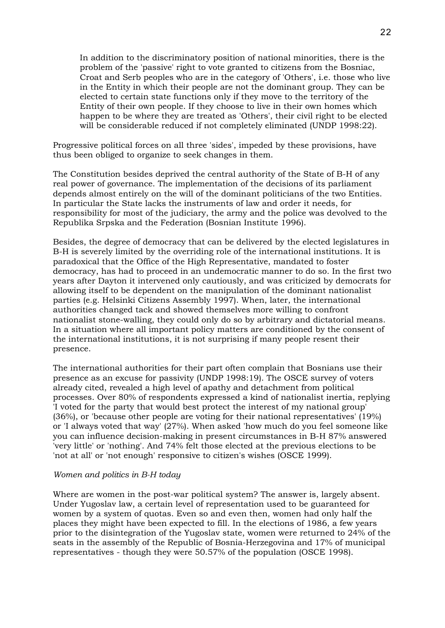In addition to the discriminatory position of national minorities, there is the problem of the 'passive' right to vote granted to citizens from the Bosniac, Croat and Serb peoples who are in the category of 'Others', i.e. those who live in the Entity in which their people are not the dominant group. They can be elected to certain state functions only if they move to the territory of the Entity of their own people. If they choose to live in their own homes which happen to be where they are treated as 'Others', their civil right to be elected will be considerable reduced if not completely eliminated (UNDP 1998:22).

Progressive political forces on all three 'sides', impeded by these provisions, have thus been obliged to organize to seek changes in them.

The Constitution besides deprived the central authority of the State of B-H of any real power of governance. The implementation of the decisions of its parliament depends almost entirely on the will of the dominant politicians of the two Entities. In particular the State lacks the instruments of law and order it needs, for responsibility for most of the judiciary, the army and the police was devolved to the Republika Srpska and the Federation (Bosnian Institute 1996).

Besides, the degree of democracy that can be delivered by the elected legislatures in B-H is severely limited by the overriding role of the international institutions. It is paradoxical that the Office of the High Representative, mandated to foster democracy, has had to proceed in an undemocratic manner to do so. In the first two years after Dayton it intervened only cautiously, and was criticized by democrats for allowing itself to be dependent on the manipulation of the dominant nationalist parties (e.g. Helsinki Citizens Assembly 1997). When, later, the international authorities changed tack and showed themselves more willing to confront nationalist stone-walling, they could only do so by arbitrary and dictatorial means. In a situation where all important policy matters are conditioned by the consent of the international institutions, it is not surprising if many people resent their presence.

The international authorities for their part often complain that Bosnians use their presence as an excuse for passivity (UNDP 1998:19). The OSCE survey of voters already cited, revealed a high level of apathy and detachment from political processes. Over 80% of respondents expressed a kind of nationalist inertia, replying 'I voted for the party that would best protect the interest of my national group' (36%), or 'because other people are voting for their national representatives' (19%) or 'I always voted that way' (27%). When asked 'how much do you feel someone like you can influence decision-making in present circumstances in B-H 87% answered 'very little' or 'nothing'. And 74% felt those elected at the previous elections to be 'not at all' or 'not enough' responsive to citizen's wishes (OSCE 1999).

#### *Women and politics in B-H today*

Where are women in the post-war political system? The answer is, largely absent. Under Yugoslav law, a certain level of representation used to be guaranteed for women by a system of quotas. Even so and even then, women had only half the places they might have been expected to fill. In the elections of 1986, a few years prior to the disintegration of the Yugoslav state, women were returned to 24% of the seats in the assembly of the Republic of Bosnia-Herzegovina and 17% of municipal representatives - though they were 50.57% of the population (OSCE 1998).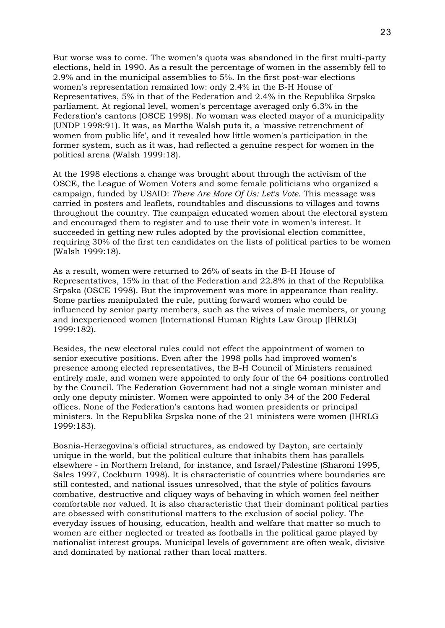But worse was to come. The women's quota was abandoned in the first multi-party elections, held in 1990. As a result the percentage of women in the assembly fell to 2.9% and in the municipal assemblies to 5%. In the first post-war elections women's representation remained low: only 2.4% in the B-H House of Representatives, 5% in that of the Federation and 2.4% in the Republika Srpska parliament. At regional level, women's percentage averaged only 6.3% in the Federation's cantons (OSCE 1998). No woman was elected mayor of a municipality (UNDP 1998:91). It was, as Martha Walsh puts it, a 'massive retrenchment of women from public life', and it revealed how little women's participation in the former system, such as it was, had reflected a genuine respect for women in the political arena (Walsh 1999:18).

At the 1998 elections a change was brought about through the activism of the OSCE, the League of Women Voters and some female politicians who organized a campaign, funded by USAID: *There Are More Of Us: Let's Vote*. This message was carried in posters and leaflets, roundtables and discussions to villages and towns throughout the country. The campaign educated women about the electoral system and encouraged them to register and to use their vote in women's interest. It succeeded in getting new rules adopted by the provisional election committee, requiring 30% of the first ten candidates on the lists of political parties to be women (Walsh 1999:18).

As a result, women were returned to 26% of seats in the B-H House of Representatives, 15% in that of the Federation and 22.8% in that of the Republika Srpska (OSCE 1998). But the improvement was more in appearance than reality. Some parties manipulated the rule, putting forward women who could be influenced by senior party members, such as the wives of male members, or young and inexperienced women (International Human Rights Law Group (IHRLG) 1999:182).

Besides, the new electoral rules could not effect the appointment of women to senior executive positions. Even after the 1998 polls had improved women's presence among elected representatives, the B-H Council of Ministers remained entirely male, and women were appointed to only four of the 64 positions controlled by the Council. The Federation Government had not a single woman minister and only one deputy minister. Women were appointed to only 34 of the 200 Federal offices. None of the Federation's cantons had women presidents or principal ministers. In the Republika Srpska none of the 21 ministers were women (IHRLG 1999:183).

Bosnia-Herzegovina's official structures, as endowed by Dayton, are certainly unique in the world, but the political culture that inhabits them has parallels elsewhere - in Northern Ireland, for instance, and Israel/Palestine (Sharoni 1995, Sales 1997, Cockburn 1998). It is characteristic of countries where boundaries are still contested, and national issues unresolved, that the style of politics favours combative, destructive and cliquey ways of behaving in which women feel neither comfortable nor valued. It is also characteristic that their dominant political parties are obsessed with constitutional matters to the exclusion of social policy. The everyday issues of housing, education, health and welfare that matter so much to women are either neglected or treated as footballs in the political game played by nationalist interest groups. Municipal levels of government are often weak, divisive and dominated by national rather than local matters.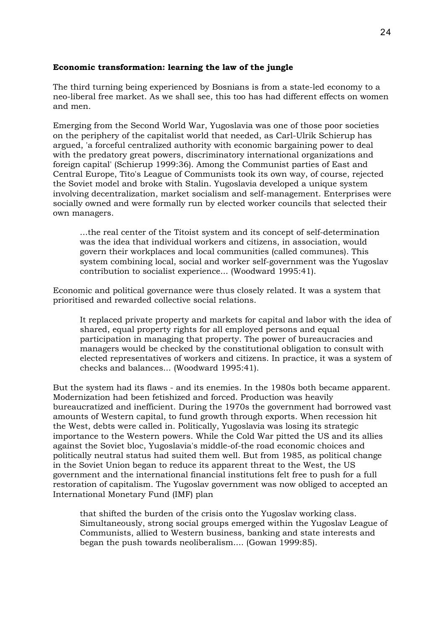# **Economic transformation: learning the law of the jungle**

The third turning being experienced by Bosnians is from a state-led economy to a neo-liberal free market. As we shall see, this too has had different effects on women and men.

Emerging from the Second World War, Yugoslavia was one of those poor societies on the periphery of the capitalist world that needed, as Carl-Ulrik Schierup has argued, 'a forceful centralized authority with economic bargaining power to deal with the predatory great powers, discriminatory international organizations and foreign capital' (Schierup 1999:36). Among the Communist parties of East and Central Europe, Tito's League of Communists took its own way, of course, rejected the Soviet model and broke with Stalin. Yugoslavia developed a unique system involving decentralization, market socialism and self-management. Enterprises were socially owned and were formally run by elected worker councils that selected their own managers.

...the real center of the Titoist system and its concept of self-determination was the idea that individual workers and citizens, in association, would govern their workplaces and local communities (called communes). This system combining local, social and worker self-government was the Yugoslav contribution to socialist experience... (Woodward 1995:41).

Economic and political governance were thus closely related. It was a system that prioritised and rewarded collective social relations.

It replaced private property and markets for capital and labor with the idea of shared, equal property rights for all employed persons and equal participation in managing that property. The power of bureaucracies and managers would be checked by the constitutional obligation to consult with elected representatives of workers and citizens. In practice, it was a system of checks and balances... (Woodward 1995:41).

But the system had its flaws - and its enemies. In the 1980s both became apparent. Modernization had been fetishized and forced. Production was heavily bureaucratized and inefficient. During the 1970s the government had borrowed vast amounts of Western capital, to fund growth through exports. When recession hit the West, debts were called in. Politically, Yugoslavia was losing its strategic importance to the Western powers. While the Cold War pitted the US and its allies against the Soviet bloc, Yugoslavia's middle-of-the road economic choices and politically neutral status had suited them well. But from 1985, as political change in the Soviet Union began to reduce its apparent threat to the West, the US government and the international financial institutions felt free to push for a full restoration of capitalism. The Yugoslav government was now obliged to accepted an International Monetary Fund (IMF) plan

that shifted the burden of the crisis onto the Yugoslav working class. Simultaneously, strong social groups emerged within the Yugoslav League of Communists, allied to Western business, banking and state interests and began the push towards neoliberalism.... (Gowan 1999:85).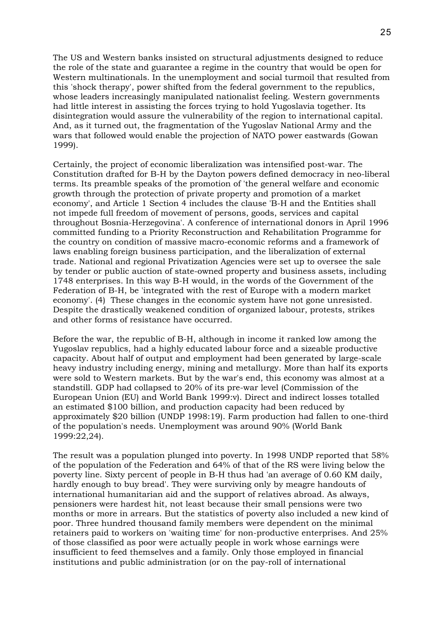The US and Western banks insisted on structural adjustments designed to reduce the role of the state and guarantee a regime in the country that would be open for Western multinationals. In the unemployment and social turmoil that resulted from this 'shock therapy', power shifted from the federal government to the republics, whose leaders increasingly manipulated nationalist feeling. Western governments had little interest in assisting the forces trying to hold Yugoslavia together. Its disintegration would assure the vulnerability of the region to international capital. And, as it turned out, the fragmentation of the Yugoslav National Army and the wars that followed would enable the projection of NATO power eastwards (Gowan 1999).

Certainly, the project of economic liberalization was intensified post-war. The Constitution drafted for B-H by the Dayton powers defined democracy in neo-liberal terms. Its preamble speaks of the promotion of 'the general welfare and economic growth through the protection of private property and promotion of a market economy', and Article 1 Section 4 includes the clause 'B-H and the Entities shall not impede full freedom of movement of persons, goods, services and capital throughout Bosnia-Herzegovina'. A conference of international donors in April 1996 committed funding to a Priority Reconstruction and Rehabilitation Programme for the country on condition of massive macro-economic reforms and a framework of laws enabling foreign business participation, and the liberalization of external trade. National and regional Privatization Agencies were set up to oversee the sale by tender or public auction of state-owned property and business assets, including 1748 enterprises. In this way B-H would, in the words of the Government of the Federation of B-H, be 'integrated with the rest of Europe with a modern market economy'. (4) These changes in the economic system have not gone unresisted. Despite the drastically weakened condition of organized labour, protests, strikes and other forms of resistance have occurred.

Before the war, the republic of B-H, although in income it ranked low among the Yugoslav republics, had a highly educated labour force and a sizeable productive capacity. About half of output and employment had been generated by large-scale heavy industry including energy, mining and metallurgy. More than half its exports were sold to Western markets. But by the war's end, this economy was almost at a standstill. GDP had collapsed to 20% of its pre-war level (Commission of the European Union (EU) and World Bank 1999:v). Direct and indirect losses totalled an estimated \$100 billion, and production capacity had been reduced by approximately \$20 billion (UNDP 1998:19). Farm production had fallen to one-third of the population's needs. Unemployment was around 90% (World Bank 1999:22,24).

The result was a population plunged into poverty. In 1998 UNDP reported that 58% of the population of the Federation and 64% of that of the RS were living below the poverty line. Sixty percent of people in B-H thus had 'an average of 0.60 KM daily, hardly enough to buy bread'. They were surviving only by meagre handouts of international humanitarian aid and the support of relatives abroad. As always, pensioners were hardest hit, not least because their small pensions were two months or more in arrears. But the statistics of poverty also included a new kind of poor. Three hundred thousand family members were dependent on the minimal retainers paid to workers on 'waiting time' for non-productive enterprises. And 25% of those classified as poor were actually people in work whose earnings were insufficient to feed themselves and a family. Only those employed in financial institutions and public administration (or on the pay-roll of international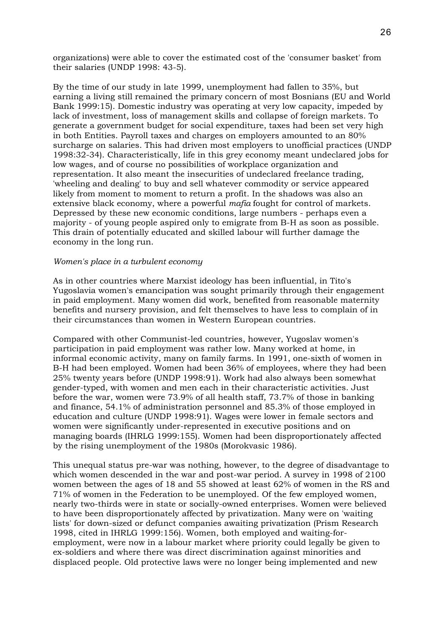organizations) were able to cover the estimated cost of the 'consumer basket' from their salaries (UNDP 1998: 43-5).

By the time of our study in late 1999, unemployment had fallen to 35%, but earning a living still remained the primary concern of most Bosnians (EU and World Bank 1999:15). Domestic industry was operating at very low capacity, impeded by lack of investment, loss of management skills and collapse of foreign markets. To generate a government budget for social expenditure, taxes had been set very high in both Entities. Payroll taxes and charges on employers amounted to an 80% surcharge on salaries. This had driven most employers to unofficial practices (UNDP 1998:32-34). Characteristically, life in this grey economy meant undeclared jobs for low wages, and of course no possibilities of workplace organization and representation. It also meant the insecurities of undeclared freelance trading, 'wheeling and dealing' to buy and sell whatever commodity or service appeared likely from moment to moment to return a profit. In the shadows was also an extensive black economy, where a powerful *mafia* fought for control of markets. Depressed by these new economic conditions, large numbers - perhaps even a majority - of young people aspired only to emigrate from B-H as soon as possible. This drain of potentially educated and skilled labour will further damage the economy in the long run.

#### *Women's place in a turbulent economy*

As in other countries where Marxist ideology has been influential, in Tito's Yugoslavia women's emancipation was sought primarily through their engagement in paid employment. Many women did work, benefited from reasonable maternity benefits and nursery provision, and felt themselves to have less to complain of in their circumstances than women in Western European countries.

Compared with other Communist-led countries, however, Yugoslav women's participation in paid employment was rather low. Many worked at home, in informal economic activity, many on family farms. In 1991, one-sixth of women in B-H had been employed. Women had been 36% of employees, where they had been 25% twenty years before (UNDP 1998:91). Work had also always been somewhat gender-typed, with women and men each in their characteristic activities. Just before the war, women were 73.9% of all health staff, 73.7% of those in banking and finance, 54.1% of administration personnel and 85.3% of those employed in education and culture (UNDP 1998:91). Wages were lower in female sectors and women were significantly under-represented in executive positions and on managing boards (IHRLG 1999:155). Women had been disproportionately affected by the rising unemployment of the 1980s (Morokvasic 1986).

This unequal status pre-war was nothing, however, to the degree of disadvantage to which women descended in the war and post-war period. A survey in 1998 of 2100 women between the ages of 18 and 55 showed at least 62% of women in the RS and 71% of women in the Federation to be unemployed. Of the few employed women, nearly two-thirds were in state or socially-owned enterprises. Women were believed to have been disproportionately affected by privatization. Many were on 'waiting lists' for down-sized or defunct companies awaiting privatization (Prism Research 1998, cited in IHRLG 1999:156). Women, both employed and waiting-foremployment, were now in a labour market where priority could legally be given to ex-soldiers and where there was direct discrimination against minorities and displaced people. Old protective laws were no longer being implemented and new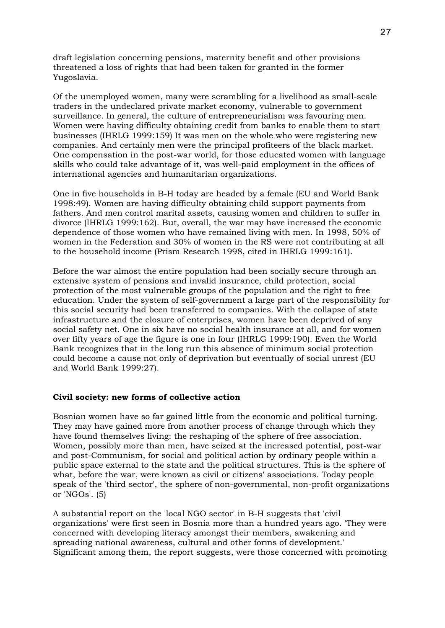draft legislation concerning pensions, maternity benefit and other provisions threatened a loss of rights that had been taken for granted in the former Yugoslavia.

Of the unemployed women, many were scrambling for a livelihood as small-scale traders in the undeclared private market economy, vulnerable to government surveillance. In general, the culture of entrepreneurialism was favouring men. Women were having difficulty obtaining credit from banks to enable them to start businesses (IHRLG 1999:159) It was men on the whole who were registering new companies. And certainly men were the principal profiteers of the black market. One compensation in the post-war world, for those educated women with language skills who could take advantage of it, was well-paid employment in the offices of international agencies and humanitarian organizations.

One in five households in B-H today are headed by a female (EU and World Bank 1998:49). Women are having difficulty obtaining child support payments from fathers. And men control marital assets, causing women and children to suffer in divorce (IHRLG 1999:162). But, overall, the war may have increased the economic dependence of those women who have remained living with men. In 1998, 50% of women in the Federation and 30% of women in the RS were not contributing at all to the household income (Prism Research 1998, cited in IHRLG 1999:161).

Before the war almost the entire population had been socially secure through an extensive system of pensions and invalid insurance, child protection, social protection of the most vulnerable groups of the population and the right to free education. Under the system of self-government a large part of the responsibility for this social security had been transferred to companies. With the collapse of state infrastructure and the closure of enterprises, women have been deprived of any social safety net. One in six have no social health insurance at all, and for women over fifty years of age the figure is one in four (IHRLG 1999:190). Even the World Bank recognizes that in the long run this absence of minimum social protection could become a cause not only of deprivation but eventually of social unrest (EU and World Bank 1999:27).

# **Civil society: new forms of collective action**

Bosnian women have so far gained little from the economic and political turning. They may have gained more from another process of change through which they have found themselves living: the reshaping of the sphere of free association. Women, possibly more than men, have seized at the increased potential, post-war and post-Communism, for social and political action by ordinary people within a public space external to the state and the political structures. This is the sphere of what, before the war, were known as civil or citizens' associations. Today people speak of the 'third sector', the sphere of non-governmental, non-profit organizations or 'NGOs'. (5)

A substantial report on the 'local NGO sector' in B-H suggests that 'civil organizations' were first seen in Bosnia more than a hundred years ago. 'They were concerned with developing literacy amongst their members, awakening and spreading national awareness, cultural and other forms of development.' Significant among them, the report suggests, were those concerned with promoting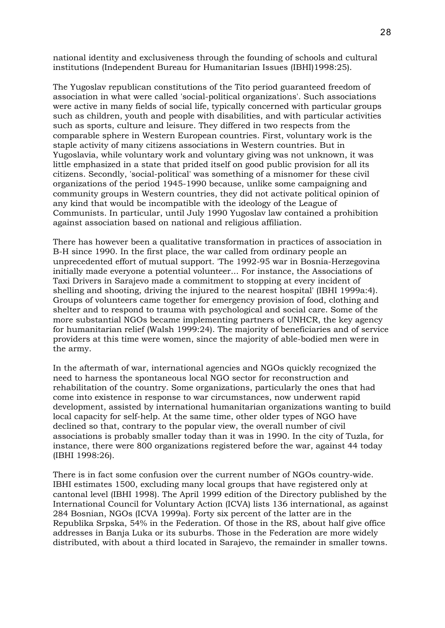national identity and exclusiveness through the founding of schools and cultural institutions (Independent Bureau for Humanitarian Issues (IBHI)1998:25).

The Yugoslav republican constitutions of the Tito period guaranteed freedom of association in what were called 'social-political organizations'. Such associations were active in many fields of social life, typically concerned with particular groups such as children, youth and people with disabilities, and with particular activities such as sports, culture and leisure. They differed in two respects from the comparable sphere in Western European countries. First, voluntary work is the staple activity of many citizens associations in Western countries. But in Yugoslavia, while voluntary work and voluntary giving was not unknown, it was little emphasized in a state that prided itself on good public provision for all its citizens. Secondly, 'social-political' was something of a misnomer for these civil organizations of the period 1945-1990 because, unlike some campaigning and community groups in Western countries, they did not activate political opinion of any kind that would be incompatible with the ideology of the League of Communists. In particular, until July 1990 Yugoslav law contained a prohibition against association based on national and religious affiliation.

There has however been a qualitative transformation in practices of association in B-H since 1990. In the first place, the war called from ordinary people an unprecedented effort of mutual support. 'The 1992-95 war in Bosnia-Herzegovina initially made everyone a potential volunteer... For instance, the Associations of Taxi Drivers in Sarajevo made a commitment to stopping at every incident of shelling and shooting, driving the injured to the nearest hospital' (IBHI 1999a:4). Groups of volunteers came together for emergency provision of food, clothing and shelter and to respond to trauma with psychological and social care. Some of the more substantial NGOs became implementing partners of UNHCR, the key agency for humanitarian relief (Walsh 1999:24). The majority of beneficiaries and of service providers at this time were women, since the majority of able-bodied men were in the army.

In the aftermath of war, international agencies and NGOs quickly recognized the need to harness the spontaneous local NGO sector for reconstruction and rehabilitation of the country. Some organizations, particularly the ones that had come into existence in response to war circumstances, now underwent rapid development, assisted by international humanitarian organizations wanting to build local capacity for self-help. At the same time, other older types of NGO have declined so that, contrary to the popular view, the overall number of civil associations is probably smaller today than it was in 1990. In the city of Tuzla, for instance, there were 800 organizations registered before the war, against 44 today (IBHI 1998:26).

There is in fact some confusion over the current number of NGOs country-wide. IBHI estimates 1500, excluding many local groups that have registered only at cantonal level (IBHI 1998). The April 1999 edition of the Directory published by the International Council for Voluntary Action (ICVA) lists 136 international, as against 284 Bosnian, NGOs (ICVA 1999a). Forty six percent of the latter are in the Republika Srpska, 54% in the Federation. Of those in the RS, about half give office addresses in Banja Luka or its suburbs. Those in the Federation are more widely distributed, with about a third located in Sarajevo, the remainder in smaller towns.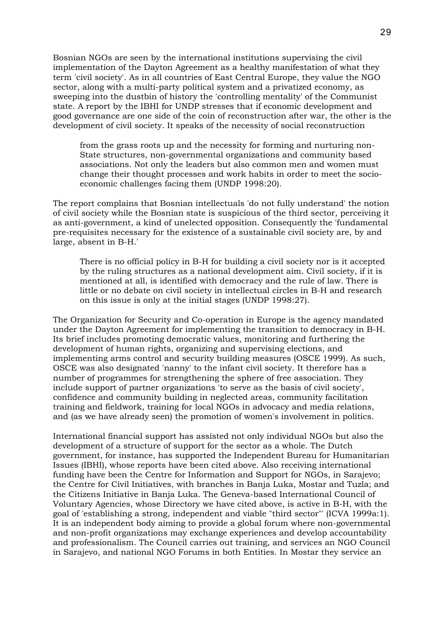Bosnian NGOs are seen by the international institutions supervising the civil implementation of the Dayton Agreement as a healthy manifestation of what they term 'civil society'. As in all countries of East Central Europe, they value the NGO sector, along with a multi-party political system and a privatized economy, as sweeping into the dustbin of history the 'controlling mentality' of the Communist state. A report by the IBHI for UNDP stresses that if economic development and good governance are one side of the coin of reconstruction after war, the other is the development of civil society. It speaks of the necessity of social reconstruction

from the grass roots up and the necessity for forming and nurturing non-State structures, non-governmental organizations and community based associations. Not only the leaders but also common men and women must change their thought processes and work habits in order to meet the socioeconomic challenges facing them (UNDP 1998:20).

The report complains that Bosnian intellectuals 'do not fully understand' the notion of civil society while the Bosnian state is suspicious of the third sector, perceiving it as anti-government, a kind of unelected opposition. Consequently the 'fundamental pre-requisites necessary for the existence of a sustainable civil society are, by and large, absent in B-H.'

There is no official policy in B-H for building a civil society nor is it accepted by the ruling structures as a national development aim. Civil society, if it is mentioned at all, is identified with democracy and the rule of law. There is little or no debate on civil society in intellectual circles in B-H and research on this issue is only at the initial stages (UNDP 1998:27).

The Organization for Security and Co-operation in Europe is the agency mandated under the Dayton Agreement for implementing the transition to democracy in B-H. Its brief includes promoting democratic values, monitoring and furthering the development of human rights, organizing and supervising elections, and implementing arms control and security building measures (OSCE 1999). As such, OSCE was also designated 'nanny' to the infant civil society. It therefore has a number of programmes for strengthening the sphere of free association. They include support of partner organizations 'to serve as the basis of civil society', confidence and community building in neglected areas, community facilitation training and fieldwork, training for local NGOs in advocacy and media relations, and (as we have already seen) the promotion of women's involvement in politics.

International financial support has assisted not only individual NGOs but also the development of a structure of support for the sector as a whole. The Dutch government, for instance, has supported the Independent Bureau for Humanitarian Issues (IBHI), whose reports have been cited above. Also receiving international funding have been the Centre for Information and Support for NGOs, in Sarajevo; the Centre for Civil Initiatives, with branches in Banja Luka, Mostar and Tuzla; and the Citizens Initiative in Banja Luka. The Geneva-based International Council of Voluntary Agencies, whose Directory we have cited above, is active in B-H, with the goal of 'establishing a strong, independent and viable "third sector"' (ICVA 1999a:1). It is an independent body aiming to provide a global forum where non-governmental and non-profit organizations may exchange experiences and develop accountability and professionalism. The Council carries out training, and services an NGO Council in Sarajevo, and national NGO Forums in both Entities. In Mostar they service an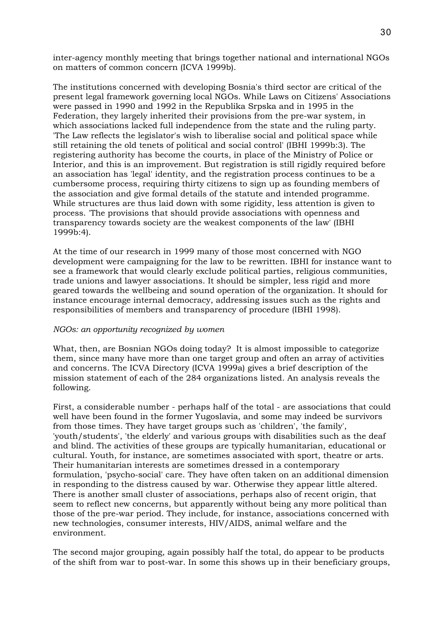inter-agency monthly meeting that brings together national and international NGOs on matters of common concern (ICVA 1999b).

The institutions concerned with developing Bosnia's third sector are critical of the present legal framework governing local NGOs. While Laws on Citizens' Associations were passed in 1990 and 1992 in the Republika Srpska and in 1995 in the Federation, they largely inherited their provisions from the pre-war system, in which associations lacked full independence from the state and the ruling party. 'The Law reflects the legislator's wish to liberalise social and political space while still retaining the old tenets of political and social control' (IBHI 1999b:3). The registering authority has become the courts, in place of the Ministry of Police or Interior, and this is an improvement. But registration is still rigidly required before an association has 'legal' identity, and the registration process continues to be a cumbersome process, requiring thirty citizens to sign up as founding members of the association and give formal details of the statute and intended programme. While structures are thus laid down with some rigidity, less attention is given to process. 'The provisions that should provide associations with openness and transparency towards society are the weakest components of the law' (IBHI 1999b:4).

At the time of our research in 1999 many of those most concerned with NGO development were campaigning for the law to be rewritten. IBHI for instance want to see a framework that would clearly exclude political parties, religious communities, trade unions and lawyer associations. It should be simpler, less rigid and more geared towards the wellbeing and sound operation of the organization. It should for instance encourage internal democracy, addressing issues such as the rights and responsibilities of members and transparency of procedure (IBHI 1998).

# *NGOs: an opportunity recognized by women*

What, then, are Bosnian NGOs doing today? It is almost impossible to categorize them, since many have more than one target group and often an array of activities and concerns. The ICVA Directory (ICVA 1999a) gives a brief description of the mission statement of each of the 284 organizations listed. An analysis reveals the following.

First, a considerable number - perhaps half of the total - are associations that could well have been found in the former Yugoslavia, and some may indeed be survivors from those times. They have target groups such as 'children', 'the family', 'youth/students', 'the elderly' and various groups with disabilities such as the deaf and blind. The activities of these groups are typically humanitarian, educational or cultural. Youth, for instance, are sometimes associated with sport, theatre or arts. Their humanitarian interests are sometimes dressed in a contemporary formulation, 'psycho-social' care. They have often taken on an additional dimension in responding to the distress caused by war. Otherwise they appear little altered. There is another small cluster of associations, perhaps also of recent origin, that seem to reflect new concerns, but apparently without being any more political than those of the pre-war period. They include, for instance, associations concerned with new technologies, consumer interests, HIV/AIDS, animal welfare and the environment.

The second major grouping, again possibly half the total, do appear to be products of the shift from war to post-war. In some this shows up in their beneficiary groups,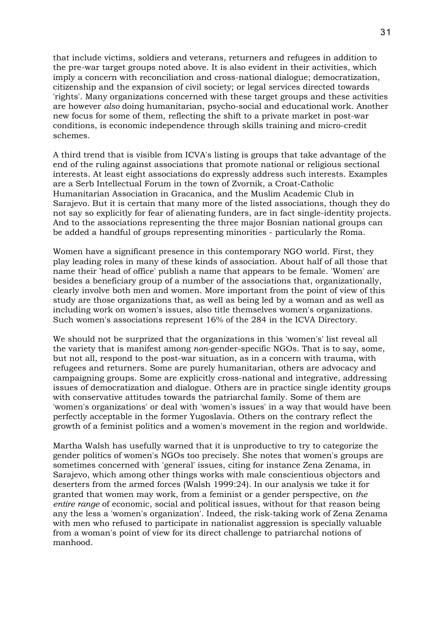that include victims, soldiers and veterans, returners and refugees in addition to the pre-war target groups noted above. It is also evident in their activities, which imply a concern with reconciliation and cross-national dialogue; democratization, citizenship and the expansion of civil society; or legal services directed towards 'rights'. Many organizations concerned with these target groups and these activities are however *also* doing humanitarian, psycho-social and educational work. Another new focus for some of them, reflecting the shift to a private market in post-war conditions, is economic independence through skills training and micro-credit schemes.

A third trend that is visible from ICVA's listing is groups that take advantage of the end of the ruling against associations that promote national or religious sectional interests. At least eight associations do expressly address such interests. Examples are a Serb Intellectual Forum in the town of Zvornik, a Croat-Catholic Humanitarian Association in Gracanica, and the Muslim Academic Club in Sarajevo. But it is certain that many more of the listed associations, though they do not say so explicitly for fear of alienating funders, are in fact single-identity projects. And to the associations representing the three major Bosnian national groups can be added a handful of groups representing minorities - particularly the Roma.

Women have a significant presence in this contemporary NGO world. First, they play leading roles in many of these kinds of association. About half of all those that name their 'head of office' publish a name that appears to be female. 'Women' are besides a beneficiary group of a number of the associations that, organizationally, clearly involve both men and women. More important from the point of view of this study are those organizations that, as well as being led by a woman and as well as including work on women's issues, also title themselves women's organizations. Such women's associations represent 16% of the 284 in the ICVA Directory.

We should not be surprized that the organizations in this 'women's' list reveal all the variety that is manifest among *non-*gender-specific NGOs. That is to say, some, but not all, respond to the post-war situation, as in a concern with trauma, with refugees and returners. Some are purely humanitarian, others are advocacy and campaigning groups. Some are explicitly cross-national and integrative, addressing issues of democratization and dialogue. Others are in practice single identity groups with conservative attitudes towards the patriarchal family. Some of them are 'women's organizations' or deal with 'women's issues' in a way that would have been perfectly acceptable in the former Yugoslavia. Others on the contrary reflect the growth of a feminist politics and a women's movement in the region and worldwide.

Martha Walsh has usefully warned that it is unproductive to try to categorize the gender politics of women's NGOs too precisely. She notes that women's groups are sometimes concerned with 'general' issues, citing for instance Zena Zenama, in Sarajevo, which among other things works with male conscientious objectors and deserters from the armed forces (Walsh 1999:24). In our analysis we take it for granted that women may work, from a feminist or a gender perspective, on *the entire range* of economic, social and political issues, without for that reason being any the less a 'women's organization'. Indeed, the risk-taking work of Zena Zenama with men who refused to participate in nationalist aggression is specially valuable from a woman's point of view for its direct challenge to patriarchal notions of manhood.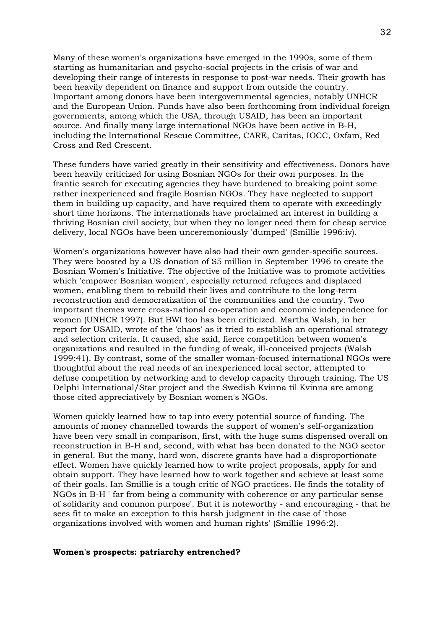Many of these women's organizations have emerged in the 1990s, some of them starting as humanitarian and psycho-social projects in the crisis of war and developing their range of interests in response to post-war needs. Their growth has been heavily dependent on finance and support from outside the country. Important among donors have been intergovernmental agencies, notably UNHCR and the European Union. Funds have also been forthcoming from individual foreign governments, among which the USA, through USAID, has been an important source. And finally many large international NGOs have been active in B-H, including the International Rescue Committee, CARE, Caritas, IOCC, Oxfam, Red Cross and Red Crescent.

These funders have varied greatly in their sensitivity and effectiveness. Donors have been heavily criticized for using Bosnian NGOs for their own purposes. In the frantic search for executing agencies they have burdened to breaking point some rather inexperienced and fragile Bosnian NGOs. They have neglected to support them in building up capacity, and have required them to operate with exceedingly short time horizons. The internationals have proclaimed an interest in building a thriving Bosnian civil society, but when they no longer need them for cheap service delivery, local NGOs have been unceremoniously 'dumped' (Smillie 1996:iv).

Women's organizations however have also had their own gender-specific sources. They were boosted by a US donation of \$5 million in September 1996 to create the Bosnian Women's Initiative. The objective of the Initiative was to promote activities which 'empower Bosnian women', especially returned refugees and displaced women, enabling them to rebuild their lives and contribute to the long-term reconstruction and democratization of the communities and the country. Two important themes were cross-national co-operation and economic independence for women (UNHCR 1997). But BWI too has been criticized. Martha Walsh, in her report for USAID, wrote of the 'chaos' as it tried to establish an operational strategy and selection criteria. It caused, she said, fierce competition between women's organizations and resulted in the funding of weak, ill-conceived projects (Walsh 1999:41). By contrast, some of the smaller woman-focused international NGOs were thoughtful about the real needs of an inexperienced local sector, attempted to defuse competition by networking and to develop capacity through training. The US Delphi International/Star project and the Swedish Kvinna til Kvinna are among those cited appreciatively by Bosnian women's NGOs.

Women quickly learned how to tap into every potential source of funding. The amounts of money channelled towards the support of women's self-organization have been very small in comparison, first, with the huge sums dispensed overall on reconstruction in B-H and, second, with what has been donated to the NGO sector in general. But the many, hard won, discrete grants have had a disproportionate effect. Women have quickly learned how to write project proposals, apply for and obtain support. They have learned how to work together and achieve at least some of their goals. Ian Smillie is a tough critic of NGO practices. He finds the totality of NGOs in B-H ' far from being a community with coherence or any particular sense of solidarity and common purpose'. But it is noteworthy - and encouraging - that he sees fit to make an exception to this harsh judgment in the case of 'those organizations involved with women and human rights' (Smillie 1996:2).

#### **Women's prospects: patriarchy entrenched?**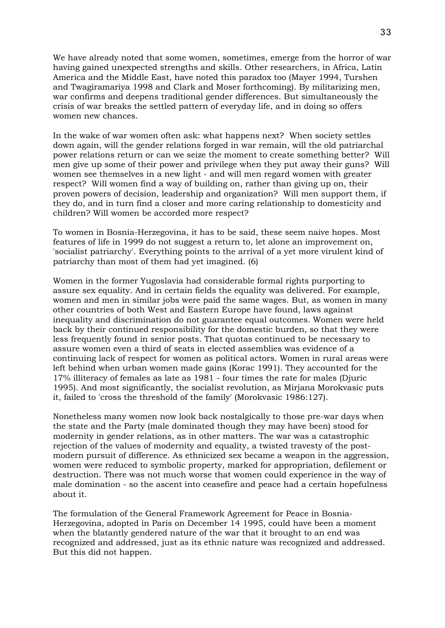We have already noted that some women, sometimes, emerge from the horror of war having gained unexpected strengths and skills. Other researchers, in Africa, Latin America and the Middle East, have noted this paradox too (Mayer 1994, Turshen and Twagiramariya 1998 and Clark and Moser forthcoming). By militarizing men, war confirms and deepens traditional gender differences. But simultaneously the crisis of war breaks the settled pattern of everyday life, and in doing so offers women new chances.

In the wake of war women often ask: what happens next? When society settles down again, will the gender relations forged in war remain, will the old patriarchal power relations return or can we seize the moment to create something better? Will men give up some of their power and privilege when they put away their guns? Will women see themselves in a new light - and will men regard women with greater respect? Will women find a way of building on, rather than giving up on, their proven powers of decision, leadership and organization? Will men support them, if they do, and in turn find a closer and more caring relationship to domesticity and children? Will women be accorded more respect?

To women in Bosnia-Herzegovina, it has to be said, these seem naive hopes. Most features of life in 1999 do not suggest a return to, let alone an improvement on, 'socialist patriarchy'. Everything points to the arrival of a yet more virulent kind of patriarchy than most of them had yet imagined. (6)

Women in the former Yugoslavia had considerable formal rights purporting to assure sex equality. And in certain fields the equality was delivered. For example, women and men in similar jobs were paid the same wages. But, as women in many other countries of both West and Eastern Europe have found, laws against inequality and discrimination do not guarantee equal outcomes. Women were held back by their continued responsibility for the domestic burden, so that they were less frequently found in senior posts. That quotas continued to be necessary to assure women even a third of seats in elected assemblies was evidence of a continuing lack of respect for women as political actors. Women in rural areas were left behind when urban women made gains (Korac 1991). They accounted for the 17% illiteracy of females as late as 1981 - four times the rate for males (Djuric 1995). And most significantly, the socialist revolution, as Mirjana Morokvasic puts it, failed to 'cross the threshold of the family' (Morokvasic 1986:127).

Nonetheless many women now look back nostalgically to those pre-war days when the state and the Party (male dominated though they may have been) stood for modernity in gender relations, as in other matters. The war was a catastrophic rejection of the values of modernity and equality, a twisted travesty of the postmodern pursuit of difference. As ethnicized sex became a weapon in the aggression, women were reduced to symbolic property, marked for appropriation, defilement or destruction. There was not much worse that women could experience in the way of male domination - so the ascent into ceasefire and peace had a certain hopefulness about it.

The formulation of the General Framework Agreement for Peace in Bosnia-Herzegovina, adopted in Paris on December 14 1995, could have been a moment when the blatantly gendered nature of the war that it brought to an end was recognized and addressed, just as its ethnic nature was recognized and addressed. But this did not happen.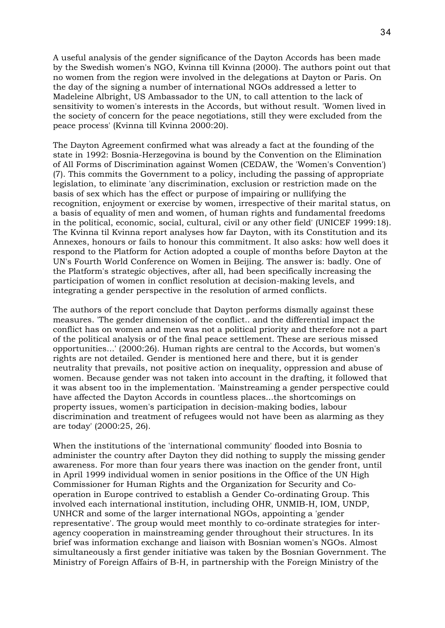A useful analysis of the gender significance of the Dayton Accords has been made by the Swedish women's NGO, Kvinna till Kvinna (2000). The authors point out that no women from the region were involved in the delegations at Dayton or Paris. On the day of the signing a number of international NGOs addressed a letter to Madeleine Albright, US Ambassador to the UN, to call attention to the lack of sensitivity to women's interests in the Accords, but without result. 'Women lived in the society of concern for the peace negotiations, still they were excluded from the peace process' (Kvinna till Kvinna 2000:20).

The Dayton Agreement confirmed what was already a fact at the founding of the state in 1992: Bosnia-Herzegovina is bound by the Convention on the Elimination of All Forms of Discrimination against Women (CEDAW, the 'Women's Convention') (7). This commits the Government to a policy, including the passing of appropriate legislation, to eliminate 'any discrimination, exclusion or restriction made on the basis of sex which has the effect or purpose of impairing or nullifying the recognition, enjoyment or exercise by women, irrespective of their marital status, on a basis of equality of men and women, of human rights and fundamental freedoms in the political, economic, social, cultural, civil or any other field' (UNICEF 1999:18). The Kvinna til Kvinna report analyses how far Dayton, with its Constitution and its Annexes, honours or fails to honour this commitment. It also asks: how well does it respond to the Platform for Action adopted a couple of months before Dayton at the UN's Fourth World Conference on Women in Beijing. The answer is: badly. One of the Platform's strategic objectives, after all, had been specifically increasing the participation of women in conflict resolution at decision-making levels, and integrating a gender perspective in the resolution of armed conflicts.

The authors of the report conclude that Dayton performs dismally against these measures. 'The gender dimension of the conflict.. and the differential impact the conflict has on women and men was not a political priority and therefore not a part of the political analysis or of the final peace settlement. These are serious missed opportunities...' (2000:26). Human rights are central to the Accords, but women's rights are not detailed. Gender is mentioned here and there, but it is gender neutrality that prevails, not positive action on inequality, oppression and abuse of women. Because gender was not taken into account in the drafting, it followed that it was absent too in the implementation. 'Mainstreaming a gender perspective could have affected the Dayton Accords in countless places...the shortcomings on property issues, women's participation in decision-making bodies, labour discrimination and treatment of refugees would not have been as alarming as they are today' (2000:25, 26).

When the institutions of the 'international community' flooded into Bosnia to administer the country after Dayton they did nothing to supply the missing gender awareness. For more than four years there was inaction on the gender front, until in April 1999 individual women in senior positions in the Office of the UN High Commissioner for Human Rights and the Organization for Security and Cooperation in Europe contrived to establish a Gender Co-ordinating Group. This involved each international institution, including OHR, UNMIB-H, IOM, UNDP, UNHCR and some of the larger international NGOs, appointing a 'gender representative'. The group would meet monthly to co-ordinate strategies for interagency cooperation in mainstreaming gender throughout their structures. In its brief was information exchange and liaison with Bosnian women's NGOs. Almost simultaneously a first gender initiative was taken by the Bosnian Government. The Ministry of Foreign Affairs of B-H, in partnership with the Foreign Ministry of the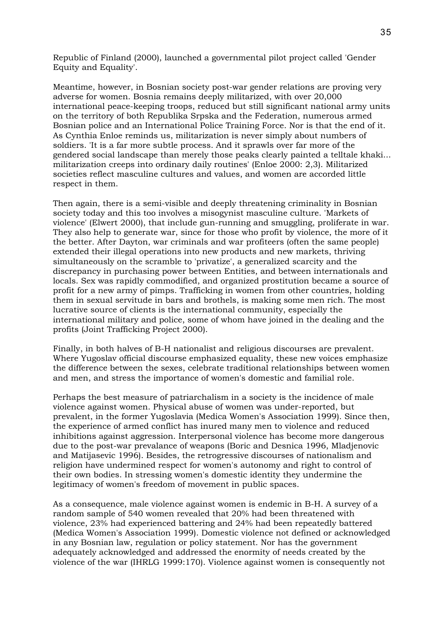Republic of Finland (2000), launched a governmental pilot project called 'Gender Equity and Equality'.

Meantime, however, in Bosnian society post-war gender relations are proving very adverse for women. Bosnia remains deeply militarized, with over 20,000 international peace-keeping troops, reduced but still significant national army units on the territory of both Republika Srpska and the Federation, numerous armed Bosnian police and an International Police Training Force. Nor is that the end of it. As Cynthia Enloe reminds us, militarization is never simply about numbers of soldiers. 'It is a far more subtle process. And it sprawls over far more of the gendered social landscape than merely those peaks clearly painted a telltale khaki... militarization creeps into ordinary daily routines' (Enloe 2000: 2,3). Militarized societies reflect masculine cultures and values, and women are accorded little respect in them.

Then again, there is a semi-visible and deeply threatening criminality in Bosnian society today and this too involves a misogynist masculine culture. 'Markets of violence' (Elwert 2000), that include gun-running and smuggling, proliferate in war. They also help to generate war, since for those who profit by violence, the more of it the better. After Dayton, war criminals and war profiteers (often the same people) extended their illegal operations into new products and new markets, thriving simultaneously on the scramble to 'privatize', a generalized scarcity and the discrepancy in purchasing power between Entities, and between internationals and locals. Sex was rapidly commodified, and organized prostitution became a source of profit for a new army of pimps. Trafficking in women from other countries, holding them in sexual servitude in bars and brothels, is making some men rich. The most lucrative source of clients is the international community, especially the international military and police, some of whom have joined in the dealing and the profits (Joint Trafficking Project 2000).

Finally, in both halves of B-H nationalist and religious discourses are prevalent. Where Yugoslav official discourse emphasized equality, these new voices emphasize the difference between the sexes, celebrate traditional relationships between women and men, and stress the importance of women's domestic and familial role.

Perhaps the best measure of patriarchalism in a society is the incidence of male violence against women. Physical abuse of women was under-reported, but prevalent, in the former Yugoslavia (Medica Women's Association 1999). Since then, the experience of armed conflict has inured many men to violence and reduced inhibitions against aggression. Interpersonal violence has become more dangerous due to the post-war prevalance of weapons (Boric and Desnica 1996, Mladjenovic and Matijasevic 1996). Besides, the retrogressive discourses of nationalism and religion have undermined respect for women's autonomy and right to control of their own bodies. In stressing women's domestic identity they undermine the legitimacy of women's freedom of movement in public spaces.

As a consequence, male violence against women is endemic in B-H. A survey of a random sample of 540 women revealed that 20% had been threatened with violence, 23% had experienced battering and 24% had been repeatedly battered (Medica Women's Association 1999). Domestic violence not defined or acknowledged in any Bosnian law, regulation or policy statement. Nor has the government adequately acknowledged and addressed the enormity of needs created by the violence of the war (IHRLG 1999:170). Violence against women is consequently not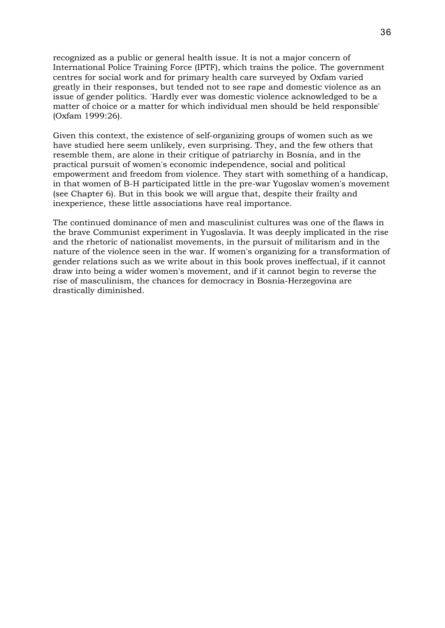recognized as a public or general health issue. It is not a major concern of International Police Training Force (IPTF), which trains the police. The government centres for social work and for primary health care surveyed by Oxfam varied greatly in their responses, but tended not to see rape and domestic violence as an issue of gender politics. 'Hardly ever was domestic violence acknowledged to be a matter of choice or a matter for which individual men should be held responsible' (Oxfam 1999:26).

Given this context, the existence of self-organizing groups of women such as we have studied here seem unlikely, even surprising. They, and the few others that resemble them, are alone in their critique of patriarchy in Bosnia, and in the practical pursuit of women's economic independence, social and political empowerment and freedom from violence. They start with something of a handicap, in that women of B-H participated little in the pre-war Yugoslav women's movement (see Chapter 6). But in this book we will argue that, despite their frailty and inexperience, these little associations have real importance.

The continued dominance of men and masculinist cultures was one of the flaws in the brave Communist experiment in Yugoslavia. It was deeply implicated in the rise and the rhetoric of nationalist movements, in the pursuit of militarism and in the nature of the violence seen in the war. If women's organizing for a transformation of gender relations such as we write about in this book proves ineffectual, if it cannot draw into being a wider women's movement, and if it cannot begin to reverse the rise of masculinism, the chances for democracy in Bosnia-Herzegovina are drastically diminished.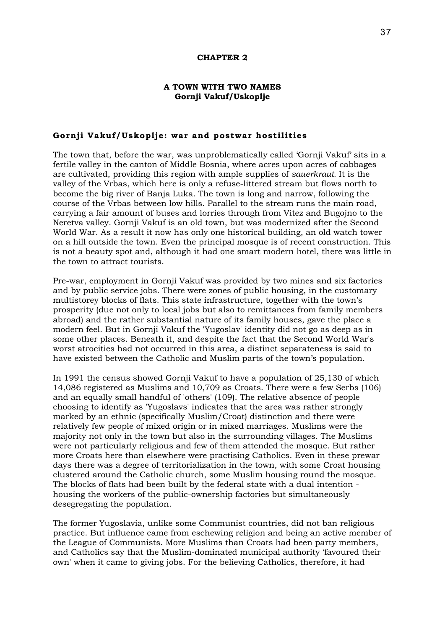### **CHAPTER 2**

# **A TOWN WITH TWO NAMES Gornji Vakuf/Uskoplje**

# **Gornji Vakuf/Uskoplje: war and postwar hostilities**

The town that, before the war, was unproblematically called 'Gornji Vakuf' sits in a fertile valley in the canton of Middle Bosnia, where acres upon acres of cabbages are cultivated, providing this region with ample supplies of *sauerkraut.* It is the valley of the Vrbas, which here is only a refuse-littered stream but flows north to become the big river of Banja Luka. The town is long and narrow, following the course of the Vrbas between low hills. Parallel to the stream runs the main road, carrying a fair amount of buses and lorries through from Vitez and Bugojno to the Neretva valley. Gornji Vakuf is an old town, but was modernized after the Second World War. As a result it now has only one historical building, an old watch tower on a hill outside the town. Even the principal mosque is of recent construction. This is not a beauty spot and, although it had one smart modern hotel, there was little in the town to attract tourists.

Pre-war, employment in Gornji Vakuf was provided by two mines and six factories and by public service jobs. There were zones of public housing, in the customary multistorey blocks of flats. This state infrastructure, together with the town's prosperity (due not only to local jobs but also to remittances from family members abroad) and the rather substantial nature of its family houses, gave the place a modern feel. But in Gornji Vakuf the 'Yugoslav' identity did not go as deep as in some other places. Beneath it, and despite the fact that the Second World War's worst atrocities had not occurred in this area, a distinct separateness is said to have existed between the Catholic and Muslim parts of the town's population.

In 1991 the census showed Gornji Vakuf to have a population of 25,130 of which 14,086 registered as Muslims and 10,709 as Croats. There were a few Serbs (106) and an equally small handful of 'others' (109). The relative absence of people choosing to identify as 'Yugoslavs' indicates that the area was rather strongly marked by an ethnic (specifically Muslim/Croat) distinction and there were relatively few people of mixed origin or in mixed marriages. Muslims were the majority not only in the town but also in the surrounding villages. The Muslims were not particularly religious and few of them attended the mosque. But rather more Croats here than elsewhere were practising Catholics. Even in these prewar days there was a degree of territorialization in the town, with some Croat housing clustered around the Catholic church, some Muslim housing round the mosque. The blocks of flats had been built by the federal state with a dual intention housing the workers of the public-ownership factories but simultaneously desegregating the population.

The former Yugoslavia, unlike some Communist countries, did not ban religious practice. But influence came from eschewing religion and being an active member of the League of Communists. More Muslims than Croats had been party members, and Catholics say that the Muslim-dominated municipal authority 'favoured their own' when it came to giving jobs. For the believing Catholics, therefore, it had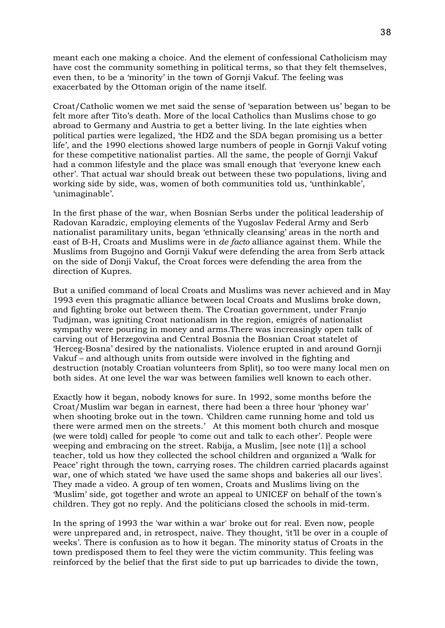meant each one making a choice. And the element of confessional Catholicism may have cost the community something in political terms, so that they felt themselves, even then, to be a 'minority' in the town of Gornji Vakuf. The feeling was exacerbated by the Ottoman origin of the name itself.

Croat/Catholic women we met said the sense of 'separation between us' began to be felt more after Tito's death. More of the local Catholics than Muslims chose to go abroad to Germany and Austria to get a better living. In the late eighties when political parties were legalized, 'the HDZ and the SDA began promising us a better life', and the 1990 elections showed large numbers of people in Gornji Vakuf voting for these competitive nationalist parties. All the same, the people of Gornji Vakuf had a common lifestyle and the place was small enough that 'everyone knew each other'. That actual war should break out between these two populations, living and working side by side, was, women of both communities told us, 'unthinkable', 'unimaginable'.

In the first phase of the war, when Bosnian Serbs under the political leadership of Radovan Karadzic, employing elements of the Yugoslav Federal Army and Serb nationalist paramilitary units, began 'ethnically cleansing' areas in the north and east of B-H, Croats and Muslims were in *de facto* alliance against them. While the Muslims from Bugojno and Gornji Vakuf were defending the area from Serb attack on the side of Donji Vakuf, the Croat forces were defending the area from the direction of Kupres.

But a unified command of local Croats and Muslims was never achieved and in May 1993 even this pragmatic alliance between local Croats and Muslims broke down, and fighting broke out between them. The Croatian government, under Franjo Tudjman, was igniting Croat nationalism in the region, emigrés of nationalist sympathy were pouring in money and arms.There was increasingly open talk of carving out of Herzegovina and Central Bosnia the Bosnian Croat statelet of 'Herceg-Bosna' desired by the nationalists. Violence erupted in and around Gornji Vakuf – and although units from outside were involved in the fighting and destruction (notably Croatian volunteers from Split), so too were many local men on both sides. At one level the war was between families well known to each other.

Exactly how it began, nobody knows for sure. In 1992, some months before the Croat/Muslim war began in earnest, there had been a three hour 'phoney war' when shooting broke out in the town. 'Children came running home and told us there were armed men on the streets.' At this moment both church and mosque (we were told) called for people 'to come out and talk to each other'. People were weeping and embracing on the street. Rabija, a Muslim, [see note (1)] a school teacher, told us how they collected the school children and organized a 'Walk for Peace' right through the town, carrying roses. The children carried placards against war, one of which stated 'we have used the same shops and bakeries all our lives'. They made a video. A group of ten women, Croats and Muslims living on the 'Muslim' side, got together and wrote an appeal to UNICEF on behalf of the town's children. They got no reply. And the politicians closed the schools in mid-term.

In the spring of 1993 the 'war within a war' broke out for real. Even now, people were unprepared and, in retrospect, naive. They thought, 'it'll be over in a couple of weeks'. There is confusion as to how it began. The minority status of Croats in the town predisposed them to feel they were the victim community. This feeling was reinforced by the belief that the first side to put up barricades to divide the town,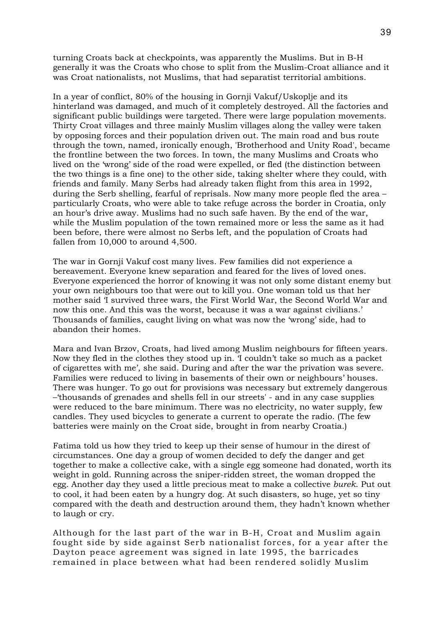turning Croats back at checkpoints, was apparently the Muslims. But in B-H generally it was the Croats who chose to split from the Muslim-Croat alliance and it was Croat nationalists, not Muslims, that had separatist territorial ambitions.

In a year of conflict, 80% of the housing in Gornji Vakuf/Uskoplje and its hinterland was damaged, and much of it completely destroyed. All the factories and significant public buildings were targeted. There were large population movements. Thirty Croat villages and three mainly Muslim villages along the valley were taken by opposing forces and their population driven out. The main road and bus route through the town, named, ironically enough, 'Brotherhood and Unity Road', became the frontline between the two forces. In town, the many Muslims and Croats who lived on the 'wrong' side of the road were expelled, or fled (the distinction between the two things is a fine one) to the other side, taking shelter where they could, with friends and family. Many Serbs had already taken flight from this area in 1992, during the Serb shelling, fearful of reprisals. Now many more people fled the area – particularly Croats, who were able to take refuge across the border in Croatia, only an hour's drive away. Muslims had no such safe haven. By the end of the war, while the Muslim population of the town remained more or less the same as it had been before, there were almost no Serbs left, and the population of Croats had fallen from 10,000 to around 4,500.

The war in Gornji Vakuf cost many lives. Few families did not experience a bereavement. Everyone knew separation and feared for the lives of loved ones. Everyone experienced the horror of knowing it was not only some distant enemy but your own neighbours too that were out to kill you. One woman told us that her mother said 'I survived three wars, the First World War, the Second World War and now this one. And this was the worst, because it was a war against civilians.' Thousands of families, caught living on what was now the 'wrong' side, had to abandon their homes.

Mara and Ivan Brzov, Croats, had lived among Muslim neighbours for fifteen years. Now they fled in the clothes they stood up in. 'I couldn't take so much as a packet of cigarettes with me', she said. During and after the war the privation was severe. Families were reduced to living in basements of their own or neighbours' houses. There was hunger. To go out for provisions was necessary but extremely dangerous –'thousands of grenades and shells fell in our streets' - and in any case supplies were reduced to the bare minimum. There was no electricity, no water supply, few candles. They used bicycles to generate a current to operate the radio. (The few batteries were mainly on the Croat side, brought in from nearby Croatia.)

Fatima told us how they tried to keep up their sense of humour in the direst of circumstances. One day a group of women decided to defy the danger and get together to make a collective cake, with a single egg someone had donated, worth its weight in gold. Running across the sniper-ridden street, the woman dropped the egg. Another day they used a little precious meat to make a collective *burek*. Put out to cool, it had been eaten by a hungry dog. At such disasters, so huge, yet so tiny compared with the death and destruction around them, they hadn't known whether to laugh or cry.

Although for the last part of the war in B-H, Croat and Muslim again fought side by side against Serb nationalist forces, for a year after the Dayton peace agreement was signed in late 1995, the barricades remained in place between what had been rendered solidly Muslim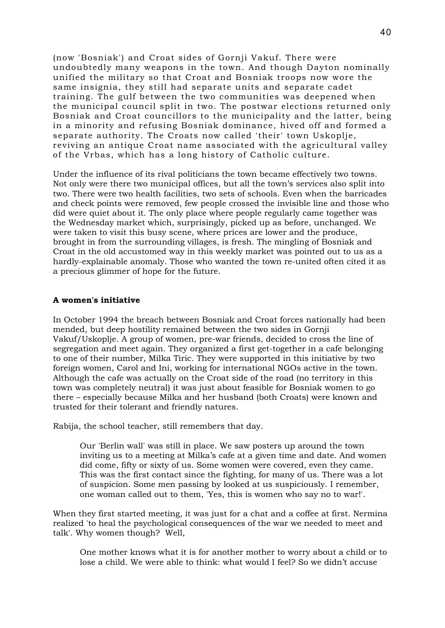(now 'Bosniak') and Croat sides of Gornji Vakuf. There were undoubtedly many weapons in the town. And though Dayton nominally unified the military so that Croat and Bosniak troops now wore the same insignia, they still had separate units and separate cadet training. The gulf between the two communities was deepened when the municipal council split in two. The postwar elections returned only Bosniak and Croat councillors to the municipality and the latter, being in a minority and refusing Bosniak dominance, hived off and formed a separate authority. The Croats now called 'their' town Uskoplje, reviving an antique Croat name associated with the agricultural valley of the Vrbas, which has a long history of Catholic culture.

Under the influence of its rival politicians the town became effectively two towns. Not only were there two municipal offices, but all the town's services also split into two. There were two health facilities, two sets of schools. Even when the barricades and check points were removed, few people crossed the invisible line and those who did were quiet about it. The only place where people regularly came together was the Wednesday market which, surprisingly, picked up as before, unchanged. We were taken to visit this busy scene, where prices are lower and the produce, brought in from the surrounding villages, is fresh. The mingling of Bosniak and Croat in the old accustomed way in this weekly market was pointed out to us as a hardly-explainable anomaly. Those who wanted the town re-united often cited it as a precious glimmer of hope for the future.

# **A women's initiative**

In October 1994 the breach between Bosniak and Croat forces nationally had been mended, but deep hostility remained between the two sides in Gornji Vakuf/Uskoplje. A group of women, pre-war friends, decided to cross the line of segregation and meet again. They organized a first get-together in a cafe belonging to one of their number, Milka Tiric. They were supported in this initiative by two foreign women, Carol and Ini, working for international NGOs active in the town. Although the cafe was actually on the Croat side of the road (no territory in this town was completely neutral) it was just about feasible for Bosniak women to go there – especially because Milka and her husband (both Croats) were known and trusted for their tolerant and friendly natures.

Rabija, the school teacher, still remembers that day.

Our 'Berlin wall' was still in place. We saw posters up around the town inviting us to a meeting at Milka's cafe at a given time and date. And women did come, fifty or sixty of us. Some women were covered, even they came. This was the first contact since the fighting, for many of us. There was a lot of suspicion. Some men passing by looked at us suspiciously. I remember, one woman called out to them, 'Yes, this is women who say no to war!'.

When they first started meeting, it was just for a chat and a coffee at first. Nermina realized 'to heal the psychological consequences of the war we needed to meet and talk'. Why women though? Well,

One mother knows what it is for another mother to worry about a child or to lose a child. We were able to think: what would I feel? So we didn't accuse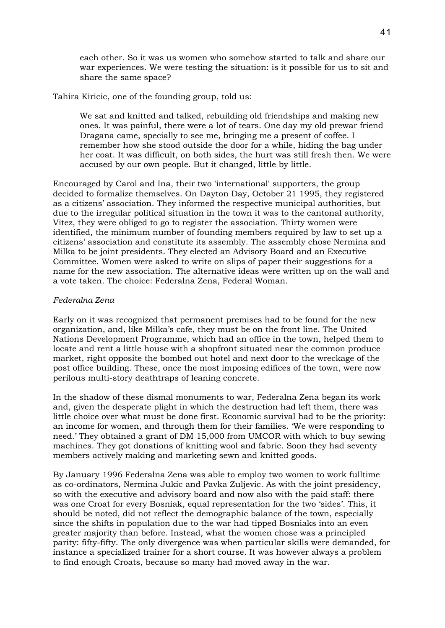each other. So it was us women who somehow started to talk and share our war experiences. We were testing the situation: is it possible for us to sit and share the same space?

Tahira Kiricic, one of the founding group, told us:

We sat and knitted and talked, rebuilding old friendships and making new ones. It was painful, there were a lot of tears. One day my old prewar friend Dragana came, specially to see me, bringing me a present of coffee. I remember how she stood outside the door for a while, hiding the bag under her coat. It was difficult, on both sides, the hurt was still fresh then. We were accused by our own people. But it changed, little by little.

Encouraged by Carol and Ina, their two 'international' supporters, the group decided to formalize themselves. On Dayton Day, October 21 1995, they registered as a citizens' association. They informed the respective municipal authorities, but due to the irregular political situation in the town it was to the cantonal authority, Vitez, they were obliged to go to register the association. Thirty women were identified, the minimum number of founding members required by law to set up a citizens' association and constitute its assembly. The assembly chose Nermina and Milka to be joint presidents. They elected an Advisory Board and an Executive Committee. Women were asked to write on slips of paper their suggestions for a name for the new association. The alternative ideas were written up on the wall and a vote taken. The choice: Federalna Zena, Federal Woman.

# *Federalna Zena*

Early on it was recognized that permanent premises had to be found for the new organization, and, like Milka's cafe, they must be on the front line. The United Nations Development Programme, which had an office in the town, helped them to locate and rent a little house with a shopfront situated near the common produce market, right opposite the bombed out hotel and next door to the wreckage of the post office building. These, once the most imposing edifices of the town, were now perilous multi-story deathtraps of leaning concrete.

In the shadow of these dismal monuments to war, Federalna Zena began its work and, given the desperate plight in which the destruction had left them, there was little choice over what must be done first. Economic survival had to be the priority: an income for women, and through them for their families. 'We were responding to need.' They obtained a grant of DM 15,000 from UMCOR with which to buy sewing machines. They got donations of knitting wool and fabric. Soon they had seventy members actively making and marketing sewn and knitted goods.

By January 1996 Federalna Zena was able to employ two women to work fulltime as co-ordinators, Nermina Jukic and Pavka Zuljevic. As with the joint presidency, so with the executive and advisory board and now also with the paid staff: there was one Croat for every Bosniak, equal representation for the two 'sides'. This, it should be noted, did not reflect the demographic balance of the town, especially since the shifts in population due to the war had tipped Bosniaks into an even greater majority than before. Instead, what the women chose was a principled parity: fifty-fifty. The only divergence was when particular skills were demanded, for instance a specialized trainer for a short course. It was however always a problem to find enough Croats, because so many had moved away in the war.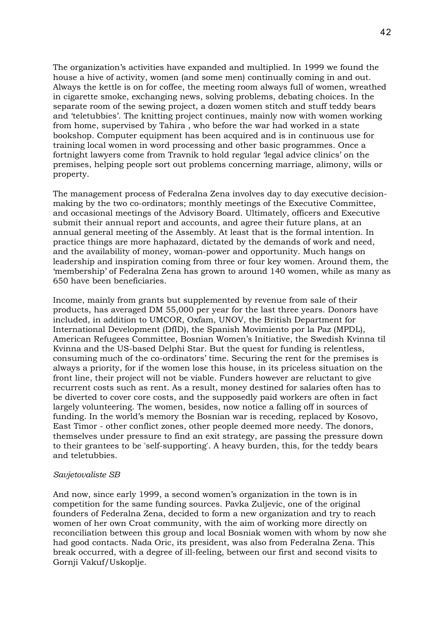The organization's activities have expanded and multiplied. In 1999 we found the house a hive of activity, women (and some men) continually coming in and out. Always the kettle is on for coffee, the meeting room always full of women, wreathed in cigarette smoke, exchanging news, solving problems, debating choices. In the separate room of the sewing project, a dozen women stitch and stuff teddy bears and 'teletubbies'. The knitting project continues, mainly now with women working from home, supervised by Tahira , who before the war had worked in a state bookshop. Computer equipment has been acquired and is in continuous use for training local women in word processing and other basic programmes. Once a fortnight lawyers come from Travnik to hold regular 'legal advice clinics' on the premises, helping people sort out problems concerning marriage, alimony, wills or property.

The management process of Federalna Zena involves day to day executive decisionmaking by the two co-ordinators; monthly meetings of the Executive Committee, and occasional meetings of the Advisory Board. Ultimately, officers and Executive submit their annual report and accounts, and agree their future plans, at an annual general meeting of the Assembly. At least that is the formal intention. In practice things are more haphazard, dictated by the demands of work and need, and the availability of money, woman-power and opportunity. Much hangs on leadership and inspiration coming from three or four key women. Around them, the 'membership' of Federalna Zena has grown to around 140 women, while as many as 650 have been beneficiaries.

Income, mainly from grants but supplemented by revenue from sale of their products, has averaged DM 55,000 per year for the last three years. Donors have included, in addition to UMCOR, Oxfam, UNOV, the British Department for International Development (DfID), the Spanish Movimiento por la Paz (MPDL), American Refugees Committee, Bosnian Women's Initiative, the Swedish Kvinna til Kvinna and the US-based Delphi Star. But the quest for funding is relentless, consuming much of the co-ordinators' time. Securing the rent for the premises is always a priority, for if the women lose this house, in its priceless situation on the front line, their project will not be viable. Funders however are reluctant to give recurrent costs such as rent. As a result, money destined for salaries often has to be diverted to cover core costs, and the supposedly paid workers are often in fact largely volunteering. The women, besides, now notice a falling off in sources of funding. In the world's memory the Bosnian war is receding, replaced by Kosovo, East Timor - other conflict zones, other people deemed more needy. The donors, themselves under pressure to find an exit strategy, are passing the pressure down to their grantees to be 'self-supporting'. A heavy burden, this, for the teddy bears and teletubbies.

#### *Savjetovaliste SB*

And now, since early 1999, a second women's organization in the town is in competition for the same funding sources. Pavka Zuljevic, one of the original founders of Federalna Zena, decided to form a new organization and try to reach women of her own Croat community, with the aim of working more directly on reconciliation between this group and local Bosniak women with whom by now she had good contacts. Nada Oric, its president, was also from Federalna Zena. This break occurred, with a degree of ill-feeling, between our first and second visits to Gornji Vakuf/Uskoplje.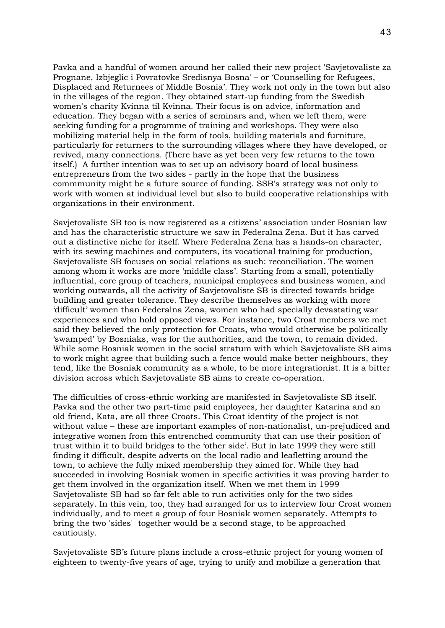Pavka and a handful of women around her called their new project 'Savjetovaliste za Prognane, Izbjeglic i Povratovke Sredisnya Bosna' – or 'Counselling for Refugees, Displaced and Returnees of Middle Bosnia'. They work not only in the town but also in the villages of the region. They obtained start-up funding from the Swedish women's charity Kvinna til Kvinna. Their focus is on advice, information and education. They began with a series of seminars and, when we left them, were seeking funding for a programme of training and workshops. They were also mobilizing material help in the form of tools, building materials and furniture, particularly for returners to the surrounding villages where they have developed, or revived, many connections. (There have as yet been very few returns to the town itself.) A further intention was to set up an advisory board of local business entrepreneurs from the two sides - partly in the hope that the business commmunity might be a future source of funding. SSB's strategy was not only to work with women at individual level but also to build cooperative relationships with organizations in their environment.

Savjetovaliste SB too is now registered as a citizens' association under Bosnian law and has the characteristic structure we saw in Federalna Zena. But it has carved out a distinctive niche for itself. Where Federalna Zena has a hands-on character, with its sewing machines and computers, its vocational training for production, Savjetovaliste SB focuses on social relations as such: reconciliation. The women among whom it works are more 'middle class'. Starting from a small, potentially influential, core group of teachers, municipal employees and business women, and working outwards, all the activity of Savjetovaliste SB is directed towards bridge building and greater tolerance. They describe themselves as working with more 'difficult' women than Federalna Zena, women who had specially devastating war experiences and who hold opposed views. For instance, two Croat members we met said they believed the only protection for Croats, who would otherwise be politically 'swamped' by Bosniaks, was for the authorities, and the town, to remain divided. While some Bosniak women in the social stratum with which Savjetovaliste SB aims to work might agree that building such a fence would make better neighbours, they tend, like the Bosniak community as a whole, to be more integrationist. It is a bitter division across which Savjetovaliste SB aims to create co-operation.

The difficulties of cross-ethnic working are manifested in Savjetovaliste SB itself. Pavka and the other two part-time paid employees, her daughter Katarina and an old friend, Kata, are all three Croats. This Croat identity of the project is not without value – these are important examples of non-nationalist, un-prejudiced and integrative women from this entrenched community that can use their position of trust within it to build bridges to the 'other side'. But in late 1999 they were still finding it difficult, despite adverts on the local radio and leafletting around the town, to achieve the fully mixed membership they aimed for. While they had succeeded in involving Bosniak women in specific activities it was proving harder to get them involved in the organization itself. When we met them in 1999 Savjetovaliste SB had so far felt able to run activities only for the two sides separately. In this vein, too, they had arranged for us to interview four Croat women individually, and to meet a group of four Bosniak women separately. Attempts to bring the two 'sides' together would be a second stage, to be approached cautiously.

Savjetovaliste SB's future plans include a cross-ethnic project for young women of eighteen to twenty-five years of age, trying to unify and mobilize a generation that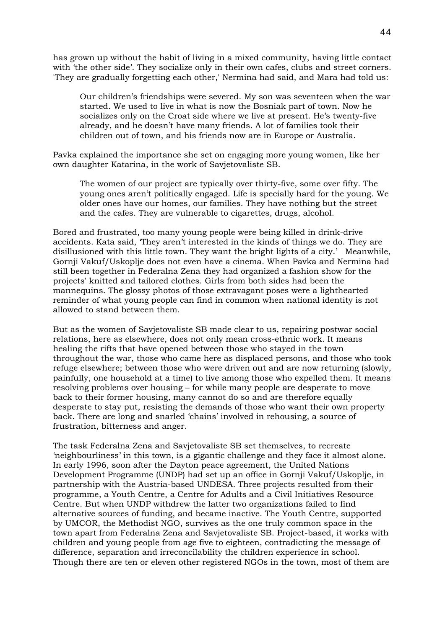has grown up without the habit of living in a mixed community, having little contact with 'the other side'. They socialize only in their own cafes, clubs and street corners. 'They are gradually forgetting each other,' Nermina had said, and Mara had told us:

Our children's friendships were severed. My son was seventeen when the war started. We used to live in what is now the Bosniak part of town. Now he socializes only on the Croat side where we live at present. He's twenty-five already, and he doesn't have many friends. A lot of families took their children out of town, and his friends now are in Europe or Australia.

Pavka explained the importance she set on engaging more young women, like her own daughter Katarina, in the work of Savjetovaliste SB.

The women of our project are typically over thirty-five, some over fifty. The young ones aren't politically engaged. Life is specially hard for the young. We older ones have our homes, our families. They have nothing but the street and the cafes. They are vulnerable to cigarettes, drugs, alcohol.

Bored and frustrated, too many young people were being killed in drink-drive accidents. Kata said, 'They aren't interested in the kinds of things we do. They are disillusioned with this little town. They want the bright lights of a city.' Meanwhile, Gornji Vakuf/Uskoplje does not even have a cinema. When Pavka and Nermina had still been together in Federalna Zena they had organized a fashion show for the projects' knitted and tailored clothes. Girls from both sides had been the mannequins. The glossy photos of those extravagant poses were a lighthearted reminder of what young people can find in common when national identity is not allowed to stand between them.

But as the women of Savjetovaliste SB made clear to us, repairing postwar social relations, here as elsewhere, does not only mean cross-ethnic work. It means healing the rifts that have opened between those who stayed in the town throughout the war, those who came here as displaced persons, and those who took refuge elsewhere; between those who were driven out and are now returning (slowly, painfully, one household at a time) to live among those who expelled them. It means resolving problems over housing – for while many people are desperate to move back to their former housing, many cannot do so and are therefore equally desperate to stay put, resisting the demands of those who want their own property back. There are long and snarled 'chains' involved in rehousing, a source of frustration, bitterness and anger.

The task Federalna Zena and Savjetovaliste SB set themselves, to recreate 'neighbourliness' in this town, is a gigantic challenge and they face it almost alone. In early 1996, soon after the Dayton peace agreement, the United Nations Development Programme (UNDP) had set up an office in Gornji Vakuf/Uskoplje, in partnership with the Austria-based UNDESA. Three projects resulted from their programme, a Youth Centre, a Centre for Adults and a Civil Initiatives Resource Centre. But when UNDP withdrew the latter two organizations failed to find alternative sources of funding, and became inactive. The Youth Centre, supported by UMCOR, the Methodist NGO, survives as the one truly common space in the town apart from Federalna Zena and Savjetovaliste SB. Project-based, it works with children and young people from age five to eighteen, contradicting the message of difference, separation and irreconcilability the children experience in school. Though there are ten or eleven other registered NGOs in the town, most of them are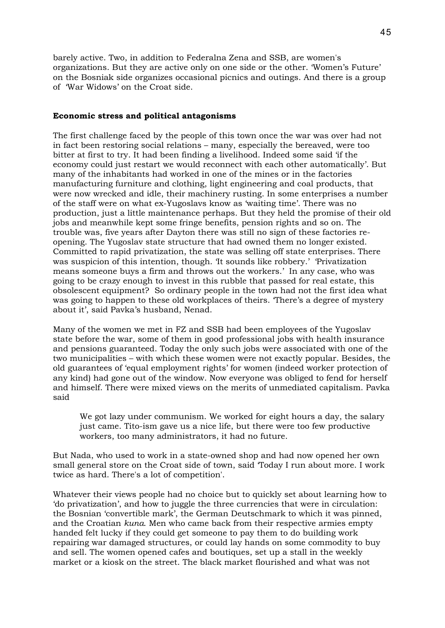barely active. Two, in addition to Federalna Zena and SSB, are women's organizations. But they are active only on one side or the other. 'Women's Future' on the Bosniak side organizes occasional picnics and outings. And there is a group of 'War Widows' on the Croat side.

### **Economic stress and political antagonisms**

The first challenge faced by the people of this town once the war was over had not in fact been restoring social relations – many, especially the bereaved, were too bitter at first to try. It had been finding a livelihood. Indeed some said 'if the economy could just restart we would reconnect with each other automatically'. But many of the inhabitants had worked in one of the mines or in the factories manufacturing furniture and clothing, light engineering and coal products, that were now wrecked and idle, their machinery rusting. In some enterprises a number of the staff were on what ex-Yugoslavs know as 'waiting time'. There was no production, just a little maintenance perhaps. But they held the promise of their old jobs and meanwhile kept some fringe benefits, pension rights and so on. The trouble was, five years after Dayton there was still no sign of these factories reopening. The Yugoslav state structure that had owned them no longer existed. Committed to rapid privatization, the state was selling off state enterprises. There was suspicion of this intention, though. 'It sounds like robbery.' 'Privatization means someone buys a firm and throws out the workers.' In any case, who was going to be crazy enough to invest in this rubble that passed for real estate, this obsolescent equipment? So ordinary people in the town had not the first idea what was going to happen to these old workplaces of theirs. 'There's a degree of mystery about it', said Pavka's husband, Nenad.

Many of the women we met in FZ and SSB had been employees of the Yugoslav state before the war, some of them in good professional jobs with health insurance and pensions guaranteed. Today the only such jobs were associated with one of the two municipalities – with which these women were not exactly popular. Besides, the old guarantees of 'equal employment rights' for women (indeed worker protection of any kind) had gone out of the window. Now everyone was obliged to fend for herself and himself. There were mixed views on the merits of unmediated capitalism. Pavka said

We got lazy under communism. We worked for eight hours a day, the salary just came. Tito-ism gave us a nice life, but there were too few productive workers, too many administrators, it had no future.

But Nada, who used to work in a state-owned shop and had now opened her own small general store on the Croat side of town, said 'Today I run about more. I work twice as hard. There's a lot of competition'.

Whatever their views people had no choice but to quickly set about learning how to 'do privatization', and how to juggle the three currencies that were in circulation: the Bosnian 'convertible mark', the German Deutschmark to which it was pinned, and the Croatian *kuna*. Men who came back from their respective armies empty handed felt lucky if they could get someone to pay them to do building work repairing war damaged structures, or could lay hands on some commodity to buy and sell. The women opened cafes and boutiques, set up a stall in the weekly market or a kiosk on the street. The black market flourished and what was not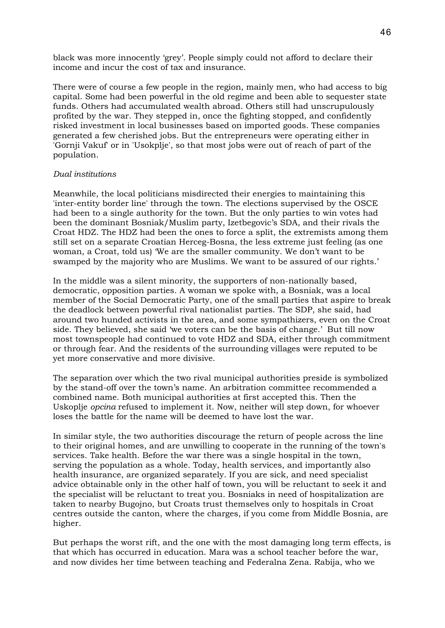black was more innocently 'grey'. People simply could not afford to declare their income and incur the cost of tax and insurance.

There were of course a few people in the region, mainly men, who had access to big capital. Some had been powerful in the old regime and been able to sequester state funds. Others had accumulated wealth abroad. Others still had unscrupulously profited by the war. They stepped in, once the fighting stopped, and confidently risked investment in local businesses based on imported goods. These companies generated a few cherished jobs. But the entrepreneurs were operating either in 'Gornji Vakuf' or in 'Usokplje', so that most jobs were out of reach of part of the population.

### *Dual institutions*

Meanwhile, the local politicians misdirected their energies to maintaining this 'inter-entity border line' through the town. The elections supervised by the OSCE had been to a single authority for the town. But the only parties to win votes had been the dominant Bosniak/Muslim party, Izetbegovic's SDA, and their rivals the Croat HDZ. The HDZ had been the ones to force a split, the extremists among them still set on a separate Croatian Herceg-Bosna, the less extreme just feeling (as one woman, a Croat, told us) 'We are the smaller community. We don't want to be swamped by the majority who are Muslims. We want to be assured of our rights.'

In the middle was a silent minority, the supporters of non-nationally based, democratic, opposition parties. A woman we spoke with, a Bosniak, was a local member of the Social Democratic Party, one of the small parties that aspire to break the deadlock between powerful rival nationalist parties. The SDP, she said, had around two hunded activists in the area, and some sympathizers, even on the Croat side. They believed, she said 'we voters can be the basis of change.' But till now most townspeople had continued to vote HDZ and SDA, either through commitment or through fear. And the residents of the surrounding villages were reputed to be yet more conservative and more divisive.

The separation over which the two rival municipal authorities preside is symbolized by the stand-off over the town's name. An arbitration committee recommended a combined name. Both municipal authorities at first accepted this. Then the Uskoplje *opcina* refused to implement it. Now, neither will step down, for whoever loses the battle for the name will be deemed to have lost the war.

In similar style, the two authorities discourage the return of people across the line to their original homes, and are unwilling to cooperate in the running of the town's services. Take health. Before the war there was a single hospital in the town, serving the population as a whole. Today, health services, and importantly also health insurance, are organized separately. If you are sick, and need specialist advice obtainable only in the other half of town, you will be reluctant to seek it and the specialist will be reluctant to treat you. Bosniaks in need of hospitalization are taken to nearby Bugojno, but Croats trust themselves only to hospitals in Croat centres outside the canton, where the charges, if you come from Middle Bosnia, are higher.

But perhaps the worst rift, and the one with the most damaging long term effects, is that which has occurred in education. Mara was a school teacher before the war, and now divides her time between teaching and Federalna Zena. Rabija, who we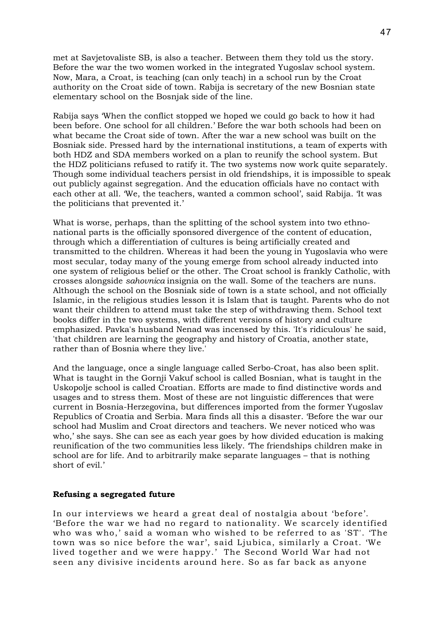met at Savjetovaliste SB, is also a teacher. Between them they told us the story. Before the war the two women worked in the integrated Yugoslav school system. Now, Mara, a Croat, is teaching (can only teach) in a school run by the Croat authority on the Croat side of town. Rabija is secretary of the new Bosnian state elementary school on the Bosnjak side of the line.

Rabija says 'When the conflict stopped we hoped we could go back to how it had been before. One school for all children.' Before the war both schools had been on what became the Croat side of town. After the war a new school was built on the Bosniak side. Pressed hard by the international institutions, a team of experts with both HDZ and SDA members worked on a plan to reunify the school system. But the HDZ politicians refused to ratify it. The two systems now work quite separately. Though some individual teachers persist in old friendships, it is impossible to speak out publicly against segregation. And the education officials have no contact with each other at all. 'We, the teachers, wanted a common school', said Rabija. 'It was the politicians that prevented it.'

What is worse, perhaps, than the splitting of the school system into two ethnonational parts is the officially sponsored divergence of the content of education, through which a differentiation of cultures is being artificially created and transmitted to the children. Whereas it had been the young in Yugoslavia who were most secular, today many of the young emerge from school already inducted into one system of religious belief or the other. The Croat school is frankly Catholic, with crosses alongside *sahovnica* insignia on the wall. Some of the teachers are nuns. Although the school on the Bosniak side of town is a state school, and not officially Islamic, in the religious studies lesson it is Islam that is taught. Parents who do not want their children to attend must take the step of withdrawing them. School text books differ in the two systems, with different versions of history and culture emphasized. Pavka's husband Nenad was incensed by this. 'It's ridiculous' he said, 'that children are learning the geography and history of Croatia, another state, rather than of Bosnia where they live.'

And the language, once a single language called Serbo-Croat, has also been split. What is taught in the Gornji Vakuf school is called Bosnian, what is taught in the Uskopolje school is called Croatian. Efforts are made to find distinctive words and usages and to stress them. Most of these are not linguistic differences that were current in Bosnia-Herzegovina, but differences imported from the former Yugoslav Republics of Croatia and Serbia. Mara finds all this a disaster. 'Before the war our school had Muslim and Croat directors and teachers. We never noticed who was who,' she says. She can see as each year goes by how divided education is making reunification of the two communities less likely. 'The friendships children make in school are for life. And to arbitrarily make separate languages – that is nothing short of evil.'

### **Refusing a segregated future**

In our interviews we heard a great deal of nostalgia about 'before'. 'Before the war we had no regard to nationality. We scarcely identified who was who,' said a woman who wished to be referred to as 'ST'. 'The town was so nice before the war', said Ljubica, similarly a Croat. 'We lived together and we were happy.' The Second World War had not seen any divisive incidents around here. So as far back as anyone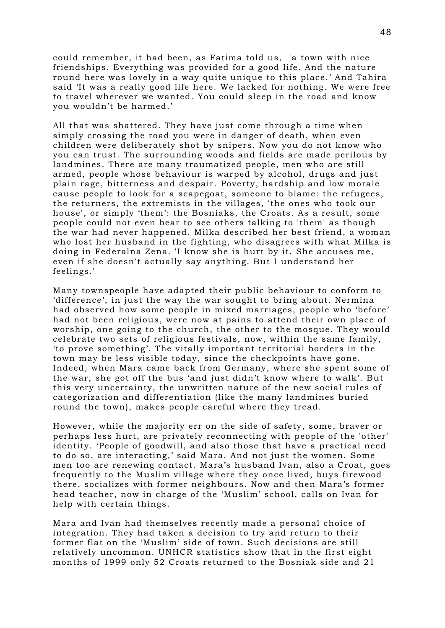could remember, it had been, as Fatima told us, 'a town with nice friendships. Everything was provided for a good life. And the nature round here was lovely in a way quite unique to this place.' And Tahira said 'It was a really good life here. We lacked for nothing. We were free to travel wherever we wanted. You could sleep in the road and know you wouldn't be harmed.'

All that was shattered. They have just come through a time when simply crossing the road you were in danger of death, when even children were deliberately shot by snipers. Now you do not know who you can trust. The surrounding woods and fields are made perilous by landmines. There are many traumatized people, men who are still armed, people whose behaviour is warped by alcohol, drugs and just plain rage, bitterness and despair. Poverty, hardship and low morale cause people to look for a scapegoat, someone to blame: the refugees, the returners, the extremists in the villages, 'the ones who took our house', or simply 'them': the Bosniaks, the Croats. As a result, some people could not even bear to see others talking to 'them' as though the war had never happened. Milka described her best friend, a woman who lost her husband in the fighting, who disagrees with what Milka is doing in Federalna Zena. 'I know she is hurt by it. She accuses me, even if she doesn't actually say anything. But I understand her feelings.'

Many townspeople have adapted their public behaviour to conform to 'difference', in just the way the war sought to bring about. Nermina had observed how some people in mixed marriages, people who 'before' had not been religious, were now at pains to attend their own place of worship, one going to the church, the other to the mosque. They would celebrate two sets of religious festivals, now, within the same family, 'to prove something'. The vitally important territorial borders in the town may be less visible today, since the checkpoints have gone. Indeed, when Mara came back from Germany, where she spent some of the war, she got off the bus 'and just didn't know where to walk'. But this very uncertainty, the unwritten nature of the new social rules of categorization and differentiation (like the many landmines buried round the town), makes people careful where they tread.

However, while the majority err on the side of safety, some, braver or perhaps less hurt, are privately reconnecting with people of the 'other' identity. 'People of goodwill, and also those that have a practical need to do so, are interacting,' said Mara. And not just the women. Some men too are renewing contact. Mara's husband Ivan, also a Croat, goes frequently to the Muslim village where they once lived, buys firewood there, socializes with former neighbours. Now and then Mara's former head teacher, now in charge of the 'Muslim' school, calls on Ivan for help with certain things.

Mara and Ivan had themselves recently made a personal choice of integration. They had taken a decision to try and return to their former flat on the 'Muslim' side of town. Such decisions are still relatively uncommon. UNHCR statistics show that in the first eight months of 1999 only 52 Croats returned to the Bosniak side and 21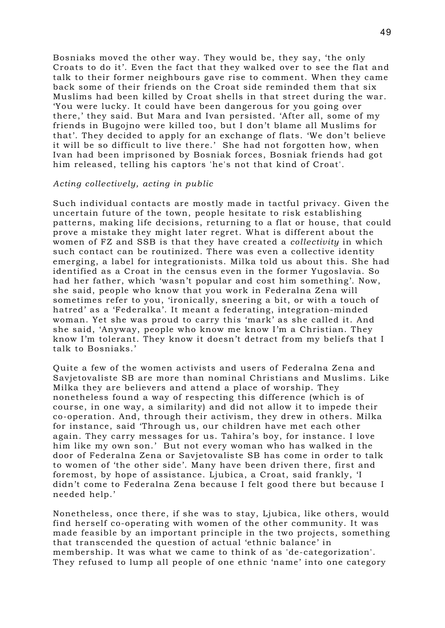Bosniaks moved the other way. They would be, they say, 'the only Croats to do it'. Even the fact that they walked over to see the flat and talk to their former neighbours gave rise to comment. When they came back some of their friends on the Croat side reminded them that six Muslims had been killed by Croat shells in that street during the war. 'You were lucky. It could have been dangerous for you going over there,' they said. But Mara and Ivan persisted. 'After all, some of my friends in Bugojno were killed too, but I don't blame all Muslims for that'. They decided to apply for an exchange of flats. 'We don't believe it will be so difficult to live there.' She had not forgotten how, when Ivan had been imprisoned by Bosniak forces, Bosniak friends had got him released, telling his captors 'he's not that kind of Croat'.

#### *Acting collectively, acting in public*

Such individual contacts are mostly made in tactful privacy. Given the uncertain future of the town, people hesitate to risk establishing patterns, making life decisions, returning to a flat or house, that could prove a mistake they might later regret. What is different about the women of FZ and SSB is that they have created a *collectivity* in which such contact can be routinized. There was even a collective identity emerging, a label for integrationists. Milka told us about this. She had identified as a Croat in the census even in the former Yugoslavia. So had her father, which 'wasn't popular and cost him something'. Now, she said, people who know that you work in Federalna Zena will sometimes refer to you, 'ironically, sneering a bit, or with a touch of hatred' as a 'Federalka'. It meant a federating, integration-minded woman. Yet she was proud to carry this 'mark' as she called it. And she said, 'Anyway, people who know me know I'm a Christian. They know I'm tolerant. They know it doesn't detract from my beliefs that I talk to Bosniaks.'

Quite a few of the women activists and users of Federalna Zena and Savjetovaliste SB are more than nominal Christians and Muslims. Like Milka they are believers and attend a place of worship. They nonetheless found a way of respecting this difference (which is of course, in one way, a similarity) and did not allow it to impede their co-operation. And, through their activism, they drew in others. Milka for instance, said 'Through us, our children have met each other again. They carry messages for us. Tahira's boy, for instance. I love him like my own son.' But not every woman who has walked in the door of Federalna Zena or Savjetovaliste SB has come in order to talk to women of 'the other side'. Many have been driven there, first and foremost, by hope of assistance. Ljubica, a Croat, said frankly, 'I didn't come to Federalna Zena because I felt good there but because I needed help.'

Nonetheless, once there, if she was to stay, Ljubica, like others, would find herself co-operating with women of the other community. It was made feasible by an important principle in the two projects, something that transcended the question of actual 'ethnic balance' in membership. It was what we came to think of as 'de-categorization'. They refused to lump all people of one ethnic 'name' into one category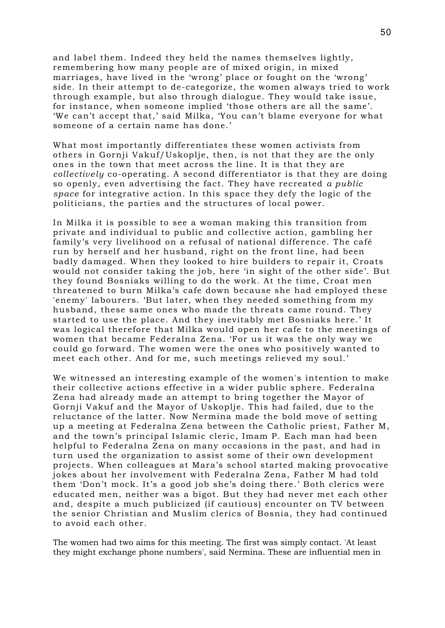and label them. Indeed they held the names themselves lightly, remembering how many people are of mixed origin, in mixed marriages, have lived in the 'wrong' place or fought on the 'wrong' side. In their attempt to de-categorize, the women always tried to work through example, but also through dialogue. They would take issue, for instance, when someone implied 'those others are all the same'. 'We can't accept that,' said Milka, 'You can't blame everyone for what someone of a certain name has done.'

What most importantly differentiates these women activists from others in Gornji Vakuf/Uskoplje, then, is not that they are the only ones in the town that meet across the line. It is that they are *collectively* co-operating. A second differentiator is that they are doing so openly, even advertising the fact. They have recreated *a public space* for integrative action. In this space they defy the logic of the politicians, the parties and the structures of local power.

In Milka it is possible to see a woman making this transition from private and individual to public and collective action, gambling her family's very livelihood on a refusal of national difference. The café run by herself and her husband, right on the front line, had been badly damaged. When they looked to hire builders to repair it, Croats would not consider taking the job, here 'in sight of the other side'. But they found Bosniaks willing to do the work. At the time, Croat men threatened to burn Milka's cafe down because she had employed these 'enemy' labourers. 'But later, when they needed something from my husband, these same ones who made the threats came round. They started to use the place. And they inevitably met Bosniaks here.' It was logical therefore that Milka would open her cafe to the meetings of women that became Federalna Zena. 'For us it was the only way we could go forward. The women were the ones who positively wanted to meet each other. And for me, such meetings relieved my soul.'

We witnessed an interesting example of the women's intention to make their collective actions effective in a wider public sphere. Federalna Zena had already made an attempt to bring together the Mayor of Gornji Vakuf and the Mayor of Uskoplje. This had failed, due to the reluctance of the latter. Now Nermina made the bold move of setting up a meeting at Federalna Zena between the Catholic priest, Father M, and the town's principal Islamic cleric, Imam P. Each man had been helpful to Federalna Zena on many occasions in the past, and had in turn used the organization to assist some of their own development projects. When colleagues at Mara's school started making provocative jokes about her involvement with Federalna Zena, Father M had told them 'Don't mock. It's a good job she's doing there.' Both clerics were educated men, neither was a bigot. But they had never met each other and, despite a much publicized (if cautious) encounter on TV between the senior Christian and Muslim clerics of Bosnia, they had continued to avoid each other.

The women had two aims for this meeting. The first was simply contact. 'At least they might exchange phone numbers', said Nermina. These are influential men in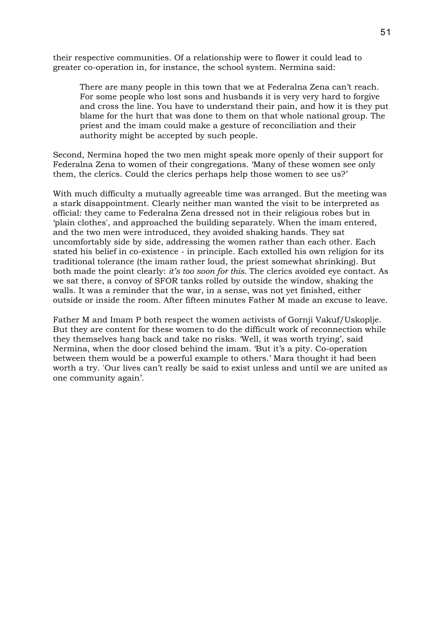their respective communities. Of a relationship were to flower it could lead to greater co-operation in, for instance, the school system. Nermina said:

There are many people in this town that we at Federalna Zena can't reach. For some people who lost sons and husbands it is very very hard to forgive and cross the line. You have to understand their pain, and how it is they put blame for the hurt that was done to them on that whole national group. The priest and the imam could make a gesture of reconciliation and their authority might be accepted by such people.

Second, Nermina hoped the two men might speak more openly of their support for Federalna Zena to women of their congregations. 'Many of these women see only them, the clerics. Could the clerics perhaps help those women to see us?'

With much difficulty a mutually agreeable time was arranged. But the meeting was a stark disappointment. Clearly neither man wanted the visit to be interpreted as official: they came to Federalna Zena dressed not in their religious robes but in 'plain clothes', and approached the building separately. When the imam entered, and the two men were introduced, they avoided shaking hands. They sat uncomfortably side by side, addressing the women rather than each other. Each stated his belief in co-existence - in principle. Each extolled his own religion for its traditional tolerance (the imam rather loud, the priest somewhat shrinking). But both made the point clearly: *it's too soon for this.* The clerics avoided eye contact. As we sat there, a convoy of SFOR tanks rolled by outside the window, shaking the walls. It was a reminder that the war, in a sense, was not yet finished, either outside or inside the room. After fifteen minutes Father M made an excuse to leave.

Father M and Imam P both respect the women activists of Gornji Vakuf/Uskoplje. But they are content for these women to do the difficult work of reconnection while they themselves hang back and take no risks. 'Well, it was worth trying', said Nermina, when the door closed behind the imam. 'But it's a pity. Co-operation between them would be a powerful example to others.' Mara thought it had been worth a try. 'Our lives can't really be said to exist unless and until we are united as one community again'.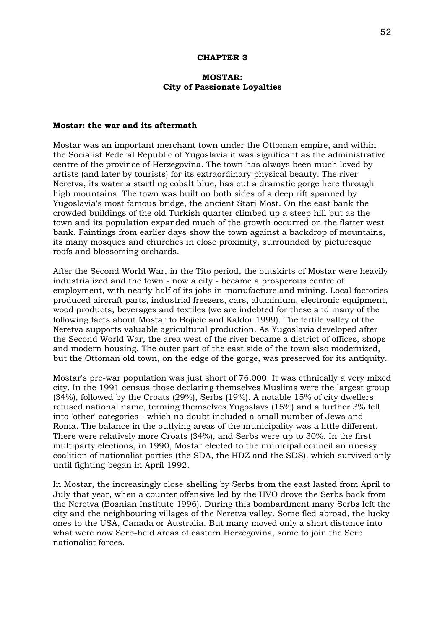### **CHAPTER 3**

# **MOSTAR: City of Passionate Loyalties**

#### **Mostar: the war and its aftermath**

Mostar was an important merchant town under the Ottoman empire, and within the Socialist Federal Republic of Yugoslavia it was significant as the administrative centre of the province of Herzegovina. The town has always been much loved by artists (and later by tourists) for its extraordinary physical beauty. The river Neretva, its water a startling cobalt blue, has cut a dramatic gorge here through high mountains. The town was built on both sides of a deep rift spanned by Yugoslavia's most famous bridge, the ancient Stari Most. On the east bank the crowded buildings of the old Turkish quarter climbed up a steep hill but as the town and its population expanded much of the growth occurred on the flatter west bank. Paintings from earlier days show the town against a backdrop of mountains, its many mosques and churches in close proximity, surrounded by picturesque roofs and blossoming orchards.

After the Second World War, in the Tito period, the outskirts of Mostar were heavily industrialized and the town - now a city - became a prosperous centre of employment, with nearly half of its jobs in manufacture and mining. Local factories produced aircraft parts, industrial freezers, cars, aluminium, electronic equipment, wood products, beverages and textiles (we are indebted for these and many of the following facts about Mostar to Bojicic and Kaldor 1999). The fertile valley of the Neretva supports valuable agricultural production. As Yugoslavia developed after the Second World War, the area west of the river became a district of offices, shops and modern housing. The outer part of the east side of the town also modernized, but the Ottoman old town, on the edge of the gorge, was preserved for its antiquity.

Mostar's pre-war population was just short of 76,000. It was ethnically a very mixed city. In the 1991 census those declaring themselves Muslims were the largest group (34%), followed by the Croats (29%), Serbs (19%). A notable 15% of city dwellers refused national name, terming themselves Yugoslavs (15%) and a further 3% fell into 'other' categories - which no doubt included a small number of Jews and Roma. The balance in the outlying areas of the municipality was a little different. There were relatively more Croats (34%), and Serbs were up to 30%. In the first multiparty elections, in 1990, Mostar elected to the municipal council an uneasy coalition of nationalist parties (the SDA, the HDZ and the SDS), which survived only until fighting began in April 1992.

In Mostar, the increasingly close shelling by Serbs from the east lasted from April to July that year, when a counter offensive led by the HVO drove the Serbs back from the Neretva (Bosnian Institute 1996). During this bombardment many Serbs left the city and the neighbouring villages of the Neretva valley. Some fled abroad, the lucky ones to the USA, Canada or Australia. But many moved only a short distance into what were now Serb-held areas of eastern Herzegovina, some to join the Serb nationalist forces.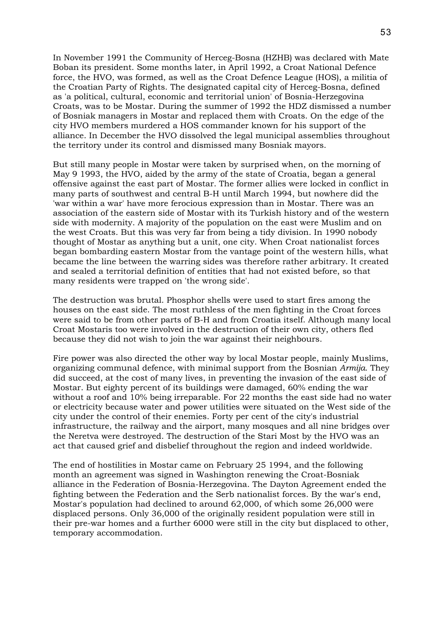In November 1991 the Community of Herceg-Bosna (HZHB) was declared with Mate Boban its president. Some months later, in April 1992, a Croat National Defence force, the HVO, was formed, as well as the Croat Defence League (HOS), a militia of the Croatian Party of Rights. The designated capital city of Herceg-Bosna, defined as 'a political, cultural, economic and territorial union' of Bosnia-Herzegovina Croats, was to be Mostar. During the summer of 1992 the HDZ dismissed a number of Bosniak managers in Mostar and replaced them with Croats. On the edge of the city HVO members murdered a HOS commander known for his support of the alliance. In December the HVO dissolved the legal municipal assemblies throughout the territory under its control and dismissed many Bosniak mayors.

But still many people in Mostar were taken by surprised when, on the morning of May 9 1993, the HVO, aided by the army of the state of Croatia, began a general offensive against the east part of Mostar. The former allies were locked in conflict in many parts of southwest and central B-H until March 1994, but nowhere did the 'war within a war' have more ferocious expression than in Mostar. There was an association of the eastern side of Mostar with its Turkish history and of the western side with modernity. A majority of the population on the east were Muslim and on the west Croats. But this was very far from being a tidy division. In 1990 nobody thought of Mostar as anything but a unit, one city. When Croat nationalist forces began bombarding eastern Mostar from the vantage point of the western hills, what became the line between the warring sides was therefore rather arbitrary. It created and sealed a territorial definition of entities that had not existed before, so that many residents were trapped on 'the wrong side'.

The destruction was brutal. Phosphor shells were used to start fires among the houses on the east side. The most ruthless of the men fighting in the Croat forces were said to be from other parts of B-H and from Croatia itself. Although many local Croat Mostaris too were involved in the destruction of their own city, others fled because they did not wish to join the war against their neighbours.

Fire power was also directed the other way by local Mostar people, mainly Muslims, organizing communal defence, with minimal support from the Bosnian *Armija*. They did succeed, at the cost of many lives, in preventing the invasion of the east side of Mostar. But eighty percent of its buildings were damaged, 60% ending the war without a roof and 10% being irreparable. For 22 months the east side had no water or electricity because water and power utilities were situated on the West side of the city under the control of their enemies. Forty per cent of the city's industrial infrastructure, the railway and the airport, many mosques and all nine bridges over the Neretva were destroyed. The destruction of the Stari Most by the HVO was an act that caused grief and disbelief throughout the region and indeed worldwide.

The end of hostilities in Mostar came on February 25 1994, and the following month an agreement was signed in Washington renewing the Croat-Bosniak alliance in the Federation of Bosnia-Herzegovina. The Dayton Agreement ended the fighting between the Federation and the Serb nationalist forces. By the war's end, Mostar's population had declined to around 62,000, of which some 26,000 were displaced persons. Only 36,000 of the originally resident population were still in their pre-war homes and a further 6000 were still in the city but displaced to other, temporary accommodation.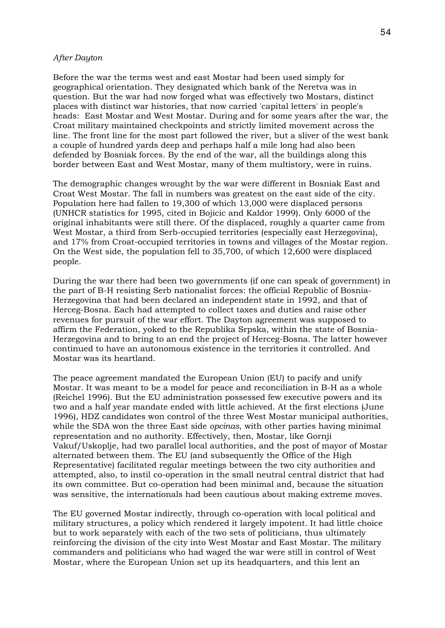### *After Dayton*

Before the war the terms west and east Mostar had been used simply for geographical orientation. They designated which bank of the Neretva was in question. But the war had now forged what was effectively two Mostars, distinct places with distinct war histories, that now carried 'capital letters' in people's heads: East Mostar and West Mostar. During and for some years after the war, the Croat military maintained checkpoints and strictly limited movement across the line. The front line for the most part followed the river, but a sliver of the west bank a couple of hundred yards deep and perhaps half a mile long had also been defended by Bosniak forces. By the end of the war, all the buildings along this border between East and West Mostar, many of them multistory, were in ruins.

The demographic changes wrought by the war were different in Bosniak East and Croat West Mostar. The fall in numbers was greatest on the east side of the city. Population here had fallen to 19,300 of which 13,000 were displaced persons (UNHCR statistics for 1995, cited in Bojicic and Kaldor 1999). Only 6000 of the original inhabitants were still there. Of the displaced, roughly a quarter came from West Mostar, a third from Serb-occupied territories (especially east Herzegovina), and 17% from Croat-occupied territories in towns and villages of the Mostar region. On the West side, the population fell to 35,700, of which 12,600 were displaced people.

During the war there had been two governments (if one can speak of government) in the part of B-H resisting Serb nationalist forces: the official Republic of Bosnia-Herzegovina that had been declared an independent state in 1992, and that of Herceg-Bosna. Each had attempted to collect taxes and duties and raise other revenues for pursuit of the war effort. The Dayton agreement was supposed to affirm the Federation, yoked to the Republika Srpska, within the state of Bosnia-Herzegovina and to bring to an end the project of Herceg-Bosna. The latter however continued to have an autonomous existence in the territories it controlled. And Mostar was its heartland.

The peace agreement mandated the European Union (EU) to pacify and unify Mostar. It was meant to be a model for peace and reconciliation in B-H as a whole (Reichel 1996). But the EU administration possessed few executive powers and its two and a half year mandate ended with little achieved. At the first elections (June 1996), HDZ candidates won control of the three West Mostar municipal authorities, while the SDA won the three East side *opcinas*, with other parties having minimal representation and no authority. Effectively, then, Mostar, like Gornji Vakuf/Uskoplje, had two parallel local authorities, and the post of mayor of Mostar alternated between them. The EU (and subsequently the Office of the High Representative) facilitated regular meetings between the two city authorities and attempted, also, to instil co-operation in the small neutral central district that had its own committee. But co-operation had been minimal and, because the situation was sensitive, the internationals had been cautious about making extreme moves.

The EU governed Mostar indirectly, through co-operation with local political and military structures, a policy which rendered it largely impotent. It had little choice but to work separately with each of the two sets of politicians, thus ultimately reinforcing the division of the city into West Mostar and East Mostar. The military commanders and politicians who had waged the war were still in control of West Mostar, where the European Union set up its headquarters, and this lent an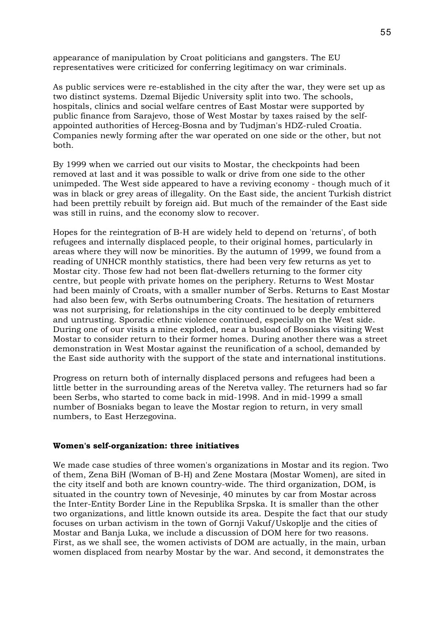appearance of manipulation by Croat politicians and gangsters. The EU representatives were criticized for conferring legitimacy on war criminals.

As public services were re-established in the city after the war, they were set up as two distinct systems. Dzemal Bijedic University split into two. The schools, hospitals, clinics and social welfare centres of East Mostar were supported by public finance from Sarajevo, those of West Mostar by taxes raised by the selfappointed authorities of Herceg-Bosna and by Tudjman's HDZ-ruled Croatia. Companies newly forming after the war operated on one side or the other, but not both.

By 1999 when we carried out our visits to Mostar, the checkpoints had been removed at last and it was possible to walk or drive from one side to the other unimpeded. The West side appeared to have a reviving economy - though much of it was in black or grey areas of illegality. On the East side, the ancient Turkish district had been prettily rebuilt by foreign aid. But much of the remainder of the East side was still in ruins, and the economy slow to recover.

Hopes for the reintegration of B-H are widely held to depend on 'returns', of both refugees and internally displaced people, to their original homes, particularly in areas where they will now be minorities. By the autumn of 1999, we found from a reading of UNHCR monthly statistics, there had been very few returns as yet to Mostar city. Those few had not been flat-dwellers returning to the former city centre, but people with private homes on the periphery. Returns to West Mostar had been mainly of Croats, with a smaller number of Serbs. Returns to East Mostar had also been few, with Serbs outnumbering Croats. The hesitation of returners was not surprising, for relationships in the city continued to be deeply embittered and untrusting. Sporadic ethnic violence continued, especially on the West side. During one of our visits a mine exploded, near a busload of Bosniaks visiting West Mostar to consider return to their former homes. During another there was a street demonstration in West Mostar against the reunification of a school, demanded by the East side authority with the support of the state and international institutions.

Progress on return both of internally displaced persons and refugees had been a little better in the surrounding areas of the Neretva valley. The returners had so far been Serbs, who started to come back in mid-1998. And in mid-1999 a small number of Bosniaks began to leave the Mostar region to return, in very small numbers, to East Herzegovina.

#### **Women's self-organization: three initiatives**

We made case studies of three women's organizations in Mostar and its region. Two of them, Zena BiH (Woman of B-H) and Zene Mostara (Mostar Women), are sited in the city itself and both are known country-wide. The third organization, DOM, is situated in the country town of Nevesinje, 40 minutes by car from Mostar across the Inter-Entity Border Line in the Republika Srpska. It is smaller than the other two organizations, and little known outside its area. Despite the fact that our study focuses on urban activism in the town of Gornji Vakuf/Uskoplje and the cities of Mostar and Banja Luka, we include a discussion of DOM here for two reasons. First, as we shall see, the women activists of DOM are actually, in the main, urban women displaced from nearby Mostar by the war. And second, it demonstrates the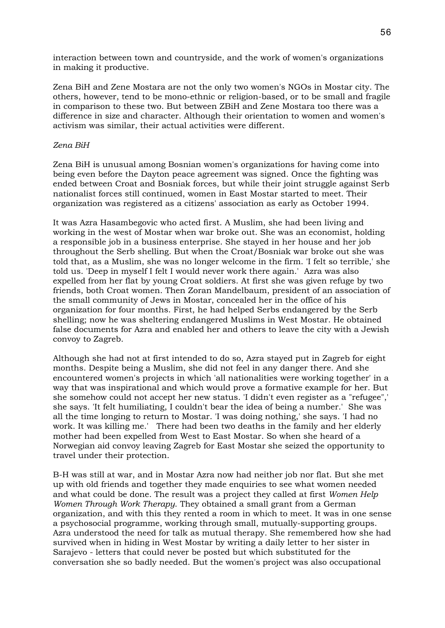interaction between town and countryside, and the work of women's organizations in making it productive.

Zena BiH and Zene Mostara are not the only two women's NGOs in Mostar city. The others, however, tend to be mono-ethnic or religion-based, or to be small and fragile in comparison to these two. But between ZBiH and Zene Mostara too there was a difference in size and character. Although their orientation to women and women's activism was similar, their actual activities were different.

# *Zena BiH*

Zena BiH is unusual among Bosnian women's organizations for having come into being even before the Dayton peace agreement was signed. Once the fighting was ended between Croat and Bosniak forces, but while their joint struggle against Serb nationalist forces still continued, women in East Mostar started to meet. Their organization was registered as a citizens' association as early as October 1994.

It was Azra Hasambegovic who acted first. A Muslim, she had been living and working in the west of Mostar when war broke out. She was an economist, holding a responsible job in a business enterprise. She stayed in her house and her job throughout the Serb shelling. But when the Croat/Bosniak war broke out she was told that, as a Muslim, she was no longer welcome in the firm. 'I felt so terrible,' she told us. 'Deep in myself I felt I would never work there again.' Azra was also expelled from her flat by young Croat soldiers. At first she was given refuge by two friends, both Croat women. Then Zoran Mandelbaum, president of an association of the small community of Jews in Mostar, concealed her in the office of his organization for four months. First, he had helped Serbs endangered by the Serb shelling; now he was sheltering endangered Muslims in West Mostar. He obtained false documents for Azra and enabled her and others to leave the city with a Jewish convoy to Zagreb.

Although she had not at first intended to do so, Azra stayed put in Zagreb for eight months. Despite being a Muslim, she did not feel in any danger there. And she encountered women's projects in which 'all nationalities were working together' in a way that was inspirational and which would prove a formative example for her. But she somehow could not accept her new status. 'I didn't even register as a "refugee",' she says. 'It felt humiliating, I couldn't bear the idea of being a number.' She was all the time longing to return to Mostar. 'I was doing nothing,' she says. 'I had no work. It was killing me.' There had been two deaths in the family and her elderly mother had been expelled from West to East Mostar. So when she heard of a Norwegian aid convoy leaving Zagreb for East Mostar she seized the opportunity to travel under their protection.

B-H was still at war, and in Mostar Azra now had neither job nor flat. But she met up with old friends and together they made enquiries to see what women needed and what could be done. The result was a project they called at first *Women Help Women Through Work Therapy*. They obtained a small grant from a German organization, and with this they rented a room in which to meet. It was in one sense a psychosocial programme, working through small, mutually-supporting groups. Azra understood the need for talk as mutual therapy. She remembered how she had survived when in hiding in West Mostar by writing a daily letter to her sister in Sarajevo - letters that could never be posted but which substituted for the conversation she so badly needed. But the women's project was also occupational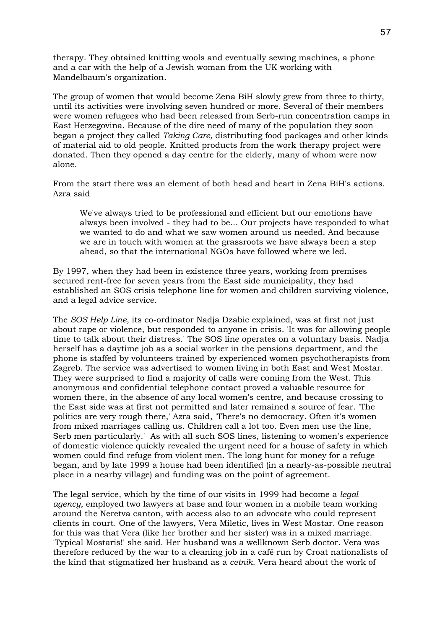therapy. They obtained knitting wools and eventually sewing machines, a phone and a car with the help of a Jewish woman from the UK working with Mandelbaum's organization.

The group of women that would become Zena BiH slowly grew from three to thirty, until its activities were involving seven hundred or more. Several of their members were women refugees who had been released from Serb-run concentration camps in East Herzegovina. Because of the dire need of many of the population they soon began a project they called *Taking Care,* distributing food packages and other kinds of material aid to old people. Knitted products from the work therapy project were donated. Then they opened a day centre for the elderly, many of whom were now alone.

From the start there was an element of both head and heart in Zena BiH's actions. Azra said

We've always tried to be professional and efficient but our emotions have always been involved - they had to be... Our projects have responded to what we wanted to do and what we saw women around us needed. And because we are in touch with women at the grassroots we have always been a step ahead, so that the international NGOs have followed where we led.

By 1997, when they had been in existence three years, working from premises secured rent-free for seven years from the East side municipality, they had established an SOS crisis telephone line for women and children surviving violence, and a legal advice service.

The *SOS Help Line*, its co-ordinator Nadja Dzabic explained, was at first not just about rape or violence, but responded to anyone in crisis. 'It was for allowing people time to talk about their distress.' The SOS line operates on a voluntary basis. Nadja herself has a daytime job as a social worker in the pensions department, and the phone is staffed by volunteers trained by experienced women psychotherapists from Zagreb. The service was advertised to women living in both East and West Mostar. They were surprised to find a majority of calls were coming from the West. This anonymous and confidential telephone contact proved a valuable resource for women there, in the absence of any local women's centre, and because crossing to the East side was at first not permitted and later remained a source of fear. 'The politics are very rough there,' Azra said, 'There's no democracy. Often it's women from mixed marriages calling us. Children call a lot too. Even men use the line, Serb men particularly.' As with all such SOS lines, listening to women's experience of domestic violence quickly revealed the urgent need for a house of safety in which women could find refuge from violent men. The long hunt for money for a refuge began, and by late 1999 a house had been identified (in a nearly-as-possible neutral place in a nearby village) and funding was on the point of agreement.

The legal service, which by the time of our visits in 1999 had become a *legal agency*, employed two lawyers at base and four women in a mobile team working around the Neretva canton, with access also to an advocate who could represent clients in court. One of the lawyers, Vera Miletic, lives in West Mostar. One reason for this was that Vera (like her brother and her sister) was in a mixed marriage. 'Typical Mostaris!' she said. Her husband was a wellknown Serb doctor. Vera was therefore reduced by the war to a cleaning job in a café run by Croat nationalists of the kind that stigmatized her husband as a *cetnik*. Vera heard about the work of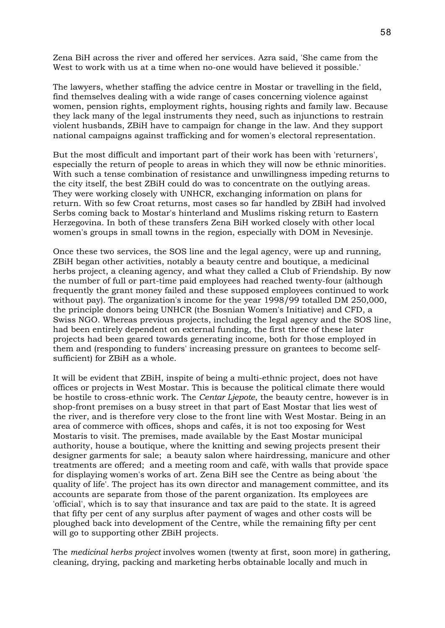Zena BiH across the river and offered her services. Azra said, 'She came from the West to work with us at a time when no-one would have believed it possible.'

The lawyers, whether staffing the advice centre in Mostar or travelling in the field, find themselves dealing with a wide range of cases concerning violence against women, pension rights, employment rights, housing rights and family law. Because they lack many of the legal instruments they need, such as injunctions to restrain violent husbands, ZBiH have to campaign for change in the law. And they support national campaigns against trafficking and for women's electoral representation.

But the most difficult and important part of their work has been with 'returners', especially the return of people to areas in which they will now be ethnic minorities. With such a tense combination of resistance and unwillingness impeding returns to the city itself, the best ZBiH could do was to concentrate on the outlying areas. They were working closely with UNHCR, exchanging information on plans for return. With so few Croat returns, most cases so far handled by ZBiH had involved Serbs coming back to Mostar's hinterland and Muslims risking return to Eastern Herzegovina. In both of these transfers Zena BiH worked closely with other local women's groups in small towns in the region, especially with DOM in Nevesinje.

Once these two services, the SOS line and the legal agency, were up and running, ZBiH began other activities, notably a beauty centre and boutique, a medicinal herbs project, a cleaning agency, and what they called a Club of Friendship. By now the number of full or part-time paid employees had reached twenty-four (although frequently the grant money failed and these supposed employees continued to work without pay). The organization's income for the year 1998/99 totalled DM 250,000, the principle donors being UNHCR (the Bosnian Women's Initiative) and CFD, a Swiss NGO. Whereas previous projects, including the legal agency and the SOS line, had been entirely dependent on external funding, the first three of these later projects had been geared towards generating income, both for those employed in them and (responding to funders' increasing pressure on grantees to become selfsufficient) for ZBiH as a whole.

It will be evident that ZBiH, inspite of being a multi-ethnic project, does not have offices or projects in West Mostar. This is because the political climate there would be hostile to cross-ethnic work. The *Centar Ljepote*, the beauty centre, however is in shop-front premises on a busy street in that part of East Mostar that lies west of the river, and is therefore very close to the front line with West Mostar. Being in an area of commerce with offices, shops and cafés, it is not too exposing for West Mostaris to visit. The premises, made available by the East Mostar municipal authority, house a boutique, where the knitting and sewing projects present their designer garments for sale; a beauty salon where hairdressing, manicure and other treatments are offered; and a meeting room and café, with walls that provide space for displaying women's works of art. Zena BiH see the Centre as being about 'the quality of life'. The project has its own director and management committee, and its accounts are separate from those of the parent organization. Its employees are 'official', which is to say that insurance and tax are paid to the state. It is agreed that fifty per cent of any surplus after payment of wages and other costs will be ploughed back into development of the Centre, while the remaining fifty per cent will go to supporting other ZBiH projects.

The *medicinal herbs project* involves women (twenty at first, soon more) in gathering, cleaning, drying, packing and marketing herbs obtainable locally and much in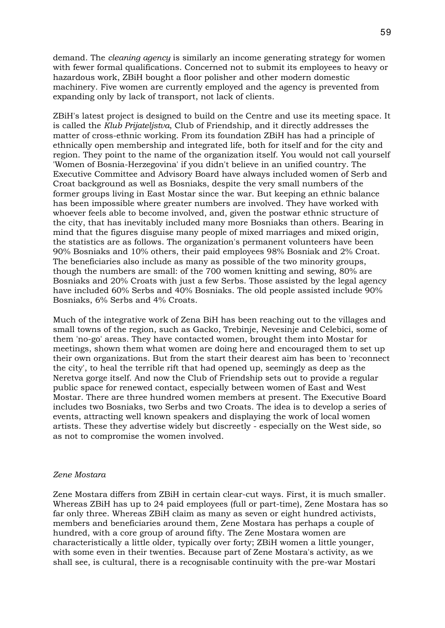demand. The *cleaning agency* is similarly an income generating strategy for women with fewer formal qualifications. Concerned not to submit its employees to heavy or hazardous work, ZBiH bought a floor polisher and other modern domestic machinery. Five women are currently employed and the agency is prevented from expanding only by lack of transport, not lack of clients.

ZBiH's latest project is designed to build on the Centre and use its meeting space. It is called the *Klub Prijateljstva*, Club of Friendship, and it directly addresses the matter of cross-ethnic working. From its foundation ZBiH has had a principle of ethnically open membership and integrated life, both for itself and for the city and region. They point to the name of the organization itself. You would not call yourself 'Women of Bosnia-Herzegovina' if you didn't believe in an unified country. The Executive Committee and Advisory Board have always included women of Serb and Croat background as well as Bosniaks, despite the very small numbers of the former groups living in East Mostar since the war. But keeping an ethnic balance has been impossible where greater numbers are involved. They have worked with whoever feels able to become involved, and, given the postwar ethnic structure of the city, that has inevitably included many more Bosniaks than others. Bearing in mind that the figures disguise many people of mixed marriages and mixed origin, the statistics are as follows. The organization's permanent volunteers have been 90% Bosniaks and 10% others, their paid employees 98% Bosniak and 2% Croat. The beneficiaries also include as many as possible of the two minority groups, though the numbers are small: of the 700 women knitting and sewing, 80% are Bosniaks and 20% Croats with just a few Serbs. Those assisted by the legal agency have included 60% Serbs and 40% Bosniaks. The old people assisted include 90% Bosniaks, 6% Serbs and 4% Croats.

Much of the integrative work of Zena BiH has been reaching out to the villages and small towns of the region, such as Gacko, Trebinje, Nevesinje and Celebici, some of them 'no-go' areas. They have contacted women, brought them into Mostar for meetings, shown them what women are doing here and encouraged them to set up their own organizations. But from the start their dearest aim has been to 'reconnect the city', to heal the terrible rift that had opened up, seemingly as deep as the Neretva gorge itself. And now the Club of Friendship sets out to provide a regular public space for renewed contact, especially between women of East and West Mostar. There are three hundred women members at present. The Executive Board includes two Bosniaks, two Serbs and two Croats. The idea is to develop a series of events, attracting well known speakers and displaying the work of local women artists. These they advertise widely but discreetly - especially on the West side, so as not to compromise the women involved.

#### *Zene Mostara*

Zene Mostara differs from ZBiH in certain clear-cut ways. First, it is much smaller. Whereas ZBiH has up to 24 paid employees (full or part-time), Zene Mostara has so far only three. Whereas ZBiH claim as many as seven or eight hundred activists, members and beneficiaries around them, Zene Mostara has perhaps a couple of hundred, with a core group of around fifty. The Zene Mostara women are characteristically a little older, typically over forty; ZBiH women a little younger, with some even in their twenties. Because part of Zene Mostara's activity, as we shall see, is cultural, there is a recognisable continuity with the pre-war Mostari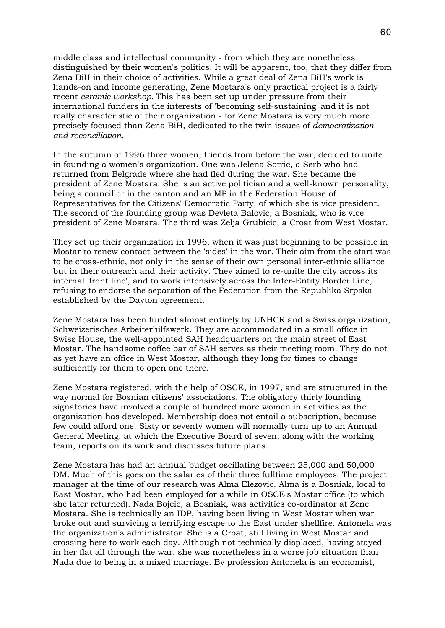middle class and intellectual community - from which they are nonetheless distinguished by their women's politics. It will be apparent, too, that they differ from Zena BiH in their choice of activities. While a great deal of Zena BiH's work is hands-on and income generating, Zene Mostara's only practical project is a fairly recent *ceramic workshop.* This has been set up under pressure from their international funders in the interests of 'becoming self-sustaining' and it is not really characteristic of their organization - for Zene Mostara is very much more precisely focused than Zena BiH, dedicated to the twin issues of *democratization and reconciliation.*

In the autumn of 1996 three women, friends from before the war, decided to unite in founding a women's organization. One was Jelena Sotric, a Serb who had returned from Belgrade where she had fled during the war. She became the president of Zene Mostara. She is an active politician and a well-known personality, being a councillor in the canton and an MP in the Federation House of Representatives for the Citizens' Democratic Party, of which she is vice president. The second of the founding group was Devleta Balovic, a Bosniak, who is vice president of Zene Mostara. The third was Zelja Grubicic, a Croat from West Mostar.

They set up their organization in 1996, when it was just beginning to be possible in Mostar to renew contact between the 'sides' in the war. Their aim from the start was to be cross-ethnic, not only in the sense of their own personal inter-ethnic alliance but in their outreach and their activity. They aimed to re-unite the city across its internal 'front line', and to work intensively across the Inter-Entity Border Line, refusing to endorse the separation of the Federation from the Republika Srpska established by the Dayton agreement.

Zene Mostara has been funded almost entirely by UNHCR and a Swiss organization, Schweizerisches Arbeiterhilfswerk. They are accommodated in a small office in Swiss House, the well-appointed SAH headquarters on the main street of East Mostar. The handsome coffee bar of SAH serves as their meeting room. They do not as yet have an office in West Mostar, although they long for times to change sufficiently for them to open one there.

Zene Mostara registered, with the help of OSCE, in 1997, and are structured in the way normal for Bosnian citizens' associations. The obligatory thirty founding signatories have involved a couple of hundred more women in activities as the organization has developed. Membership does not entail a subscription, because few could afford one. Sixty or seventy women will normally turn up to an Annual General Meeting, at which the Executive Board of seven, along with the working team, reports on its work and discusses future plans.

Zene Mostara has had an annual budget oscillating between 25,000 and 50,000 DM. Much of this goes on the salaries of their three fulltime employees. The project manager at the time of our research was Alma Elezovic. Alma is a Bosniak, local to East Mostar, who had been employed for a while in OSCE's Mostar office (to which she later returned). Nada Bojcic, a Bosniak, was activities co-ordinator at Zene Mostara. She is technically an IDP, having been living in West Mostar when war broke out and surviving a terrifying escape to the East under shellfire. Antonela was the organization's administrator. She is a Croat, still living in West Mostar and crossing here to work each day. Although not technically displaced, having stayed in her flat all through the war, she was nonetheless in a worse job situation than Nada due to being in a mixed marriage. By profession Antonela is an economist,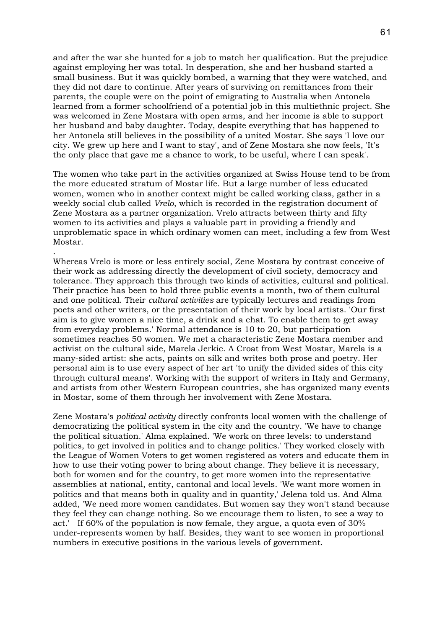and after the war she hunted for a job to match her qualification. But the prejudice against employing her was total. In desperation, she and her husband started a small business. But it was quickly bombed, a warning that they were watched, and they did not dare to continue. After years of surviving on remittances from their parents, the couple were on the point of emigrating to Australia when Antonela learned from a former schoolfriend of a potential job in this multiethnic project. She was welcomed in Zene Mostara with open arms, and her income is able to support her husband and baby daughter. Today, despite everything that has happened to her Antonela still believes in the possibility of a united Mostar. She says 'I love our city. We grew up here and I want to stay', and of Zene Mostara she now feels, 'It's the only place that gave me a chance to work, to be useful, where I can speak'.

The women who take part in the activities organized at Swiss House tend to be from the more educated stratum of Mostar life. But a large number of less educated women, women who in another context might be called working class, gather in a weekly social club called *Vrelo*, which is recorded in the registration document of Zene Mostara as a partner organization. Vrelo attracts between thirty and fifty women to its activities and plays a valuable part in providing a friendly and unproblematic space in which ordinary women can meet, including a few from West Mostar.

.

Whereas Vrelo is more or less entirely social, Zene Mostara by contrast conceive of their work as addressing directly the development of civil society, democracy and tolerance. They approach this through two kinds of activities, cultural and political. Their practice has been to hold three public events a month, two of them cultural and one political. Their *cultural activities* are typically lectures and readings from poets and other writers, or the presentation of their work by local artists. 'Our first aim is to give women a nice time, a drink and a chat. To enable them to get away from everyday problems.' Normal attendance is 10 to 20, but participation sometimes reaches 50 women. We met a characteristic Zene Mostara member and activist on the cultural side, Marela Jerkic. A Croat from West Mostar, Marela is a many-sided artist: she acts, paints on silk and writes both prose and poetry. Her personal aim is to use every aspect of her art 'to unify the divided sides of this city through cultural means'. Working with the support of writers in Italy and Germany, and artists from other Western European countries, she has organized many events in Mostar, some of them through her involvement with Zene Mostara.

Zene Mostara's *political activity* directly confronts local women with the challenge of democratizing the political system in the city and the country. 'We have to change the political situation.' Alma explained. 'We work on three levels: to understand politics, to get involved in politics and to change politics.' They worked closely with the League of Women Voters to get women registered as voters and educate them in how to use their voting power to bring about change. They believe it is necessary, both for women and for the country, to get more women into the representative assemblies at national, entity, cantonal and local levels. 'We want more women in politics and that means both in quality and in quantity,' Jelena told us. And Alma added, 'We need more women candidates. But women say they won't stand because they feel they can change nothing. So we encourage them to listen, to see a way to act.' If 60% of the population is now female, they argue, a quota even of 30% under-represents women by half. Besides, they want to see women in proportional numbers in executive positions in the various levels of government.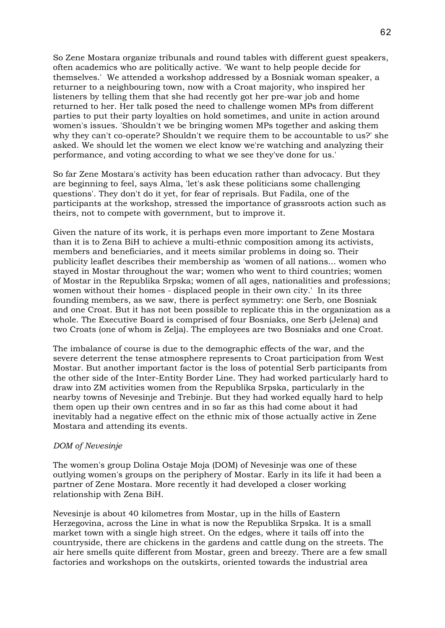So Zene Mostara organize tribunals and round tables with different guest speakers, often academics who are politically active. 'We want to help people decide for themselves.' We attended a workshop addressed by a Bosniak woman speaker, a returner to a neighbouring town, now with a Croat majority, who inspired her listeners by telling them that she had recently got her pre-war job and home returned to her. Her talk posed the need to challenge women MPs from different parties to put their party loyalties on hold sometimes, and unite in action around women's issues. 'Shouldn't we be bringing women MPs together and asking them why they can't co-operate? Shouldn't we require them to be accountable to us?' she asked. We should let the women we elect know we're watching and analyzing their performance, and voting according to what we see they've done for us.'

So far Zene Mostara's activity has been education rather than advocacy. But they are beginning to feel, says Alma, 'let's ask these politicians some challenging questions'. They don't do it yet, for fear of reprisals. But Fadila, one of the participants at the workshop, stressed the importance of grassroots action such as theirs, not to compete with government, but to improve it.

Given the nature of its work, it is perhaps even more important to Zene Mostara than it is to Zena BiH to achieve a multi-ethnic composition among its activists, members and beneficiaries, and it meets similar problems in doing so. Their publicity leaflet describes their membership as 'women of all nations... women who stayed in Mostar throughout the war; women who went to third countries; women of Mostar in the Republika Srpska; women of all ages, nationalities and professions; women without their homes - displaced people in their own city.' In its three founding members, as we saw, there is perfect symmetry: one Serb, one Bosniak and one Croat. But it has not been possible to replicate this in the organization as a whole. The Executive Board is comprised of four Bosniaks, one Serb (Jelena) and two Croats (one of whom is Zelja). The employees are two Bosniaks and one Croat.

The imbalance of course is due to the demographic effects of the war, and the severe deterrent the tense atmosphere represents to Croat participation from West Mostar. But another important factor is the loss of potential Serb participants from the other side of the Inter-Entity Border Line. They had worked particularly hard to draw into ZM activities women from the Republika Srpska, particularly in the nearby towns of Nevesinje and Trebinje. But they had worked equally hard to help them open up their own centres and in so far as this had come about it had inevitably had a negative effect on the ethnic mix of those actually active in Zene Mostara and attending its events.

# *DOM of Nevesinje*

The women's group Dolina Ostaje Moja (DOM) of Nevesinje was one of these outlying women's groups on the periphery of Mostar. Early in its life it had been a partner of Zene Mostara. More recently it had developed a closer working relationship with Zena BiH.

Nevesinje is about 40 kilometres from Mostar, up in the hills of Eastern Herzegovina, across the Line in what is now the Republika Srpska. It is a small market town with a single high street. On the edges, where it tails off into the countryside, there are chickens in the gardens and cattle dung on the streets. The air here smells quite different from Mostar, green and breezy. There are a few small factories and workshops on the outskirts, oriented towards the industrial area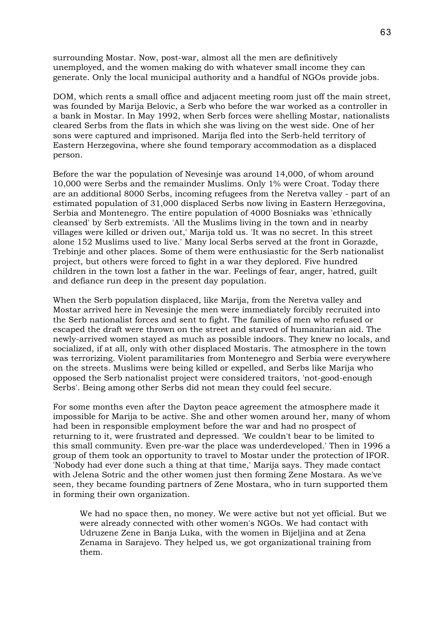surrounding Mostar. Now, post-war, almost all the men are definitively unemployed, and the women making do with whatever small income they can generate. Only the local municipal authority and a handful of NGOs provide jobs.

DOM, which rents a small office and adjacent meeting room just off the main street, was founded by Marija Belovic, a Serb who before the war worked as a controller in a bank in Mostar. In May 1992, when Serb forces were shelling Mostar, nationalists cleared Serbs from the flats in which she was living on the west side. One of her sons were captured and imprisoned. Marija fled into the Serb-held territory of Eastern Herzegovina, where she found temporary accommodation as a displaced person.

Before the war the population of Nevesinje was around 14,000, of whom around 10,000 were Serbs and the remainder Muslims. Only 1% were Croat. Today there are an additional 8000 Serbs, incoming refugees from the Neretva valley - part of an estimated population of 31,000 displaced Serbs now living in Eastern Herzegovina, Serbia and Montenegro. The entire population of 4000 Bosniaks was 'ethnically cleansed' by Serb extremists. 'All the Muslims living in the town and in nearby villages were killed or driven out,' Marija told us. 'It was no secret. In this street alone 152 Muslims used to live.' Many local Serbs served at the front in Gorazde, Trebinje and other places. Some of them were enthusiastic for the Serb nationalist project, but others were forced to fight in a war they deplored. Five hundred children in the town lost a father in the war. Feelings of fear, anger, hatred, guilt and defiance run deep in the present day population.

When the Serb population displaced, like Marija, from the Neretva valley and Mostar arrived here in Nevesinje the men were immediately forcibly recruited into the Serb nationalist forces and sent to fight. The families of men who refused or escaped the draft were thrown on the street and starved of humanitarian aid. The newly-arrived women stayed as much as possible indoors. They knew no locals, and socialized, if at all, only with other displaced Mostaris. The atmosphere in the town was terrorizing. Violent paramilitaries from Montenegro and Serbia were everywhere on the streets. Muslims were being killed or expelled, and Serbs like Marija who opposed the Serb nationalist project were considered traitors, 'not-good-enough Serbs'. Being among other Serbs did not mean they could feel secure.

For some months even after the Dayton peace agreement the atmosphere made it impossible for Marija to be active. She and other women around her, many of whom had been in responsible employment before the war and had no prospect of returning to it, were frustrated and depressed. 'We couldn't bear to be limited to this small community. Even pre-war the place was underdeveloped.' Then in 1996 a group of them took an opportunity to travel to Mostar under the protection of IFOR. 'Nobody had ever done such a thing at that time,' Marija says. They made contact with Jelena Sotric and the other women just then forming Zene Mostara. As we've seen, they became founding partners of Zene Mostara, who in turn supported them in forming their own organization.

We had no space then, no money. We were active but not yet official. But we were already connected with other women's NGOs. We had contact with Udruzene Zene in Banja Luka, with the women in Bijeljina and at Zena Zenama in Sarajevo. They helped us, we got organizational training from them.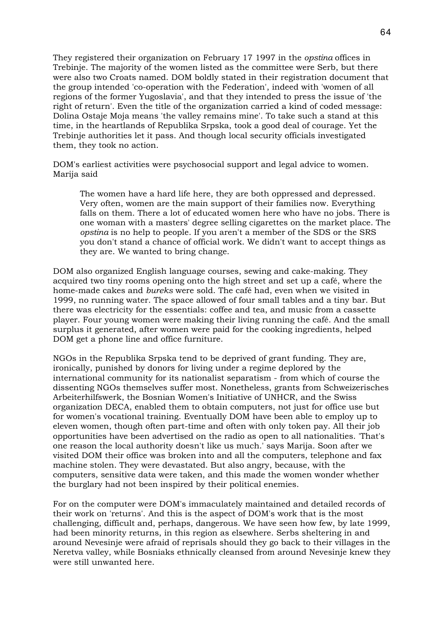They registered their organization on February 17 1997 in the *opstina* offices in Trebinje. The majority of the women listed as the committee were Serb, but there were also two Croats named. DOM boldly stated in their registration document that the group intended 'co-operation with the Federation', indeed with 'women of all regions of the former Yugoslavia', and that they intended to press the issue of 'the right of return'. Even the title of the organization carried a kind of coded message: Dolina Ostaje Moja means 'the valley remains mine'. To take such a stand at this time, in the heartlands of Republika Srpska, took a good deal of courage. Yet the Trebinje authorities let it pass. And though local security officials investigated them, they took no action.

DOM's earliest activities were psychosocial support and legal advice to women. Marija said

The women have a hard life here, they are both oppressed and depressed. Very often, women are the main support of their families now. Everything falls on them. There a lot of educated women here who have no jobs. There is one woman with a masters' degree selling cigarettes on the market place. The *opstina* is no help to people. If you aren't a member of the SDS or the SRS you don't stand a chance of official work. We didn't want to accept things as they are. We wanted to bring change.

DOM also organized English language courses, sewing and cake-making. They acquired two tiny rooms opening onto the high street and set up a café, where the home-made cakes and *bureks* were sold. The café had, even when we visited in 1999, no running water. The space allowed of four small tables and a tiny bar. But there was electricity for the essentials: coffee and tea, and music from a cassette player. Four young women were making their living running the café. And the small surplus it generated, after women were paid for the cooking ingredients, helped DOM get a phone line and office furniture.

NGOs in the Republika Srpska tend to be deprived of grant funding. They are, ironically, punished by donors for living under a regime deplored by the international community for its nationalist separatism - from which of course the dissenting NGOs themselves suffer most. Nonetheless, grants from Schweizerisches Arbeiterhilfswerk, the Bosnian Women's Initiative of UNHCR, and the Swiss organization DECA, enabled them to obtain computers, not just for office use but for women's vocational training. Eventually DOM have been able to employ up to eleven women, though often part-time and often with only token pay. All their job opportunities have been advertised on the radio as open to all nationalities. 'That's one reason the local authority doesn't like us much.' says Marija. Soon after we visited DOM their office was broken into and all the computers, telephone and fax machine stolen. They were devastated. But also angry, because, with the computers, sensitive data were taken, and this made the women wonder whether the burglary had not been inspired by their political enemies.

For on the computer were DOM's immaculately maintained and detailed records of their work on 'returns'. And this is the aspect of DOM's work that is the most challenging, difficult and, perhaps, dangerous. We have seen how few, by late 1999, had been minority returns, in this region as elsewhere. Serbs sheltering in and around Nevesinje were afraid of reprisals should they go back to their villages in the Neretva valley, while Bosniaks ethnically cleansed from around Nevesinje knew they were still unwanted here.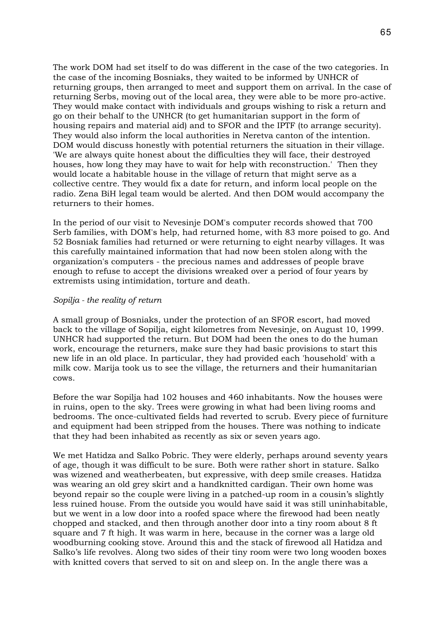The work DOM had set itself to do was different in the case of the two categories. In the case of the incoming Bosniaks, they waited to be informed by UNHCR of returning groups, then arranged to meet and support them on arrival. In the case of returning Serbs, moving out of the local area, they were able to be more pro-active. They would make contact with individuals and groups wishing to risk a return and go on their behalf to the UNHCR (to get humanitarian support in the form of housing repairs and material aid) and to SFOR and the IPTF (to arrange security). They would also inform the local authorities in Neretva canton of the intention. DOM would discuss honestly with potential returners the situation in their village. 'We are always quite honest about the difficulties they will face, their destroyed houses, how long they may have to wait for help with reconstruction.' Then they would locate a habitable house in the village of return that might serve as a collective centre. They would fix a date for return, and inform local people on the radio. Zena BiH legal team would be alerted. And then DOM would accompany the returners to their homes.

In the period of our visit to Nevesinje DOM's computer records showed that 700 Serb families, with DOM's help, had returned home, with 83 more poised to go. And 52 Bosniak families had returned or were returning to eight nearby villages. It was this carefully maintained information that had now been stolen along with the organization's computers - the precious names and addresses of people brave enough to refuse to accept the divisions wreaked over a period of four years by extremists using intimidation, torture and death.

# *Sopilja - the reality of return*

A small group of Bosniaks, under the protection of an SFOR escort, had moved back to the village of Sopilja, eight kilometres from Nevesinje, on August 10, 1999. UNHCR had supported the return. But DOM had been the ones to do the human work, encourage the returners, make sure they had basic provisions to start this new life in an old place. In particular, they had provided each 'household' with a milk cow. Marija took us to see the village, the returners and their humanitarian cows.

Before the war Sopilja had 102 houses and 460 inhabitants. Now the houses were in ruins, open to the sky. Trees were growing in what had been living rooms and bedrooms. The once-cultivated fields had reverted to scrub. Every piece of furniture and equipment had been stripped from the houses. There was nothing to indicate that they had been inhabited as recently as six or seven years ago.

We met Hatidza and Salko Pobric. They were elderly, perhaps around seventy years of age, though it was difficult to be sure. Both were rather short in stature. Salko was wizened and weatherbeaten, but expressive, with deep smile creases. Hatidza was wearing an old grey skirt and a handknitted cardigan. Their own home was beyond repair so the couple were living in a patched-up room in a cousin's slightly less ruined house. From the outside you would have said it was still uninhabitable, but we went in a low door into a roofed space where the firewood had been neatly chopped and stacked, and then through another door into a tiny room about 8 ft square and 7 ft high. It was warm in here, because in the corner was a large old woodburning cooking stove. Around this and the stack of firewood all Hatidza and Salko's life revolves. Along two sides of their tiny room were two long wooden boxes with knitted covers that served to sit on and sleep on. In the angle there was a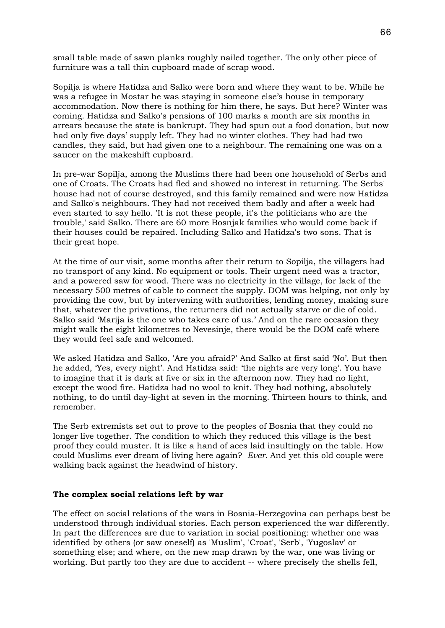small table made of sawn planks roughly nailed together. The only other piece of furniture was a tall thin cupboard made of scrap wood.

Sopilja is where Hatidza and Salko were born and where they want to be. While he was a refugee in Mostar he was staying in someone else's house in temporary accommodation. Now there is nothing for him there, he says. But here? Winter was coming. Hatidza and Salko's pensions of 100 marks a month are six months in arrears because the state is bankrupt. They had spun out a food donation, but now had only five days' supply left. They had no winter clothes. They had had two candles, they said, but had given one to a neighbour. The remaining one was on a saucer on the makeshift cupboard.

In pre-war Sopilja, among the Muslims there had been one household of Serbs and one of Croats. The Croats had fled and showed no interest in returning. The Serbs' house had not of course destroyed, and this family remained and were now Hatidza and Salko's neighbours. They had not received them badly and after a week had even started to say hello. 'It is not these people, it's the politicians who are the trouble,' said Salko. There are 60 more Bosnjak families who would come back if their houses could be repaired. Including Salko and Hatidza's two sons. That is their great hope.

At the time of our visit, some months after their return to Sopilja, the villagers had no transport of any kind. No equipment or tools. Their urgent need was a tractor, and a powered saw for wood. There was no electricity in the village, for lack of the necessary 500 metres of cable to connect the supply. DOM was helping, not only by providing the cow, but by intervening with authorities, lending money, making sure that, whatever the privations, the returners did not actually starve or die of cold. Salko said 'Marija is the one who takes care of us.' And on the rare occasion they might walk the eight kilometres to Nevesinje, there would be the DOM café where they would feel safe and welcomed.

We asked Hatidza and Salko, 'Are you afraid?' And Salko at first said 'No'. But then he added, 'Yes, every night'. And Hatidza said: 'the nights are very long'. You have to imagine that it is dark at five or six in the afternoon now. They had no light, except the wood fire. Hatidza had no wool to knit. They had nothing, absolutely nothing, to do until day-light at seven in the morning. Thirteen hours to think, and remember.

The Serb extremists set out to prove to the peoples of Bosnia that they could no longer live together. The condition to which they reduced this village is the best proof they could muster. It is like a hand of aces laid insultingly on the table. How could Muslims ever dream of living here again? *Ever.* And yet this old couple were walking back against the headwind of history.

### **The complex social relations left by war**

The effect on social relations of the wars in Bosnia-Herzegovina can perhaps best be understood through individual stories. Each person experienced the war differently. In part the differences are due to variation in social positioning: whether one was identified by others (or saw oneself) as 'Muslim', 'Croat', 'Serb', 'Yugoslav' or something else; and where, on the new map drawn by the war, one was living or working. But partly too they are due to accident -- where precisely the shells fell,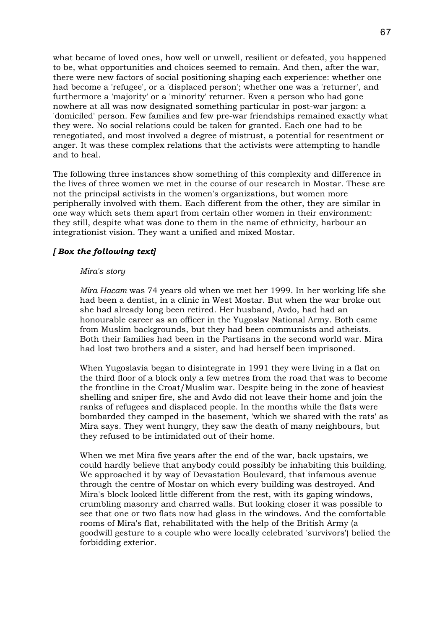what became of loved ones, how well or unwell, resilient or defeated, you happened to be, what opportunities and choices seemed to remain. And then, after the war, there were new factors of social positioning shaping each experience: whether one had become a 'refugee', or a 'displaced person'; whether one was a 'returner', and furthermore a 'majority' or a 'minority' returner. Even a person who had gone nowhere at all was now designated something particular in post-war jargon: a 'domiciled' person. Few families and few pre-war friendships remained exactly what they were. No social relations could be taken for granted. Each one had to be renegotiated, and most involved a degree of mistrust, a potential for resentment or anger. It was these complex relations that the activists were attempting to handle and to heal.

The following three instances show something of this complexity and difference in the lives of three women we met in the course of our research in Mostar. These are not the principal activists in the women's organizations, but women more peripherally involved with them. Each different from the other, they are similar in one way which sets them apart from certain other women in their environment: they still, despite what was done to them in the name of ethnicity, harbour an integrationist vision. They want a unified and mixed Mostar.

# *[ Box the following text]*

### *Mira's story*

*Mira Hacam* was 74 years old when we met her 1999. In her working life she had been a dentist, in a clinic in West Mostar. But when the war broke out she had already long been retired. Her husband, Avdo, had had an honourable career as an officer in the Yugoslav National Army. Both came from Muslim backgrounds, but they had been communists and atheists. Both their families had been in the Partisans in the second world war. Mira had lost two brothers and a sister, and had herself been imprisoned.

When Yugoslavia began to disintegrate in 1991 they were living in a flat on the third floor of a block only a few metres from the road that was to become the frontline in the Croat/Muslim war. Despite being in the zone of heaviest shelling and sniper fire, she and Avdo did not leave their home and join the ranks of refugees and displaced people. In the months while the flats were bombarded they camped in the basement, 'which we shared with the rats' as Mira says. They went hungry, they saw the death of many neighbours, but they refused to be intimidated out of their home.

When we met Mira five years after the end of the war, back upstairs, we could hardly believe that anybody could possibly be inhabiting this building. We approached it by way of Devastation Boulevard, that infamous avenue through the centre of Mostar on which every building was destroyed. And Mira's block looked little different from the rest, with its gaping windows, crumbling masonry and charred walls. But looking closer it was possible to see that one or two flats now had glass in the windows. And the comfortable rooms of Mira's flat, rehabilitated with the help of the British Army (a goodwill gesture to a couple who were locally celebrated 'survivors') belied the forbidding exterior.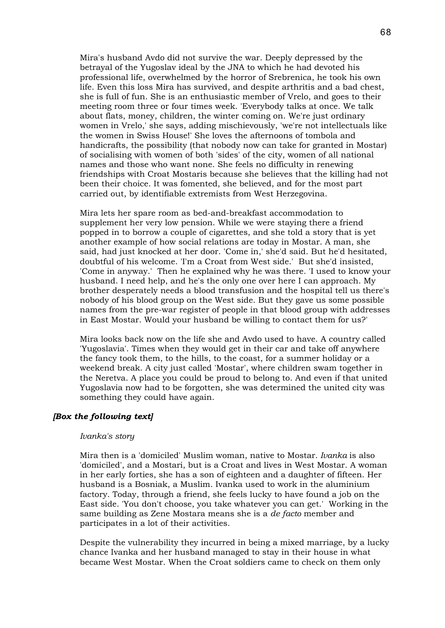Mira's husband Avdo did not survive the war. Deeply depressed by the betrayal of the Yugoslav ideal by the JNA to which he had devoted his professional life, overwhelmed by the horror of Srebrenica, he took his own life. Even this loss Mira has survived, and despite arthritis and a bad chest, she is full of fun. She is an enthusiastic member of Vrelo, and goes to their meeting room three or four times week. 'Everybody talks at once. We talk about flats, money, children, the winter coming on. We're just ordinary women in Vrelo,' she says, adding mischievously, 'we're not intellectuals like the women in Swiss House!' She loves the afternoons of tombola and handicrafts, the possibility (that nobody now can take for granted in Mostar) of socialising with women of both 'sides' of the city, women of all national names and those who want none. She feels no difficulty in renewing friendships with Croat Mostaris because she believes that the killing had not been their choice. It was fomented, she believed, and for the most part carried out, by identifiable extremists from West Herzegovina.

Mira lets her spare room as bed-and-breakfast accommodation to supplement her very low pension. While we were staying there a friend popped in to borrow a couple of cigarettes, and she told a story that is yet another example of how social relations are today in Mostar. A man, she said, had just knocked at her door. 'Come in,' she'd said. But he'd hesitated, doubtful of his welcome. 'I'm a Croat from West side.' But she'd insisted, 'Come in anyway.' Then he explained why he was there. 'I used to know your husband. I need help, and he's the only one over here I can approach. My brother desperately needs a blood transfusion and the hospital tell us there's nobody of his blood group on the West side. But they gave us some possible names from the pre-war register of people in that blood group with addresses in East Mostar. Would your husband be willing to contact them for us?'

Mira looks back now on the life she and Avdo used to have. A country called 'Yugoslavia'. Times when they would get in their car and take off anywhere the fancy took them, to the hills, to the coast, for a summer holiday or a weekend break. A city just called 'Mostar', where children swam together in the Neretva. A place you could be proud to belong to. And even if that united Yugoslavia now had to be forgotten, she was determined the united city was something they could have again.

# *[Box the following text]*

#### *Ivanka's story*

Mira then is a 'domiciled' Muslim woman, native to Mostar. *Ivanka* is also 'domiciled', and a Mostari, but is a Croat and lives in West Mostar. A woman in her early forties, she has a son of eighteen and a daughter of fifteen. Her husband is a Bosniak, a Muslim. Ivanka used to work in the aluminium factory. Today, through a friend, she feels lucky to have found a job on the East side. 'You don't choose, you take whatever you can get.' Working in the same building as Zene Mostara means she is a *de facto* member and participates in a lot of their activities.

Despite the vulnerability they incurred in being a mixed marriage, by a lucky chance Ivanka and her husband managed to stay in their house in what became West Mostar. When the Croat soldiers came to check on them only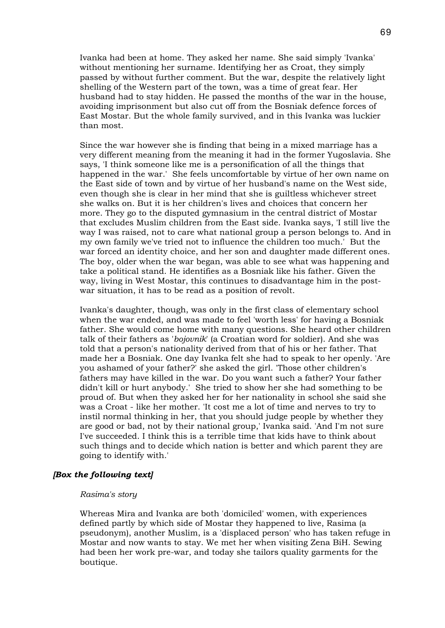Ivanka had been at home. They asked her name. She said simply 'Ivanka' without mentioning her surname. Identifying her as Croat, they simply passed by without further comment. But the war, despite the relatively light shelling of the Western part of the town, was a time of great fear. Her husband had to stay hidden. He passed the months of the war in the house, avoiding imprisonment but also cut off from the Bosniak defence forces of East Mostar. But the whole family survived, and in this Ivanka was luckier than most.

Since the war however she is finding that being in a mixed marriage has a very different meaning from the meaning it had in the former Yugoslavia. She says, 'I think someone like me is a personification of all the things that happened in the war.' She feels uncomfortable by virtue of her own name on the East side of town and by virtue of her husband's name on the West side, even though she is clear in her mind that she is guiltless whichever street she walks on. But it is her children's lives and choices that concern her more. They go to the disputed gymnasium in the central district of Mostar that excludes Muslim children from the East side. Ivanka says, 'I still live the way I was raised, not to care what national group a person belongs to. And in my own family we've tried not to influence the children too much.' But the war forced an identity choice, and her son and daughter made different ones. The boy, older when the war began, was able to see what was happening and take a political stand. He identifies as a Bosniak like his father. Given the way, living in West Mostar, this continues to disadvantage him in the postwar situation, it has to be read as a position of revolt.

Ivanka's daughter, though, was only in the first class of elementary school when the war ended, and was made to feel 'worth less' for having a Bosniak father. She would come home with many questions. She heard other children talk of their fathers as '*bojovnik*' (a Croatian word for soldier). And she was told that a person's nationality derived from that of his or her father. That made her a Bosniak. One day Ivanka felt she had to speak to her openly. 'Are you ashamed of your father?' she asked the girl. 'Those other children's fathers may have killed in the war. Do you want such a father? Your father didn't kill or hurt anybody.' She tried to show her she had something to be proud of. But when they asked her for her nationality in school she said she was a Croat - like her mother. 'It cost me a lot of time and nerves to try to instil normal thinking in her, that you should judge people by whether they are good or bad, not by their national group,' Ivanka said. 'And I'm not sure I've succeeded. I think this is a terrible time that kids have to think about such things and to decide which nation is better and which parent they are going to identify with.'

# *[Box the following text]*

### *Rasima's story*

Whereas Mira and Ivanka are both 'domiciled' women, with experiences defined partly by which side of Mostar they happened to live, Rasima (a pseudonym), another Muslim, is a 'displaced person' who has taken refuge in Mostar and now wants to stay. We met her when visiting Zena BiH. Sewing had been her work pre-war, and today she tailors quality garments for the boutique.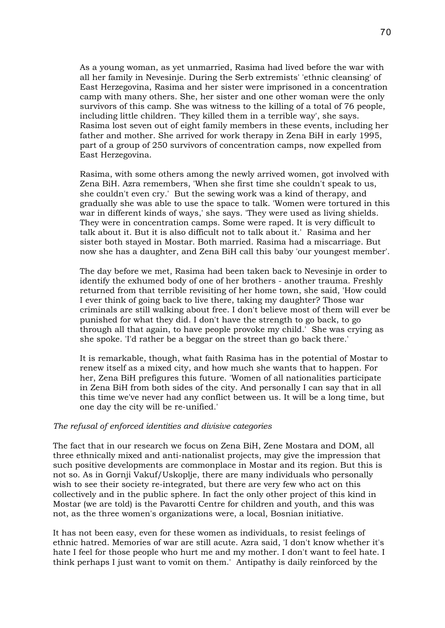As a young woman, as yet unmarried, Rasima had lived before the war with all her family in Nevesinje. During the Serb extremists' 'ethnic cleansing' of East Herzegovina, Rasima and her sister were imprisoned in a concentration camp with many others. She, her sister and one other woman were the only survivors of this camp. She was witness to the killing of a total of 76 people, including little children. 'They killed them in a terrible way', she says. Rasima lost seven out of eight family members in these events, including her father and mother. She arrived for work therapy in Zena BiH in early 1995, part of a group of 250 survivors of concentration camps, now expelled from East Herzegovina.

Rasima, with some others among the newly arrived women, got involved with Zena BiH. Azra remembers, 'When she first time she couldn't speak to us, she couldn't even cry.' But the sewing work was a kind of therapy, and gradually she was able to use the space to talk. 'Women were tortured in this war in different kinds of ways,' she says. 'They were used as living shields. They were in concentration camps. Some were raped. It is very difficult to talk about it. But it is also difficult not to talk about it.' Rasima and her sister both stayed in Mostar. Both married. Rasima had a miscarriage. But now she has a daughter, and Zena BiH call this baby 'our youngest member'.

The day before we met, Rasima had been taken back to Nevesinje in order to identify the exhumed body of one of her brothers - another trauma. Freshly returned from that terrible revisiting of her home town, she said, 'How could I ever think of going back to live there, taking my daughter? Those war criminals are still walking about free. I don't believe most of them will ever be punished for what they did. I don't have the strength to go back, to go through all that again, to have people provoke my child.' She was crying as she spoke. 'I'd rather be a beggar on the street than go back there.'

It is remarkable, though, what faith Rasima has in the potential of Mostar to renew itself as a mixed city, and how much she wants that to happen. For her, Zena BiH prefigures this future. 'Women of all nationalities participate in Zena BiH from both sides of the city. And personally I can say that in all this time we've never had any conflict between us. It will be a long time, but one day the city will be re-unified.'

#### *The refusal of enforced identities and divisive categories*

The fact that in our research we focus on Zena BiH, Zene Mostara and DOM, all three ethnically mixed and anti-nationalist projects, may give the impression that such positive developments are commonplace in Mostar and its region. But this is not so. As in Gornji Vakuf/Uskoplje, there are many individuals who personally wish to see their society re-integrated, but there are very few who act on this collectively and in the public sphere. In fact the only other project of this kind in Mostar (we are told) is the Pavarotti Centre for children and youth, and this was not, as the three women's organizations were, a local, Bosnian initiative.

It has not been easy, even for these women as individuals, to resist feelings of ethnic hatred. Memories of war are still acute. Azra said, 'I don't know whether it's hate I feel for those people who hurt me and my mother. I don't want to feel hate. I think perhaps I just want to vomit on them.' Antipathy is daily reinforced by the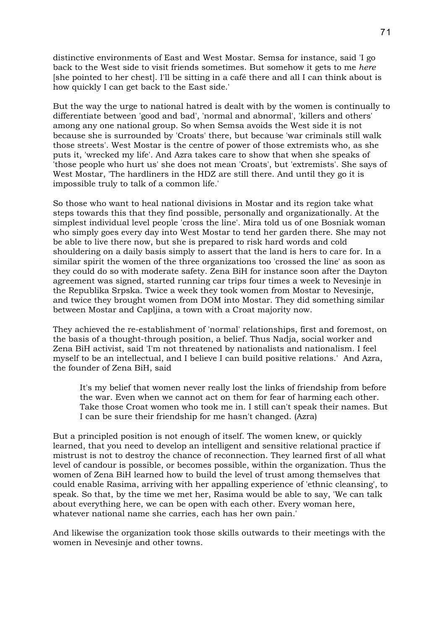distinctive environments of East and West Mostar. Semsa for instance, said 'I go back to the West side to visit friends sometimes. But somehow it gets to me *here* [she pointed to her chest]. I'll be sitting in a café there and all I can think about is how quickly I can get back to the East side.'

But the way the urge to national hatred is dealt with by the women is continually to differentiate between 'good and bad', 'normal and abnormal', 'killers and others' among any one national group. So when Semsa avoids the West side it is not because she is surrounded by 'Croats' there, but because 'war criminals still walk those streets'. West Mostar is the centre of power of those extremists who, as she puts it, 'wrecked my life'. And Azra takes care to show that when she speaks of 'those people who hurt us' she does not mean 'Croats', but 'extremists'. She says of West Mostar, 'The hardliners in the HDZ are still there. And until they go it is impossible truly to talk of a common life.'

So those who want to heal national divisions in Mostar and its region take what steps towards this that they find possible, personally and organizationally. At the simplest individual level people 'cross the line'. Mira told us of one Bosniak woman who simply goes every day into West Mostar to tend her garden there. She may not be able to live there now, but she is prepared to risk hard words and cold shouldering on a daily basis simply to assert that the land is hers to care for. In a similar spirit the women of the three organizations too 'crossed the line' as soon as they could do so with moderate safety. Zena BiH for instance soon after the Dayton agreement was signed, started running car trips four times a week to Nevesinje in the Republika Srpska. Twice a week they took women from Mostar to Nevesinje, and twice they brought women from DOM into Mostar. They did something similar between Mostar and Capljina, a town with a Croat majority now.

They achieved the re-establishment of 'normal' relationships, first and foremost, on the basis of a thought-through position, a belief. Thus Nadja, social worker and Zena BiH activist, said 'I'm not threatened by nationalists and nationalism. I feel myself to be an intellectual, and I believe I can build positive relations.' And Azra, the founder of Zena BiH, said

It's my belief that women never really lost the links of friendship from before the war. Even when we cannot act on them for fear of harming each other. Take those Croat women who took me in. I still can't speak their names. But I can be sure their friendship for me hasn't changed. (Azra)

But a principled position is not enough of itself. The women knew, or quickly learned, that you need to develop an intelligent and sensitive relational practice if mistrust is not to destroy the chance of reconnection. They learned first of all what level of candour is possible, or becomes possible, within the organization. Thus the women of Zena BiH learned how to build the level of trust among themselves that could enable Rasima, arriving with her appalling experience of 'ethnic cleansing', to speak. So that, by the time we met her, Rasima would be able to say, 'We can talk about everything here, we can be open with each other. Every woman here, whatever national name she carries, each has her own pain.'

And likewise the organization took those skills outwards to their meetings with the women in Nevesinje and other towns.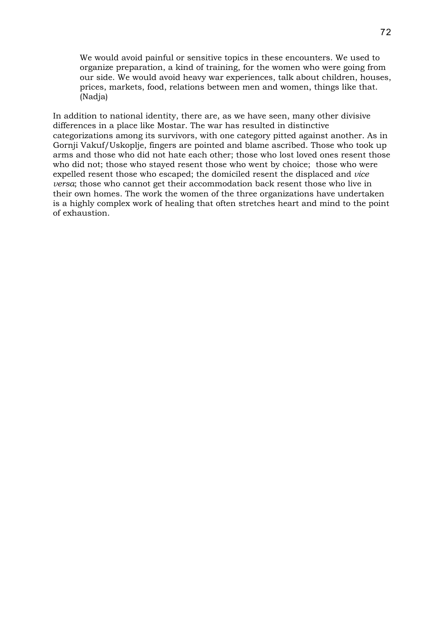We would avoid painful or sensitive topics in these encounters. We used to organize preparation, a kind of training, for the women who were going from our side. We would avoid heavy war experiences, talk about children, houses, prices, markets, food, relations between men and women, things like that. (Nadja)

In addition to national identity, there are, as we have seen, many other divisive differences in a place like Mostar. The war has resulted in distinctive categorizations among its survivors, with one category pitted against another. As in Gornji Vakuf/Uskoplje, fingers are pointed and blame ascribed. Those who took up arms and those who did not hate each other; those who lost loved ones resent those who did not; those who stayed resent those who went by choice; those who were expelled resent those who escaped; the domiciled resent the displaced and *vice versa*; those who cannot get their accommodation back resent those who live in their own homes. The work the women of the three organizations have undertaken is a highly complex work of healing that often stretches heart and mind to the point of exhaustion.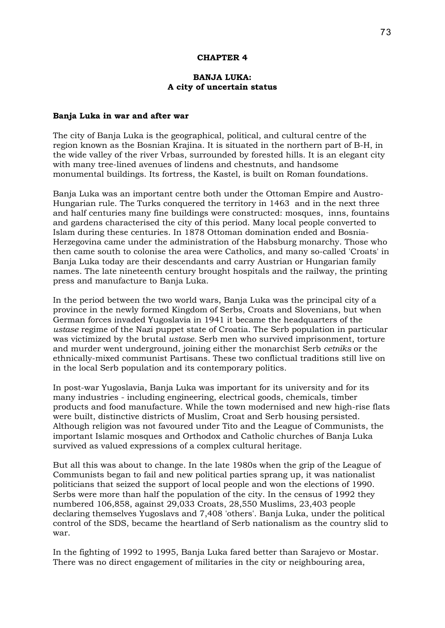### **CHAPTER 4**

# **BANJA LUKA: A city of uncertain status**

#### **Banja Luka in war and after war**

The city of Banja Luka is the geographical, political, and cultural centre of the region known as the Bosnian Krajina. It is situated in the northern part of B-H, in the wide valley of the river Vrbas, surrounded by forested hills. It is an elegant city with many tree-lined avenues of lindens and chestnuts, and handsome monumental buildings. Its fortress, the Kastel, is built on Roman foundations.

Banja Luka was an important centre both under the Ottoman Empire and Austro-Hungarian rule. The Turks conquered the territory in 1463 and in the next three and half centuries many fine buildings were constructed: mosques, inns, fountains and gardens characterised the city of this period. Many local people converted to Islam during these centuries. In 1878 Ottoman domination ended and Bosnia-Herzegovina came under the administration of the Habsburg monarchy. Those who then came south to colonise the area were Catholics, and many so-called 'Croats' in Banja Luka today are their descendants and carry Austrian or Hungarian family names. The late nineteenth century brought hospitals and the railway, the printing press and manufacture to Banja Luka.

In the period between the two world wars, Banja Luka was the principal city of a province in the newly formed Kingdom of Serbs, Croats and Slovenians, but when German forces invaded Yugoslavia in 1941 it became the headquarters of the *ustase* regime of the Nazi puppet state of Croatia. The Serb population in particular was victimized by the brutal *ustase.* Serb men who survived imprisonment, torture and murder went underground, joining either the monarchist Serb *cetniks* or the ethnically-mixed communist Partisans. These two conflictual traditions still live on in the local Serb population and its contemporary politics.

In post-war Yugoslavia, Banja Luka was important for its university and for its many industries - including engineering, electrical goods, chemicals, timber products and food manufacture. While the town modernised and new high-rise flats were built, distinctive districts of Muslim, Croat and Serb housing persisted. Although religion was not favoured under Tito and the League of Communists, the important Islamic mosques and Orthodox and Catholic churches of Banja Luka survived as valued expressions of a complex cultural heritage.

But all this was about to change. In the late 1980s when the grip of the League of Communists began to fail and new political parties sprang up, it was nationalist politicians that seized the support of local people and won the elections of 1990. Serbs were more than half the population of the city. In the census of 1992 they numbered 106,858, against 29,033 Croats, 28,550 Muslims, 23,403 people declaring themselves Yugoslavs and 7,408 'others'. Banja Luka, under the political control of the SDS, became the heartland of Serb nationalism as the country slid to war.

In the fighting of 1992 to 1995, Banja Luka fared better than Sarajevo or Mostar. There was no direct engagement of militaries in the city or neighbouring area,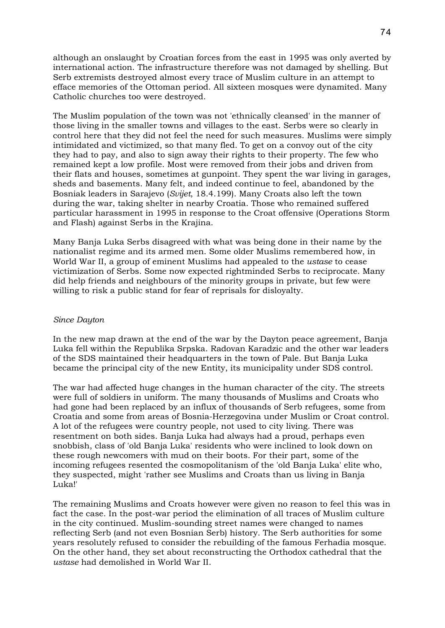although an onslaught by Croatian forces from the east in 1995 was only averted by international action. The infrastructure therefore was not damaged by shelling. But Serb extremists destroyed almost every trace of Muslim culture in an attempt to efface memories of the Ottoman period. All sixteen mosques were dynamited. Many Catholic churches too were destroyed.

The Muslim population of the town was not 'ethnically cleansed' in the manner of those living in the smaller towns and villages to the east. Serbs were so clearly in control here that they did not feel the need for such measures. Muslims were simply intimidated and victimized, so that many fled. To get on a convoy out of the city they had to pay, and also to sign away their rights to their property. The few who remained kept a low profile. Most were removed from their jobs and driven from their flats and houses, sometimes at gunpoint. They spent the war living in garages, sheds and basements. Many felt, and indeed continue to feel, abandoned by the Bosniak leaders in Sarajevo (*Svijet*, 18.4.199). Many Croats also left the town during the war, taking shelter in nearby Croatia. Those who remained suffered particular harassment in 1995 in response to the Croat offensive (Operations Storm and Flash) against Serbs in the Krajina.

Many Banja Luka Serbs disagreed with what was being done in their name by the nationalist regime and its armed men. Some older Muslims remembered how, in World War II, a group of eminent Muslims had appealed to the *ustase* to cease victimization of Serbs. Some now expected rightminded Serbs to reciprocate. Many did help friends and neighbours of the minority groups in private, but few were willing to risk a public stand for fear of reprisals for disloyalty.

### *Since Dayton*

In the new map drawn at the end of the war by the Dayton peace agreement, Banja Luka fell within the Republika Srpska. Radovan Karadzic and the other war leaders of the SDS maintained their headquarters in the town of Pale. But Banja Luka became the principal city of the new Entity, its municipality under SDS control.

The war had affected huge changes in the human character of the city. The streets were full of soldiers in uniform. The many thousands of Muslims and Croats who had gone had been replaced by an influx of thousands of Serb refugees, some from Croatia and some from areas of Bosnia-Herzegovina under Muslim or Croat control. A lot of the refugees were country people, not used to city living. There was resentment on both sides. Banja Luka had always had a proud, perhaps even snobbish, class of 'old Banja Luka' residents who were inclined to look down on these rough newcomers with mud on their boots. For their part, some of the incoming refugees resented the cosmopolitanism of the 'old Banja Luka' elite who, they suspected, might 'rather see Muslims and Croats than us living in Banja Luka!'

The remaining Muslims and Croats however were given no reason to feel this was in fact the case. In the post-war period the elimination of all traces of Muslim culture in the city continued. Muslim-sounding street names were changed to names reflecting Serb (and not even Bosnian Serb) history. The Serb authorities for some years resolutely refused to consider the rebuilding of the famous Ferhadia mosque. On the other hand, they set about reconstructing the Orthodox cathedral that the *ustase* had demolished in World War II.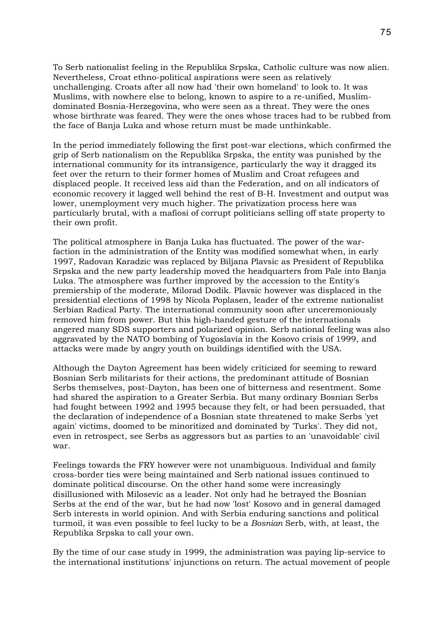To Serb nationalist feeling in the Republika Srpska, Catholic culture was now alien. Nevertheless, Croat ethno-political aspirations were seen as relatively unchallenging. Croats after all now had 'their own homeland' to look to. It was Muslims, with nowhere else to belong, known to aspire to a re-unified, Muslimdominated Bosnia-Herzegovina, who were seen as a threat. They were the ones whose birthrate was feared. They were the ones whose traces had to be rubbed from the face of Banja Luka and whose return must be made unthinkable.

In the period immediately following the first post-war elections, which confirmed the grip of Serb nationalism on the Republika Srpska, the entity was punished by the international community for its intransigence, particularly the way it dragged its feet over the return to their former homes of Muslim and Croat refugees and displaced people. It received less aid than the Federation, and on all indicators of economic recovery it lagged well behind the rest of B-H. Investment and output was lower, unemployment very much higher. The privatization process here was particularly brutal, with a mafiosi of corrupt politicians selling off state property to their own profit.

The political atmosphere in Banja Luka has fluctuated. The power of the warfaction in the administration of the Entity was modified somewhat when, in early 1997, Radovan Karadzic was replaced by Biljana Plavsic as President of Republika Srpska and the new party leadership moved the headquarters from Pale into Banja Luka. The atmosphere was further improved by the accession to the Entity's premiership of the moderate, Milorad Dodik. Plavsic however was displaced in the presidential elections of 1998 by Nicola Poplasen, leader of the extreme nationalist Serbian Radical Party. The international community soon after unceremoniously removed him from power. But this high-handed gesture of the internationals angered many SDS supporters and polarized opinion. Serb national feeling was also aggravated by the NATO bombing of Yugoslavia in the Kosovo crisis of 1999, and attacks were made by angry youth on buildings identified with the USA.

Although the Dayton Agreement has been widely criticized for seeming to reward Bosnian Serb militarists for their actions, the predominant attitude of Bosnian Serbs themselves, post-Dayton, has been one of bitterness and resentment. Some had shared the aspiration to a Greater Serbia. But many ordinary Bosnian Serbs had fought between 1992 and 1995 because they felt, or had been persuaded, that the declaration of independence of a Bosnian state threatened to make Serbs 'yet again' victims, doomed to be minoritized and dominated by 'Turks'. They did not, even in retrospect, see Serbs as aggressors but as parties to an 'unavoidable' civil war.

Feelings towards the FRY however were not unambiguous. Individual and family cross-border ties were being maintained and Serb national issues continued to dominate political discourse. On the other hand some were increasingly disillusioned with Milosevic as a leader. Not only had he betrayed the Bosnian Serbs at the end of the war, but he had now 'lost' Kosovo and in general damaged Serb interests in world opinion. And with Serbia enduring sanctions and political turmoil, it was even possible to feel lucky to be a *Bosnian* Serb, with, at least, the Republika Srpska to call your own.

By the time of our case study in 1999, the administration was paying lip-service to the international institutions' injunctions on return. The actual movement of people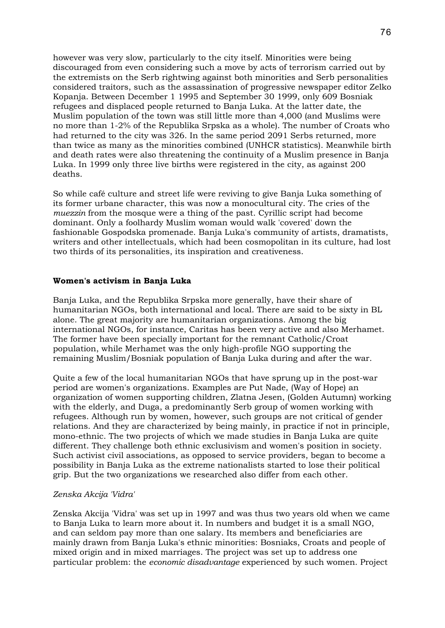however was very slow, particularly to the city itself. Minorities were being discouraged from even considering such a move by acts of terrorism carried out by the extremists on the Serb rightwing against both minorities and Serb personalities considered traitors, such as the assassination of progressive newspaper editor Zelko Kopanja. Between December 1 1995 and September 30 1999, only 609 Bosniak refugees and displaced people returned to Banja Luka. At the latter date, the Muslim population of the town was still little more than 4,000 (and Muslims were no more than 1-2% of the Republika Srpska as a whole). The number of Croats who had returned to the city was 326. In the same period 2091 Serbs returned, more than twice as many as the minorities combined (UNHCR statistics). Meanwhile birth and death rates were also threatening the continuity of a Muslim presence in Banja Luka. In 1999 only three live births were registered in the city, as against 200 deaths.

So while café culture and street life were reviving to give Banja Luka something of its former urbane character, this was now a monocultural city. The cries of the *muezzin* from the mosque were a thing of the past. Cyrillic script had become dominant. Only a foolhardy Muslim woman would walk 'covered' down the fashionable Gospodska promenade. Banja Luka's community of artists, dramatists, writers and other intellectuals, which had been cosmopolitan in its culture, had lost two thirds of its personalities, its inspiration and creativeness.

# **Women's activism in Banja Luka**

Banja Luka, and the Republika Srpska more generally, have their share of humanitarian NGOs, both international and local. There are said to be sixty in BL alone. The great majority are humanitarian organizations. Among the big international NGOs, for instance, Caritas has been very active and also Merhamet. The former have been specially important for the remnant Catholic/Croat population, while Merhamet was the only high-profile NGO supporting the remaining Muslim/Bosniak population of Banja Luka during and after the war.

Quite a few of the local humanitarian NGOs that have sprung up in the post-war period are women's organizations. Examples are Put Nade, (Way of Hope) an organization of women supporting children, Zlatna Jesen, (Golden Autumn) working with the elderly, and Duga, a predominantly Serb group of women working with refugees. Although run by women, however, such groups are not critical of gender relations. And they are characterized by being mainly, in practice if not in principle, mono-ethnic. The two projects of which we made studies in Banja Luka are quite different. They challenge both ethnic exclusivism and women's position in society. Such activist civil associations, as opposed to service providers, began to become a possibility in Banja Luka as the extreme nationalists started to lose their political grip. But the two organizations we researched also differ from each other.

# *Zenska Akcija 'Vidra'*

Zenska Akcija 'Vidra' was set up in 1997 and was thus two years old when we came to Banja Luka to learn more about it. In numbers and budget it is a small NGO, and can seldom pay more than one salary. Its members and beneficiaries are mainly drawn from Banja Luka's ethnic minorities: Bosniaks, Croats and people of mixed origin and in mixed marriages. The project was set up to address one particular problem: the *economic disadvantage* experienced by such women. Project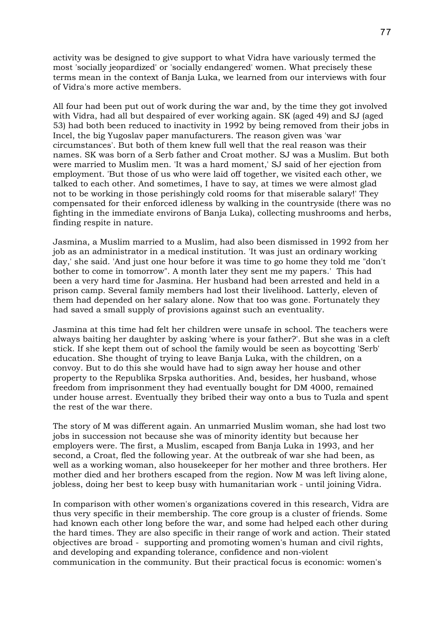activity was be designed to give support to what Vidra have variously termed the most 'socially jeopardized' or 'socially endangered' women. What precisely these terms mean in the context of Banja Luka, we learned from our interviews with four of Vidra's more active members.

All four had been put out of work during the war and, by the time they got involved with Vidra, had all but despaired of ever working again. SK (aged 49) and SJ (aged 53) had both been reduced to inactivity in 1992 by being removed from their jobs in Incel, the big Yugoslav paper manufacturers. The reason given was 'war circumstances'. But both of them knew full well that the real reason was their names. SK was born of a Serb father and Croat mother. SJ was a Muslim. But both were married to Muslim men. 'It was a hard moment,' SJ said of her ejection from employment. 'But those of us who were laid off together, we visited each other, we talked to each other. And sometimes, I have to say, at times we were almost glad not to be working in those perishingly cold rooms for that miserable salary!' They compensated for their enforced idleness by walking in the countryside (there was no fighting in the immediate environs of Banja Luka), collecting mushrooms and herbs, finding respite in nature.

Jasmina, a Muslim married to a Muslim, had also been dismissed in 1992 from her job as an administrator in a medical institution. 'It was just an ordinary working day,' she said. 'And just one hour before it was time to go home they told me "don't bother to come in tomorrow". A month later they sent me my papers.' This had been a very hard time for Jasmina. Her husband had been arrested and held in a prison camp. Several family members had lost their livelihood. Latterly, eleven of them had depended on her salary alone. Now that too was gone. Fortunately they had saved a small supply of provisions against such an eventuality.

Jasmina at this time had felt her children were unsafe in school. The teachers were always baiting her daughter by asking 'where is your father?'. But she was in a cleft stick. If she kept them out of school the family would be seen as boycotting 'Serb' education. She thought of trying to leave Banja Luka, with the children, on a convoy. But to do this she would have had to sign away her house and other property to the Republika Srpska authorities. And, besides, her husband, whose freedom from imprisonment they had eventually bought for DM 4000, remained under house arrest. Eventually they bribed their way onto a bus to Tuzla and spent the rest of the war there.

The story of M was different again. An unmarried Muslim woman, she had lost two jobs in succession not because she was of minority identity but because her employers were. The first, a Muslim, escaped from Banja Luka in 1993, and her second, a Croat, fled the following year. At the outbreak of war she had been, as well as a working woman, also housekeeper for her mother and three brothers. Her mother died and her brothers escaped from the region. Now M was left living alone, jobless, doing her best to keep busy with humanitarian work - until joining Vidra.

In comparison with other women's organizations covered in this research, Vidra are thus very specific in their membership. The core group is a cluster of friends. Some had known each other long before the war, and some had helped each other during the hard times. They are also specific in their range of work and action. Their stated objectives are broad - supporting and promoting women's human and civil rights, and developing and expanding tolerance, confidence and non-violent communication in the community. But their practical focus is economic: women's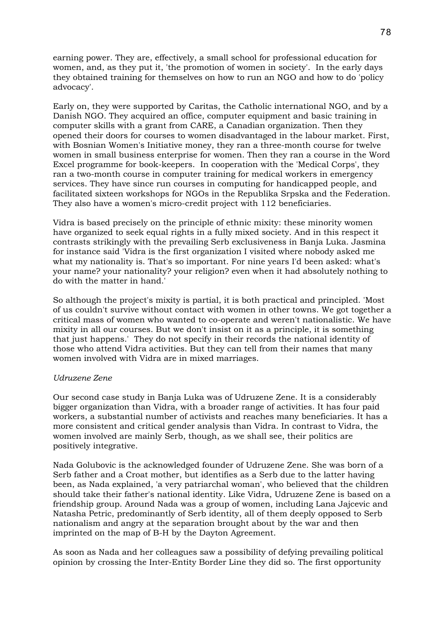earning power. They are, effectively, a small school for professional education for women, and, as they put it, 'the promotion of women in society'. In the early days they obtained training for themselves on how to run an NGO and how to do 'policy advocacy'.

Early on, they were supported by Caritas, the Catholic international NGO, and by a Danish NGO. They acquired an office, computer equipment and basic training in computer skills with a grant from CARE, a Canadian organization. Then they opened their doors for courses to women disadvantaged in the labour market. First, with Bosnian Women's Initiative money, they ran a three-month course for twelve women in small business enterprise for women. Then they ran a course in the Word Excel programme for book-keepers. In cooperation with the 'Medical Corps', they ran a two-month course in computer training for medical workers in emergency services. They have since run courses in computing for handicapped people, and facilitated sixteen workshops for NGOs in the Republika Srpska and the Federation. They also have a women's micro-credit project with 112 beneficiaries.

Vidra is based precisely on the principle of ethnic mixity: these minority women have organized to seek equal rights in a fully mixed society. And in this respect it contrasts strikingly with the prevailing Serb exclusiveness in Banja Luka. Jasmina for instance said 'Vidra is the first organization I visited where nobody asked me what my nationality is. That's so important. For nine years I'd been asked: what's your name? your nationality? your religion? even when it had absolutely nothing to do with the matter in hand.'

So although the project's mixity is partial, it is both practical and principled. 'Most of us couldn't survive without contact with women in other towns. We got together a critical mass of women who wanted to co-operate and weren't nationalistic. We have mixity in all our courses. But we don't insist on it as a principle, it is something that just happens.' They do not specify in their records the national identity of those who attend Vidra activities. But they can tell from their names that many women involved with Vidra are in mixed marriages.

# *Udruzene Zene*

Our second case study in Banja Luka was of Udruzene Zene. It is a considerably bigger organization than Vidra, with a broader range of activities. It has four paid workers, a substantial number of activists and reaches many beneficiaries. It has a more consistent and critical gender analysis than Vidra. In contrast to Vidra, the women involved are mainly Serb, though, as we shall see, their politics are positively integrative.

Nada Golubovic is the acknowledged founder of Udruzene Zene. She was born of a Serb father and a Croat mother, but identifies as a Serb due to the latter having been, as Nada explained, 'a very patriarchal woman', who believed that the children should take their father's national identity. Like Vidra, Udruzene Zene is based on a friendship group. Around Nada was a group of women, including Lana Jajcevic and Natasha Petric, predominantly of Serb identity, all of them deeply opposed to Serb nationalism and angry at the separation brought about by the war and then imprinted on the map of B-H by the Dayton Agreement.

As soon as Nada and her colleagues saw a possibility of defying prevailing political opinion by crossing the Inter-Entity Border Line they did so. The first opportunity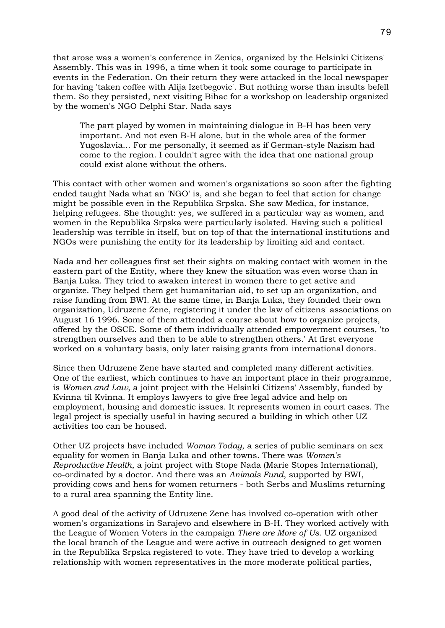that arose was a women's conference in Zenica, organized by the Helsinki Citizens' Assembly. This was in 1996, a time when it took some courage to participate in events in the Federation. On their return they were attacked in the local newspaper for having 'taken coffee with Alija Izetbegovic'. But nothing worse than insults befell them. So they persisted, next visiting Bihac for a workshop on leadership organized by the women's NGO Delphi Star. Nada says

The part played by women in maintaining dialogue in B-H has been very important. And not even B-H alone, but in the whole area of the former Yugoslavia... For me personally, it seemed as if German-style Nazism had come to the region. I couldn't agree with the idea that one national group could exist alone without the others.

This contact with other women and women's organizations so soon after the fighting ended taught Nada what an 'NGO' is, and she began to feel that action for change might be possible even in the Republika Srpska. She saw Medica, for instance, helping refugees. She thought: yes, we suffered in a particular way as women, and women in the Republika Srpska were particularly isolated. Having such a political leadership was terrible in itself, but on top of that the international institutions and NGOs were punishing the entity for its leadership by limiting aid and contact.

Nada and her colleagues first set their sights on making contact with women in the eastern part of the Entity, where they knew the situation was even worse than in Banja Luka. They tried to awaken interest in women there to get active and organize. They helped them get humanitarian aid, to set up an organization, and raise funding from BWI. At the same time, in Banja Luka, they founded their own organization, Udruzene Zene, registering it under the law of citizens' associations on August 16 1996. Some of them attended a course about how to organize projects, offered by the OSCE. Some of them individually attended empowerment courses, 'to strengthen ourselves and then to be able to strengthen others.' At first everyone worked on a voluntary basis, only later raising grants from international donors.

Since then Udruzene Zene have started and completed many different activities. One of the earliest, which continues to have an important place in their programme, is *Women and Law*, a joint project with the Helsinki Citizens' Assembly, funded by Kvinna til Kvinna. It employs lawyers to give free legal advice and help on employment, housing and domestic issues. It represents women in court cases. The legal project is specially useful in having secured a building in which other UZ activities too can be housed.

Other UZ projects have included *Woman Today*, a series of public seminars on sex equality for women in Banja Luka and other towns. There was *Women's Reproductive Health*, a joint project with Stope Nada (Marie Stopes International), co-ordinated by a doctor. And there was an *Animals Fund*, supported by BWI, providing cows and hens for women returners - both Serbs and Muslims returning to a rural area spanning the Entity line.

A good deal of the activity of Udruzene Zene has involved co-operation with other women's organizations in Sarajevo and elsewhere in B-H. They worked actively with the League of Women Voters in the campaign *There are More of Us*. UZ organized the local branch of the League and were active in outreach designed to get women in the Republika Srpska registered to vote. They have tried to develop a working relationship with women representatives in the more moderate political parties,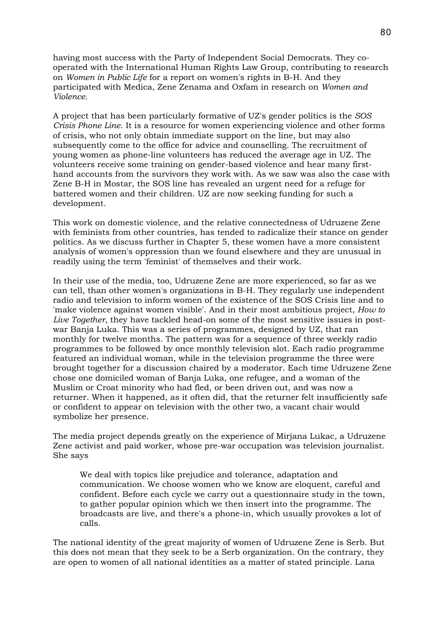having most success with the Party of Independent Social Democrats. They cooperated with the International Human Rights Law Group, contributing to research on *Women in Public Life* for a report on women's rights in B-H. And they participated with Medica, Zene Zenama and Oxfam in research on *Women and Violence*.

A project that has been particularly formative of UZ's gender politics is the *SOS Crisis Phone Line*. It is a resource for women experiencing violence and other forms of crisis, who not only obtain immediate support on the line, but may also subsequently come to the office for advice and counselling. The recruitment of young women as phone-line volunteers has reduced the average age in UZ. The volunteers receive some training on gender-based violence and hear many firsthand accounts from the survivors they work with. As we saw was also the case with Zene B-H in Mostar, the SOS line has revealed an urgent need for a refuge for battered women and their children. UZ are now seeking funding for such a development.

This work on domestic violence, and the relative connectedness of Udruzene Zene with feminists from other countries, has tended to radicalize their stance on gender politics. As we discuss further in Chapter 5, these women have a more consistent analysis of women's oppression than we found elsewhere and they are unusual in readily using the term 'feminist' of themselves and their work.

In their use of the media, too, Udruzene Zene are more experienced, so far as we can tell, than other women's organizations in B-H. They regularly use independent radio and television to inform women of the existence of the SOS Crisis line and to 'make violence against women visible'. And in their most ambitious project, *How to Live Together*, they have tackled head-on some of the most sensitive issues in postwar Banja Luka. This was a series of programmes, designed by UZ, that ran monthly for twelve months. The pattern was for a sequence of three weekly radio programmes to be followed by once monthly television slot. Each radio programme featured an individual woman, while in the television programme the three were brought together for a discussion chaired by a moderator. Each time Udruzene Zene chose one domiciled woman of Banja Luka, one refugee, and a woman of the Muslim or Croat minority who had fled, or been driven out, and was now a returner. When it happened, as it often did, that the returner felt insufficiently safe or confident to appear on television with the other two, a vacant chair would symbolize her presence.

The media project depends greatly on the experience of Mirjana Lukac, a Udruzene Zene activist and paid worker, whose pre-war occupation was television journalist. She says

We deal with topics like prejudice and tolerance, adaptation and communication. We choose women who we know are eloquent, careful and confident. Before each cycle we carry out a questionnaire study in the town, to gather popular opinion which we then insert into the programme. The broadcasts are live, and there's a phone-in, which usually provokes a lot of calls.

The national identity of the great majority of women of Udruzene Zene is Serb. But this does not mean that they seek to be a Serb organization. On the contrary, they are open to women of all national identities as a matter of stated principle. Lana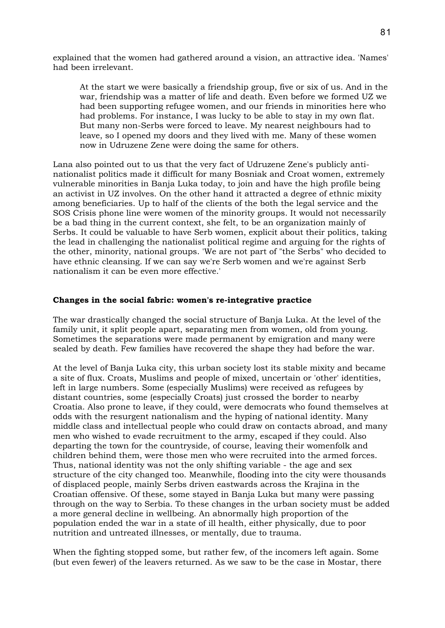explained that the women had gathered around a vision, an attractive idea. 'Names' had been irrelevant.

At the start we were basically a friendship group, five or six of us. And in the war, friendship was a matter of life and death. Even before we formed UZ we had been supporting refugee women, and our friends in minorities here who had problems. For instance, I was lucky to be able to stay in my own flat. But many non-Serbs were forced to leave. My nearest neighbours had to leave, so I opened my doors and they lived with me. Many of these women now in Udruzene Zene were doing the same for others.

Lana also pointed out to us that the very fact of Udruzene Zene's publicly antinationalist politics made it difficult for many Bosniak and Croat women, extremely vulnerable minorities in Banja Luka today, to join and have the high profile being an activist in UZ involves. On the other hand it attracted a degree of ethnic mixity among beneficiaries. Up to half of the clients of the both the legal service and the SOS Crisis phone line were women of the minority groups. It would not necessarily be a bad thing in the current context, she felt, to be an organization mainly of Serbs. It could be valuable to have Serb women, explicit about their politics, taking the lead in challenging the nationalist political regime and arguing for the rights of the other, minority, national groups. 'We are not part of "the Serbs" who decided to have ethnic cleansing. If we can say we're Serb women and we're against Serb nationalism it can be even more effective.'

# **Changes in the social fabric: women's re-integrative practice**

The war drastically changed the social structure of Banja Luka. At the level of the family unit, it split people apart, separating men from women, old from young. Sometimes the separations were made permanent by emigration and many were sealed by death. Few families have recovered the shape they had before the war.

At the level of Banja Luka city, this urban society lost its stable mixity and became a site of flux. Croats, Muslims and people of mixed, uncertain or 'other' identities, left in large numbers. Some (especially Muslims) were received as refugees by distant countries, some (especially Croats) just crossed the border to nearby Croatia. Also prone to leave, if they could, were democrats who found themselves at odds with the resurgent nationalism and the hyping of national identity. Many middle class and intellectual people who could draw on contacts abroad, and many men who wished to evade recruitment to the army, escaped if they could. Also departing the town for the countryside, of course, leaving their womenfolk and children behind them, were those men who were recruited into the armed forces. Thus, national identity was not the only shifting variable - the age and sex structure of the city changed too. Meanwhile, flooding into the city were thousands of displaced people, mainly Serbs driven eastwards across the Krajina in the Croatian offensive. Of these, some stayed in Banja Luka but many were passing through on the way to Serbia. To these changes in the urban society must be added a more general decline in wellbeing. An abnormally high proportion of the population ended the war in a state of ill health, either physically, due to poor nutrition and untreated illnesses, or mentally, due to trauma.

When the fighting stopped some, but rather few, of the incomers left again. Some (but even fewer) of the leavers returned. As we saw to be the case in Mostar, there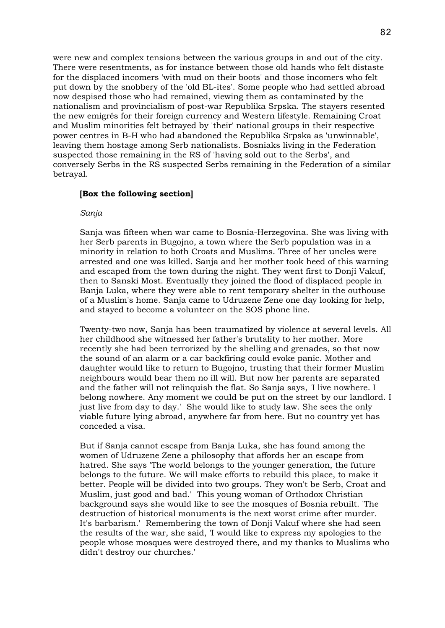were new and complex tensions between the various groups in and out of the city. There were resentments, as for instance between those old hands who felt distaste for the displaced incomers 'with mud on their boots' and those incomers who felt put down by the snobbery of the 'old BL-ites'. Some people who had settled abroad now despised those who had remained, viewing them as contaminated by the nationalism and provincialism of post-war Republika Srpska. The stayers resented the new emigrés for their foreign currency and Western lifestyle. Remaining Croat and Muslim minorities felt betrayed by 'their' national groups in their respective power centres in B-H who had abandoned the Republika Srpska as 'unwinnable', leaving them hostage among Serb nationalists. Bosniaks living in the Federation suspected those remaining in the RS of 'having sold out to the Serbs', and conversely Serbs in the RS suspected Serbs remaining in the Federation of a similar betrayal.

# **[Box the following section]**

#### *Sanja*

Sanja was fifteen when war came to Bosnia-Herzegovina. She was living with her Serb parents in Bugojno, a town where the Serb population was in a minority in relation to both Croats and Muslims. Three of her uncles were arrested and one was killed. Sanja and her mother took heed of this warning and escaped from the town during the night. They went first to Donji Vakuf, then to Sanski Most. Eventually they joined the flood of displaced people in Banja Luka, where they were able to rent temporary shelter in the outhouse of a Muslim's home. Sanja came to Udruzene Zene one day looking for help, and stayed to become a volunteer on the SOS phone line.

Twenty-two now, Sanja has been traumatized by violence at several levels. All her childhood she witnessed her father's brutality to her mother. More recently she had been terrorized by the shelling and grenades, so that now the sound of an alarm or a car backfiring could evoke panic. Mother and daughter would like to return to Bugojno, trusting that their former Muslim neighbours would bear them no ill will. But now her parents are separated and the father will not relinquish the flat. So Sanja says, 'I live nowhere. I belong nowhere. Any moment we could be put on the street by our landlord. I just live from day to day.' She would like to study law. She sees the only viable future lying abroad, anywhere far from here. But no country yet has conceded a visa.

But if Sanja cannot escape from Banja Luka, she has found among the women of Udruzene Zene a philosophy that affords her an escape from hatred. She says 'The world belongs to the younger generation, the future belongs to the future. We will make efforts to rebuild this place, to make it better. People will be divided into two groups. They won't be Serb, Croat and Muslim, just good and bad.' This young woman of Orthodox Christian background says she would like to see the mosques of Bosnia rebuilt. 'The destruction of historical monuments is the next worst crime after murder. It's barbarism.' Remembering the town of Donji Vakuf where she had seen the results of the war, she said, 'I would like to express my apologies to the people whose mosques were destroyed there, and my thanks to Muslims who didn't destroy our churches.'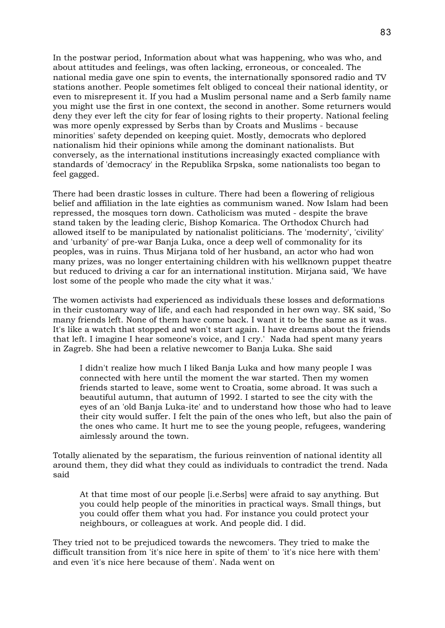In the postwar period, Information about what was happening, who was who, and about attitudes and feelings, was often lacking, erroneous, or concealed. The national media gave one spin to events, the internationally sponsored radio and TV stations another. People sometimes felt obliged to conceal their national identity, or even to misrepresent it. If you had a Muslim personal name and a Serb family name you might use the first in one context, the second in another. Some returners would deny they ever left the city for fear of losing rights to their property. National feeling was more openly expressed by Serbs than by Croats and Muslims - because minorities' safety depended on keeping quiet. Mostly, democrats who deplored nationalism hid their opinions while among the dominant nationalists. But conversely, as the international institutions increasingly exacted compliance with standards of 'democracy' in the Republika Srpska, some nationalists too began to feel gagged.

There had been drastic losses in culture. There had been a flowering of religious belief and affiliation in the late eighties as communism waned. Now Islam had been repressed, the mosques torn down. Catholicism was muted - despite the brave stand taken by the leading cleric, Bishop Komarica. The Orthodox Church had allowed itself to be manipulated by nationalist politicians. The 'modernity', 'civility' and 'urbanity' of pre-war Banja Luka, once a deep well of commonality for its peoples, was in ruins. Thus Mirjana told of her husband, an actor who had won many prizes, was no longer entertaining children with his wellknown puppet theatre but reduced to driving a car for an international institution. Mirjana said, 'We have lost some of the people who made the city what it was.'

The women activists had experienced as individuals these losses and deformations in their customary way of life, and each had responded in her own way. SK said, 'So many friends left. None of them have come back. I want it to be the same as it was. It's like a watch that stopped and won't start again. I have dreams about the friends that left. I imagine I hear someone's voice, and I cry.' Nada had spent many years in Zagreb. She had been a relative newcomer to Banja Luka. She said

I didn't realize how much I liked Banja Luka and how many people I was connected with here until the moment the war started. Then my women friends started to leave, some went to Croatia, some abroad. It was such a beautiful autumn, that autumn of 1992. I started to see the city with the eyes of an 'old Banja Luka-ite' and to understand how those who had to leave their city would suffer. I felt the pain of the ones who left, but also the pain of the ones who came. It hurt me to see the young people, refugees, wandering aimlessly around the town.

Totally alienated by the separatism, the furious reinvention of national identity all around them, they did what they could as individuals to contradict the trend. Nada said

At that time most of our people [i.e.Serbs] were afraid to say anything. But you could help people of the minorities in practical ways. Small things, but you could offer them what you had. For instance you could protect your neighbours, or colleagues at work. And people did. I did.

They tried not to be prejudiced towards the newcomers. They tried to make the difficult transition from 'it's nice here in spite of them' to 'it's nice here with them' and even 'it's nice here because of them'. Nada went on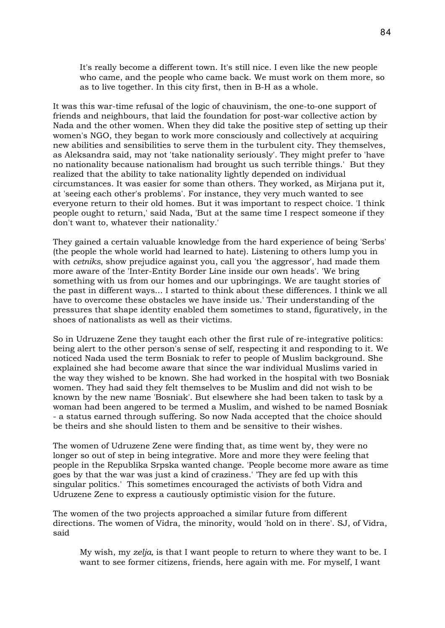It's really become a different town. It's still nice. I even like the new people who came, and the people who came back. We must work on them more, so as to live together. In this city first, then in B-H as a whole.

It was this war-time refusal of the logic of chauvinism, the one-to-one support of friends and neighbours, that laid the foundation for post-war collective action by Nada and the other women. When they did take the positive step of setting up their women's NGO, they began to work more consciously and collectively at acquiring new abilities and sensibilities to serve them in the turbulent city. They themselves, as Aleksandra said, may not 'take nationality seriously'. They might prefer to 'have no nationality because nationalism had brought us such terrible things.' But they realized that the ability to take nationality lightly depended on individual circumstances. It was easier for some than others. They worked, as Mirjana put it, at 'seeing each other's problems'. For instance, they very much wanted to see everyone return to their old homes. But it was important to respect choice. 'I think people ought to return,' said Nada, 'But at the same time I respect someone if they don't want to, whatever their nationality.'

They gained a certain valuable knowledge from the hard experience of being 'Serbs' (the people the whole world had learned to hate). Listening to others lump you in with *cetniks*, show prejudice against you, call you 'the aggressor', had made them more aware of the 'Inter-Entity Border Line inside our own heads'. 'We bring something with us from our homes and our upbringings. We are taught stories of the past in different ways... I started to think about these differences. I think we all have to overcome these obstacles we have inside us.' Their understanding of the pressures that shape identity enabled them sometimes to stand, figuratively, in the shoes of nationalists as well as their victims.

So in Udruzene Zene they taught each other the first rule of re-integrative politics: being alert to the other person's sense of self, respecting it and responding to it. We noticed Nada used the term Bosniak to refer to people of Muslim background. She explained she had become aware that since the war individual Muslims varied in the way they wished to be known. She had worked in the hospital with two Bosniak women. They had said they felt themselves to be Muslim and did not wish to be known by the new name 'Bosniak'. But elsewhere she had been taken to task by a woman had been angered to be termed a Muslim, and wished to be named Bosniak - a status earned through suffering. So now Nada accepted that the choice should be theirs and she should listen to them and be sensitive to their wishes.

The women of Udruzene Zene were finding that, as time went by, they were no longer so out of step in being integrative. More and more they were feeling that people in the Republika Srpska wanted change. 'People become more aware as time goes by that the war was just a kind of craziness.' 'They are fed up with this singular politics.' This sometimes encouraged the activists of both Vidra and Udruzene Zene to express a cautiously optimistic vision for the future.

The women of the two projects approached a similar future from different directions. The women of Vidra, the minority, would 'hold on in there'. SJ, of Vidra, said

My wish, my *zelja,* is that I want people to return to where they want to be. I want to see former citizens, friends, here again with me. For myself, I want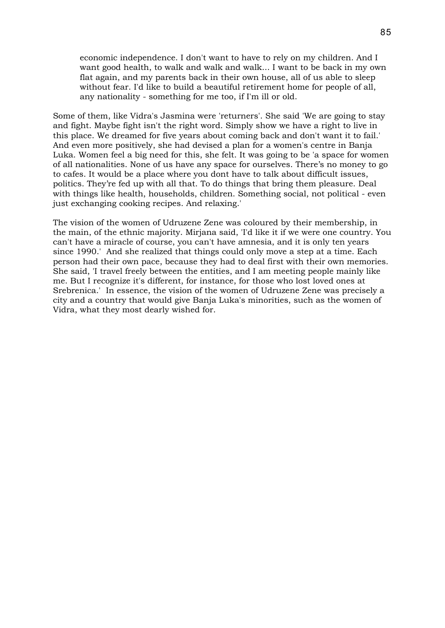economic independence. I don't want to have to rely on my children. And I want good health, to walk and walk and walk... I want to be back in my own flat again, and my parents back in their own house, all of us able to sleep without fear. I'd like to build a beautiful retirement home for people of all, any nationality - something for me too, if I'm ill or old.

Some of them, like Vidra's Jasmina were 'returners'. She said 'We are going to stay and fight. Maybe fight isn't the right word. Simply show we have a right to live in this place. We dreamed for five years about coming back and don't want it to fail.' And even more positively, she had devised a plan for a women's centre in Banja Luka. Women feel a big need for this, she felt. It was going to be 'a space for women of all nationalities. None of us have any space for ourselves. There's no money to go to cafes. It would be a place where you dont have to talk about difficult issues, politics. They're fed up with all that. To do things that bring them pleasure. Deal with things like health, households, children. Something social, not political - even just exchanging cooking recipes. And relaxing.'

The vision of the women of Udruzene Zene was coloured by their membership, in the main, of the ethnic majority. Mirjana said, 'I'd like it if we were one country. You can't have a miracle of course, you can't have amnesia, and it is only ten years since 1990.' And she realized that things could only move a step at a time. Each person had their own pace, because they had to deal first with their own memories. She said, 'I travel freely between the entities, and I am meeting people mainly like me. But I recognize it's different, for instance, for those who lost loved ones at Srebrenica.' In essence, the vision of the women of Udruzene Zene was precisely a city and a country that would give Banja Luka's minorities, such as the women of Vidra, what they most dearly wished for.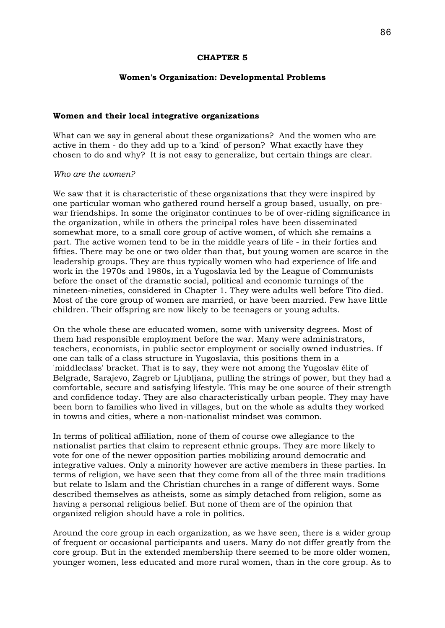### **CHAPTER 5**

# **Women's Organization: Developmental Problems**

### **Women and their local integrative organizations**

What can we say in general about these organizations? And the women who are active in them - do they add up to a 'kind' of person? What exactly have they chosen to do and why? It is not easy to generalize, but certain things are clear.

#### *Who are the women?*

We saw that it is characteristic of these organizations that they were inspired by one particular woman who gathered round herself a group based, usually, on prewar friendships. In some the originator continues to be of over-riding significance in the organization, while in others the principal roles have been disseminated somewhat more, to a small core group of active women, of which she remains a part. The active women tend to be in the middle years of life - in their forties and fifties. There may be one or two older than that, but young women are scarce in the leadership groups. They are thus typically women who had experience of life and work in the 1970s and 1980s, in a Yugoslavia led by the League of Communists before the onset of the dramatic social, political and economic turnings of the nineteen-nineties, considered in Chapter 1. They were adults well before Tito died. Most of the core group of women are married, or have been married. Few have little children. Their offspring are now likely to be teenagers or young adults.

On the whole these are educated women, some with university degrees. Most of them had responsible employment before the war. Many were administrators, teachers, economists, in public sector employment or socially owned industries. If one can talk of a class structure in Yugoslavia, this positions them in a 'middleclass' bracket. That is to say, they were not among the Yugoslav élite of Belgrade, Sarajevo, Zagreb or Ljubljana, pulling the strings of power, but they had a comfortable, secure and satisfying lifestyle. This may be one source of their strength and confidence today. They are also characteristically urban people. They may have been born to families who lived in villages, but on the whole as adults they worked in towns and cities, where a non-nationalist mindset was common.

In terms of political affiliation, none of them of course owe allegiance to the nationalist parties that claim to represent ethnic groups. They are more likely to vote for one of the newer opposition parties mobilizing around democratic and integrative values. Only a minority however are active members in these parties. In terms of religion, we have seen that they come from all of the three main traditions but relate to Islam and the Christian churches in a range of different ways. Some described themselves as atheists, some as simply detached from religion, some as having a personal religious belief. But none of them are of the opinion that organized religion should have a role in politics.

Around the core group in each organization, as we have seen, there is a wider group of frequent or occasional participants and users. Many do not differ greatly from the core group. But in the extended membership there seemed to be more older women, younger women, less educated and more rural women, than in the core group. As to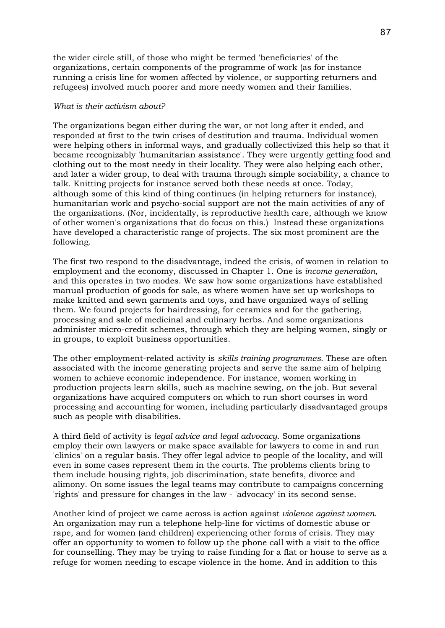the wider circle still, of those who might be termed 'beneficiaries' of the organizations, certain components of the programme of work (as for instance running a crisis line for women affected by violence, or supporting returners and refugees) involved much poorer and more needy women and their families.

### *What is their activism about?*

The organizations began either during the war, or not long after it ended, and responded at first to the twin crises of destitution and trauma. Individual women were helping others in informal ways, and gradually collectivized this help so that it became recognizably 'humanitarian assistance'. They were urgently getting food and clothing out to the most needy in their locality. They were also helping each other, and later a wider group, to deal with trauma through simple sociability, a chance to talk. Knitting projects for instance served both these needs at once. Today, although some of this kind of thing continues (in helping returners for instance), humanitarian work and psycho-social support are not the main activities of any of the organizations. (Nor, incidentally, is reproductive health care, although we know of other women's organizations that do focus on this.) Instead these organizations have developed a characteristic range of projects. The six most prominent are the following.

The first two respond to the disadvantage, indeed the crisis, of women in relation to employment and the economy, discussed in Chapter 1. One is *income generation*, and this operates in two modes. We saw how some organizations have established manual production of goods for sale, as where women have set up workshops to make knitted and sewn garments and toys, and have organized ways of selling them. We found projects for hairdressing, for ceramics and for the gathering, processing and sale of medicinal and culinary herbs. And some organizations administer micro-credit schemes, through which they are helping women, singly or in groups, to exploit business opportunities.

The other employment-related activity is *skills training programmes*. These are often associated with the income generating projects and serve the same aim of helping women to achieve economic independence. For instance, women working in production projects learn skills, such as machine sewing, on the job. But several organizations have acquired computers on which to run short courses in word processing and accounting for women, including particularly disadvantaged groups such as people with disabilities.

A third field of activity is *legal advice and legal advocacy*. Some organizations employ their own lawyers or make space available for lawyers to come in and run 'clinics' on a regular basis. They offer legal advice to people of the locality, and will even in some cases represent them in the courts. The problems clients bring to them include housing rights, job discrimination, state benefits, divorce and alimony. On some issues the legal teams may contribute to campaigns concerning 'rights' and pressure for changes in the law - 'advocacy' in its second sense.

Another kind of project we came across is action against *violence against women*. An organization may run a telephone help-line for victims of domestic abuse or rape, and for women (and children) experiencing other forms of crisis. They may offer an opportunity to women to follow up the phone call with a visit to the office for counselling. They may be trying to raise funding for a flat or house to serve as a refuge for women needing to escape violence in the home. And in addition to this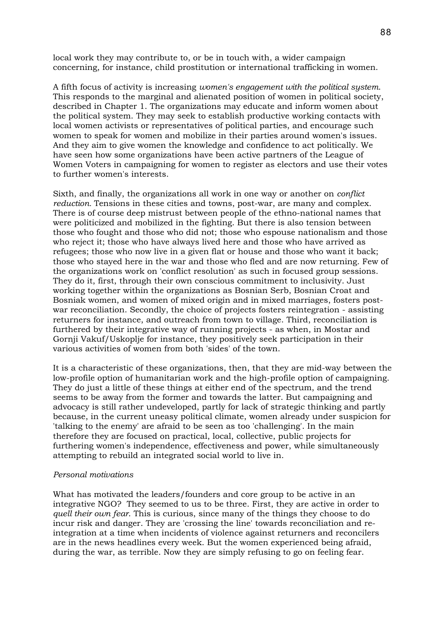local work they may contribute to, or be in touch with, a wider campaign concerning, for instance, child prostitution or international trafficking in women.

A fifth focus of activity is increasing *women's engagement with the political system*. This responds to the marginal and alienated position of women in political society, described in Chapter 1. The organizations may educate and inform women about the political system. They may seek to establish productive working contacts with local women activists or representatives of political parties, and encourage such women to speak for women and mobilize in their parties around women's issues. And they aim to give women the knowledge and confidence to act politically. We have seen how some organizations have been active partners of the League of Women Voters in campaigning for women to register as electors and use their votes to further women's interests.

Sixth, and finally, the organizations all work in one way or another on *conflict reduction.* Tensions in these cities and towns, post-war, are many and complex. There is of course deep mistrust between people of the ethno-national names that were politicized and mobilized in the fighting. But there is also tension between those who fought and those who did not; those who espouse nationalism and those who reject it; those who have always lived here and those who have arrived as refugees; those who now live in a given flat or house and those who want it back; those who stayed here in the war and those who fled and are now returning. Few of the organizations work on 'conflict resolution' as such in focused group sessions. They do it, first, through their own conscious commitment to inclusivity. Just working together within the organizations as Bosnian Serb, Bosnian Croat and Bosniak women, and women of mixed origin and in mixed marriages, fosters postwar reconciliation. Secondly, the choice of projects fosters reintegration - assisting returners for instance, and outreach from town to village. Third, reconciliation is furthered by their integrative way of running projects - as when, in Mostar and Gornji Vakuf/Uskoplje for instance, they positively seek participation in their various activities of women from both 'sides' of the town.

It is a characteristic of these organizations, then, that they are mid-way between the low-profile option of humanitarian work and the high-profile option of campaigning. They do just a little of these things at either end of the spectrum, and the trend seems to be away from the former and towards the latter. But campaigning and advocacy is still rather undeveloped, partly for lack of strategic thinking and partly because, in the current uneasy political climate, women already under suspicion for 'talking to the enemy' are afraid to be seen as too 'challenging'. In the main therefore they are focused on practical, local, collective, public projects for furthering women's independence, effectiveness and power, while simultaneously attempting to rebuild an integrated social world to live in.

### *Personal motivations*

What has motivated the leaders/founders and core group to be active in an integrative NGO? They seemed to us to be three. First, they are active in order to *quell their own fear*. This is curious, since many of the things they choose to do incur risk and danger. They are 'crossing the line' towards reconciliation and reintegration at a time when incidents of violence against returners and reconcilers are in the news headlines every week. But the women experienced being afraid, during the war, as terrible. Now they are simply refusing to go on feeling fear.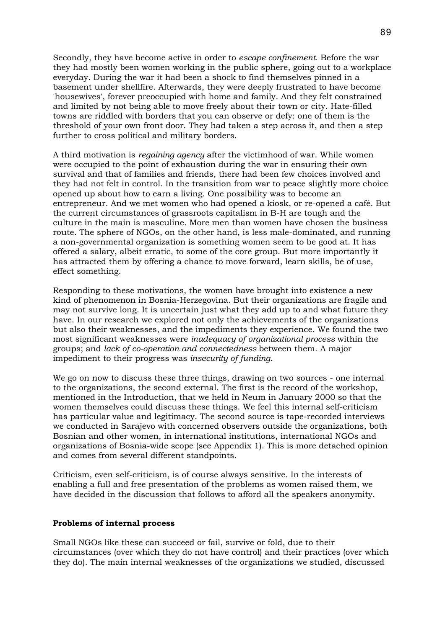Secondly, they have become active in order to *escape confinement*. Before the war they had mostly been women working in the public sphere, going out to a workplace everyday. During the war it had been a shock to find themselves pinned in a basement under shellfire. Afterwards, they were deeply frustrated to have become 'housewives', forever preoccupied with home and family. And they felt constrained and limited by not being able to move freely about their town or city. Hate-filled towns are riddled with borders that you can observe or defy: one of them is the threshold of your own front door. They had taken a step across it, and then a step further to cross political and military borders.

A third motivation is *regaining agency* after the victimhood of war. While women were occupied to the point of exhaustion during the war in ensuring their own survival and that of families and friends, there had been few choices involved and they had not felt in control. In the transition from war to peace slightly more choice opened up about how to earn a living. One possibility was to become an entrepreneur. And we met women who had opened a kiosk, or re-opened a café. But the current circumstances of grassroots capitalism in B-H are tough and the culture in the main is masculine. More men than women have chosen the business route. The sphere of NGOs, on the other hand, is less male-dominated, and running a non-governmental organization is something women seem to be good at. It has offered a salary, albeit erratic, to some of the core group. But more importantly it has attracted them by offering a chance to move forward, learn skills, be of use, effect something.

Responding to these motivations, the women have brought into existence a new kind of phenomenon in Bosnia-Herzegovina. But their organizations are fragile and may not survive long. It is uncertain just what they add up to and what future they have. In our research we explored not only the achievements of the organizations but also their weaknesses, and the impediments they experience. We found the two most significant weaknesses were *inadequacy of organizational process* within the groups; and *lack of co-operation and connectedness* between them. A major impediment to their progress was *insecurity of funding*.

We go on now to discuss these three things, drawing on two sources - one internal to the organizations, the second external. The first is the record of the workshop, mentioned in the Introduction, that we held in Neum in January 2000 so that the women themselves could discuss these things. We feel this internal self-criticism has particular value and legitimacy. The second source is tape-recorded interviews we conducted in Sarajevo with concerned observers outside the organizations, both Bosnian and other women, in international institutions, international NGOs and organizations of Bosnia-wide scope (see Appendix 1). This is more detached opinion and comes from several different standpoints.

Criticism, even self-criticism, is of course always sensitive. In the interests of enabling a full and free presentation of the problems as women raised them, we have decided in the discussion that follows to afford all the speakers anonymity.

# **Problems of internal process**

Small NGOs like these can succeed or fail, survive or fold, due to their circumstances (over which they do not have control) and their practices (over which they do). The main internal weaknesses of the organizations we studied, discussed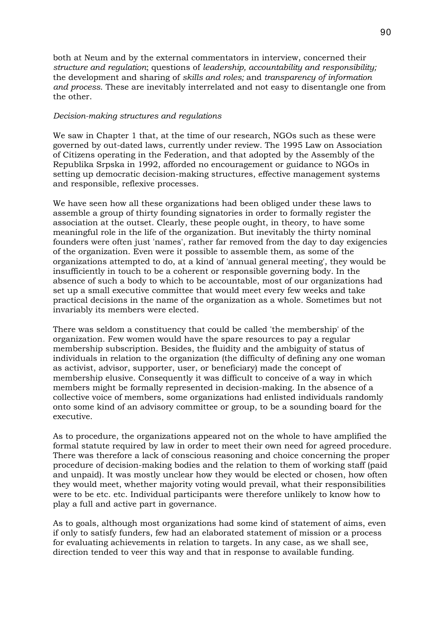both at Neum and by the external commentators in interview, concerned their *structure and regulation*; questions of *leadership, accountability and responsibility;* the development and sharing of *skills and roles;* and *transparency of information and process*. These are inevitably interrelated and not easy to disentangle one from the other.

# *Decision-making structures and regulations*

We saw in Chapter 1 that, at the time of our research, NGOs such as these were governed by out-dated laws, currently under review. The 1995 Law on Association of Citizens operating in the Federation, and that adopted by the Assembly of the Republika Srpska in 1992, afforded no encouragement or guidance to NGOs in setting up democratic decision-making structures, effective management systems and responsible, reflexive processes.

We have seen how all these organizations had been obliged under these laws to assemble a group of thirty founding signatories in order to formally register the association at the outset. Clearly, these people ought, in theory, to have some meaningful role in the life of the organization. But inevitably the thirty nominal founders were often just 'names', rather far removed from the day to day exigencies of the organization. Even were it possible to assemble them, as some of the organizations attempted to do, at a kind of 'annual general meeting', they would be insufficiently in touch to be a coherent or responsible governing body. In the absence of such a body to which to be accountable, most of our organizations had set up a small executive committee that would meet every few weeks and take practical decisions in the name of the organization as a whole. Sometimes but not invariably its members were elected.

There was seldom a constituency that could be called 'the membership' of the organization. Few women would have the spare resources to pay a regular membership subscription. Besides, the fluidity and the ambiguity of status of individuals in relation to the organization (the difficulty of defining any one woman as activist, advisor, supporter, user, or beneficiary) made the concept of membership elusive. Consequently it was difficult to conceive of a way in which members might be formally represented in decision-making. In the absence of a collective voice of members, some organizations had enlisted individuals randomly onto some kind of an advisory committee or group, to be a sounding board for the executive.

As to procedure, the organizations appeared not on the whole to have amplified the formal statute required by law in order to meet their own need for agreed procedure. There was therefore a lack of conscious reasoning and choice concerning the proper procedure of decision-making bodies and the relation to them of working staff (paid and unpaid). It was mostly unclear how they would be elected or chosen, how often they would meet, whether majority voting would prevail, what their responsibilities were to be etc. etc. Individual participants were therefore unlikely to know how to play a full and active part in governance.

As to goals, although most organizations had some kind of statement of aims, even if only to satisfy funders, few had an elaborated statement of mission or a process for evaluating achievements in relation to targets. In any case, as we shall see, direction tended to veer this way and that in response to available funding.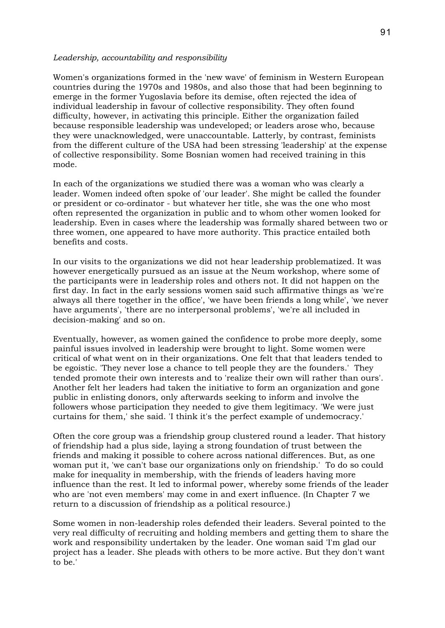### *Leadership, accountability and responsibility*

Women's organizations formed in the 'new wave' of feminism in Western European countries during the 1970s and 1980s, and also those that had been beginning to emerge in the former Yugoslavia before its demise, often rejected the idea of individual leadership in favour of collective responsibility. They often found difficulty, however, in activating this principle. Either the organization failed because responsible leadership was undeveloped; or leaders arose who, because they were unacknowledged, were unaccountable. Latterly, by contrast, feminists from the different culture of the USA had been stressing 'leadership' at the expense of collective responsibility. Some Bosnian women had received training in this mode.

In each of the organizations we studied there was a woman who was clearly a leader. Women indeed often spoke of 'our leader'. She might be called the founder or president or co-ordinator - but whatever her title, she was the one who most often represented the organization in public and to whom other women looked for leadership. Even in cases where the leadership was formally shared between two or three women, one appeared to have more authority. This practice entailed both benefits and costs.

In our visits to the organizations we did not hear leadership problematized. It was however energetically pursued as an issue at the Neum workshop, where some of the participants were in leadership roles and others not. It did not happen on the first day. In fact in the early sessions women said such affirmative things as 'we're always all there together in the office', 'we have been friends a long while', 'we never have arguments', 'there are no interpersonal problems', 'we're all included in decision-making' and so on.

Eventually, however, as women gained the confidence to probe more deeply, some painful issues involved in leadership were brought to light. Some women were critical of what went on in their organizations. One felt that that leaders tended to be egoistic. 'They never lose a chance to tell people they are the founders.' They tended promote their own interests and to 'realize their own will rather than ours'. Another felt her leaders had taken the initiative to form an organization and gone public in enlisting donors, only afterwards seeking to inform and involve the followers whose participation they needed to give them legitimacy. 'We were just curtains for them,' she said. 'I think it's the perfect example of undemocracy.'

Often the core group was a friendship group clustered round a leader. That history of friendship had a plus side, laying a strong foundation of trust between the friends and making it possible to cohere across national differences. But, as one woman put it, 'we can't base our organizations only on friendship.' To do so could make for inequality in membership, with the friends of leaders having more influence than the rest. It led to informal power, whereby some friends of the leader who are 'not even members' may come in and exert influence. (In Chapter 7 we return to a discussion of friendship as a political resource.)

Some women in non-leadership roles defended their leaders. Several pointed to the very real difficulty of recruiting and holding members and getting them to share the work and responsibility undertaken by the leader. One woman said 'I'm glad our project has a leader. She pleads with others to be more active. But they don't want to be.'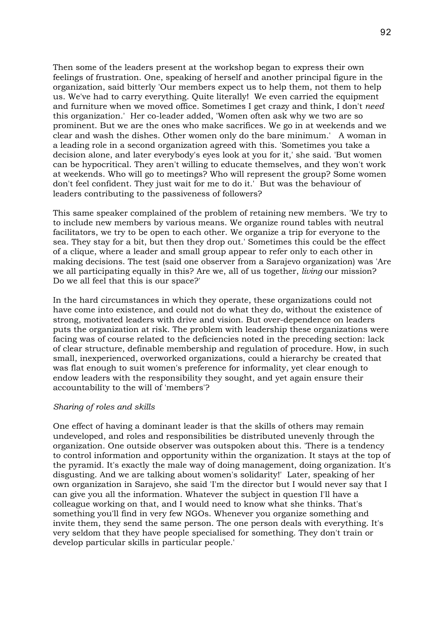Then some of the leaders present at the workshop began to express their own feelings of frustration. One, speaking of herself and another principal figure in the organization, said bitterly 'Our members expect us to help them, not them to help us. We've had to carry everything. Quite literally! We even carried the equipment and furniture when we moved office. Sometimes I get crazy and think, I don't *need* this organization.' Her co-leader added, 'Women often ask why we two are so prominent. But we are the ones who make sacrifices. We go in at weekends and we clear and wash the dishes. Other women only do the bare minimum.' A woman in a leading role in a second organization agreed with this. 'Sometimes you take a decision alone, and later everybody's eyes look at you for it,' she said. 'But women can be hypocritical. They aren't willing to educate themselves, and they won't work at weekends. Who will go to meetings? Who will represent the group? Some women don't feel confident. They just wait for me to do it.' But was the behaviour of leaders contributing to the passiveness of followers?

This same speaker complained of the problem of retaining new members. 'We try to to include new members by various means. We organize round tables with neutral facilitators, we try to be open to each other. We organize a trip for everyone to the sea. They stay for a bit, but then they drop out.' Sometimes this could be the effect of a clique, where a leader and small group appear to refer only to each other in making decisions. The test (said one observer from a Sarajevo organization) was 'Are we all participating equally in this? Are we, all of us together, *living* our mission? Do we all feel that this is our space?'

In the hard circumstances in which they operate, these organizations could not have come into existence, and could not do what they do, without the existence of strong, motivated leaders with drive and vision. But over-dependence on leaders puts the organization at risk. The problem with leadership these organizations were facing was of course related to the deficiencies noted in the preceding section: lack of clear structure, definable membership and regulation of procedure. How, in such small, inexperienced, overworked organizations, could a hierarchy be created that was flat enough to suit women's preference for informality, yet clear enough to endow leaders with the responsibility they sought, and yet again ensure their accountability to the will of 'members'?

# *Sharing of roles and skills*

One effect of having a dominant leader is that the skills of others may remain undeveloped, and roles and responsibilities be distributed unevenly through the organization. One outside observer was outspoken about this. 'There is a tendency to control information and opportunity within the organization. It stays at the top of the pyramid. It's exactly the male way of doing management, doing organization. It's disgusting. And we are talking about women's solidarity!' Later, speaking of her own organization in Sarajevo, she said 'I'm the director but I would never say that I can give you all the information. Whatever the subject in question I'll have a colleague working on that, and I would need to know what she thinks. That's something you'll find in very few NGOs. Whenever you organize something and invite them, they send the same person. The one person deals with everything. It's very seldom that they have people specialised for something. They don't train or develop particular skills in particular people.'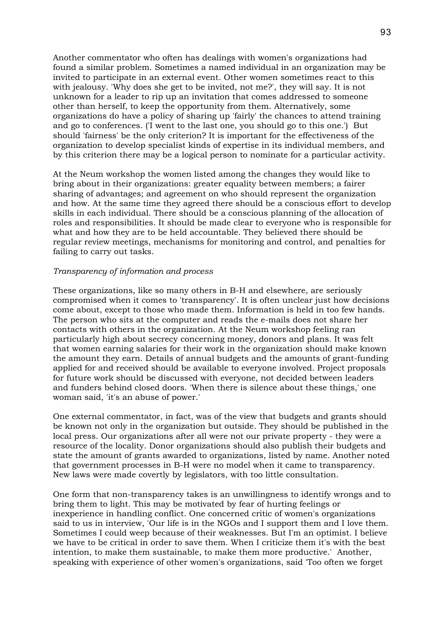Another commentator who often has dealings with women's organizations had found a similar problem. Sometimes a named individual in an organization may be invited to participate in an external event. Other women sometimes react to this with jealousy. 'Why does she get to be invited, not me?', they will say. It is not unknown for a leader to rip up an invitation that comes addressed to someone other than herself, to keep the opportunity from them. Alternatively, some organizations do have a policy of sharing up 'fairly' the chances to attend training and go to conferences. ('I went to the last one, you should go to this one.') But should 'fairness' be the only criterion? It is important for the effectiveness of the organization to develop specialist kinds of expertise in its individual members, and by this criterion there may be a logical person to nominate for a particular activity.

At the Neum workshop the women listed among the changes they would like to bring about in their organizations: greater equality between members; a fairer sharing of advantages; and agreement on who should represent the organization and how. At the same time they agreed there should be a conscious effort to develop skills in each individual. There should be a conscious planning of the allocation of roles and responsibilities. It should be made clear to everyone who is responsible for what and how they are to be held accountable. They believed there should be regular review meetings, mechanisms for monitoring and control, and penalties for failing to carry out tasks.

### *Transparency of information and process*

These organizations, like so many others in B-H and elsewhere, are seriously compromised when it comes to 'transparency'. It is often unclear just how decisions come about, except to those who made them. Information is held in too few hands. The person who sits at the computer and reads the e-mails does not share her contacts with others in the organization. At the Neum workshop feeling ran particularly high about secrecy concerning money, donors and plans. It was felt that women earning salaries for their work in the organization should make known the amount they earn. Details of annual budgets and the amounts of grant-funding applied for and received should be available to everyone involved. Project proposals for future work should be discussed with everyone, not decided between leaders and funders behind closed doors. 'When there is silence about these things,' one woman said, 'it's an abuse of power.'

One external commentator, in fact, was of the view that budgets and grants should be known not only in the organization but outside. They should be published in the local press. Our organizations after all were not our private property - they were a resource of the locality. Donor organizations should also publish their budgets and state the amount of grants awarded to organizations, listed by name. Another noted that government processes in B-H were no model when it came to transparency. New laws were made covertly by legislators, with too little consultation.

One form that non-transparency takes is an unwillingness to identify wrongs and to bring them to light. This may be motivated by fear of hurting feelings or inexperience in handling conflict. One concerned critic of women's organizations said to us in interview, 'Our life is in the NGOs and I support them and I love them. Sometimes I could weep because of their weaknesses. But I'm an optimist. I believe we have to be critical in order to save them. When I criticize them it's with the best intention, to make them sustainable, to make them more productive.' Another, speaking with experience of other women's organizations, said 'Too often we forget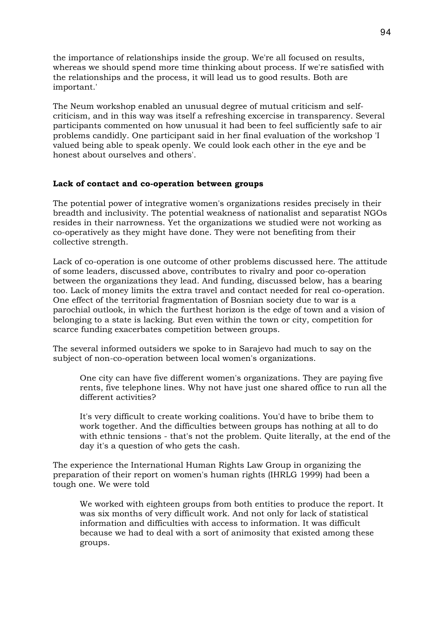the importance of relationships inside the group. We're all focused on results, whereas we should spend more time thinking about process. If we're satisfied with the relationships and the process, it will lead us to good results. Both are important.'

The Neum workshop enabled an unusual degree of mutual criticism and selfcriticism, and in this way was itself a refreshing excercise in transparency. Several participants commented on how unusual it had been to feel sufficiently safe to air problems candidly. One participant said in her final evaluation of the workshop 'I valued being able to speak openly. We could look each other in the eye and be honest about ourselves and others'.

# **Lack of contact and co-operation between groups**

The potential power of integrative women's organizations resides precisely in their breadth and inclusivity. The potential weakness of nationalist and separatist NGOs resides in their narrowness. Yet the organizations we studied were not working as co-operatively as they might have done. They were not benefiting from their collective strength.

Lack of co-operation is one outcome of other problems discussed here. The attitude of some leaders, discussed above, contributes to rivalry and poor co-operation between the organizations they lead. And funding, discussed below, has a bearing too. Lack of money limits the extra travel and contact needed for real co-operation. One effect of the territorial fragmentation of Bosnian society due to war is a parochial outlook, in which the furthest horizon is the edge of town and a vision of belonging to a state is lacking. But even within the town or city, competition for scarce funding exacerbates competition between groups.

The several informed outsiders we spoke to in Sarajevo had much to say on the subject of non-co-operation between local women's organizations.

One city can have five different women's organizations. They are paying five rents, five telephone lines. Why not have just one shared office to run all the different activities?

It's very difficult to create working coalitions. You'd have to bribe them to work together. And the difficulties between groups has nothing at all to do with ethnic tensions - that's not the problem. Quite literally, at the end of the day it's a question of who gets the cash.

The experience the International Human Rights Law Group in organizing the preparation of their report on women's human rights (IHRLG 1999) had been a tough one. We were told

We worked with eighteen groups from both entities to produce the report. It was six months of very difficult work. And not only for lack of statistical information and difficulties with access to information. It was difficult because we had to deal with a sort of animosity that existed among these groups.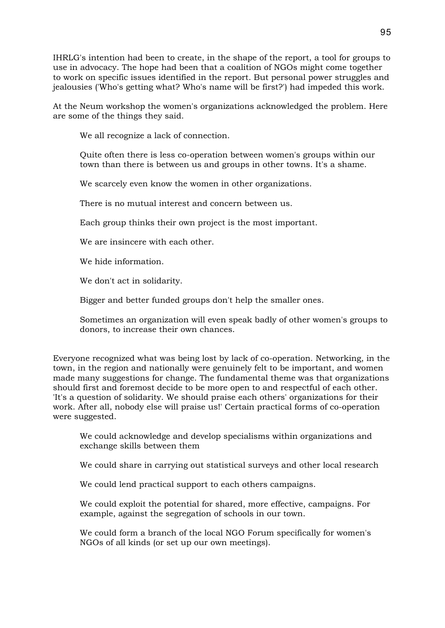IHRLG's intention had been to create, in the shape of the report, a tool for groups to use in advocacy. The hope had been that a coalition of NGOs might come together to work on specific issues identified in the report. But personal power struggles and jealousies ('Who's getting what? Who's name will be first?') had impeded this work.

At the Neum workshop the women's organizations acknowledged the problem. Here are some of the things they said.

We all recognize a lack of connection.

Quite often there is less co-operation between women's groups within our town than there is between us and groups in other towns. It's a shame.

We scarcely even know the women in other organizations.

There is no mutual interest and concern between us.

Each group thinks their own project is the most important.

We are insincere with each other.

We hide information.

We don't act in solidarity.

Bigger and better funded groups don't help the smaller ones.

Sometimes an organization will even speak badly of other women's groups to donors, to increase their own chances.

Everyone recognized what was being lost by lack of co-operation. Networking, in the town, in the region and nationally were genuinely felt to be important, and women made many suggestions for change. The fundamental theme was that organizations should first and foremost decide to be more open to and respectful of each other. 'It's a question of solidarity. We should praise each others' organizations for their work. After all, nobody else will praise us!' Certain practical forms of co-operation were suggested.

We could acknowledge and develop specialisms within organizations and exchange skills between them

We could share in carrying out statistical surveys and other local research

We could lend practical support to each others campaigns.

We could exploit the potential for shared, more effective, campaigns. For example, against the segregation of schools in our town.

We could form a branch of the local NGO Forum specifically for women's NGOs of all kinds (or set up our own meetings).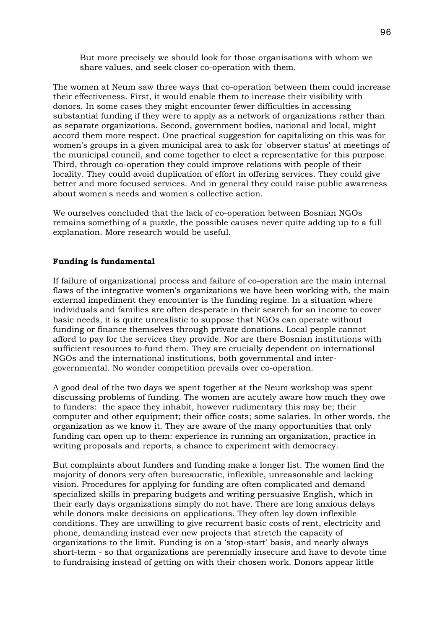But more precisely we should look for those organisations with whom we share values, and seek closer co-operation with them.

The women at Neum saw three ways that co-operation between them could increase their effectiveness. First, it would enable them to increase their visibility with donors. In some cases they might encounter fewer difficulties in accessing substantial funding if they were to apply as a network of organizations rather than as separate organizations. Second, government bodies, national and local, might accord them more respect. One practical suggestion for capitalizing on this was for women's groups in a given municipal area to ask for 'observer status' at meetings of the municipal council, and come together to elect a representative for this purpose. Third, through co-operation they could improve relations with people of their locality. They could avoid duplication of effort in offering services. They could give better and more focused services. And in general they could raise public awareness about women's needs and women's collective action.

We ourselves concluded that the lack of co-operation between Bosnian NGOs remains something of a puzzle, the possible causes never quite adding up to a full explanation. More research would be useful.

# **Funding is fundamental**

If failure of organizational process and failure of co-operation are the main internal flaws of the integrative women's organizations we have been working with, the main external impediment they encounter is the funding regime. In a situation where individuals and families are often desperate in their search for an income to cover basic needs, it is quite unrealistic to suppose that NGOs can operate without funding or finance themselves through private donations. Local people cannot afford to pay for the services they provide. Nor are there Bosnian institutions with sufficient resources to fund them. They are crucially dependent on international NGOs and the international institutions, both governmental and intergovernmental. No wonder competition prevails over co-operation.

A good deal of the two days we spent together at the Neum workshop was spent discussing problems of funding. The women are acutely aware how much they owe to funders: the space they inhabit, however rudimentary this may be; their computer and other equipment; their office costs; some salaries. In other words, the organization as we know it. They are aware of the many opportunities that only funding can open up to them: experience in running an organization, practice in writing proposals and reports, a chance to experiment with democracy.

But complaints about funders and funding make a longer list. The women find the majority of donors very often bureaucratic, inflexible, unreasonable and lacking vision. Procedures for applying for funding are often complicated and demand specialized skills in preparing budgets and writing persuasive English, which in their early days organizations simply do not have. There are long anxious delays while donors make decisions on applications. They often lay down inflexible conditions. They are unwilling to give recurrent basic costs of rent, electricity and phone, demanding instead ever new projects that stretch the capacity of organizations to the limit. Funding is on a 'stop-start' basis, and nearly always short-term - so that organizations are perennially insecure and have to devote time to fundraising instead of getting on with their chosen work. Donors appear little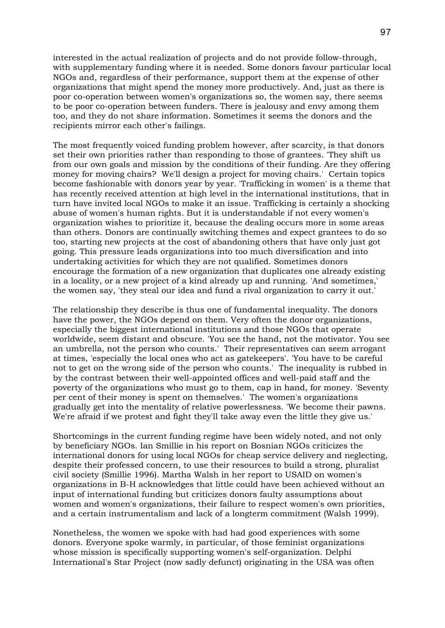interested in the actual realization of projects and do not provide follow-through, with supplementary funding where it is needed. Some donors favour particular local NGOs and, regardless of their performance, support them at the expense of other organizations that might spend the money more productively. And, just as there is poor co-operation between women's organizations so, the women say, there seems to be poor co-operation between funders. There is jealousy and envy among them too, and they do not share information. Sometimes it seems the donors and the recipients mirror each other's failings.

The most frequently voiced funding problem however, after scarcity, is that donors set their own priorities rather than responding to those of grantees. 'They shift us from our own goals and mission by the conditions of their funding. Are they offering money for moving chairs? We'll design a project for moving chairs.' Certain topics become fashionable with donors year by year. 'Trafficking in women' is a theme that has recently received attention at high level in the international institutions, that in turn have invited local NGOs to make it an issue. Trafficking is certainly a shocking abuse of women's human rights. But it is understandable if not every women's organization wishes to prioritize it, because the dealing occurs more in some areas than others. Donors are continually switching themes and expect grantees to do so too, starting new projects at the cost of abandoning others that have only just got going. This pressure leads organizations into too much diversification and into undertaking activities for which they are not qualified. Sometimes donors encourage the formation of a new organization that duplicates one already existing in a locality, or a new project of a kind already up and running. 'And sometimes,' the women say, 'they steal our idea and fund a rival organization to carry it out.'

The relationship they describe is thus one of fundamental inequality. The donors have the power, the NGOs depend on them. Very often the donor organizations, especially the biggest international institutions and those NGOs that operate worldwide, seem distant and obscure. 'You see the hand, not the motivator. You see an umbrella, not the person who counts.' Their representatives can seem arrogant at times, 'especially the local ones who act as gatekeepers'. 'You have to be careful not to get on the wrong side of the person who counts.' The inequality is rubbed in by the contrast between their well-appointed offices and well-paid staff and the poverty of the organizations who must go to them, cap in hand, for money. 'Seventy per cent of their money is spent on themselves.' The women's organizations gradually get into the mentality of relative powerlessness. 'We become their pawns. We're afraid if we protest and fight they'll take away even the little they give us.'

Shortcomings in the current funding regime have been widely noted, and not only by beneficiary NGOs. Ian Smillie in his report on Bosnian NGOs criticizes the international donors for using local NGOs for cheap service delivery and neglecting, despite their professed concern, to use their resources to build a strong, pluralist civil society (Smillie 1996). Martha Walsh in her report to USAID on women's organizations in B-H acknowledges that little could have been achieved without an input of international funding but criticizes donors faulty assumptions about women and women's organizations, their failure to respect women's own priorities, and a certain instrumentalism and lack of a longterm commitment (Walsh 1999).

Nonetheless, the women we spoke with had had good experiences with some donors. Everyone spoke warmly, in particular, of those feminist organizations whose mission is specifically supporting women's self-organization. Delphi International's Star Project (now sadly defunct) originating in the USA was often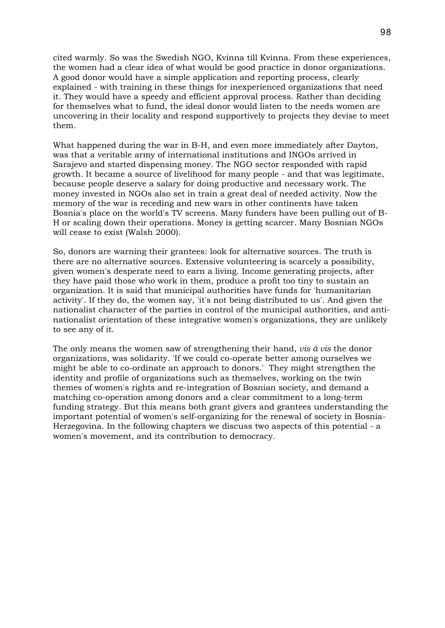cited warmly. So was the Swedish NGO, Kvinna till Kvinna. From these experiences, the women had a clear idea of what would be good practice in donor organizations. A good donor would have a simple application and reporting process, clearly explained - with training in these things for inexperienced organizations that need it. They would have a speedy and efficient approval process. Rather than deciding for themselves what to fund, the ideal donor would listen to the needs women are uncovering in their locality and respond supportively to projects they devise to meet them.

What happened during the war in B-H, and even more immediately after Dayton, was that a veritable army of international institutions and INGOs arrived in Sarajevo and started dispensing money. The NGO sector responded with rapid growth. It became a source of livelihood for many people - and that was legitimate, because people deserve a salary for doing productive and necessary work. The money invested in NGOs also set in train a great deal of needed activity. Now the memory of the war is receding and new wars in other continents have taken Bosnia's place on the world's TV screens. Many funders have been pulling out of B-H or scaling down their operations. Money is getting scarcer. Many Bosnian NGOs will cease to exist (Walsh 2000).

So, donors are warning their grantees: look for alternative sources. The truth is there are no alternative sources. Extensive volunteering is scarcely a possibility, given women's desperate need to earn a living. Income generating projects, after they have paid those who work in them, produce a profit too tiny to sustain an organization. It is said that municipal authorities have funds for 'humanitarian activity'. If they do, the women say, 'it's not being distributed to us'. And given the nationalist character of the parties in control of the municipal authorities, and antinationalist orientation of these integrative women's organizations, they are unlikely to see any of it.

The only means the women saw of strengthening their hand, *vis à vis* the donor organizations, was solidarity. 'If we could co-operate better among ourselves we might be able to co-ordinate an approach to donors.' They might strengthen the identity and profile of organizations such as themselves, working on the twin themes of women's rights and re-integration of Bosnian society, and demand a matching co-operation among donors and a clear commitment to a long-term funding strategy. But this means both grant givers and grantees understanding the important potential of women's self-organizing for the renewal of society in Bosnia-Herzegovina. In the following chapters we discuss two aspects of this potential - a women's movement, and its contribution to democracy.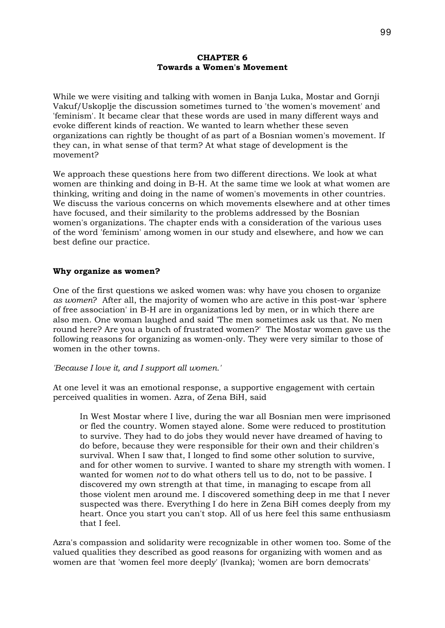# **CHAPTER 6 Towards a Women's Movement**

While we were visiting and talking with women in Banja Luka, Mostar and Gornji Vakuf/Uskoplje the discussion sometimes turned to 'the women's movement' and 'feminism'. It became clear that these words are used in many different ways and evoke different kinds of reaction. We wanted to learn whether these seven organizations can rightly be thought of as part of a Bosnian women's movement. If they can, in what sense of that term? At what stage of development is the movement?

We approach these questions here from two different directions. We look at what women are thinking and doing in B-H. At the same time we look at what women are thinking, writing and doing in the name of women's movements in other countries. We discuss the various concerns on which movements elsewhere and at other times have focused, and their similarity to the problems addressed by the Bosnian women's organizations. The chapter ends with a consideration of the various uses of the word 'feminism' among women in our study and elsewhere, and how we can best define our practice.

# **Why organize as women?**

One of the first questions we asked women was: why have you chosen to organize *as women*? After all, the majority of women who are active in this post-war 'sphere of free association' in B-H are in organizations led by men, or in which there are also men. One woman laughed and said 'The men sometimes ask us that. No men round here? Are you a bunch of frustrated women?' The Mostar women gave us the following reasons for organizing as women-only. They were very similar to those of women in the other towns.

# *'Because I love it, and I support all women.'*

At one level it was an emotional response, a supportive engagement with certain perceived qualities in women. Azra, of Zena BiH, said

In West Mostar where I live, during the war all Bosnian men were imprisoned or fled the country. Women stayed alone. Some were reduced to prostitution to survive. They had to do jobs they would never have dreamed of having to do before, because they were responsible for their own and their children's survival. When I saw that, I longed to find some other solution to survive, and for other women to survive. I wanted to share my strength with women. I wanted for women *not* to do what others tell us to do, not to be passive. I discovered my own strength at that time, in managing to escape from all those violent men around me. I discovered something deep in me that I never suspected was there. Everything I do here in Zena BiH comes deeply from my heart. Once you start you can't stop. All of us here feel this same enthusiasm that I feel.

Azra's compassion and solidarity were recognizable in other women too. Some of the valued qualities they described as good reasons for organizing with women and as women are that 'women feel more deeply' (Ivanka); 'women are born democrats'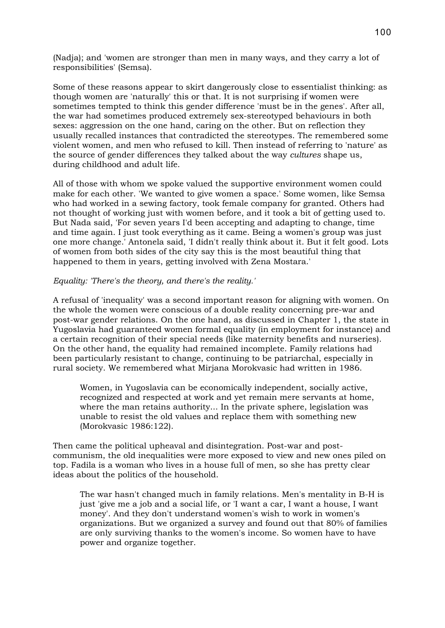(Nadja); and 'women are stronger than men in many ways, and they carry a lot of responsibilities' (Semsa).

Some of these reasons appear to skirt dangerously close to essentialist thinking: as though women are 'naturally' this or that. It is not surprising if women were sometimes tempted to think this gender difference 'must be in the genes'. After all, the war had sometimes produced extremely sex-stereotyped behaviours in both sexes: aggression on the one hand, caring on the other. But on reflection they usually recalled instances that contradicted the stereotypes. The remembered some violent women, and men who refused to kill. Then instead of referring to 'nature' as the source of gender differences they talked about the way *cultures* shape us, during childhood and adult life.

All of those with whom we spoke valued the supportive environment women could make for each other. 'We wanted to give women a space.' Some women, like Semsa who had worked in a sewing factory, took female company for granted. Others had not thought of working just with women before, and it took a bit of getting used to. But Nada said, 'For seven years I'd been accepting and adapting to change, time and time again. I just took everything as it came. Being a women's group was just one more change.' Antonela said, 'I didn't really think about it. But it felt good. Lots of women from both sides of the city say this is the most beautiful thing that happened to them in years, getting involved with Zena Mostara.'

# *Equality: 'There's the theory, and there's the reality.'*

A refusal of 'inequality' was a second important reason for aligning with women. On the whole the women were conscious of a double reality concerning pre-war and post-war gender relations. On the one hand, as discussed in Chapter 1, the state in Yugoslavia had guaranteed women formal equality (in employment for instance) and a certain recognition of their special needs (like maternity benefits and nurseries). On the other hand, the equality had remained incomplete. Family relations had been particularly resistant to change, continuing to be patriarchal, especially in rural society. We remembered what Mirjana Morokvasic had written in 1986.

Women, in Yugoslavia can be economically independent, socially active, recognized and respected at work and yet remain mere servants at home, where the man retains authority... In the private sphere, legislation was unable to resist the old values and replace them with something new (Morokvasic 1986:122).

Then came the political upheaval and disintegration. Post-war and postcommunism, the old inequalities were more exposed to view and new ones piled on top. Fadila is a woman who lives in a house full of men, so she has pretty clear ideas about the politics of the household.

The war hasn't changed much in family relations. Men's mentality in B-H is just 'give me a job and a social life, or 'I want a car, I want a house, I want money'. And they don't understand women's wish to work in women's organizations. But we organized a survey and found out that 80% of families are only surviving thanks to the women's income. So women have to have power and organize together.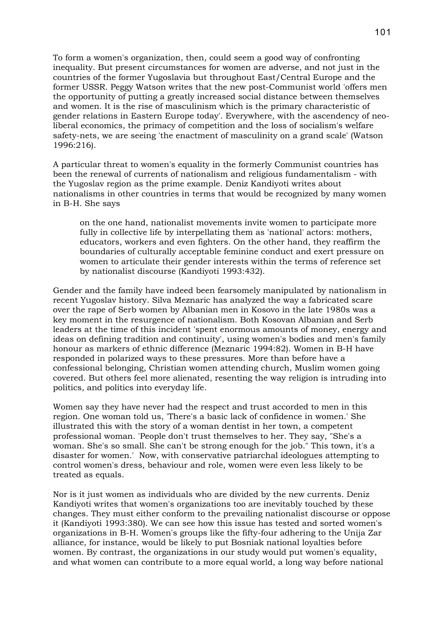To form a women's organization, then, could seem a good way of confronting inequality. But present circumstances for women are adverse, and not just in the countries of the former Yugoslavia but throughout East/Central Europe and the former USSR. Peggy Watson writes that the new post-Communist world 'offers men the opportunity of putting a greatly increased social distance between themselves and women. It is the rise of masculinism which is the primary characteristic of gender relations in Eastern Europe today'. Everywhere, with the ascendency of neoliberal economics, the primacy of competition and the loss of socialism's welfare safety-nets, we are seeing 'the enactment of masculinity on a grand scale' (Watson 1996:216).

A particular threat to women's equality in the formerly Communist countries has been the renewal of currents of nationalism and religious fundamentalism - with the Yugoslav region as the prime example. Deniz Kandiyoti writes about nationalisms in other countries in terms that would be recognized by many women in B-H. She says

on the one hand, nationalist movements invite women to participate more fully in collective life by interpellating them as 'national' actors: mothers, educators, workers and even fighters. On the other hand, they reaffirm the boundaries of culturally acceptable feminine conduct and exert pressure on women to articulate their gender interests within the terms of reference set by nationalist discourse (Kandiyoti 1993:432).

Gender and the family have indeed been fearsomely manipulated by nationalism in recent Yugoslav history. Silva Meznaric has analyzed the way a fabricated scare over the rape of Serb women by Albanian men in Kosovo in the late 1980s was a key moment in the resurgence of nationalism. Both Kosovan Albanian and Serb leaders at the time of this incident 'spent enormous amounts of money, energy and ideas on defining tradition and continuity', using women's bodies and men's family honour as markers of ethnic difference (Meznaric 1994:82). Women in B-H have responded in polarized ways to these pressures. More than before have a confessional belonging, Christian women attending church, Muslim women going covered. But others feel more alienated, resenting the way religion is intruding into politics, and politics into everyday life.

Women say they have never had the respect and trust accorded to men in this region. One woman told us, 'There's a basic lack of confidence in women.' She illustrated this with the story of a woman dentist in her town, a competent professional woman. 'People don't trust themselves to her. They say, "She's a woman. She's so small. She can't be strong enough for the job." This town, it's a disaster for women.' Now, with conservative patriarchal ideologues attempting to control women's dress, behaviour and role, women were even less likely to be treated as equals.

Nor is it just women as individuals who are divided by the new currents. Deniz Kandiyoti writes that women's organizations too are inevitably touched by these changes. They must either conform to the prevailing nationalist discourse or oppose it (Kandiyoti 1993:380). We can see how this issue has tested and sorted women's organizations in B-H. Women's groups like the fifty-four adhering to the Unija Zar alliance, for instance, would be likely to put Bosniak national loyalties before women. By contrast, the organizations in our study would put women's equality, and what women can contribute to a more equal world, a long way before national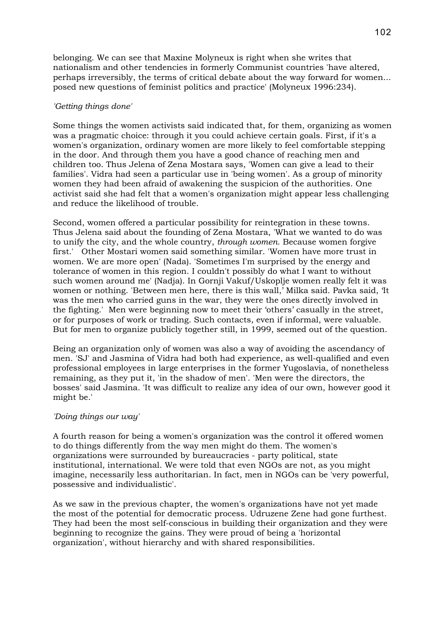belonging. We can see that Maxine Molyneux is right when she writes that nationalism and other tendencies in formerly Communist countries 'have altered, perhaps irreversibly, the terms of critical debate about the way forward for women... posed new questions of feminist politics and practice' (Molyneux 1996:234).

# *'Getting things done'*

Some things the women activists said indicated that, for them, organizing as women was a pragmatic choice: through it you could achieve certain goals. First, if it's a women's organization, ordinary women are more likely to feel comfortable stepping in the door. And through them you have a good chance of reaching men and children too. Thus Jelena of Zena Mostara says, 'Women can give a lead to their families'. Vidra had seen a particular use in 'being women'. As a group of minority women they had been afraid of awakening the suspicion of the authorities. One activist said she had felt that a women's organization might appear less challenging and reduce the likelihood of trouble.

Second, women offered a particular possibility for reintegration in these towns. Thus Jelena said about the founding of Zena Mostara, 'What we wanted to do was to unify the city, and the whole country, *through women*. Because women forgive first.' Other Mostari women said something similar. 'Women have more trust in women. We are more open' (Nada). 'Sometimes I'm surprised by the energy and tolerance of women in this region. I couldn't possibly do what I want to without such women around me' (Nadja). In Gornji Vakuf/Uskoplje women really felt it was women or nothing. 'Between men here, there is this wall,' Milka said. Pavka said, 'It was the men who carried guns in the war, they were the ones directly involved in the fighting.' Men were beginning now to meet their 'others' casually in the street, or for purposes of work or trading. Such contacts, even if informal, were valuable. But for men to organize publicly together still, in 1999, seemed out of the question.

Being an organization only of women was also a way of avoiding the ascendancy of men. 'SJ' and Jasmina of Vidra had both had experience, as well-qualified and even professional employees in large enterprises in the former Yugoslavia, of nonetheless remaining, as they put it, 'in the shadow of men'. 'Men were the directors, the bosses' said Jasmina. 'It was difficult to realize any idea of our own, however good it might be.'

# *'Doing things our way'*

A fourth reason for being a women's organization was the control it offered women to do things differently from the way men might do them. The women's organizations were surrounded by bureaucracies - party political, state institutional, international. We were told that even NGOs are not, as you might imagine, necessarily less authoritarian. In fact, men in NGOs can be 'very powerful, possessive and individualistic'.

As we saw in the previous chapter, the women's organizations have not yet made the most of the potential for democratic process. Udruzene Zene had gone furthest. They had been the most self-conscious in building their organization and they were beginning to recognize the gains. They were proud of being a 'horizontal organization', without hierarchy and with shared responsibilities.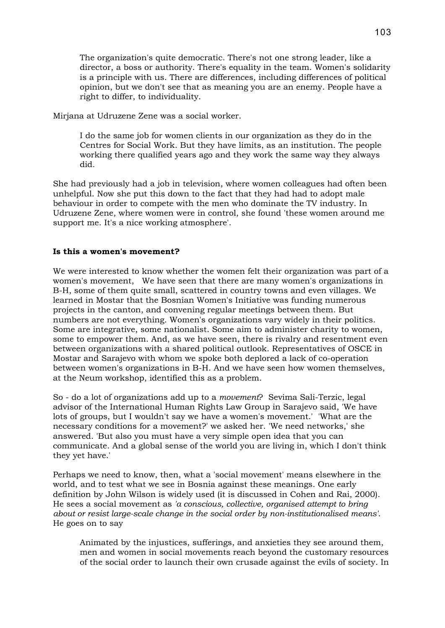The organization's quite democratic. There's not one strong leader, like a director, a boss or authority. There's equality in the team. Women's solidarity is a principle with us. There are differences, including differences of political opinion, but we don't see that as meaning you are an enemy. People have a right to differ, to individuality.

Mirjana at Udruzene Zene was a social worker.

I do the same job for women clients in our organization as they do in the Centres for Social Work. But they have limits, as an institution. The people working there qualified years ago and they work the same way they always did.

She had previously had a job in television, where women colleagues had often been unhelpful. Now she put this down to the fact that they had had to adopt male behaviour in order to compete with the men who dominate the TV industry. In Udruzene Zene, where women were in control, she found 'these women around me support me. It's a nice working atmosphere'.

# **Is this a women's movement?**

We were interested to know whether the women felt their organization was part of a women's movement, We have seen that there are many women's organizations in B-H, some of them quite small, scattered in country towns and even villages. We learned in Mostar that the Bosnian Women's Initiative was funding numerous projects in the canton, and convening regular meetings between them. But numbers are not everything. Women's organizations vary widely in their politics. Some are integrative, some nationalist. Some aim to administer charity to women, some to empower them. And, as we have seen, there is rivalry and resentment even between organizations with a shared political outlook. Representatives of OSCE in Mostar and Sarajevo with whom we spoke both deplored a lack of co-operation between women's organizations in B-H. And we have seen how women themselves, at the Neum workshop, identified this as a problem.

So - do a lot of organizations add up to a *movement*? Sevima Sali-Terzic, legal advisor of the International Human Rights Law Group in Sarajevo said, 'We have lots of groups, but I wouldn't say we have a women's movement.' 'What are the necessary conditions for a movement?' we asked her. 'We need networks,' she answered. 'But also you must have a very simple open idea that you can communicate. And a global sense of the world you are living in, which I don't think they yet have.'

Perhaps we need to know, then, what a 'social movement' means elsewhere in the world, and to test what we see in Bosnia against these meanings. One early definition by John Wilson is widely used (it is discussed in Cohen and Rai, 2000). He sees a social movement as *'a conscious, collective, organised attempt to bring about or resist large-scale change in the social order by non-institutionalised means'*. He goes on to say

Animated by the injustices, sufferings, and anxieties they see around them, men and women in social movements reach beyond the customary resources of the social order to launch their own crusade against the evils of society. In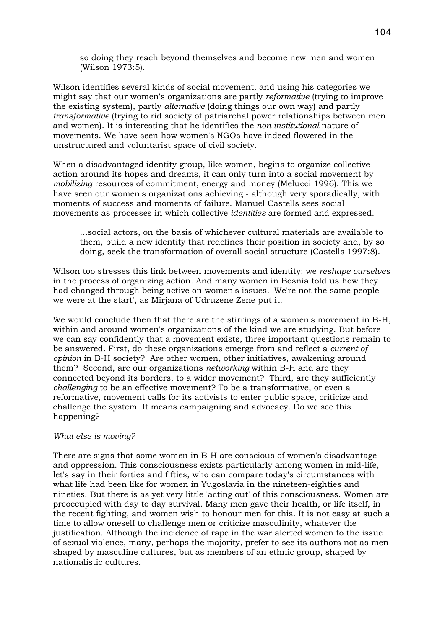so doing they reach beyond themselves and become new men and women (Wilson 1973:5).

Wilson identifies several kinds of social movement, and using his categories we might say that our women's organizations are partly *reformative* (trying to improve the existing system), partly *alternative* (doing things our own way) and partly *transformative* (trying to rid society of patriarchal power relationships between men and women). It is interesting that he identifies the *non-institutional* nature of movements. We have seen how women's NGOs have indeed flowered in the unstructured and voluntarist space of civil society.

When a disadvantaged identity group, like women, begins to organize collective action around its hopes and dreams, it can only turn into a social movement by *mobilizing* resources of commitment, energy and money (Melucci 1996). This we have seen our women's organizations achieving - although very sporadically, with moments of success and moments of failure. Manuel Castells sees social movements as processes in which collective *identities* are formed and expressed.

...social actors, on the basis of whichever cultural materials are available to them, build a new identity that redefines their position in society and, by so doing, seek the transformation of overall social structure (Castells 1997:8).

Wilson too stresses this link between movements and identity: we *reshape ourselves* in the process of organizing action. And many women in Bosnia told us how they had changed through being active on women's issues. 'We're not the same people we were at the start', as Mirjana of Udruzene Zene put it.

We would conclude then that there are the stirrings of a women's movement in B-H, within and around women's organizations of the kind we are studying. But before we can say confidently that a movement exists, three important questions remain to be answered. First, do these organizations emerge from and reflect a *current of opinion* in B-H society? Are other women, other initiatives, awakening around them? Second, are our organizations *networking* within B-H and are they connected beyond its borders, to a wider movement? Third, are they sufficiently *challenging* to be an effective movement? To be a transformative, or even a reformative, movement calls for its activists to enter public space, criticize and challenge the system. It means campaigning and advocacy. Do we see this happening?

# *What else is moving?*

There are signs that some women in B-H are conscious of women's disadvantage and oppression. This consciousness exists particularly among women in mid-life, let's say in their forties and fifties, who can compare today's circumstances with what life had been like for women in Yugoslavia in the nineteen-eighties and nineties. But there is as yet very little 'acting out' of this consciousness. Women are preoccupied with day to day survival. Many men gave their health, or life itself, in the recent fighting, and women wish to honour men for this. It is not easy at such a time to allow oneself to challenge men or criticize masculinity, whatever the justification. Although the incidence of rape in the war alerted women to the issue of sexual violence, many, perhaps the majority, prefer to see its authors not as men shaped by masculine cultures, but as members of an ethnic group, shaped by nationalistic cultures.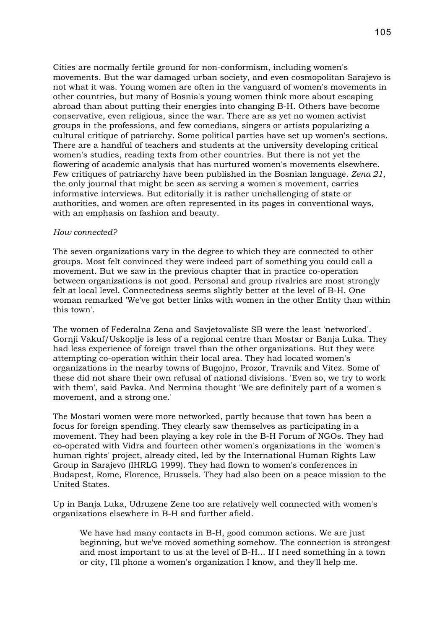Cities are normally fertile ground for non-conformism, including women's movements. But the war damaged urban society, and even cosmopolitan Sarajevo is not what it was. Young women are often in the vanguard of women's movements in other countries, but many of Bosnia's young women think more about escaping abroad than about putting their energies into changing B-H. Others have become conservative, even religious, since the war. There are as yet no women activist groups in the professions, and few comedians, singers or artists popularizing a cultural critique of patriarchy. Some political parties have set up women's sections. There are a handful of teachers and students at the university developing critical women's studies, reading texts from other countries. But there is not yet the flowering of academic analysis that has nurtured women's movements elsewhere. Few critiques of patriarchy have been published in the Bosnian language. *Zena 21*, the only journal that might be seen as serving a women's movement, carries informative interviews. But editorially it is rather unchallenging of state or authorities, and women are often represented in its pages in conventional ways, with an emphasis on fashion and beauty.

### *How connected?*

The seven organizations vary in the degree to which they are connected to other groups. Most felt convinced they were indeed part of something you could call a movement. But we saw in the previous chapter that in practice co-operation between organizations is not good. Personal and group rivalries are most strongly felt at local level. Connectedness seems slightly better at the level of B-H. One woman remarked 'We've got better links with women in the other Entity than within this town'.

The women of Federalna Zena and Savjetovaliste SB were the least 'networked'. Gornji Vakuf/Uskoplje is less of a regional centre than Mostar or Banja Luka. They had less experience of foreign travel than the other organizations. But they were attempting co-operation within their local area. They had located women's organizations in the nearby towns of Bugojno, Prozor, Travnik and Vitez. Some of these did not share their own refusal of national divisions. 'Even so, we try to work with them', said Pavka. And Nermina thought 'We are definitely part of a women's movement, and a strong one.'

The Mostari women were more networked, partly because that town has been a focus for foreign spending. They clearly saw themselves as participating in a movement. They had been playing a key role in the B-H Forum of NGOs. They had co-operated with Vidra and fourteen other women's organizations in the 'women's human rights' project, already cited, led by the International Human Rights Law Group in Sarajevo (IHRLG 1999). They had flown to women's conferences in Budapest, Rome, Florence, Brussels. They had also been on a peace mission to the United States.

Up in Banja Luka, Udruzene Zene too are relatively well connected with women's organizations elsewhere in B-H and further afield.

We have had many contacts in B-H, good common actions. We are just beginning, but we've moved something somehow. The connection is strongest and most important to us at the level of B-H... If I need something in a town or city, I'll phone a women's organization I know, and they'll help me.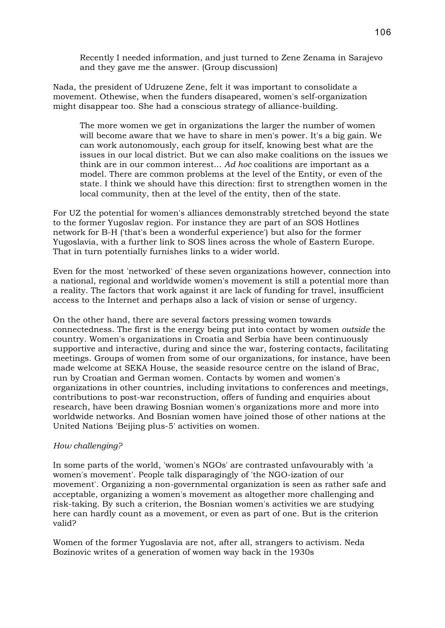Recently I needed information, and just turned to Zene Zenama in Sarajevo and they gave me the answer. (Group discussion)

Nada, the president of Udruzene Zene, felt it was important to consolidate a movement. Othewise, when the funders disapeared, women's self-organization might disappear too. She had a conscious strategy of alliance-building.

The more women we get in organizations the larger the number of women will become aware that we have to share in men's power. It's a big gain. We can work autonomously, each group for itself, knowing best what are the issues in our local district. But we can also make coalitions on the issues we think are in our common interest... *Ad hoc* coalitions are important as a model. There are common problems at the level of the Entity, or even of the state. I think we should have this direction: first to strengthen women in the local community, then at the level of the entity, then of the state.

For UZ the potential for women's alliances demonstrably stretched beyond the state to the former Yugoslav region. For instance they are part of an SOS Hotlines network for B-H ('that's been a wonderful experience') but also for the former Yugoslavia, with a further link to SOS lines across the whole of Eastern Europe. That in turn potentially furnishes links to a wider world.

Even for the most 'networked' of these seven organizations however, connection into a national, regional and worldwide women's movement is still a potential more than a reality. The factors that work against it are lack of funding for travel, insufficient access to the Internet and perhaps also a lack of vision or sense of urgency.

On the other hand, there are several factors pressing women towards connectedness. The first is the energy being put into contact by women *outside* the country. Women's organizations in Croatia and Serbia have been continuously supportive and interactive, during and since the war, fostering contacts, facilitating meetings. Groups of women from some of our organizations, for instance, have been made welcome at SEKA House, the seaside resource centre on the island of Brac, run by Croatian and German women. Contacts by women and women's organizations in other countries, including invitations to conferences and meetings, contributions to post-war reconstruction, offers of funding and enquiries about research, have been drawing Bosnian women's organizations more and more into worldwide networks. And Bosnian women have joined those of other nations at the United Nations 'Beijing plus-5' activities on women.

# *How challenging?*

In some parts of the world, 'women's NGOs' are contrasted unfavourably with 'a women's movement'. People talk disparagingly of 'the NGO-ization of our movement'. Organizing a non-governmental organization is seen as rather safe and acceptable, organizing a women's movement as altogether more challenging and risk-taking. By such a criterion, the Bosnian women's activities we are studying here can hardly count as a movement, or even as part of one. But is the criterion valid?

Women of the former Yugoslavia are not, after all, strangers to activism. Neda Bozinovic writes of a generation of women way back in the 1930s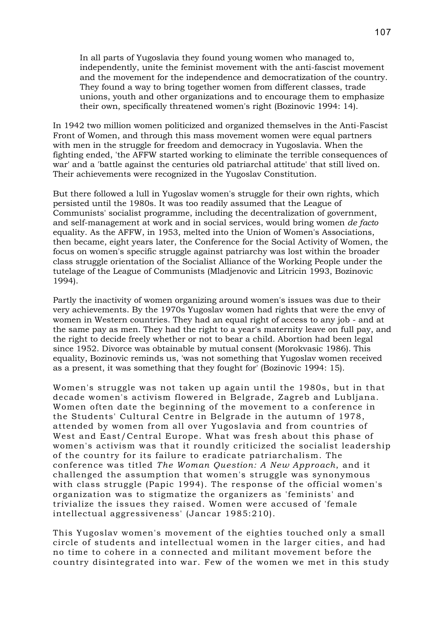In all parts of Yugoslavia they found young women who managed to, independently, unite the feminist movement with the anti-fascist movement and the movement for the independence and democratization of the country. They found a way to bring together women from different classes, trade unions, youth and other organizations and to encourage them to emphasize their own, specifically threatened women's right (Bozinovic 1994: 14).

In 1942 two million women politicized and organized themselves in the Anti-Fascist Front of Women, and through this mass movement women were equal partners with men in the struggle for freedom and democracy in Yugoslavia. When the fighting ended, 'the AFFW started working to eliminate the terrible consequences of war' and a 'battle against the centuries old patriarchal attitude' that still lived on. Their achievements were recognized in the Yugoslav Constitution.

But there followed a lull in Yugoslav women's struggle for their own rights, which persisted until the 1980s. It was too readily assumed that the League of Communists' socialist programme, including the decentralization of government, and self-management at work and in social services, would bring women *de facto* equality. As the AFFW, in 1953, melted into the Union of Women's Associations, then became, eight years later, the Conference for the Social Activity of Women, the focus on women's specific struggle against patriarchy was lost within the broader class struggle orientation of the Socialist Alliance of the Working People under the tutelage of the League of Communists (Mladjenovic and Litricin 1993, Bozinovic 1994).

Partly the inactivity of women organizing around women's issues was due to their very achievements. By the 1970s Yugoslav women had rights that were the envy of women in Western countries. They had an equal right of access to any job - and at the same pay as men. They had the right to a year's maternity leave on full pay, and the right to decide freely whether or not to bear a child. Abortion had been legal since 1952. Divorce was obtainable by mutual consent (Morokvasic 1986). This equality, Bozinovic reminds us, 'was not something that Yugoslav women received as a present, it was something that they fought for' (Bozinovic 1994: 15).

Women's struggle was not taken up again until the 1980s, but in that decade women's activism flowered in Belgrade, Zagreb and Lubljana. Women often date the beginning of the movement to a conference in the Students' Cultural Centre in Belgrade in the autumn of 1978, attended by women from all over Yugoslavia and from countries of West and East/Central Europe. What was fresh about this phase of women's activism was that it roundly criticized the socialist leadership of the country for its failure to eradicate patriarchalism. The conference was titled *The Woman Question: A New Approach*, and it challenged the assumption that women's struggle was synonymous with class struggle (Papic 1994). The response of the official women's organization was to stigmatize the organizers as 'feminists' and trivialize the issues they raised. Women were accused of 'female intellectual aggressiveness' (Jancar 1985:210).

This Yugoslav women's movement of the eighties touched only a small circle of students and intellectual women in the larger cities, and had no time to cohere in a connected and militant movement before the country disintegrated into war. Few of the women we met in this study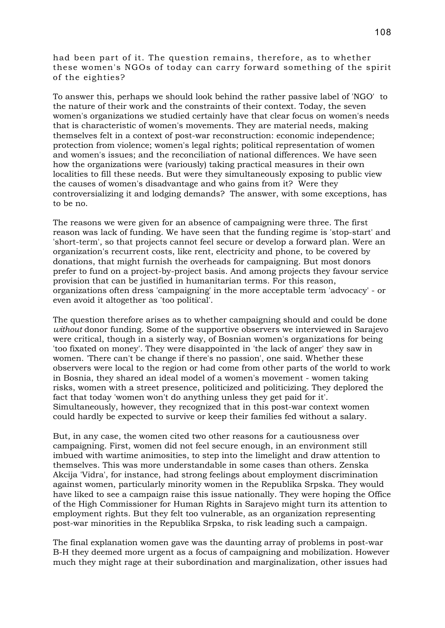had been part of it. The question remains, therefore, as to whether these women's NGOs of today can carry forward something of the spirit of the eighties?

To answer this, perhaps we should look behind the rather passive label of 'NGO' to the nature of their work and the constraints of their context. Today, the seven women's organizations we studied certainly have that clear focus on women's needs that is characteristic of women's movements. They are material needs, making themselves felt in a context of post-war reconstruction: economic independence; protection from violence; women's legal rights; political representation of women and women's issues; and the reconciliation of national differences. We have seen how the organizations were (variously) taking practical measures in their own localities to fill these needs. But were they simultaneously exposing to public view the causes of women's disadvantage and who gains from it? Were they controversializing it and lodging demands? The answer, with some exceptions, has to be no.

The reasons we were given for an absence of campaigning were three. The first reason was lack of funding. We have seen that the funding regime is 'stop-start' and 'short-term', so that projects cannot feel secure or develop a forward plan. Were an organization's recurrent costs, like rent, electricity and phone, to be covered by donations, that might furnish the overheads for campaigning. But most donors prefer to fund on a project-by-project basis. And among projects they favour service provision that can be justified in humanitarian terms. For this reason, organizations often dress 'campaigning' in the more acceptable term 'advocacy' - or even avoid it altogether as 'too political'.

The question therefore arises as to whether campaigning should and could be done *without* donor funding. Some of the supportive observers we interviewed in Sarajevo were critical, though in a sisterly way, of Bosnian women's organizations for being 'too fixated on money'. They were disappointed in 'the lack of anger' they saw in women. 'There can't be change if there's no passion', one said. Whether these observers were local to the region or had come from other parts of the world to work in Bosnia, they shared an ideal model of a women's movement - women taking risks, women with a street presence, politicized and politicizing. They deplored the fact that today 'women won't do anything unless they get paid for it'. Simultaneously, however, they recognized that in this post-war context women could hardly be expected to survive or keep their families fed without a salary.

But, in any case, the women cited two other reasons for a cautiousness over campaigning. First, women did not feel secure enough, in an environment still imbued with wartime animosities, to step into the limelight and draw attention to themselves. This was more understandable in some cases than others. Zenska Akcija 'Vidra', for instance, had strong feelings about employment discrimination against women, particularly minority women in the Republika Srpska. They would have liked to see a campaign raise this issue nationally. They were hoping the Office of the High Commissioner for Human Rights in Sarajevo might turn its attention to employment rights. But they felt too vulnerable, as an organization representing post-war minorities in the Republika Srpska, to risk leading such a campaign.

The final explanation women gave was the daunting array of problems in post-war B-H they deemed more urgent as a focus of campaigning and mobilization. However much they might rage at their subordination and marginalization, other issues had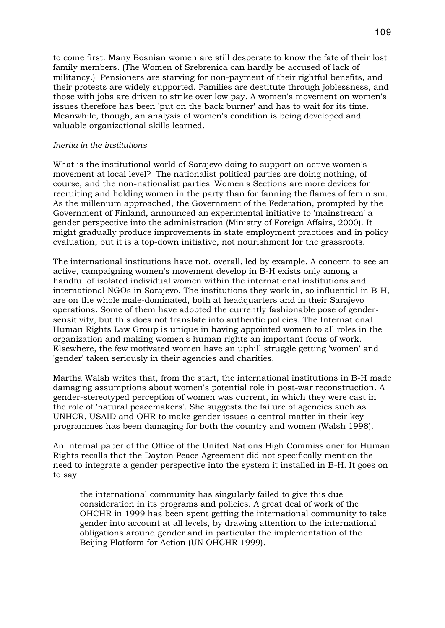to come first. Many Bosnian women are still desperate to know the fate of their lost family members. (The Women of Srebrenica can hardly be accused of lack of militancy.) Pensioners are starving for non-payment of their rightful benefits, and their protests are widely supported. Families are destitute through joblessness, and those with jobs are driven to strike over low pay. A women's movement on women's issues therefore has been 'put on the back burner' and has to wait for its time. Meanwhile, though, an analysis of women's condition is being developed and valuable organizational skills learned.

### *Inertia in the institutions*

What is the institutional world of Sarajevo doing to support an active women's movement at local level? The nationalist political parties are doing nothing, of course, and the non-nationalist parties' Women's Sections are more devices for recruiting and holding women in the party than for fanning the flames of feminism. As the millenium approached, the Government of the Federation, prompted by the Government of Finland, announced an experimental initiative to 'mainstream' a gender perspective into the administration (Ministry of Foreign Affairs, 2000). It might gradually produce improvements in state employment practices and in policy evaluation, but it is a top-down initiative, not nourishment for the grassroots.

The international institutions have not, overall, led by example. A concern to see an active, campaigning women's movement develop in B-H exists only among a handful of isolated individual women within the international institutions and international NGOs in Sarajevo. The institutions they work in, so influential in B-H, are on the whole male-dominated, both at headquarters and in their Sarajevo operations. Some of them have adopted the currently fashionable pose of gendersensitivity, but this does not translate into authentic policies. The International Human Rights Law Group is unique in having appointed women to all roles in the organization and making women's human rights an important focus of work. Elsewhere, the few motivated women have an uphill struggle getting 'women' and 'gender' taken seriously in their agencies and charities.

Martha Walsh writes that, from the start, the international institutions in B-H made damaging assumptions about women's potential role in post-war reconstruction. A gender-stereotyped perception of women was current, in which they were cast in the role of 'natural peacemakers'. She suggests the failure of agencies such as UNHCR, USAID and OHR to make gender issues a central matter in their key programmes has been damaging for both the country and women (Walsh 1998).

An internal paper of the Office of the United Nations High Commissioner for Human Rights recalls that the Dayton Peace Agreement did not specifically mention the need to integrate a gender perspective into the system it installed in B-H. It goes on to say

the international community has singularly failed to give this due consideration in its programs and policies. A great deal of work of the OHCHR in 1999 has been spent getting the international community to take gender into account at all levels, by drawing attention to the international obligations around gender and in particular the implementation of the Beijing Platform for Action (UN OHCHR 1999).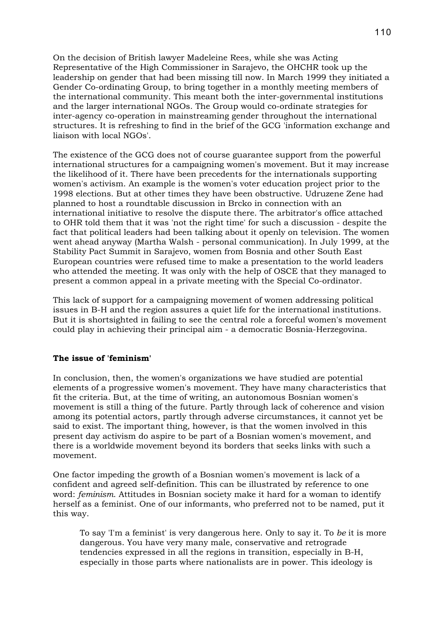On the decision of British lawyer Madeleine Rees, while she was Acting Representative of the High Commissioner in Sarajevo, the OHCHR took up the leadership on gender that had been missing till now. In March 1999 they initiated a Gender Co-ordinating Group, to bring together in a monthly meeting members of the international community. This meant both the inter-governmental institutions and the larger international NGOs. The Group would co-ordinate strategies for inter-agency co-operation in mainstreaming gender throughout the international structures. It is refreshing to find in the brief of the GCG 'information exchange and liaison with local NGOs'.

The existence of the GCG does not of course guarantee support from the powerful international structures for a campaigning women's movement. But it may increase the likelihood of it. There have been precedents for the internationals supporting women's activism. An example is the women's voter education project prior to the 1998 elections. But at other times they have been obstructive. Udruzene Zene had planned to host a roundtable discussion in Brcko in connection with an international initiative to resolve the dispute there. The arbitrator's office attached to OHR told them that it was 'not the right time' for such a discussion - despite the fact that political leaders had been talking about it openly on television. The women went ahead anyway (Martha Walsh - personal communication). In July 1999, at the Stability Pact Summit in Sarajevo, women from Bosnia and other South East European countries were refused time to make a presentation to the world leaders who attended the meeting. It was only with the help of OSCE that they managed to present a common appeal in a private meeting with the Special Co-ordinator.

This lack of support for a campaigning movement of women addressing political issues in B-H and the region assures a quiet life for the international institutions. But it is shortsighted in failing to see the central role a forceful women's movement could play in achieving their principal aim - a democratic Bosnia-Herzegovina.

### **The issue of 'feminism'**

In conclusion, then, the women's organizations we have studied are potential elements of a progressive women's movement. They have many characteristics that fit the criteria. But, at the time of writing, an autonomous Bosnian women's movement is still a thing of the future. Partly through lack of coherence and vision among its potential actors, partly through adverse circumstances, it cannot yet be said to exist. The important thing, however, is that the women involved in this present day activism do aspire to be part of a Bosnian women's movement, and there is a worldwide movement beyond its borders that seeks links with such a movement.

One factor impeding the growth of a Bosnian women's movement is lack of a confident and agreed self-definition. This can be illustrated by reference to one word: *feminism*. Attitudes in Bosnian society make it hard for a woman to identify herself as a feminist. One of our informants, who preferred not to be named, put it this way.

To say 'I'm a feminist' is very dangerous here. Only to say it. To *be* it is more dangerous. You have very many male, conservative and retrograde tendencies expressed in all the regions in transition, especially in B-H, especially in those parts where nationalists are in power. This ideology is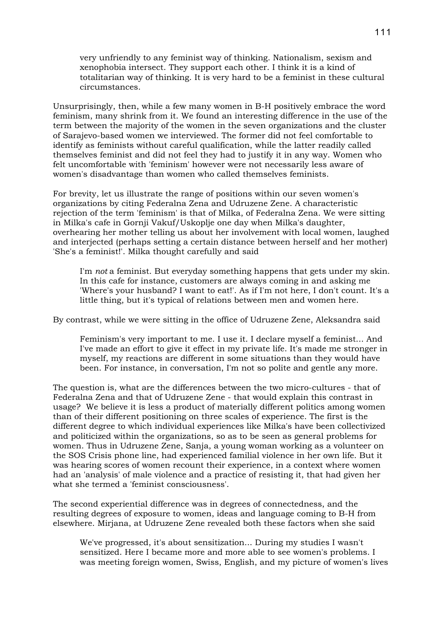very unfriendly to any feminist way of thinking. Nationalism, sexism and xenophobia intersect. They support each other. I think it is a kind of totalitarian way of thinking. It is very hard to be a feminist in these cultural circumstances.

Unsurprisingly, then, while a few many women in B-H positively embrace the word feminism, many shrink from it. We found an interesting difference in the use of the term between the majority of the women in the seven organizations and the cluster of Sarajevo-based women we interviewed. The former did not feel comfortable to identify as feminists without careful qualification, while the latter readily called themselves feminist and did not feel they had to justify it in any way. Women who felt uncomfortable with 'feminism' however were not necessarily less aware of women's disadvantage than women who called themselves feminists.

For brevity, let us illustrate the range of positions within our seven women's organizations by citing Federalna Zena and Udruzene Zene. A characteristic rejection of the term 'feminism' is that of Milka, of Federalna Zena. We were sitting in Milka's cafe in Gornji Vakuf/Uskoplje one day when Milka's daughter, overhearing her mother telling us about her involvement with local women, laughed and interjected (perhaps setting a certain distance between herself and her mother) 'She's a feminist!'. Milka thought carefully and said

I'm *not* a feminist. But everyday something happens that gets under my skin. In this cafe for instance, customers are always coming in and asking me 'Where's your husband? I want to eat!'. As if I'm not here, I don't count. It's a little thing, but it's typical of relations between men and women here.

By contrast, while we were sitting in the office of Udruzene Zene, Aleksandra said

Feminism's very important to me. I use it. I declare myself a feminist... And I've made an effort to give it effect in my private life. It's made me stronger in myself, my reactions are different in some situations than they would have been. For instance, in conversation, I'm not so polite and gentle any more.

The question is, what are the differences between the two micro-cultures - that of Federalna Zena and that of Udruzene Zene - that would explain this contrast in usage? We believe it is less a product of materially different politics among women than of their different positioning on three scales of experience. The first is the different degree to which individual experiences like Milka's have been collectivized and politicized within the organizations, so as to be seen as general problems for women. Thus in Udruzene Zene, Sanja, a young woman working as a volunteer on the SOS Crisis phone line, had experienced familial violence in her own life. But it was hearing scores of women recount their experience, in a context where women had an 'analysis' of male violence and a practice of resisting it, that had given her what she termed a 'feminist consciousness'.

The second experiential difference was in degrees of connectedness, and the resulting degrees of exposure to women, ideas and language coming to B-H from elsewhere. Mirjana, at Udruzene Zene revealed both these factors when she said

We've progressed, it's about sensitization... During my studies I wasn't sensitized. Here I became more and more able to see women's problems. I was meeting foreign women, Swiss, English, and my picture of women's lives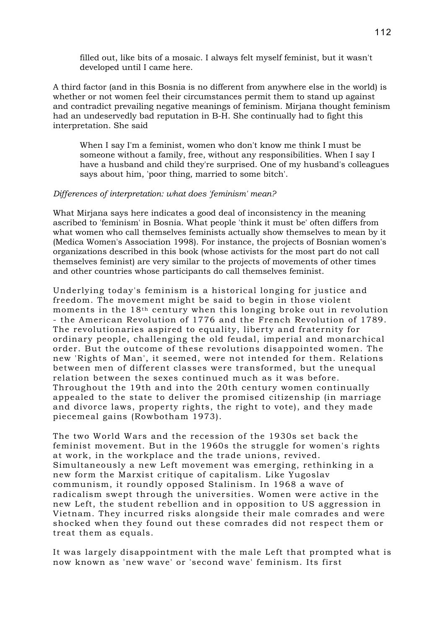filled out, like bits of a mosaic. I always felt myself feminist, but it wasn't developed until I came here.

A third factor (and in this Bosnia is no different from anywhere else in the world) is whether or not women feel their circumstances permit them to stand up against and contradict prevailing negative meanings of feminism. Mirjana thought feminism had an undeservedly bad reputation in B-H. She continually had to fight this interpretation. She said

When I say I'm a feminist, women who don't know me think I must be someone without a family, free, without any responsibilities. When I say I have a husband and child they're surprised. One of my husband's colleagues says about him, 'poor thing, married to some bitch'.

#### *Differences of interpretation: what does 'feminism' mean?*

What Mirjana says here indicates a good deal of inconsistency in the meaning ascribed to 'feminism' in Bosnia. What people 'think it must be' often differs from what women who call themselves feminists actually show themselves to mean by it (Medica Women's Association 1998). For instance, the projects of Bosnian women's organizations described in this book (whose activists for the most part do not call themselves feminist) are very similar to the projects of movements of other times and other countries whose participants do call themselves feminist.

Underlying today's feminism is a historical longing for justice and freedom. The movement might be said to begin in those violent moments in the 18th century when this longing broke out in revolution - the American Revolution of 1776 and the French Revolution of 1789. The revolutionaries aspired to equality, liberty and fraternity for ordinary people, challenging the old feudal, imperial and monarchical order. But the outcome of these revolutions disappointed women. The new 'Rights of Man', it seemed, were not intended for them. Relations between men of different classes were transformed, but the unequal relation between the sexes continued much as it was before. Throughout the 19th and into the 20th century women continually appealed to the state to deliver the promised citizenship (in marriage and divorce laws, property rights, the right to vote), and they made piecemeal gains (Rowbotham 1973).

The two World Wars and the recession of the 1930s set back the feminist movement. But in the 1960s the struggle for women's rights at work, in the workplace and the trade unions, revived. Simultaneously a new Left movement was emerging, rethinking in a new form the Marxist critique of capitalism. Like Yugoslav communism, it roundly opposed Stalinism. In 1968 a wave of radicalism swept through the universities. Women were active in the new Left, the student rebellion and in opposition to US aggression in Vietnam. They incurred risks alongside their male comrades and were shocked when they found out these comrades did not respect them or treat them as equals.

It was largely disappointment with the male Left that prompted what is now known as 'new wave' or 'second wave' feminism. Its first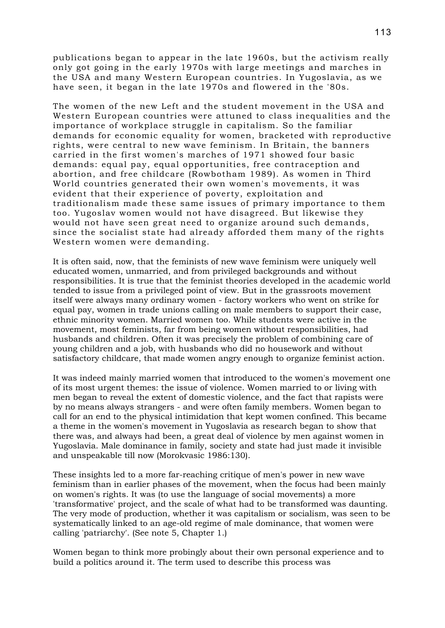publications began to appear in the late 1960s, but the activism really only got going in the early 1970s with large meetings and marches in the USA and many Western European countries. In Yugoslavia, as we have seen, it began in the late 1970s and flowered in the '80s.

The women of the new Left and the student movement in the USA and Western European countries were attuned to class inequalities and the importance of workplace struggle in capitalism. So the familiar demands for economic equality for women, bracketed with reproductive rights, were central to new wave feminism. In Britain, the banners carried in the first women's marches of 1971 showed four basic demands: equal pay, equal opportunities, free contraception and abortion, and free childcare (Rowbotham 1989). As women in Third World countries generated their own women's movements, it was evident that their experience of poverty, exploitation and traditionalism made these same issues of primary importance to them too. Yugoslav women would not have disagreed. But likewise they would not have seen great need to organize around such demands, since the socialist state had already afforded them many of the rights Western women were demanding.

It is often said, now, that the feminists of new wave feminism were uniquely well educated women, unmarried, and from privileged backgrounds and without responsibilities. It is true that the feminist theories developed in the academic world tended to issue from a privileged point of view. But in the grassroots movement itself were always many ordinary women - factory workers who went on strike for equal pay, women in trade unions calling on male members to support their case, ethnic minority women. Married women too. While students were active in the movement, most feminists, far from being women without responsibilities, had husbands and children. Often it was precisely the problem of combining care of young children and a job, with husbands who did no housework and without satisfactory childcare, that made women angry enough to organize feminist action.

It was indeed mainly married women that introduced to the women's movement one of its most urgent themes: the issue of violence. Women married to or living with men began to reveal the extent of domestic violence, and the fact that rapists were by no means always strangers - and were often family members. Women began to call for an end to the physical intimidation that kept women confined. This became a theme in the women's movement in Yugoslavia as research began to show that there was, and always had been, a great deal of violence by men against women in Yugoslavia. Male dominance in family, society and state had just made it invisible and unspeakable till now (Morokvasic 1986:130).

These insights led to a more far-reaching critique of men's power in new wave feminism than in earlier phases of the movement, when the focus had been mainly on women's rights. It was (to use the language of social movements) a more 'transformative' project, and the scale of what had to be transformed was daunting. The very mode of production, whether it was capitalism or socialism, was seen to be systematically linked to an age-old regime of male dominance, that women were calling 'patriarchy'. (See note 5, Chapter 1.)

Women began to think more probingly about their own personal experience and to build a politics around it. The term used to describe this process was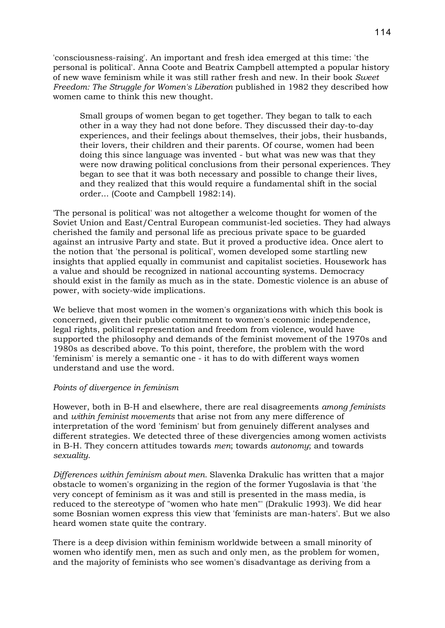'consciousness-raising'. An important and fresh idea emerged at this time: 'the personal is political'. Anna Coote and Beatrix Campbell attempted a popular history of new wave feminism while it was still rather fresh and new. In their book *Sweet Freedom: The Struggle for Women's Liberation* published in 1982 they described how women came to think this new thought.

Small groups of women began to get together. They began to talk to each other in a way they had not done before. They discussed their day-to-day experiences, and their feelings about themselves, their jobs, their husbands, their lovers, their children and their parents. Of course, women had been doing this since language was invented - but what was new was that they were now drawing political conclusions from their personal experiences. They began to see that it was both necessary and possible to change their lives, and they realized that this would require a fundamental shift in the social order... (Coote and Campbell 1982:14).

'The personal is political' was not altogether a welcome thought for women of the Soviet Union and East/Central European communist-led societies. They had always cherished the family and personal life as precious private space to be guarded against an intrusive Party and state. But it proved a productive idea. Once alert to the notion that 'the personal is political', women developed some startling new insights that applied equally in communist and capitalist societies. Housework has a value and should be recognized in national accounting systems. Democracy should exist in the family as much as in the state. Domestic violence is an abuse of power, with society-wide implications.

We believe that most women in the women's organizations with which this book is concerned, given their public commitment to women's economic independence, legal rights, political representation and freedom from violence, would have supported the philosophy and demands of the feminist movement of the 1970s and 1980s as described above. To this point, therefore, the problem with the word 'feminism' is merely a semantic one - it has to do with different ways women understand and use the word.

### *Points of divergence in feminism*

However, both in B-H and elsewhere, there are real disagreements *among feminists* and *within feminist movements* that arise not from any mere difference of interpretation of the word 'feminism' but from genuinely different analyses and different strategies. We detected three of these divergencies among women activists in B-H. They concern attitudes towards *men*; towards *autonomy*; and towards *sexuality*.

*Differences within feminism about men.* Slavenka Drakulic has written that a major obstacle to women's organizing in the region of the former Yugoslavia is that 'the very concept of feminism as it was and still is presented in the mass media, is reduced to the stereotype of "women who hate men"' (Drakulic 1993). We did hear some Bosnian women express this view that 'feminists are man-haters'. But we also heard women state quite the contrary.

There is a deep division within feminism worldwide between a small minority of women who identify men, men as such and only men, as the problem for women, and the majority of feminists who see women's disadvantage as deriving from a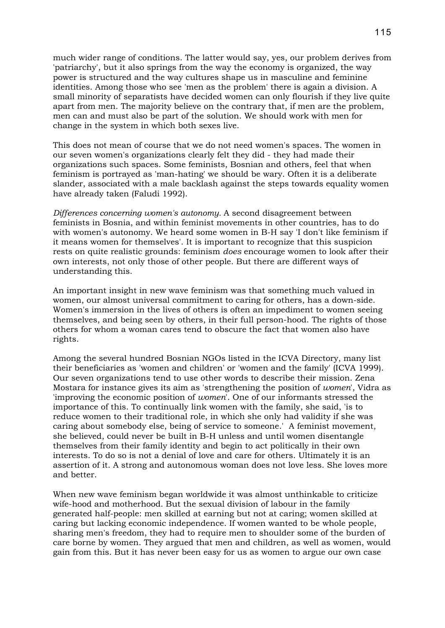much wider range of conditions. The latter would say, yes, our problem derives from 'patriarchy', but it also springs from the way the economy is organized, the way power is structured and the way cultures shape us in masculine and feminine identities. Among those who see 'men as the problem' there is again a division. A small minority of separatists have decided women can only flourish if they live quite apart from men. The majority believe on the contrary that, if men are the problem, men can and must also be part of the solution. We should work with men for change in the system in which both sexes live.

This does not mean of course that we do not need women's spaces. The women in our seven women's organizations clearly felt they did - they had made their organizations such spaces. Some feminists, Bosnian and others, feel that when feminism is portrayed as 'man-hating' we should be wary. Often it is a deliberate slander, associated with a male backlash against the steps towards equality women have already taken (Faludi 1992).

*Differences concerning women's autonomy.* A second disagreement between feminists in Bosnia, and within feminist movements in other countries, has to do with women's autonomy. We heard some women in B-H say 'I don't like feminism if it means women for themselves'. It is important to recognize that this suspicion rests on quite realistic grounds: feminism *does* encourage women to look after their own interests, not only those of other people. But there are different ways of understanding this.

An important insight in new wave feminism was that something much valued in women, our almost universal commitment to caring for others, has a down-side. Women's immersion in the lives of others is often an impediment to women seeing themselves, and being seen by others, in their full person-hood. The rights of those others for whom a woman cares tend to obscure the fact that women also have rights.

Among the several hundred Bosnian NGOs listed in the ICVA Directory, many list their beneficiaries as 'women and children' or 'women and the family' (ICVA 1999). Our seven organizations tend to use other words to describe their mission. Zena Mostara for instance gives its aim as 'strengthening the position of *women*', Vidra as 'improving the economic position of *women*'. One of our informants stressed the importance of this. To continually link women with the family, she said, 'is to reduce women to their traditional role, in which she only had validity if she was caring about somebody else, being of service to someone.' A feminist movement, she believed, could never be built in B-H unless and until women disentangle themselves from their family identity and begin to act politically in their own interests. To do so is not a denial of love and care for others. Ultimately it is an assertion of it. A strong and autonomous woman does not love less. She loves more and better.

When new wave feminism began worldwide it was almost unthinkable to criticize wife-hood and motherhood. But the sexual division of labour in the family generated half-people: men skilled at earning but not at caring; women skilled at caring but lacking economic independence. If women wanted to be whole people, sharing men's freedom, they had to require men to shoulder some of the burden of care borne by women. They argued that men and children, as well as women, would gain from this. But it has never been easy for us as women to argue our own case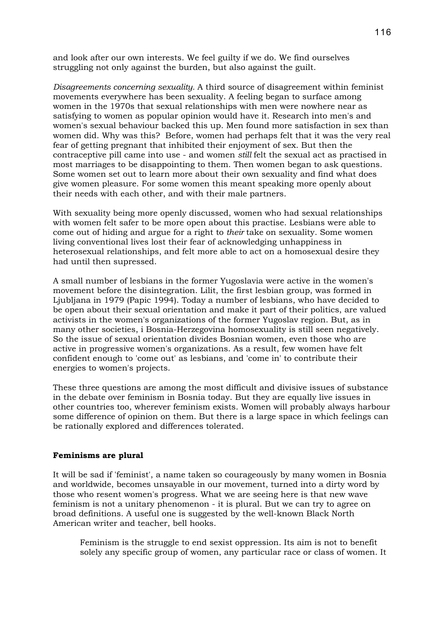and look after our own interests. We feel guilty if we do. We find ourselves struggling not only against the burden, but also against the guilt.

*Disagreements concerning sexuality.* A third source of disagreement within feminist movements everywhere has been sexuality. A feeling began to surface among women in the 1970s that sexual relationships with men were nowhere near as satisfying to women as popular opinion would have it. Research into men's and women's sexual behaviour backed this up. Men found more satisfaction in sex than women did. Why was this? Before, women had perhaps felt that it was the very real fear of getting pregnant that inhibited their enjoyment of sex. But then the contraceptive pill came into use - and women *still* felt the sexual act as practised in most marriages to be disappointing to them. Then women began to ask questions. Some women set out to learn more about their own sexuality and find what does give women pleasure. For some women this meant speaking more openly about their needs with each other, and with their male partners.

With sexuality being more openly discussed, women who had sexual relationships with women felt safer to be more open about this practise. Lesbians were able to come out of hiding and argue for a right to *their* take on sexuality. Some women living conventional lives lost their fear of acknowledging unhappiness in heterosexual relationships, and felt more able to act on a homosexual desire they had until then supressed.

A small number of lesbians in the former Yugoslavia were active in the women's movement before the disintegration. Lilit, the first lesbian group, was formed in Ljubljana in 1979 (Papic 1994). Today a number of lesbians, who have decided to be open about their sexual orientation and make it part of their politics, are valued activists in the women's organizations of the former Yugoslav region. But, as in many other societies, i Bosnia-Herzegovina homosexuality is still seen negatively. So the issue of sexual orientation divides Bosnian women, even those who are active in progressive women's organizations. As a result, few women have felt confident enough to 'come out' as lesbians, and 'come in' to contribute their energies to women's projects.

These three questions are among the most difficult and divisive issues of substance in the debate over feminism in Bosnia today. But they are equally live issues in other countries too, wherever feminism exists. Women will probably always harbour some difference of opinion on them. But there is a large space in which feelings can be rationally explored and differences tolerated.

### **Feminisms are plural**

It will be sad if 'feminist', a name taken so courageously by many women in Bosnia and worldwide, becomes unsayable in our movement, turned into a dirty word by those who resent women's progress. What we are seeing here is that new wave feminism is not a unitary phenomenon - it is plural. But we can try to agree on broad definitions. A useful one is suggested by the well-known Black North American writer and teacher, bell hooks.

Feminism is the struggle to end sexist oppression. Its aim is not to benefit solely any specific group of women, any particular race or class of women. It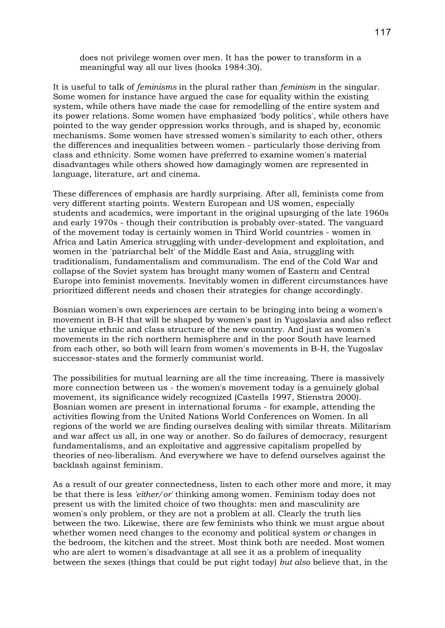does not privilege women over men. It has the power to transform in a meaningful way all our lives (hooks 1984:30).

It is useful to talk of *feminisms* in the plural rather than *feminism* in the singular. Some women for instance have argued the case for equality within the existing system, while others have made the case for remodelling of the entire system and its power relations. Some women have emphasized 'body politics', while others have pointed to the way gender oppression works through, and is shaped by, economic mechanisms. Some women have stressed women's similarity to each other, others the differences and inequalities between women - particularly those deriving from class and ethnicity. Some women have preferred to examine women's material disadvantages while others showed how damagingly women are represented in language, literature, art and cinema.

These differences of emphasis are hardly surprising. After all, feminists come from very different starting points. Western European and US women, especially students and academics, were important in the original upsurging of the late 1960s and early 1970s - though their contribution is probably over-stated. The vanguard of the movement today is certainly women in Third World countries - women in Africa and Latin America struggling with under-development and exploitation, and women in the 'patriarchal belt' of the Middle East and Asia, struggling with traditionalism, fundamentalism and communalism. The end of the Cold War and collapse of the Soviet system has brought many women of Eastern and Central Europe into feminist movements. Inevitably women in different circumstances have prioritized different needs and chosen their strategies for change accordingly.

Bosnian women's own experiences are certain to be bringing into being a women's movement in B-H that will be shaped by women's past in Yugoslavia and also reflect the unique ethnic and class structure of the new country. And just as women's movements in the rich northern hemisphere and in the poor South have learned from each other, so both will learn from women's movements in B-H, the Yugoslav successor-states and the formerly communist world.

The possibilities for mutual learning are all the time increasing. There is massively more connection between us - the women's movement today is a genuinely global movement, its significance widely recognized (Castells 1997, Stienstra 2000). Bosnian women are present in international forums - for example, attending the activities flowing from the United Nations World Conferences on Women. In all regions of the world we are finding ourselves dealing with similar threats. Militarism and war affect us all, in one way or another. So do failures of democracy, resurgent fundamentalisms, and an exploitative and aggressive capitalism propelled by theories of neo-liberalism. And everywhere we have to defend ourselves against the backlash against feminism.

As a result of our greater connectedness, listen to each other more and more, it may be that there is less *'either/or'* thinking among women. Feminism today does not present us with the limited choice of two thoughts: men and masculinity are women's only problem, or they are not a problem at all. Clearly the truth lies between the two. Likewise, there are few feminists who think we must argue about whether women need changes to the economy and political system *or* changes in the bedroom, the kitchen and the street. Most think both are needed. Most women who are alert to women's disadvantage at all see it as a problem of inequality between the sexes (things that could be put right today) *but also* believe that, in the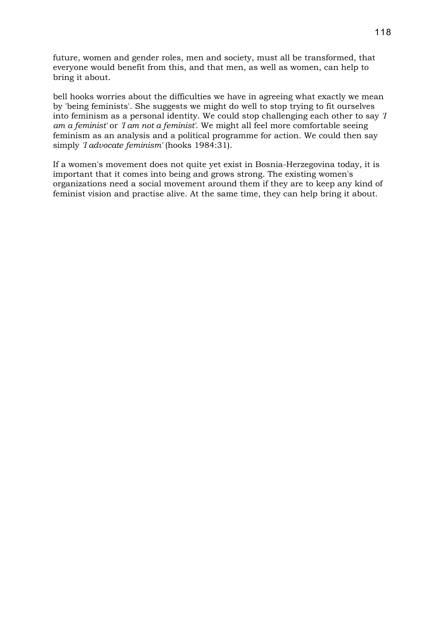future, women and gender roles, men and society, must all be transformed, that everyone would benefit from this, and that men, as well as women, can help to bring it about.

bell hooks worries about the difficulties we have in agreeing what exactly we mean by 'being feminists'. She suggests we might do well to stop trying to fit ourselves into feminism as a personal identity. We could stop challenging each other to say *'I am a feminist'* or *'I am not a feminist'*. We might all feel more comfortable seeing feminism as an analysis and a political programme for action. We could then say simply *'I advocate feminism'* (hooks 1984:31).

If a women's movement does not quite yet exist in Bosnia-Herzegovina today, it is important that it comes into being and grows strong. The existing women's organizations need a social movement around them if they are to keep any kind of feminist vision and practise alive. At the same time, they can help bring it about.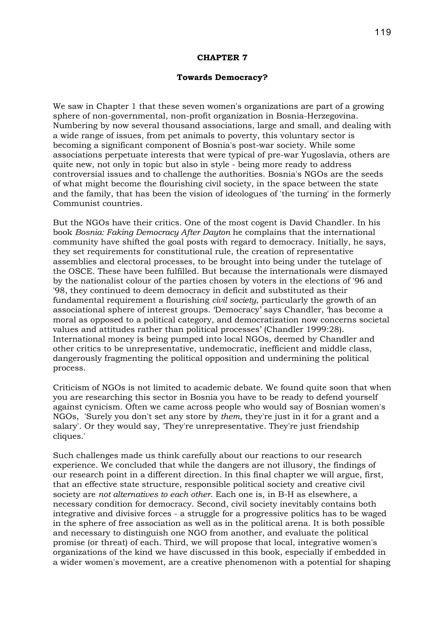#### **CHAPTER 7**

### **Towards Democracy?**

We saw in Chapter 1 that these seven women's organizations are part of a growing sphere of non-governmental, non-profit organization in Bosnia-Herzegovina. Numbering by now several thousand associations, large and small, and dealing with a wide range of issues, from pet animals to poverty, this voluntary sector is becoming a significant component of Bosnia's post-war society. While some associations perpetuate interests that were typical of pre-war Yugoslavia, others are quite new, not only in topic but also in style - being more ready to address controversial issues and to challenge the authorities. Bosnia's NGOs are the seeds of what might become the flourishing civil society, in the space between the state and the family, that has been the vision of ideologues of 'the turning' in the formerly Communist countries.

But the NGOs have their critics. One of the most cogent is David Chandler. In his book *Bosnia: Faking Democracy After Dayton* he complains that the international community have shifted the goal posts with regard to democracy. Initially, he says, they set requirements for constitutional rule, the creation of representative assemblies and electoral processes, to be brought into being under the tutelage of the OSCE. These have been fulfilled. But because the internationals were dismayed by the nationalist colour of the parties chosen by voters in the elections of '96 and '98, they continued to deem democracy in deficit and substituted as their fundamental requirement a flourishing *civil society*, particularly the growth of an associational sphere of interest groups. 'Democracy' says Chandler, 'has become a moral as opposed to a political category, and democratization now concerns societal values and attitudes rather than political processes' (Chandler 1999:28). International money is being pumped into local NGOs, deemed by Chandler and other critics to be unrepresentative, undemocratic, inefficient and middle class, dangerously fragmenting the political opposition and undermining the political process.

Criticism of NGOs is not limited to academic debate. We found quite soon that when you are researching this sector in Bosnia you have to be ready to defend yourself against cynicism. Often we came across people who would say of Bosnian women's NGOs, 'Surely you don't set any store by *them*, they're just in it for a grant and a salary'. Or they would say, 'They're unrepresentative. They're just friendship cliques.'

Such challenges made us think carefully about our reactions to our research experience. We concluded that while the dangers are not illusory, the findings of our research point in a different direction. In this final chapter we will argue, first, that an effective state structure, responsible political society and creative civil society are *not alternatives to each other*. Each one is, in B-H as elsewhere, a necessary condition for democracy. Second, civil society inevitably contains both integrative and divisive forces - a struggle for a progressive politics has to be waged in the sphere of free association as well as in the political arena. It is both possible and necessary to distinguish one NGO from another, and evaluate the political promise (or threat) of each. Third, we will propose that local, integrative women's organizations of the kind we have discussed in this book, especially if embedded in a wider women's movement, are a creative phenomenon with a potential for shaping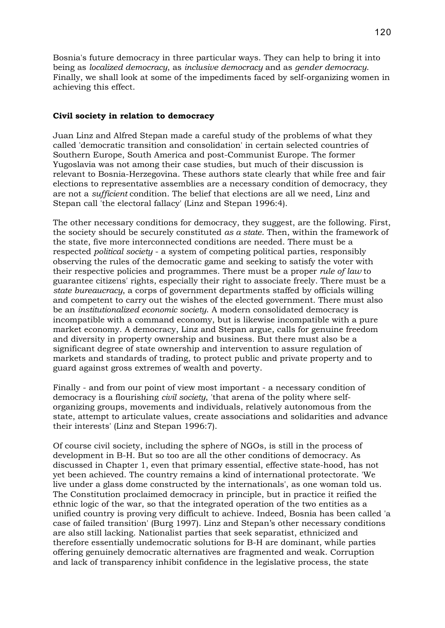Bosnia's future democracy in three particular ways. They can help to bring it into being as *localized democracy*, as *inclusive democracy* and as *gender democracy*. Finally, we shall look at some of the impediments faced by self-organizing women in achieving this effect.

### **Civil society in relation to democracy**

Juan Linz and Alfred Stepan made a careful study of the problems of what they called 'democratic transition and consolidation' in certain selected countries of Southern Europe, South America and post-Communist Europe. The former Yugoslavia was not among their case studies, but much of their discussion is relevant to Bosnia-Herzegovina. These authors state clearly that while free and fair elections to representative assemblies are a necessary condition of democracy, they are not a *sufficient* condition. The belief that elections are all we need, Linz and Stepan call 'the electoral fallacy' (Linz and Stepan 1996:4).

The other necessary conditions for democracy, they suggest, are the following. First, the society should be securely constituted *as a state*. Then, within the framework of the state, five more interconnected conditions are needed. There must be a respected *political society* - a system of competing political parties, responsibly observing the rules of the democratic game and seeking to satisfy the voter with their respective policies and programmes. There must be a proper *rule of law* to guarantee citizens' rights, especially their right to associate freely. There must be a *state bureaucracy*, a corps of government departments staffed by officials willing and competent to carry out the wishes of the elected government. There must also be an *institutionalized economic society*. A modern consolidated democracy is incompatible with a command economy, but is likewise incompatible with a pure market economy. A democracy, Linz and Stepan argue, calls for genuine freedom and diversity in property ownership and business. But there must also be a significant degree of state ownership and intervention to assure regulation of markets and standards of trading, to protect public and private property and to guard against gross extremes of wealth and poverty.

Finally - and from our point of view most important - a necessary condition of democracy is a flourishing *civil society*, 'that arena of the polity where selforganizing groups, movements and individuals, relatively autonomous from the state, attempt to articulate values, create associations and solidarities and advance their interests' (Linz and Stepan 1996:7).

Of course civil society, including the sphere of NGOs, is still in the process of development in B-H. But so too are all the other conditions of democracy. As discussed in Chapter 1, even that primary essential, effective state-hood, has not yet been achieved. The country remains a kind of international protectorate. 'We live under a glass dome constructed by the internationals', as one woman told us. The Constitution proclaimed democracy in principle, but in practice it reified the ethnic logic of the war, so that the integrated operation of the two entities as a unified country is proving very difficult to achieve. Indeed, Bosnia has been called 'a case of failed transition' (Burg 1997). Linz and Stepan's other necessary conditions are also still lacking. Nationalist parties that seek separatist, ethnicized and therefore essentially undemocratic solutions for B-H are dominant, while parties offering genuinely democratic alternatives are fragmented and weak. Corruption and lack of transparency inhibit confidence in the legislative process, the state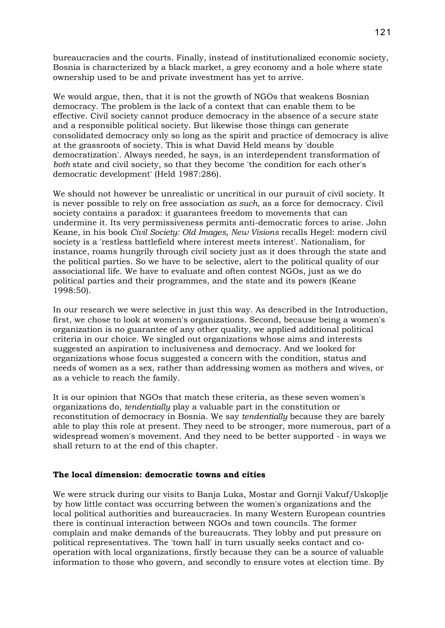bureaucracies and the courts. Finally, instead of institutionalized economic society, Bosnia is characterized by a black market, a grey economy and a hole where state ownership used to be and private investment has yet to arrive.

We would argue, then, that it is not the growth of NGOs that weakens Bosnian democracy. The problem is the lack of a context that can enable them to be effective. Civil society cannot produce democracy in the absence of a secure state and a responsible political society. But likewise those things can generate consolidated democracy only so long as the spirit and practice of democracy is alive at the grassroots of society. This is what David Held means by 'double democratization'. Always needed, he says, is an interdependent transformation of *both* state and civil society, so that they become 'the condition for each other's democratic development' (Held 1987:286).

We should not however be unrealistic or uncritical in our pursuit of civil society. It is never possible to rely on free association *as such*, as a force for democracy. Civil society contains a paradox: it guarantees freedom to movements that can undermine it. Its very permissiveness permits anti-democratic forces to arise. John Keane, in his book *Civil Society: Old Images, New Visions* recalls Hegel: modern civil society is a 'restless battlefield where interest meets interest'. Nationalism, for instance, roams hungrily through civil society just as it does through the state and the political parties. So we have to be selective, alert to the political quality of our associational life. We have to evaluate and often contest NGOs, just as we do political parties and their programmes, and the state and its powers (Keane 1998:50).

In our research we were selective in just this way. As described in the Introduction, first, we chose to look at women's organizations. Second, because being a women's organization is no guarantee of any other quality, we applied additional political criteria in our choice. We singled out organizations whose aims and interests suggested an aspiration to inclusiveness and democracy. And we looked for organizations whose focus suggested a concern with the condition, status and needs of women as a sex, rather than addressing women as mothers and wives, or as a vehicle to reach the family.

It is our opinion that NGOs that match these criteria, as these seven women's organizations do, *tendentially* play a valuable part in the constitution or reconstitution of democracy in Bosnia. We say *tendentially* because they are barely able to play this role at present. They need to be stronger, more numerous, part of a widespread women's movement. And they need to be better supported - in ways we shall return to at the end of this chapter.

### **The local dimension: democratic towns and cities**

We were struck during our visits to Banja Luka, Mostar and Gornji Vakuf/Uskoplje by how little contact was occurring between the women's organizations and the local political authorities and bureaucracies. In many Western European countries there is continual interaction between NGOs and town councils. The former complain and make demands of the bureaucrats. They lobby and put pressure on political representatives. The 'town hall' in turn usually seeks contact and cooperation with local organizations, firstly because they can be a source of valuable information to those who govern, and secondly to ensure votes at election time. By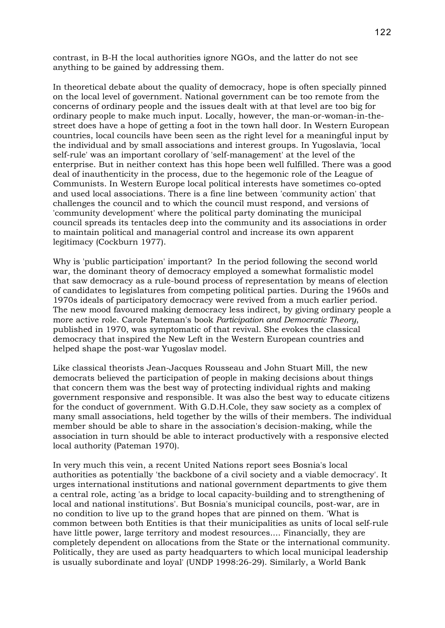contrast, in B-H the local authorities ignore NGOs, and the latter do not see anything to be gained by addressing them.

In theoretical debate about the quality of democracy, hope is often specially pinned on the local level of government. National government can be too remote from the concerns of ordinary people and the issues dealt with at that level are too big for ordinary people to make much input. Locally, however, the man-or-woman-in-thestreet does have a hope of getting a foot in the town hall door. In Western European countries, local councils have been seen as the right level for a meaningful input by the individual and by small associations and interest groups. In Yugoslavia, 'local self-rule' was an important corollary of 'self-management' at the level of the enterprise. But in neither context has this hope been well fulfilled. There was a good deal of inauthenticity in the process, due to the hegemonic role of the League of Communists. In Western Europe local political interests have sometimes co-opted and used local associations. There is a fine line between 'community action' that challenges the council and to which the council must respond, and versions of 'community development' where the political party dominating the municipal council spreads its tentacles deep into the community and its associations in order to maintain political and managerial control and increase its own apparent legitimacy (Cockburn 1977).

Why is 'public participation' important? In the period following the second world war, the dominant theory of democracy employed a somewhat formalistic model that saw democracy as a rule-bound process of representation by means of election of candidates to legislatures from competing political parties. During the 1960s and 1970s ideals of participatory democracy were revived from a much earlier period. The new mood favoured making democracy less indirect, by giving ordinary people a more active role. Carole Pateman's book *Participation and Democratic Theory*, published in 1970, was symptomatic of that revival. She evokes the classical democracy that inspired the New Left in the Western European countries and helped shape the post-war Yugoslav model.

Like classical theorists Jean-Jacques Rousseau and John Stuart Mill, the new democrats believed the participation of people in making decisions about things that concern them was the best way of protecting individual rights and making government responsive and responsible. It was also the best way to educate citizens for the conduct of government. With G.D.H.Cole, they saw society as a complex of many small associations, held together by the wills of their members. The individual member should be able to share in the association's decision-making, while the association in turn should be able to interact productively with a responsive elected local authority (Pateman 1970).

In very much this vein, a recent United Nations report sees Bosnia's local authorities as potentially 'the backbone of a civil society and a viable democracy'. It urges international institutions and national government departments to give them a central role, acting 'as a bridge to local capacity-building and to strengthening of local and national institutions'. But Bosnia's municipal councils, post-war, are in no condition to live up to the grand hopes that are pinned on them. 'What is common between both Entities is that their municipalities as units of local self-rule have little power, large territory and modest resources.... Financially, they are completely dependent on allocations from the State or the international community. Politically, they are used as party headquarters to which local municipal leadership is usually subordinate and loyal' (UNDP 1998:26-29). Similarly, a World Bank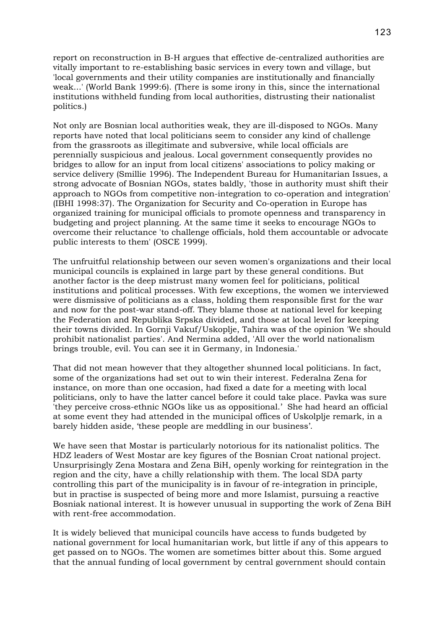report on reconstruction in B-H argues that effective de-centralized authorities are vitally important to re-establishing basic services in every town and village, but 'local governments and their utility companies are institutionally and financially weak...' (World Bank 1999:6). (There is some irony in this, since the international institutions withheld funding from local authorities, distrusting their nationalist politics.)

Not only are Bosnian local authorities weak, they are ill-disposed to NGOs. Many reports have noted that local politicians seem to consider any kind of challenge from the grassroots as illegitimate and subversive, while local officials are perennially suspicious and jealous. Local government consequently provides no bridges to allow for an input from local citizens' associations to policy making or service delivery (Smillie 1996). The Independent Bureau for Humanitarian Issues, a strong advocate of Bosnian NGOs, states baldly, 'those in authority must shift their approach to NGOs from competitive non-integration to co-operation and integration' (IBHI 1998:37). The Organization for Security and Co-operation in Europe has organized training for municipal officials to promote openness and transparency in budgeting and project planning. At the same time it seeks to encourage NGOs to overcome their reluctance 'to challenge officials, hold them accountable or advocate public interests to them' (OSCE 1999).

The unfruitful relationship between our seven women's organizations and their local municipal councils is explained in large part by these general conditions. But another factor is the deep mistrust many women feel for politicians, political institutions and political processes. With few exceptions, the women we interviewed were dismissive of politicians as a class, holding them responsible first for the war and now for the post-war stand-off. They blame those at national level for keeping the Federation and Republika Srpska divided, and those at local level for keeping their towns divided. In Gornji Vakuf/Uskoplje, Tahira was of the opinion 'We should prohibit nationalist parties'. And Nermina added, 'All over the world nationalism brings trouble, evil. You can see it in Germany, in Indonesia.'

That did not mean however that they altogether shunned local politicians. In fact, some of the organizations had set out to win their interest. Federalna Zena for instance, on more than one occasion, had fixed a date for a meeting with local politicians, only to have the latter cancel before it could take place. Pavka was sure 'they perceive cross-ethnic NGOs like us as oppositional.' She had heard an official at some event they had attended in the municipal offices of Uskolplje remark, in a barely hidden aside, 'these people are meddling in our business'.

We have seen that Mostar is particularly notorious for its nationalist politics. The HDZ leaders of West Mostar are key figures of the Bosnian Croat national project. Unsurprisingly Zena Mostara and Zena BiH, openly working for reintegration in the region and the city, have a chilly relationship with them. The local SDA party controlling this part of the municipality is in favour of re-integration in principle, but in practise is suspected of being more and more Islamist, pursuing a reactive Bosniak national interest. It is however unusual in supporting the work of Zena BiH with rent-free accommodation.

It is widely believed that municipal councils have access to funds budgeted by national government for local humanitarian work, but little if any of this appears to get passed on to NGOs. The women are sometimes bitter about this. Some argued that the annual funding of local government by central government should contain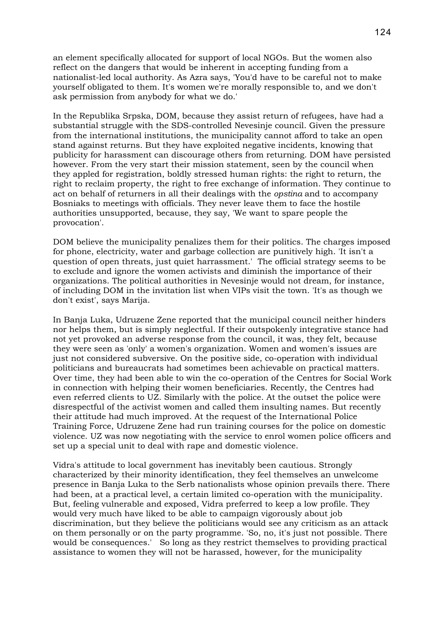an element specifically allocated for support of local NGOs. But the women also reflect on the dangers that would be inherent in accepting funding from a nationalist-led local authority. As Azra says, 'You'd have to be careful not to make yourself obligated to them. It's women we're morally responsible to, and we don't ask permission from anybody for what we do.'

In the Republika Srpska, DOM, because they assist return of refugees, have had a substantial struggle with the SDS-controlled Nevesinje council. Given the pressure from the international institutions, the municipality cannot afford to take an open stand against returns. But they have exploited negative incidents, knowing that publicity for harassment can discourage others from returning. DOM have persisted however. From the very start their mission statement, seen by the council when they appled for registration, boldly stressed human rights: the right to return, the right to reclaim property, the right to free exchange of information. They continue to act on behalf of returners in all their dealings with the *opstina* and to accompany Bosniaks to meetings with officials. They never leave them to face the hostile authorities unsupported, because, they say, 'We want to spare people the provocation'.

DOM believe the municipality penalizes them for their politics. The charges imposed for phone, electricity, water and garbage collection are punitively high. 'It isn't a question of open threats, just quiet harrassment.' The official strategy seems to be to exclude and ignore the women activists and diminish the importance of their organizations. The political authorities in Nevesinje would not dream, for instance, of including DOM in the invitation list when VIPs visit the town. 'It's as though we don't exist', says Marija.

In Banja Luka, Udruzene Zene reported that the municipal council neither hinders nor helps them, but is simply neglectful. If their outspokenly integrative stance had not yet provoked an adverse response from the council, it was, they felt, because they were seen as 'only' a women's organization. Women and women's issues are just not considered subversive. On the positive side, co-operation with individual politicians and bureaucrats had sometimes been achievable on practical matters. Over time, they had been able to win the co-operation of the Centres for Social Work in connection with helping their women beneficiaries. Recently, the Centres had even referred clients to UZ. Similarly with the police. At the outset the police were disrespectful of the activist women and called them insulting names. But recently their attitude had much improved. At the request of the International Police Training Force, Udruzene Zene had run training courses for the police on domestic violence. UZ was now negotiating with the service to enrol women police officers and set up a special unit to deal with rape and domestic violence.

Vidra's attitude to local government has inevitably been cautious. Strongly characterized by their minority identification, they feel themselves an unwelcome presence in Banja Luka to the Serb nationalists whose opinion prevails there. There had been, at a practical level, a certain limited co-operation with the municipality. But, feeling vulnerable and exposed, Vidra preferred to keep a low profile. They would very much have liked to be able to campaign vigorously about job discrimination, but they believe the politicians would see any criticism as an attack on them personally or on the party programme. 'So, no, it's just not possible. There would be consequences.' So long as they restrict themselves to providing practical assistance to women they will not be harassed, however, for the municipality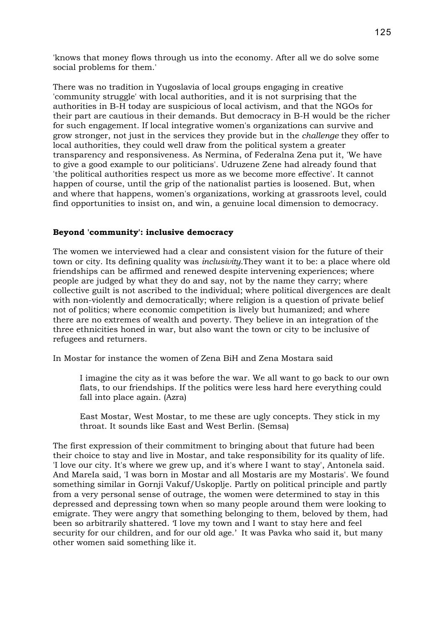'knows that money flows through us into the economy. After all we do solve some social problems for them.'

There was no tradition in Yugoslavia of local groups engaging in creative 'community struggle' with local authorities, and it is not surprising that the authorities in B-H today are suspicious of local activism, and that the NGOs for their part are cautious in their demands. But democracy in B-H would be the richer for such engagement. If local integrative women's organizations can survive and grow stronger, not just in the services they provide but in the *challenge* they offer to local authorities, they could well draw from the political system a greater transparency and responsiveness. As Nermina, of Federalna Zena put it, 'We have to give a good example to our politicians'. Udruzene Zene had already found that 'the political authorities respect us more as we become more effective'. It cannot happen of course, until the grip of the nationalist parties is loosened. But, when and where that happens, women's organizations, working at grassroots level, could find opportunities to insist on, and win, a genuine local dimension to democracy.

## **Beyond 'community': inclusive democracy**

The women we interviewed had a clear and consistent vision for the future of their town or city. Its defining quality was *inclusivity*.They want it to be: a place where old friendships can be affirmed and renewed despite intervening experiences; where people are judged by what they do and say, not by the name they carry; where collective guilt is not ascribed to the individual; where political divergences are dealt with non-violently and democratically; where religion is a question of private belief not of politics; where economic competition is lively but humanized; and where there are no extremes of wealth and poverty. They believe in an integration of the three ethnicities honed in war, but also want the town or city to be inclusive of refugees and returners.

In Mostar for instance the women of Zena BiH and Zena Mostara said

I imagine the city as it was before the war. We all want to go back to our own flats, to our friendships. If the politics were less hard here everything could fall into place again. (Azra)

East Mostar, West Mostar, to me these are ugly concepts. They stick in my throat. It sounds like East and West Berlin. (Semsa)

The first expression of their commitment to bringing about that future had been their choice to stay and live in Mostar, and take responsibility for its quality of life. 'I love our city. It's where we grew up, and it's where I want to stay', Antonela said. And MareIa said, 'I was born in Mostar and all Mostaris are my Mostaris'. We found something similar in Gornji Vakuf/Uskoplje. Partly on political principle and partly from a very personal sense of outrage, the women were determined to stay in this depressed and depressing town when so many people around them were looking to emigrate. They were angry that something belonging to them, beloved by them, had been so arbitrarily shattered. 'I love my town and I want to stay here and feel security for our children, and for our old age.' It was Pavka who said it, but many other women said something like it.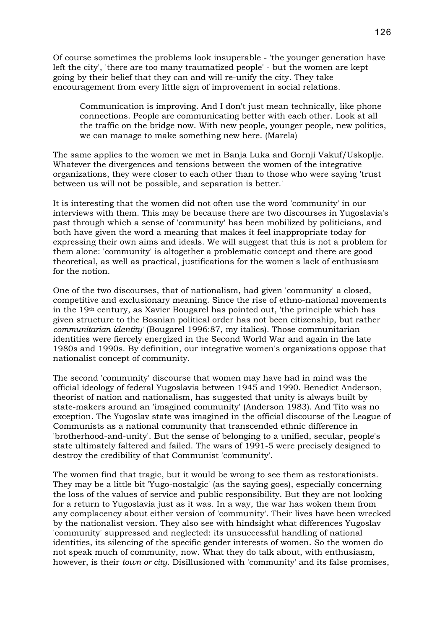Of course sometimes the problems look insuperable - 'the younger generation have left the city', 'there are too many traumatized people' - but the women are kept going by their belief that they can and will re-unify the city. They take encouragement from every little sign of improvement in social relations.

Communication is improving. And I don't just mean technically, like phone connections. People are communicating better with each other. Look at all the traffic on the bridge now. With new people, younger people, new politics, we can manage to make something new here. (Marela)

The same applies to the women we met in Banja Luka and Gornji Vakuf/Uskoplje. Whatever the divergences and tensions between the women of the integrative organizations, they were closer to each other than to those who were saying 'trust between us will not be possible, and separation is better.'

It is interesting that the women did not often use the word 'community' in our interviews with them. This may be because there are two discourses in Yugoslavia's past through which a sense of 'community' has been mobilized by politicians, and both have given the word a meaning that makes it feel inappropriate today for expressing their own aims and ideals. We will suggest that this is not a problem for them alone: 'community' is altogether a problematic concept and there are good theoretical, as well as practical, justifications for the women's lack of enthusiasm for the notion.

One of the two discourses, that of nationalism, had given 'community' a closed, competitive and exclusionary meaning. Since the rise of ethno-national movements in the 19th century, as Xavier Bougarel has pointed out, 'the principle which has given structure to the Bosnian political order has not been citizenship, but rather *communitarian identity'* (Bougarel 1996:87, my italics). Those communitarian identities were fiercely energized in the Second World War and again in the late 1980s and 1990s. By definition, our integrative women's organizations oppose that nationalist concept of community.

The second 'community' discourse that women may have had in mind was the official ideology of federal Yugoslavia between 1945 and 1990. Benedict Anderson, theorist of nation and nationalism, has suggested that unity is always built by state-makers around an 'imagined community' (Anderson 1983). And Tito was no exception. The Yugoslav state was imagined in the official discourse of the League of Communists as a national community that transcended ethnic difference in 'brotherhood-and-unity'. But the sense of belonging to a unified, secular, people's state ultimately faltered and failed. The wars of 1991-5 were precisely designed to destroy the credibility of that Communist 'community'.

The women find that tragic, but it would be wrong to see them as restorationists. They may be a little bit 'Yugo-nostalgic' (as the saying goes), especially concerning the loss of the values of service and public responsibility. But they are not looking for a return to Yugoslavia just as it was. In a way, the war has woken them from any complacency about either version of 'community'. Their lives have been wrecked by the nationalist version. They also see with hindsight what differences Yugoslav 'community' suppressed and neglected: its unsuccessful handling of national identities, its silencing of the specific gender interests of women. So the women do not speak much of community, now. What they do talk about, with enthusiasm, however, is their *town or city*. Disillusioned with 'community' and its false promises,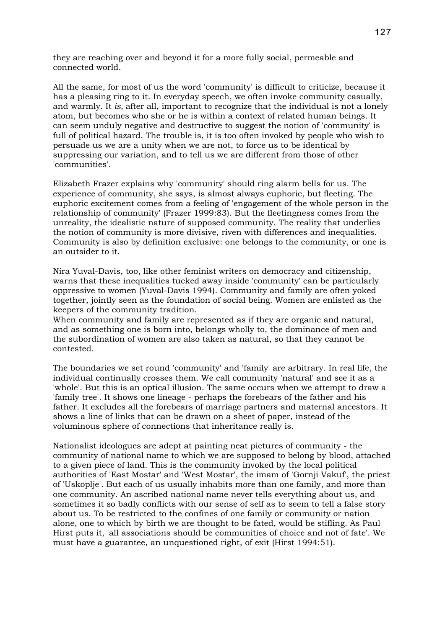they are reaching over and beyond it for a more fully social, permeable and connected world.

All the same, for most of us the word 'community' is difficult to criticize, because it has a pleasing ring to it. In everyday speech, we often invoke community casually, and warmly. It *is,* after all, important to recognize that the individual is not a lonely atom, but becomes who she or he is within a context of related human beings. It can seem unduly negative and destructive to suggest the notion of 'community' is full of political hazard. The trouble is, it is too often invoked by people who wish to persuade us we are a unity when we are not, to force us to be identical by suppressing our variation, and to tell us we are different from those of other 'communities'.

Elizabeth Frazer explains why 'community' should ring alarm bells for us. The experience of community, she says, is almost always euphoric, but fleeting. The euphoric excitement comes from a feeling of 'engagement of the whole person in the relationship of community' (Frazer 1999:83). But the fleetingness comes from the unreality, the idealistic nature of supposed community. The reality that underlies the notion of community is more divisive, riven with differences and inequalities. Community is also by definition exclusive: one belongs to the community, or one is an outsider to it.

Nira Yuval-Davis, too, like other feminist writers on democracy and citizenship, warns that these inequalities tucked away inside 'community' can be particularly oppressive to women (Yuval-Davis 1994). Community and family are often yoked together, jointly seen as the foundation of social being. Women are enlisted as the keepers of the community tradition.

When community and family are represented as if they are organic and natural, and as something one is born into, belongs wholly to, the dominance of men and the subordination of women are also taken as natural, so that they cannot be contested.

The boundaries we set round 'community' and 'family' are arbitrary. In real life, the individual continually crosses them. We call community 'natural' and see it as a 'whole'. But this is an optical illusion. The same occurs when we attempt to draw a 'family tree'. It shows one lineage - perhaps the forebears of the father and his father. It excludes all the forebears of marriage partners and maternal ancestors. It shows a line of links that can be drawn on a sheet of paper, instead of the voluminous sphere of connections that inheritance really is.

Nationalist ideologues are adept at painting neat pictures of community - the community of national name to which we are supposed to belong by blood, attached to a given piece of land. This is the community invoked by the local political authorities of 'East Mostar' and 'West Mostar', the imam of 'Gornji Vakuf', the priest of 'Uskoplje'. But each of us usually inhabits more than one family, and more than one community. An ascribed national name never tells everything about us, and sometimes it so badly conflicts with our sense of self as to seem to tell a false story about us. To be restricted to the confines of one family or community or nation alone, one to which by birth we are thought to be fated, would be stifling. As Paul Hirst puts it, 'all associations should be communities of choice and not of fate'. We must have a guarantee, an unquestioned right, of exit (Hirst 1994:51).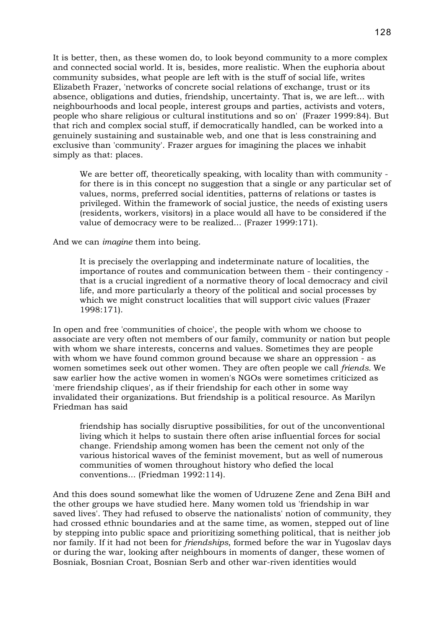It is better, then, as these women do, to look beyond community to a more complex and connected social world. It is, besides, more realistic. When the euphoria about community subsides, what people are left with is the stuff of social life, writes Elizabeth Frazer, 'networks of concrete social relations of exchange, trust or its absence, obligations and duties, friendship, uncertainty. That is, we are left... with neighbourhoods and local people, interest groups and parties, activists and voters, people who share religious or cultural institutions and so on' (Frazer 1999:84). But that rich and complex social stuff, if democratically handled, can be worked into a genuinely sustaining and sustainable web, and one that is less constraining and exclusive than 'community'. Frazer argues for imagining the places we inhabit simply as that: places.

We are better off, theoretically speaking, with locality than with community for there is in this concept no suggestion that a single or any particular set of values, norms, preferred social identities, patterns of relations or tastes is privileged. Within the framework of social justice, the needs of existing users (residents, workers, visitors) in a place would all have to be considered if the value of democracy were to be realized... (Frazer 1999:171).

And we can *imagine* them into being.

It is precisely the overlapping and indeterminate nature of localities, the importance of routes and communication between them - their contingency that is a crucial ingredient of a normative theory of local democracy and civil life, and more particularly a theory of the political and social processes by which we might construct localities that will support civic values (Frazer 1998:171).

In open and free 'communities of choice', the people with whom we choose to associate are very often not members of our family, community or nation but people with whom we share interests, concerns and values. Sometimes they are people with whom we have found common ground because we share an oppression - as women sometimes seek out other women. They are often people we call *friends.* We saw earlier how the active women in women's NGOs were sometimes criticized as 'mere friendship cliques', as if their friendship for each other in some way invalidated their organizations. But friendship is a political resource. As Marilyn Friedman has said

friendship has socially disruptive possibilities, for out of the unconventional living which it helps to sustain there often arise influential forces for social change. Friendship among women has been the cement not only of the various historical waves of the feminist movement, but as well of numerous communities of women throughout history who defied the local conventions... (Friedman 1992:114).

And this does sound somewhat like the women of Udruzene Zene and Zena BiH and the other groups we have studied here. Many women told us 'friendship in war saved lives'. They had refused to observe the nationalists' notion of community, they had crossed ethnic boundaries and at the same time, as women, stepped out of line by stepping into public space and prioritizing something political, that is neither job nor family. If it had not been for *friendships*, formed before the war in Yugoslav days or during the war, looking after neighbours in moments of danger, these women of Bosniak, Bosnian Croat, Bosnian Serb and other war-riven identities would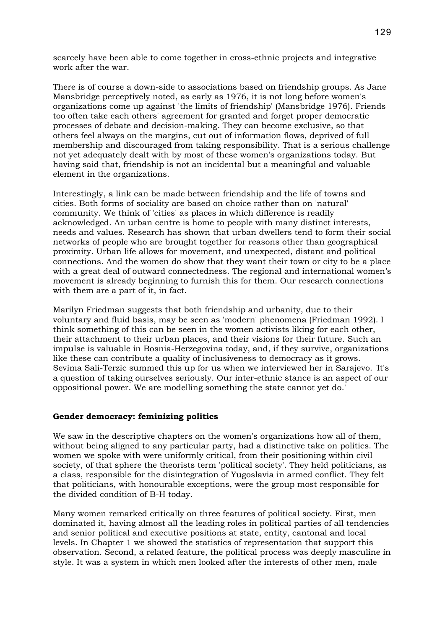scarcely have been able to come together in cross-ethnic projects and integrative work after the war.

There is of course a down-side to associations based on friendship groups. As Jane Mansbridge perceptively noted, as early as 1976, it is not long before women's organizations come up against 'the limits of friendship' (Mansbridge 1976). Friends too often take each others' agreement for granted and forget proper democratic processes of debate and decision-making. They can become exclusive, so that others feel always on the margins, cut out of information flows, deprived of full membership and discouraged from taking responsibility. That is a serious challenge not yet adequately dealt with by most of these women's organizations today. But having said that, friendship is not an incidental but a meaningful and valuable element in the organizations.

Interestingly, a link can be made between friendship and the life of towns and cities. Both forms of sociality are based on choice rather than on 'natural' community. We think of 'cities' as places in which difference is readily acknowledged. An urban centre is home to people with many distinct interests, needs and values. Research has shown that urban dwellers tend to form their social networks of people who are brought together for reasons other than geographical proximity. Urban life allows for movement, and unexpected, distant and political connections. And the women do show that they want their town or city to be a place with a great deal of outward connectedness. The regional and international women's movement is already beginning to furnish this for them. Our research connections with them are a part of it, in fact.

Marilyn Friedman suggests that both friendship and urbanity, due to their voluntary and fluid basis, may be seen as 'modern' phenomena (Friedman 1992). I think something of this can be seen in the women activists liking for each other, their attachment to their urban places, and their visions for their future. Such an impulse is valuable in Bosnia-Herzegovina today, and, if they survive, organizations like these can contribute a quality of inclusiveness to democracy as it grows. Sevima Sali-Terzic summed this up for us when we interviewed her in Sarajevo. 'It's a question of taking ourselves seriously. Our inter-ethnic stance is an aspect of our oppositional power. We are modelling something the state cannot yet do.'

### **Gender democracy: feminizing politics**

We saw in the descriptive chapters on the women's organizations how all of them, without being aligned to any particular party, had a distinctive take on politics. The women we spoke with were uniformly critical, from their positioning within civil society, of that sphere the theorists term 'political society'. They held politicians, as a class, responsible for the disintegration of Yugoslavia in armed conflict. They felt that politicians, with honourable exceptions, were the group most responsible for the divided condition of B-H today.

Many women remarked critically on three features of political society. First, men dominated it, having almost all the leading roles in political parties of all tendencies and senior political and executive positions at state, entity, cantonal and local levels. In Chapter 1 we showed the statistics of representation that support this observation. Second, a related feature, the political process was deeply masculine in style. It was a system in which men looked after the interests of other men, male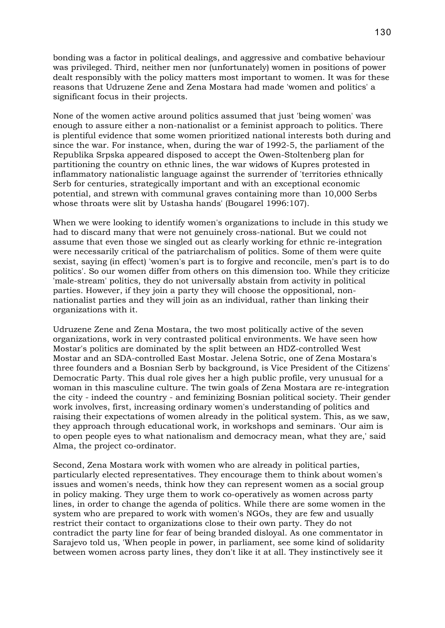bonding was a factor in political dealings, and aggressive and combative behaviour was privileged. Third, neither men nor (unfortunately) women in positions of power dealt responsibly with the policy matters most important to women. It was for these reasons that Udruzene Zene and Zena Mostara had made 'women and politics' a significant focus in their projects.

None of the women active around politics assumed that just 'being women' was enough to assure either a non-nationalist or a feminist approach to politics. There is plentiful evidence that some women prioritized national interests both during and since the war. For instance, when, during the war of 1992-5, the parliament of the Republika Srpska appeared disposed to accept the Owen-Stoltenberg plan for partitioning the country on ethnic lines, the war widows of Kupres protested in inflammatory nationalistic language against the surrender of 'territories ethnically Serb for centuries, strategically important and with an exceptional economic potential, and strewn with communal graves containing more than 10,000 Serbs whose throats were slit by Ustasha hands' (Bougarel 1996:107).

When we were looking to identify women's organizations to include in this study we had to discard many that were not genuinely cross-national. But we could not assume that even those we singled out as clearly working for ethnic re-integration were necessarily critical of the patriarchalism of politics. Some of them were quite sexist, saying (in effect) 'women's part is to forgive and reconcile, men's part is to do politics'. So our women differ from others on this dimension too. While they criticize 'male-stream' politics, they do not universally abstain from activity in political parties. However, if they join a party they will choose the oppositional, nonnationalist parties and they will join as an individual, rather than linking their organizations with it.

Udruzene Zene and Zena Mostara, the two most politically active of the seven organizations, work in very contrasted political environments. We have seen how Mostar's politics are dominated by the split between an HDZ-controlled West Mostar and an SDA-controlled East Mostar. Jelena Sotric, one of Zena Mostara's three founders and a Bosnian Serb by background, is Vice President of the Citizens' Democratic Party. This dual role gives her a high public profile, very unusual for a woman in this masculine culture. The twin goals of Zena Mostara are re-integration the city - indeed the country - and feminizing Bosnian political society. Their gender work involves, first, increasing ordinary women's understanding of politics and raising their expectations of women already in the political system. This, as we saw, they approach through educational work, in workshops and seminars. 'Our aim is to open people eyes to what nationalism and democracy mean, what they are,' said Alma, the project co-ordinator.

Second, Zena Mostara work with women who are already in political parties, particularly elected representatives. They encourage them to think about women's issues and women's needs, think how they can represent women as a social group in policy making. They urge them to work co-operatively as women across party lines, in order to change the agenda of politics. While there are some women in the system who are prepared to work with women's NGOs, they are few and usually restrict their contact to organizations close to their own party. They do not contradict the party line for fear of being branded disloyal. As one commentator in Sarajevo told us, 'When people in power, in parliament, see some kind of solidarity between women across party lines, they don't like it at all. They instinctively see it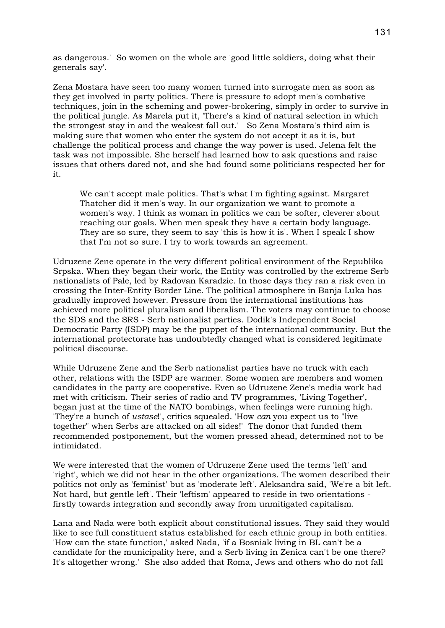as dangerous.' So women on the whole are 'good little soldiers, doing what their generals say'.

Zena Mostara have seen too many women turned into surrogate men as soon as they get involved in party politics. There is pressure to adopt men's combative techniques, join in the scheming and power-brokering, simply in order to survive in the political jungle. As Marela put it, 'There's a kind of natural selection in which the strongest stay in and the weakest fall out.' So Zena Mostara's third aim is making sure that women who enter the system do not accept it as it is, but challenge the political process and change the way power is used. Jelena felt the task was not impossible. She herself had learned how to ask questions and raise issues that others dared not, and she had found some politicians respected her for it.

We can't accept male politics. That's what I'm fighting against. Margaret Thatcher did it men's way. In our organization we want to promote a women's way. I think as woman in politics we can be softer, cleverer about reaching our goals. When men speak they have a certain body language. They are so sure, they seem to say 'this is how it is'. When I speak I show that I'm not so sure. I try to work towards an agreement.

Udruzene Zene operate in the very different political environment of the Republika Srpska. When they began their work, the Entity was controlled by the extreme Serb nationalists of Pale, led by Radovan Karadzic. In those days they ran a risk even in crossing the Inter-Entity Border Line. The political atmosphere in Banja Luka has gradually improved however. Pressure from the international institutions has achieved more political pluralism and liberalism. The voters may continue to choose the SDS and the SRS - Serb nationalist parties. Dodik's Independent Social Democratic Party (ISDP) may be the puppet of the international community. But the international protectorate has undoubtedly changed what is considered legitimate political discourse.

While Udruzene Zene and the Serb nationalist parties have no truck with each other, relations with the ISDP are warmer. Some women are members and women candidates in the party are cooperative. Even so Udruzene Zene's media work had met with criticism. Their series of radio and TV programmes, 'Living Together', began just at the time of the NATO bombings, when feelings were running high. 'They're a bunch of *ustase*!', critics squealed. 'How *can* you expect us to "live together" when Serbs are attacked on all sides!' The donor that funded them recommended postponement, but the women pressed ahead, determined not to be intimidated.

We were interested that the women of Udruzene Zene used the terms 'left' and 'right', which we did not hear in the other organizations. The women described their politics not only as 'feminist' but as 'moderate left'. Aleksandra said, 'We're a bit left. Not hard, but gentle left'. Their 'leftism' appeared to reside in two orientations firstly towards integration and secondly away from unmitigated capitalism.

Lana and Nada were both explicit about constitutional issues. They said they would like to see full constituent status established for each ethnic group in both entities. 'How can the state function,' asked Nada, 'if a Bosniak living in BL can't be a candidate for the municipality here, and a Serb living in Zenica can't be one there? It's altogether wrong.' She also added that Roma, Jews and others who do not fall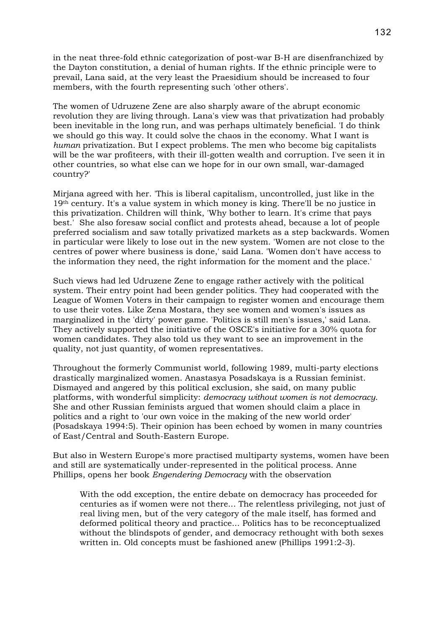in the neat three-fold ethnic categorization of post-war B-H are disenfranchized by the Dayton constitution, a denial of human rights. If the ethnic principle were to prevail, Lana said, at the very least the Praesidium should be increased to four members, with the fourth representing such 'other others'.

The women of Udruzene Zene are also sharply aware of the abrupt economic revolution they are living through. Lana's view was that privatization had probably been inevitable in the long run, and was perhaps ultimately beneficial. 'I do think we should go this way. It could solve the chaos in the economy. What I want is *human* privatization. But I expect problems. The men who become big capitalists will be the war profiteers, with their ill-gotten wealth and corruption. I've seen it in other countries, so what else can we hope for in our own small, war-damaged country?'

Mirjana agreed with her. 'This is liberal capitalism, uncontrolled, just like in the 19th century. It's a value system in which money is king. There'll be no justice in this privatization. Children will think, 'Why bother to learn. It's crime that pays best.' She also foresaw social conflict and protests ahead, because a lot of people preferred socialism and saw totally privatized markets as a step backwards. Women in particular were likely to lose out in the new system. 'Women are not close to the centres of power where business is done,' said Lana. 'Women don't have access to the information they need, the right information for the moment and the place.'

Such views had led Udruzene Zene to engage rather actively with the political system. Their entry point had been gender politics. They had cooperated with the League of Women Voters in their campaign to register women and encourage them to use their votes. Like Zena Mostara, they see women and women's issues as marginalized in the 'dirty' power game. 'Politics is still men's issues,' said Lana. They actively supported the initiative of the OSCE's initiative for a 30% quota for women candidates. They also told us they want to see an improvement in the quality, not just quantity, of women representatives.

Throughout the formerly Communist world, following 1989, multi-party elections drastically marginalized women. Anastasya Posadskaya is a Russian feminist. Dismayed and angered by this political exclusion, she said, on many public platforms, with wonderful simplicity: *democracy without women is not democracy*. She and other Russian feminists argued that women should claim a place in politics and a right to 'our own voice in the making of the new world order' (Posadskaya 1994:5). Their opinion has been echoed by women in many countries of East/Central and South-Eastern Europe.

But also in Western Europe's more practised multiparty systems, women have been and still are systematically under-represented in the political process. Anne Phillips, opens her book *Engendering Democracy* with the observation

With the odd exception, the entire debate on democracy has proceeded for centuries as if women were not there... The relentless privileging, not just of real living men, but of the very category of the male itself, has formed and deformed political theory and practice... Politics has to be reconceptualized without the blindspots of gender, and democracy rethought with both sexes written in. Old concepts must be fashioned anew (Phillips 1991:2-3).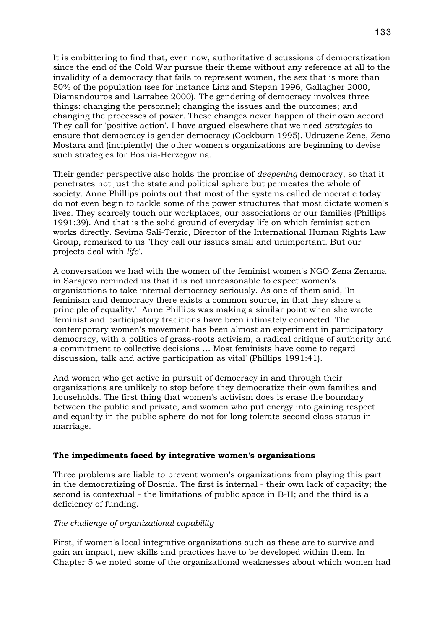It is embittering to find that, even now, authoritative discussions of democratization since the end of the Cold War pursue their theme without any reference at all to the invalidity of a democracy that fails to represent women, the sex that is more than 50% of the population (see for instance Linz and Stepan 1996, Gallagher 2000, Diamandouros and Larrabee 2000). The gendering of democracy involves three things: changing the personnel; changing the issues and the outcomes; and changing the processes of power. These changes never happen of their own accord. They call for 'positive action'. I have argued elsewhere that we need *strategies* to ensure that democracy is gender democracy (Cockburn 1995). Udruzene Zene, Zena Mostara and (incipiently) the other women's organizations are beginning to devise such strategies for Bosnia-Herzegovina.

Their gender perspective also holds the promise of *deepening* democracy, so that it penetrates not just the state and political sphere but permeates the whole of society. Anne Phillips points out that most of the systems called democratic today do not even begin to tackle some of the power structures that most dictate women's lives. They scarcely touch our workplaces, our associations or our families (Phillips 1991:39). And that is the solid ground of everyday life on which feminist action works directly. Sevima Sali-Terzic, Director of the International Human Rights Law Group, remarked to us 'They call our issues small and unimportant. But our projects deal with *life*'.

A conversation we had with the women of the feminist women's NGO Zena Zenama in Sarajevo reminded us that it is not unreasonable to expect women's organizations to take internal democracy seriously. As one of them said, 'In feminism and democracy there exists a common source, in that they share a principle of equality.' Anne Phillips was making a similar point when she wrote 'feminist and participatory traditions have been intimately connected. The contemporary women's movement has been almost an experiment in participatory democracy, with a politics of grass-roots activism, a radical critique of authority and a commitment to collective decisions ... Most feminists have come to regard discussion, talk and active participation as vital' (Phillips 1991:41).

And women who get active in pursuit of democracy in and through their organizations are unlikely to stop before they democratize their own families and households. The first thing that women's activism does is erase the boundary between the public and private, and women who put energy into gaining respect and equality in the public sphere do not for long tolerate second class status in marriage.

### **The impediments faced by integrative women's organizations**

Three problems are liable to prevent women's organizations from playing this part in the democratizing of Bosnia. The first is internal - their own lack of capacity; the second is contextual - the limitations of public space in B-H; and the third is a deficiency of funding.

### *The challenge of organizational capability*

First, if women's local integrative organizations such as these are to survive and gain an impact, new skills and practices have to be developed within them. In Chapter 5 we noted some of the organizational weaknesses about which women had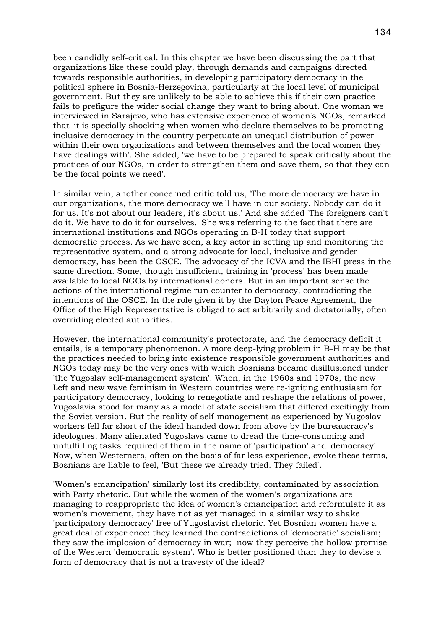been candidly self-critical. In this chapter we have been discussing the part that organizations like these could play, through demands and campaigns directed towards responsible authorities, in developing participatory democracy in the political sphere in Bosnia-Herzegovina, particularly at the local level of municipal government. But they are unlikely to be able to achieve this if their own practice fails to prefigure the wider social change they want to bring about. One woman we interviewed in Sarajevo, who has extensive experience of women's NGOs, remarked that 'it is specially shocking when women who declare themselves to be promoting inclusive democracy in the country perpetuate an unequal distribution of power within their own organizations and between themselves and the local women they have dealings with'. She added, 'we have to be prepared to speak critically about the practices of our NGOs, in order to strengthen them and save them, so that they can be the focal points we need'.

In similar vein, another concerned critic told us, 'The more democracy we have in our organizations, the more democracy we'll have in our society. Nobody can do it for us. It's not about our leaders, it's about us.' And she added 'The foreigners can't do it. We have to do it for ourselves.' She was referring to the fact that there are international institutions and NGOs operating in B-H today that support democratic process. As we have seen, a key actor in setting up and monitoring the representative system, and a strong advocate for local, inclusive and gender democracy, has been the OSCE. The advocacy of the ICVA and the IBHI press in the same direction. Some, though insufficient, training in 'process' has been made available to local NGOs by international donors. But in an important sense the actions of the international regime run counter to democracy, contradicting the intentions of the OSCE. In the role given it by the Dayton Peace Agreement, the Office of the High Representative is obliged to act arbitrarily and dictatorially, often overriding elected authorities.

However, the international community's protectorate, and the democracy deficit it entails, is a temporary phenomenon. A more deep-lying problem in B-H may be that the practices needed to bring into existence responsible government authorities and NGOs today may be the very ones with which Bosnians became disillusioned under 'the Yugoslav self-management system'. When, in the 1960s and 1970s, the new Left and new wave feminism in Western countries were re-igniting enthusiasm for participatory democracy, looking to renegotiate and reshape the relations of power, Yugoslavia stood for many as a model of state socialism that differed excitingly from the Soviet version. But the reality of self-management as experienced by Yugoslav workers fell far short of the ideal handed down from above by the bureaucracy's ideologues. Many alienated Yugoslavs came to dread the time-consuming and unfulfilling tasks required of them in the name of 'participation' and 'democracy'. Now, when Westerners, often on the basis of far less experience, evoke these terms, Bosnians are liable to feel, 'But these we already tried. They failed'.

'Women's emancipation' similarly lost its credibility, contaminated by association with Party rhetoric. But while the women of the women's organizations are managing to reappropriate the idea of women's emancipation and reformulate it as women's movement, they have not as yet managed in a similar way to shake 'participatory democracy' free of Yugoslavist rhetoric. Yet Bosnian women have a great deal of experience: they learned the contradictions of 'democratic' socialism; they saw the implosion of democracy in war; now they perceive the hollow promise of the Western 'democratic system'. Who is better positioned than they to devise a form of democracy that is not a travesty of the ideal?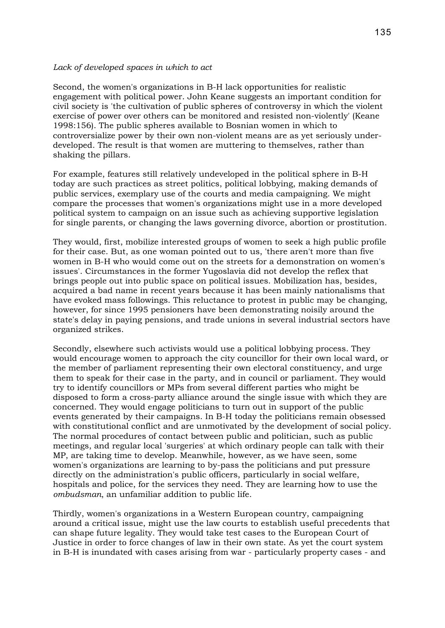#### *Lack of developed spaces in which to act*

Second, the women's organizations in B-H lack opportunities for realistic engagement with political power. John Keane suggests an important condition for civil society is 'the cultivation of public spheres of controversy in which the violent exercise of power over others can be monitored and resisted non-violently' (Keane 1998:156). The public spheres available to Bosnian women in which to controversialize power by their own non-violent means are as yet seriously underdeveloped. The result is that women are muttering to themselves, rather than shaking the pillars.

For example, features still relatively undeveloped in the political sphere in B-H today are such practices as street politics, political lobbying, making demands of public services, exemplary use of the courts and media campaigning. We might compare the processes that women's organizations might use in a more developed political system to campaign on an issue such as achieving supportive legislation for single parents, or changing the laws governing divorce, abortion or prostitution.

They would, first, mobilize interested groups of women to seek a high public profile for their case. But, as one woman pointed out to us, 'there aren't more than five women in B-H who would come out on the streets for a demonstration on women's issues'. Circumstances in the former Yugoslavia did not develop the reflex that brings people out into public space on political issues. Mobilization has, besides, acquired a bad name in recent years because it has been mainly nationalisms that have evoked mass followings. This reluctance to protest in public may be changing, however, for since 1995 pensioners have been demonstrating noisily around the state's delay in paying pensions, and trade unions in several industrial sectors have organized strikes.

Secondly, elsewhere such activists would use a political lobbying process. They would encourage women to approach the city councillor for their own local ward, or the member of parliament representing their own electoral constituency, and urge them to speak for their case in the party, and in council or parliament. They would try to identify councillors or MPs from several different parties who might be disposed to form a cross-party alliance around the single issue with which they are concerned. They would engage politicians to turn out in support of the public events generated by their campaigns. In B-H today the politicians remain obsessed with constitutional conflict and are unmotivated by the development of social policy. The normal procedures of contact between public and politician, such as public meetings, and regular local 'surgeries' at which ordinary people can talk with their MP, are taking time to develop. Meanwhile, however, as we have seen, some women's organizations are learning to by-pass the politicians and put pressure directly on the administration's public officers, particularly in social welfare, hospitals and police, for the services they need. They are learning how to use the *ombudsman*, an unfamiliar addition to public life.

Thirdly, women's organizations in a Western European country, campaigning around a critical issue, might use the law courts to establish useful precedents that can shape future legality. They would take test cases to the European Court of Justice in order to force changes of law in their own state. As yet the court system in B-H is inundated with cases arising from war - particularly property cases - and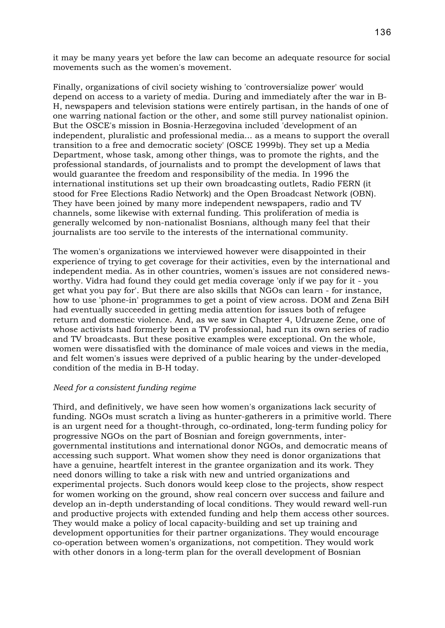it may be many years yet before the law can become an adequate resource for social movements such as the women's movement.

Finally, organizations of civil society wishing to 'controversialize power' would depend on access to a variety of media. During and immediately after the war in B-H, newspapers and television stations were entirely partisan, in the hands of one of one warring national faction or the other, and some still purvey nationalist opinion. But the OSCE's mission in Bosnia-Herzegovina included 'development of an independent, pluralistic and professional media... as a means to support the overall transition to a free and democratic society' (OSCE 1999b). They set up a Media Department, whose task, among other things, was to promote the rights, and the professional standards, of journalists and to prompt the development of laws that would guarantee the freedom and responsibility of the media. In 1996 the international institutions set up their own broadcasting outlets, Radio FERN (it stood for Free Elections Radio Network) and the Open Broadcast Network (OBN). They have been joined by many more independent newspapers, radio and TV channels, some likewise with external funding. This proliferation of media is generally welcomed by non-nationalist Bosnians, although many feel that their journalists are too servile to the interests of the international community.

The women's organizations we interviewed however were disappointed in their experience of trying to get coverage for their activities, even by the international and independent media. As in other countries, women's issues are not considered newsworthy. Vidra had found they could get media coverage 'only if we pay for it - you get what you pay for'. But there are also skills that NGOs can learn - for instance, how to use 'phone-in' programmes to get a point of view across. DOM and Zena BiH had eventually succeeded in getting media attention for issues both of refugee return and domestic violence. And, as we saw in Chapter 4, Udruzene Zene, one of whose activists had formerly been a TV professional, had run its own series of radio and TV broadcasts. But these positive examples were exceptional. On the whole, women were dissatisfied with the dominance of male voices and views in the media, and felt women's issues were deprived of a public hearing by the under-developed condition of the media in B-H today.

#### *Need for a consistent funding regime*

Third, and definitively, we have seen how women's organizations lack security of funding. NGOs must scratch a living as hunter-gatherers in a primitive world. There is an urgent need for a thought-through, co-ordinated, long-term funding policy for progressive NGOs on the part of Bosnian and foreign governments, intergovernmental institutions and international donor NGOs, and democratic means of accessing such support. What women show they need is donor organizations that have a genuine, heartfelt interest in the grantee organization and its work. They need donors willing to take a risk with new and untried organizations and experimental projects. Such donors would keep close to the projects, show respect for women working on the ground, show real concern over success and failure and develop an in-depth understanding of local conditions. They would reward well-run and productive projects with extended funding and help them access other sources. They would make a policy of local capacity-building and set up training and development opportunities for their partner organizations. They would encourage co-operation between women's organizations, not competition. They would work with other donors in a long-term plan for the overall development of Bosnian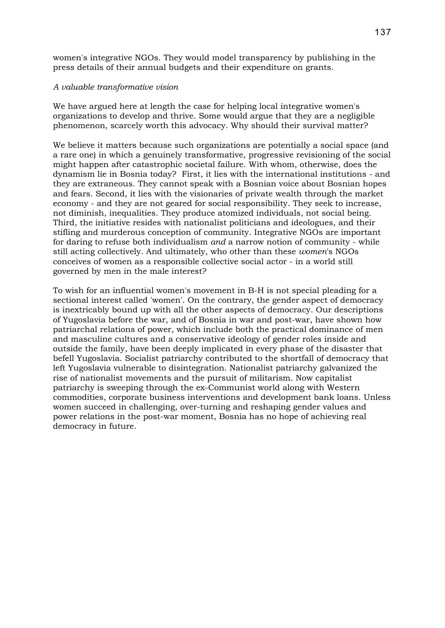women's integrative NGOs. They would model transparency by publishing in the press details of their annual budgets and their expenditure on grants.

### *A valuable transformative vision*

We have argued here at length the case for helping local integrative women's organizations to develop and thrive. Some would argue that they are a negligible phenomenon, scarcely worth this advocacy. Why should their survival matter?

We believe it matters because such organizations are potentially a social space (and a rare one) in which a genuinely transformative, progressive revisioning of the social might happen after catastrophic societal failure. With whom, otherwise, does the dynamism lie in Bosnia today? First, it lies with the international institutions - and they are extraneous. They cannot speak with a Bosnian voice about Bosnian hopes and fears. Second, it lies with the visionaries of private wealth through the market economy - and they are not geared for social responsibility. They seek to increase, not diminish, inequalities. They produce atomized individuals, not social being. Third, the initiative resides with nationalist politicians and ideologues, and their stifling and murderous conception of community. Integrative NGOs are important for daring to refuse both individualism *and* a narrow notion of community - while still acting collectively. And ultimately, who other than these *women*'s NGOs conceives of women as a responsible collective social actor - in a world still governed by men in the male interest?

To wish for an influential women's movement in B-H is not special pleading for a sectional interest called 'women'. On the contrary, the gender aspect of democracy is inextricably bound up with all the other aspects of democracy. Our descriptions of Yugoslavia before the war, and of Bosnia in war and post-war, have shown how patriarchal relations of power, which include both the practical dominance of men and masculine cultures and a conservative ideology of gender roles inside and outside the family, have been deeply implicated in every phase of the disaster that befell Yugoslavia. Socialist patriarchy contributed to the shortfall of democracy that left Yugoslavia vulnerable to disintegration. Nationalist patriarchy galvanized the rise of nationalist movements and the pursuit of militarism. Now capitalist patriarchy is sweeping through the ex-Communist world along with Western commodities, corporate business interventions and development bank loans. Unless women succeed in challenging, over-turning and reshaping gender values and power relations in the post-war moment, Bosnia has no hope of achieving real democracy in future.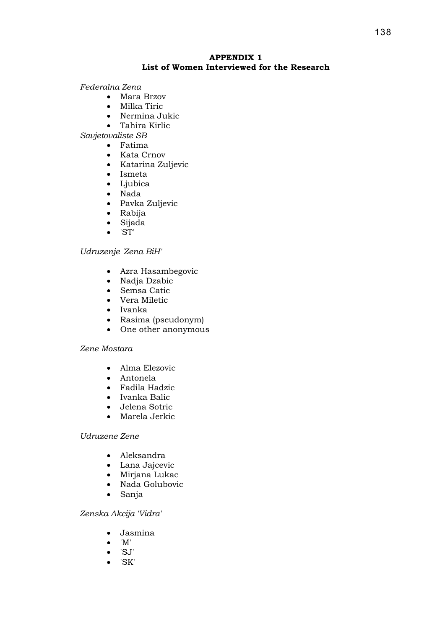## **APPENDIX 1 List of Women Interviewed for the Research**

## *Federalna Zena*

- Mara Brzov
- Milka Tiric
- Nermina Jukic
- Tahira Kirlic

*Savjetovaliste SB* 

- Fatima
	- Kata Crnov
	- Katarina Zuljevic
	- Ismeta
- Ljubica
- Nada
- Pavka Zuljevic
- Rabija
- Sijada
- 'ST'

### *Udruzenje 'Zena BiH'*

- Azra Hasambegovic
- Nadja Dzabic
- Semsa Catic
- Vera Miletic
- Ivanka
- Rasima (pseudonym)
- One other anonymous

### *Zene Mostara*

- Alma Elezovic
- Antonela
- Fadila Hadzic
- Ivanka Balic
- Jelena Sotric
- Marela Jerkic

## *Udruzene Zene*

- Aleksandra
- Lana Jajcevic
- Mirjana Lukac
- Nada Golubovic
- Sanja

## *Zenska Akcija 'Vidra'*

- Jasmina
- 'M'
- 'SJ'
- 'SK'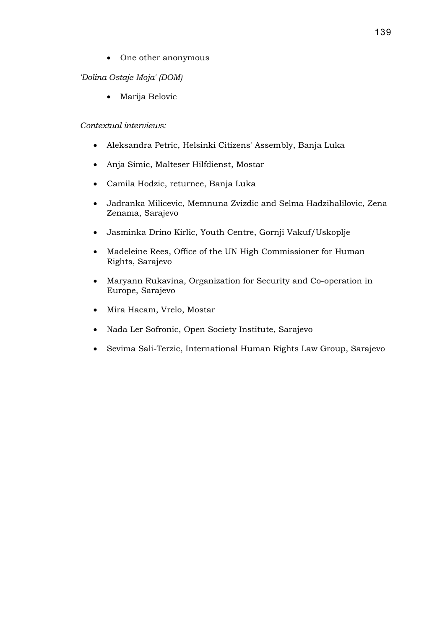• One other anonymous

# *'Dolina Ostaje Moja' (DOM)*

• Marija Belovic

# *Contextual interviews:*

- Aleksandra Petric, Helsinki Citizens' Assembly, Banja Luka
- Anja Simic, Malteser Hilfdienst, Mostar
- Camila Hodzic, returnee, Banja Luka
- Jadranka Milicevic, Memnuna Zvizdic and Selma Hadzihalilovic, Zena Zenama, Sarajevo
- Jasminka Drino Kirlic, Youth Centre, Gornji Vakuf/Uskoplje
- Madeleine Rees, Office of the UN High Commissioner for Human Rights, Sarajevo
- Maryann Rukavina, Organization for Security and Co-operation in Europe, Sarajevo
- Mira Hacam, Vrelo, Mostar
- Nada Ler Sofronic, Open Society Institute, Sarajevo
- Sevima Sali-Terzic, International Human Rights Law Group, Sarajevo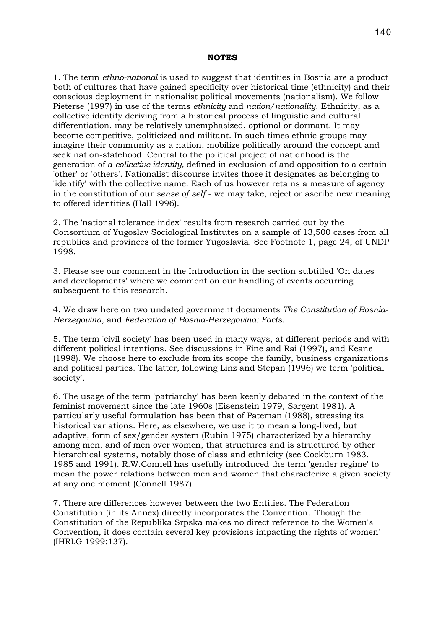#### **NOTES**

1. The term *ethno-national* is used to suggest that identities in Bosnia are a product both of cultures that have gained specificity over historical time (ethnicity) and their conscious deployment in nationalist political movements (nationalism). We follow Pieterse (1997) in use of the terms *ethnicity* and *nation/nationality*. Ethnicity, as a collective identity deriving from a historical process of linguistic and cultural differentiation, may be relatively unemphasized, optional or dormant. It may become competitive, politicized and militant. In such times ethnic groups may imagine their community as a nation, mobilize politically around the concept and seek nation-statehood. Central to the political project of nationhood is the generation of a *collective identity,* defined in exclusion of and opposition to a certain 'other' or 'others'. Nationalist discourse invites those it designates as belonging to 'identify' with the collective name. Each of us however retains a measure of agency in the constitution of our *sense of self* - we may take, reject or ascribe new meaning to offered identities (Hall 1996).

2. The 'national tolerance index' results from research carried out by the Consortium of Yugoslav Sociological Institutes on a sample of 13,500 cases from all republics and provinces of the former Yugoslavia. See Footnote 1, page 24, of UNDP 1998.

3. Please see our comment in the Introduction in the section subtitled 'On dates and developments' where we comment on our handling of events occurring subsequent to this research.

4. We draw here on two undated government documents *The Constitution of Bosnia-Herzegovina*, and *Federation of Bosnia-Herzegovina: Facts*.

5. The term 'civil society' has been used in many ways, at different periods and with different political intentions. See discussions in Fine and Rai (1997), and Keane (1998). We choose here to exclude from its scope the family, business organizations and political parties. The latter, following Linz and Stepan (1996) we term 'political society'.

6. The usage of the term 'patriarchy' has been keenly debated in the context of the feminist movement since the late 1960s (Eisenstein 1979, Sargent 1981). A particularly useful formulation has been that of Pateman (1988), stressing its historical variations. Here, as elsewhere, we use it to mean a long-lived, but adaptive, form of sex/gender system (Rubin 1975) characterized by a hierarchy among men, and of men over women, that structures and is structured by other hierarchical systems, notably those of class and ethnicity (see Cockburn 1983, 1985 and 1991). R.W.Connell has usefully introduced the term 'gender regime' to mean the power relations between men and women that characterize a given society at any one moment (Connell 1987).

7. There are differences however between the two Entities. The Federation Constitution (in its Annex) directly incorporates the Convention. 'Though the Constitution of the Republika Srpska makes no direct reference to the Women's Convention, it does contain several key provisions impacting the rights of women' (IHRLG 1999:137).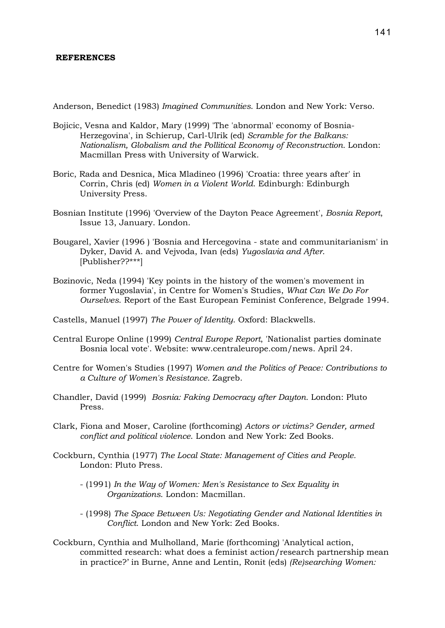#### **REFERENCES**

Anderson, Benedict (1983) *Imagined Communities*. London and New York: Verso.

- Bojicic, Vesna and Kaldor, Mary (1999) 'The 'abnormal' economy of Bosnia-Herzegovina', in Schierup, Carl-Ulrik (ed) *Scramble for the Balkans: Nationalism, Globalism and the Pollitical Economy of Reconstruction.* London: Macmillan Press with University of Warwick.
- Boric, Rada and Desnica, Mica Mladineo (1996) 'Croatia: three years after' in Corrin, Chris (ed) *Women in a Violent World*. Edinburgh: Edinburgh University Press.
- Bosnian Institute (1996) 'Overview of the Dayton Peace Agreement', *Bosnia Report*, Issue 13, January. London.
- Bougarel, Xavier (1996 ) 'Bosnia and Hercegovina state and communitarianism' in Dyker, David A. and Vejvoda, Ivan (eds) *Yugoslavia and After*. [Publisher??\*\*\*]
- Bozinovic, Neda (1994) 'Key points in the history of the women's movement in former Yugoslavia', in Centre for Women's Studies, *What Can We Do For Ourselves*. Report of the East European Feminist Conference, Belgrade 1994.
- Castells, Manuel (1997) *The Power of Identity*. Oxford: Blackwells.
- Central Europe Online (1999) *Central Europe Report*, 'Nationalist parties dominate Bosnia local vote'. Website: www.centraleurope.com/news. April 24.
- Centre for Women's Studies (1997) *Women and the Politics of Peace: Contributions to a Culture of Women's Resistance.* Zagreb.
- Chandler, David (1999) *Bosnia: Faking Democracy after Dayton.* London: Pluto Press.
- Clark, Fiona and Moser, Caroline (forthcoming) *Actors or victims? Gender, armed conflict and political violence*. London and New York: Zed Books.
- Cockburn, Cynthia (1977) *The Local State: Management of Cities and People.* London: Pluto Press.
	- (1991) *In the Way of Women: Men's Resistance to Sex Equality in Organizations*. London: Macmillan.
	- (1998) *The Space Between Us: Negotiating Gender and National Identities in Conflict*. London and New York: Zed Books.
- Cockburn, Cynthia and Mulholland, Marie (forthcoming) 'Analytical action, committed research: what does a feminist action/research partnership mean in practice?' in Burne, Anne and Lentin, Ronit (eds) *(Re)searching Women:*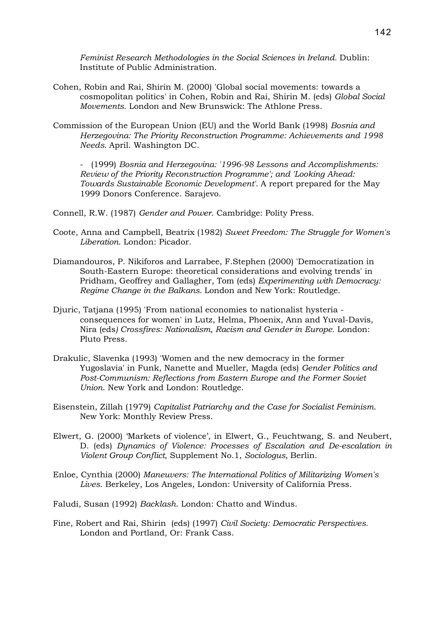*Feminist Research Methodologies in the Social Sciences in Ireland.* Dublin: Institute of Public Administration.

- Cohen, Robin and Rai, Shirin M. (2000) 'Global social movements: towards a cosmopolitan politics' in Cohen, Robin and Rai, Shirin M. (eds) *Global Social Movements*. London and New Brunswick: The Athlone Press.
- Commission of the European Union (EU) and the World Bank (1998) *Bosnia and Herzegovina: The Priority Reconstruction Programme: Achievements and 1998 Needs.* April. Washington DC.

- (1999) *Bosnia and Herzegovina: '1996-98 Lessons and Accomplishments: Review of the Priority Reconstruction Programme'; and 'Looking Ahead: Towards Sustainable Economic Development'.* A report prepared for the May 1999 Donors Conference. Sarajevo.

Connell, R.W. (1987) *Gender and Power*. Cambridge: Polity Press.

- Coote, Anna and Campbell, Beatrix (1982) *Sweet Freedom: The Struggle for Women's Liberation*. London: Picador.
- Diamandouros, P. Nikiforos and Larrabee, F.Stephen (2000) 'Democratization in South-Eastern Europe: theoretical considerations and evolving trends' in Pridham, Geoffrey and Gallagher, Tom (eds) *Experimenting with Democracy: Regime Change in the Balkans.* London and New York: Routledge.
- Djuric, Tatjana (1995) 'From national economies to nationalist hysteria consequences for women' in Lutz, Helma, Phoenix, Ann and Yuval-Davis, Nira (eds*) Crossfires: Nationalism, Racism and Gender in Europe.* London: Pluto Press.
- Drakulic, Slavenka (1993) 'Women and the new democracy in the former Yugoslavia' in Funk, Nanette and Mueller, Magda (eds) *Gender Politics and Post-Communism: Reflections from Eastern Europe and the Former Soviet Union*. New York and London: Routledge.
- Eisenstein, Zillah (1979) *Capitalist Patriarchy and the Case for Socialist Feminism*. New York: Monthly Review Press.
- Elwert, G. (2000) 'Markets of violence', in Elwert, G., Feuchtwang, S. and Neubert, D. (eds) *Dynamics of Violence: Processes of Escalation and De-escalation in Violent Group Conflict*, Supplement No.1, *Sociologus,* Berlin.
- Enloe, Cynthia (2000) *Maneuvers: The International Politics of Militarizing Women's Lives*. Berkeley, Los Angeles, London: University of California Press.

Faludi, Susan (1992) *Backlash*. London: Chatto and Windus.

Fine, Robert and Rai, Shirin (eds) (1997) *Civil Society: Democratic Perspectives.*  London and Portland, Or: Frank Cass.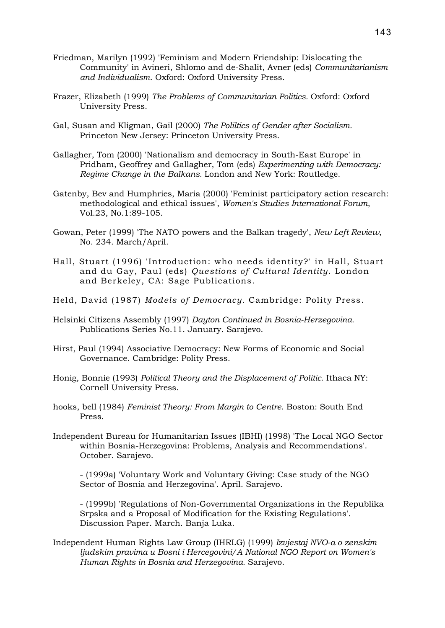- Friedman, Marilyn (1992) 'Feminism and Modern Friendship: Dislocating the Community' in Avineri, Shlomo and de-Shalit, Avner (eds) *Communitarianism and Individualism*. Oxford: Oxford University Press.
- Frazer, Elizabeth (1999) *The Problems of Communitarian Politics.* Oxford: Oxford University Press.
- Gal, Susan and Kligman, Gail (2000) *The Poliltics of Gender after Socialism.*  Princeton New Jersey: Princeton University Press.
- Gallagher, Tom (2000) 'Nationalism and democracy in South-East Europe' in Pridham, Geoffrey and Gallagher, Tom (eds) *Experimenting with Democracy: Regime Change in the Balkans.* London and New York: Routledge.
- Gatenby, Bev and Humphries, Maria (2000) 'Feminist participatory action research: methodological and ethical issues', *Women's Studies International Forum*, Vol.23, No.1:89-105.
- Gowan, Peter (1999) 'The NATO powers and the Balkan tragedy', *New Left Review*, No. 234. March/April.
- Hall, Stuart (1996) 'Introduction: who needs identity?' in Hall, Stuart and du Gay, Paul (eds) *Questions of Cultural Identity*. London and Berkeley, CA: Sage Publications.
- Held, David (1987) *Models of Democracy.* Cambridge: Polity Press.
- Helsinki Citizens Assembly (1997) *Dayton Continued in Bosnia-Herzegovina.*  Publications Series No.11. January. Sarajevo.
- Hirst, Paul (1994) Associative Democracy: New Forms of Economic and Social Governance. Cambridge: Polity Press.
- Honig, Bonnie (1993) *Political Theory and the Displacement of Politic*. Ithaca NY: Cornell University Press.
- hooks, bell (1984) *Feminist Theory: From Margin to Centre*. Boston: South End Press.
- Independent Bureau for Humanitarian Issues (IBHI) (1998) 'The Local NGO Sector within Bosnia-Herzegovina: Problems, Analysis and Recommendations'. October. Sarajevo.

- (1999a) 'Voluntary Work and Voluntary Giving: Case study of the NGO Sector of Bosnia and Herzegovina'. April. Sarajevo.

- (1999b) 'Regulations of Non-Governmental Organizations in the Republika Srpska and a Proposal of Modification for the Existing Regulations'. Discussion Paper. March. Banja Luka.

Independent Human Rights Law Group (IHRLG) (1999) *Izvjestaj NVO-a o zenskim ljudskim pravima u Bosni i Hercegovini/A National NGO Report on Women's Human Rights in Bosnia and Herzegovina.* Sarajevo.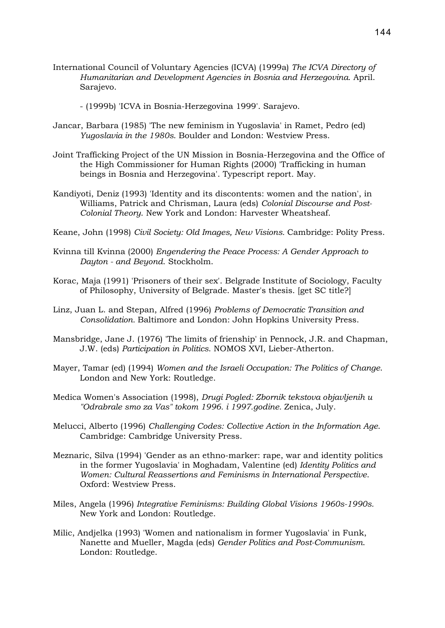International Council of Voluntary Agencies (ICVA) (1999a) *The ICVA Directory of Humanitarian and Development Agencies in Bosnia and Herzegovina*. April. Sarajevo.

- (1999b) 'ICVA in Bosnia-Herzegovina 1999'. Sarajevo.

- Jancar, Barbara (1985) 'The new feminism in Yugoslavia' in Ramet, Pedro (ed) *Yugoslavia in the 1980s*. Boulder and London: Westview Press.
- Joint Trafficking Project of the UN Mission in Bosnia-Herzegovina and the Office of the High Commissioner for Human Rights (2000) 'Trafficking in human beings in Bosnia and Herzegovina'. Typescript report. May.
- Kandiyoti, Deniz (1993) 'Identity and its discontents: women and the nation', in Williams, Patrick and Chrisman, Laura (eds) *Colonial Discourse and Post-Colonial Theory*. New York and London: Harvester Wheatsheaf.
- Keane, John (1998) *Civil Society: Old Images, New Visions.* Cambridge: Polity Press.
- Kvinna till Kvinna (2000) *Engendering the Peace Process: A Gender Approach to Dayton - and Beyond*. Stockholm.
- Korac, Maja (1991) 'Prisoners of their sex'. Belgrade Institute of Sociology, Faculty of Philosophy, University of Belgrade. Master's thesis. [get SC title?]
- Linz, Juan L. and Stepan, Alfred (1996) *Problems of Democratic Transition and Consolidation.* Baltimore and London: John Hopkins University Press.
- Mansbridge, Jane J. (1976) 'The limits of frienship' in Pennock, J.R. and Chapman, J.W. (eds) *Participation in Politics*. NOMOS XVI, Lieber-Atherton.
- Mayer, Tamar (ed) (1994) *Women and the Israeli Occupation: The Politics of Change*. London and New York: Routledge.
- Medica Women's Association (1998), *Drugi Pogled: Zbornik tekstova objavljenih u "Odrabrale smo za Vas" tokom 1996. i 1997.godine.* Zenica, July.
- Melucci, Alberto (1996) *Challenging Codes: Collective Action in the Information Age*. Cambridge: Cambridge University Press.
- Meznaric, Silva (1994) 'Gender as an ethno-marker: rape, war and identity politics in the former Yugoslavia' in Moghadam, Valentine (ed) *Identity Politics and Women: Cultural Reassertions and Feminisms in International Perspective*. Oxford: Westview Press.
- Miles, Angela (1996) *Integrative Feminisms: Building Global Visions 1960s-1990s.* New York and London: Routledge.
- Milic, Andjelka (1993) 'Women and nationalism in former Yugoslavia' in Funk, Nanette and Mueller, Magda (eds) *Gender Politics and Post-Communism*. London: Routledge.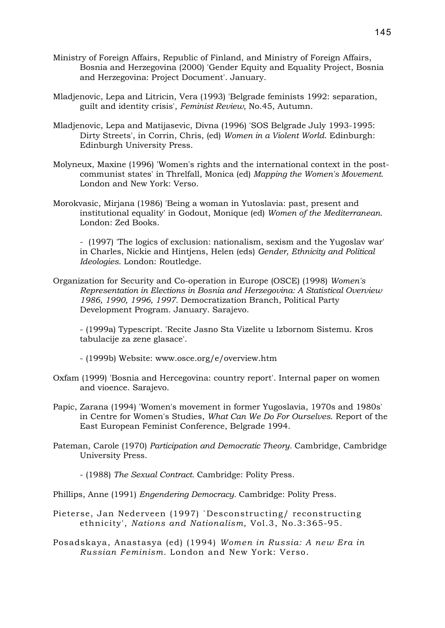- Ministry of Foreign Affairs, Republic of Finland, and Ministry of Foreign Affairs, Bosnia and Herzegovina (2000) 'Gender Equity and Equality Project, Bosnia and Herzegovina: Project Document'. January.
- Mladjenovic, Lepa and Litricin, Vera (1993) 'Belgrade feminists 1992: separation, guilt and identity crisis', *Feminist Review*, No.45, Autumn.
- Mladjenovic, Lepa and Matijasevic, Divna (1996) 'SOS Belgrade July 1993-1995: Dirty Streets', in Corrin, Chris, (ed) *Women in a Violent World*. Edinburgh: Edinburgh University Press.
- Molyneux, Maxine (1996) 'Women's rights and the international context in the postcommunist states' in Threlfall, Monica (ed) *Mapping the Women's Movement*. London and New York: Verso.
- Morokvasic, Mirjana (1986) 'Being a woman in Yutoslavia: past, present and institutional equality' in Godout, Monique (ed) *Women of the Mediterranean.* London: Zed Books.

- (1997) 'The logics of exclusion: nationalism, sexism and the Yugoslav war' in Charles, Nickie and Hintjens, Helen (eds) *Gender, Ethnicity and Political Ideologies*. London: Routledge.

Organization for Security and Co-operation in Europe (OSCE) (1998) *Women's Representation in Elections in Bosnia and Herzegovina: A Statistical Overview 1986, 1990, 1996, 1997.* Democratization Branch, Political Party Development Program. January. Sarajevo.

- (1999a) Typescript. 'Recite Jasno Sta Vizelite u Izbornom Sistemu. Kros tabulacije za zene glasace'.

- (1999b) Website: www.osce.org/e/overview.htm

- Oxfam (1999) 'Bosnia and Hercegovina: country report'. Internal paper on women and vioence. Sarajevo.
- Papic, Zarana (1994) 'Women's movement in former Yugoslavia, 1970s and 1980s' in Centre for Women's Studies, *What Can We Do For Ourselves*. Report of the East European Feminist Conference, Belgrade 1994.
- Pateman, Carole (1970) *Participation and Democratic Theory.* Cambridge, Cambridge University Press.

- (1988) *The Sexual Contract.* Cambridge: Polity Press.

- Phillips, Anne (1991) *Engendering Democracy.* Cambridge: Polity Press.
- Pieterse, Jan Nederveen (1997) `Desconstructing/ reconstructing ethnicity', *Nations and Nationalism*, Vol.3, No.3:365-95.
- Posadskaya, Anastasya (ed) (1994) *Women in Russia: A new Era in Russian Feminism.* London and New York: Verso.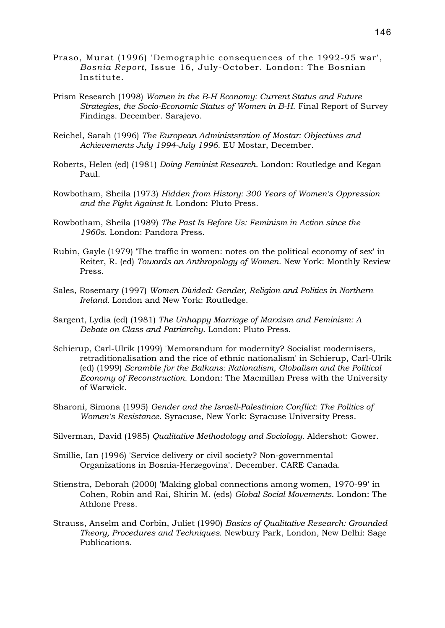- Praso, Murat (1996) 'Demographic consequences of the 1992-95 war', *Bosnia Report*, Issue 16, July-October. London: The Bosnian Institute.
- Prism Research (1998) *Women in the B-H Economy: Current Status and Future Strategies, the Socio-Economic Status of Women in B-H*. Final Report of Survey Findings. December. Sarajevo.
- Reichel, Sarah (1996) *The European Administsration of Mostar: Objectives and Achievements July 1994-July 1996.* EU Mostar, December.
- Roberts, Helen (ed) (1981) *Doing Feminist Research*. London: Routledge and Kegan Paul.
- Rowbotham, Sheila (1973) *Hidden from History: 300 Years of Women's Oppression and the Fight Against It.* London: Pluto Press.
- Rowbotham, Sheila (1989) *The Past Is Before Us: Feminism in Action since the 1960s.* London: Pandora Press.
- Rubin, Gayle (1979) 'The traffic in women: notes on the political economy of sex' in Reiter, R. (ed) *Towards an Anthropology of Women.* New York: Monthly Review Press.
- Sales, Rosemary (1997) *Women Divided: Gender, Religion and Politics in Northern Ireland.* London and New York: Routledge.
- Sargent, Lydia (ed) (1981) *The Unhappy Marriage of Marxism and Feminism: A Debate on Class and Patriarchy*. London: Pluto Press.
- Schierup, Carl-Ulrik (1999) 'Memorandum for modernity? Socialist modernisers, retraditionalisation and the rice of ethnic nationalism' in Schierup, Carl-Ulrik (ed) (1999) *Scramble for the Balkans: Nationalism, Globalism and the Political Economy of Reconstruction*. London: The Macmillan Press with the University of Warwick.
- Sharoni, Simona (1995) *Gender and the Israeli-Palestinian Conflict: The Politics of Women's Resistance*. Syracuse, New York: Syracuse University Press.
- Silverman, David (1985) *Qualitative Methodology and Sociology.* Aldershot: Gower.
- Smillie, Ian (1996) 'Service delivery or civil society? Non-governmental Organizations in Bosnia-Herzegovina'. December. CARE Canada.
- Stienstra, Deborah (2000) 'Making global connections among women, 1970-99' in Cohen, Robin and Rai, Shirin M. (eds) *Global Social Movements*. London: The Athlone Press.
- Strauss, Anselm and Corbin, Juliet (1990) *Basics of Qualitative Research: Grounded Theory, Procedures and Techniques.* Newbury Park, London, New Delhi: Sage Publications.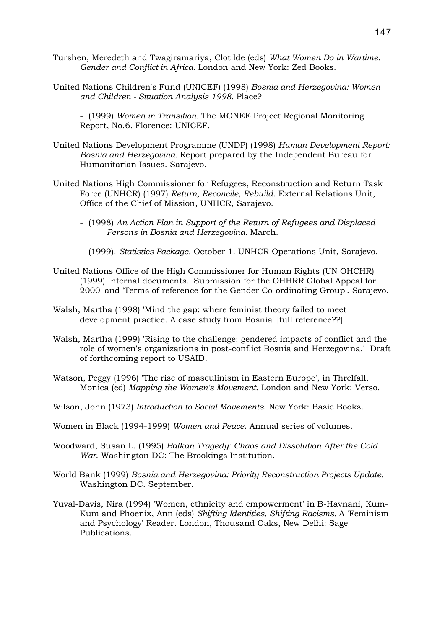- Turshen, Meredeth and Twagiramariya, Clotilde (eds) *What Women Do in Wartime: Gender and Conflict in Africa*. London and New York: Zed Books.
- United Nations Children's Fund (UNICEF) (1998) *Bosnia and Herzegovina: Women and Children - Situation Analysis 1998*. Place?

- (1999) *Women in Transition.* The MONEE Project Regional Monitoring Report, No.6. Florence: UNICEF.

- United Nations Development Programme (UNDP) (1998) *Human Development Report: Bosnia and Herzegovina.* Report prepared by the Independent Bureau for Humanitarian Issues. Sarajevo.
- United Nations High Commissioner for Refugees, Reconstruction and Return Task Force (UNHCR) (1997) *Return, Reconcile, Rebuild*. External Relations Unit, Office of the Chief of Mission, UNHCR, Sarajevo.
	- (1998) *An Action Plan in Support of the Return of Refugees and Displaced Persons in Bosnia and Herzegovina*. March.
	- (1999). *Statistics Package.* October 1. UNHCR Operations Unit, Sarajevo.
- United Nations Office of the High Commissioner for Human Rights (UN OHCHR) (1999) Internal documents. 'Submission for the OHHRR Global Appeal for 2000' and 'Terms of reference for the Gender Co-ordinating Group'. Sarajevo.
- Walsh, Martha (1998) 'Mind the gap: where feminist theory failed to meet development practice. A case study from Bosnia' [full reference??]
- Walsh, Martha (1999) 'Rising to the challenge: gendered impacts of conflict and the role of women's organizations in post-conflict Bosnia and Herzegovina.' Draft of forthcoming report to USAID.
- Watson, Peggy (1996) 'The rise of masculinism in Eastern Europe', in Threlfall, Monica (ed) *Mapping the Women's Movement*. London and New York: Verso.
- Wilson, John (1973) *Introduction to Social Movements*. New York: Basic Books.
- Women in Black (1994-1999) *Women and Peace*. Annual series of volumes.
- Woodward, Susan L. (1995) *Balkan Tragedy: Chaos and Dissolution After the Cold War*. Washington DC: The Brookings Institution.
- World Bank (1999) *Bosnia and Herzegovina: Priority Reconstruction Projects Update.*  Washington DC. September.
- Yuval-Davis, Nira (1994) 'Women, ethnicity and empowerment' in B-Havnani, Kum-Kum and Phoenix, Ann (eds) *Shifting Identities, Shifting Racisms.* A 'Feminism and Psychology' Reader. London, Thousand Oaks, New Delhi: Sage Publications.